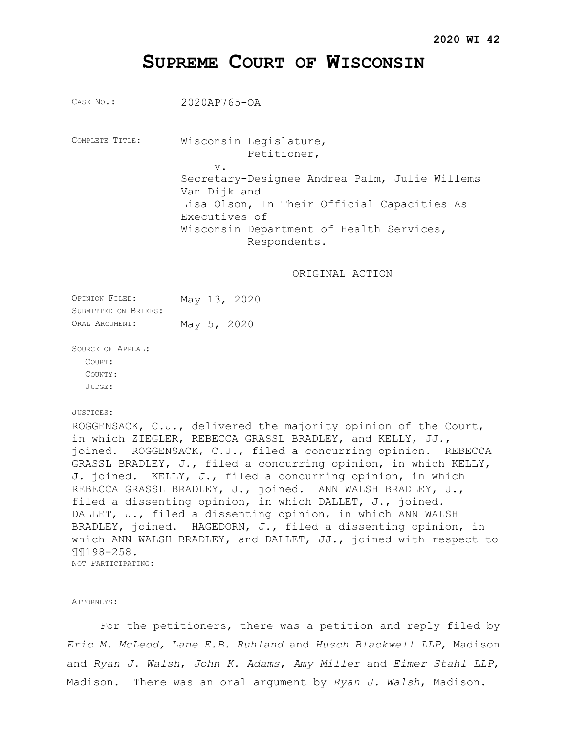# **SUPREME COURT OF WISCONSIN**

CASE NO.: 2020AP765-OA COMPLETE TITLE: Wisconsin Legislature, Petitioner, v. Secretary-Designee Andrea Palm, Julie Willems Van Dijk and Lisa Olson, In Their Official Capacities As Executives of Wisconsin Department of Health Services, Respondents. ORIGINAL ACTION OPINION FILED: May 13, 2020 SUBMITTED ON BRIEFS: ORAL ARGUMENT: May 5, 2020 SOURCE OF APPEAL: COURT: COUNTY: JUDGE: JUSTICES: ROGGENSACK, C.J., delivered the majority opinion of the Court, in which ZIEGLER, REBECCA GRASSL BRADLEY, and KELLY, JJ., joined. ROGGENSACK, C.J., filed a concurring opinion. REBECCA GRASSL BRADLEY, J., filed a concurring opinion, in which KELLY,

ATTORNEYS:

¶¶198-258. NOT PARTICIPATING .

For the petitioners, there was a petition and reply filed by *Eric M. McLeod, Lane E.B. Ruhland* and *Husch Blackwell LLP*, Madison and *Ryan J. Walsh*, *John K. Adams*, *Amy Miller* and *Eimer Stahl LLP*, Madison. There was an oral argument by *Ryan J. Walsh*, Madison.

J. joined. KELLY, J., filed a concurring opinion, in which REBECCA GRASSL BRADLEY, J., joined. ANN WALSH BRADLEY, J., filed a dissenting opinion, in which DALLET, J., joined. DALLET, J., filed a dissenting opinion, in which ANN WALSH BRADLEY, joined. HAGEDORN, J., filed a dissenting opinion, in which ANN WALSH BRADLEY, and DALLET, JJ., joined with respect to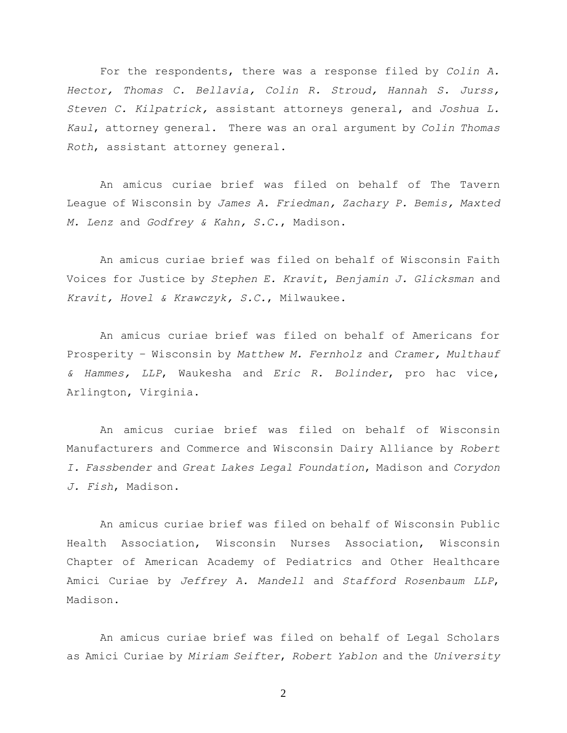For the respondents, there was a response filed by *Colin A. Hector, Thomas C. Bellavia, Colin R. Stroud, Hannah S. Jurss, Steven C. Kilpatrick,* assistant attorneys general, and *Joshua L. Kaul*, attorney general. There was an oral argument by *Colin Thomas Roth*, assistant attorney general.

An amicus curiae brief was filed on behalf of The Tavern League of Wisconsin by *James A. Friedman, Zachary P. Bemis, Maxted M. Lenz* and *Godfrey & Kahn, S.C.*, Madison.

An amicus curiae brief was filed on behalf of Wisconsin Faith Voices for Justice by *Stephen E. Kravit*, *Benjamin J. Glicksman* and *Kravit, Hovel & Krawczyk, S.C.*, Milwaukee.

An amicus curiae brief was filed on behalf of Americans for Prosperity – Wisconsin by *Matthew M. Fernholz* and *Cramer, Multhauf & Hammes, LLP*, Waukesha and *Eric R. Bolinder*, pro hac vice, Arlington, Virginia.

An amicus curiae brief was filed on behalf of Wisconsin Manufacturers and Commerce and Wisconsin Dairy Alliance by *Robert I. Fassbender* and *Great Lakes Legal Foundation*, Madison and *Corydon J. Fish*, Madison.

An amicus curiae brief was filed on behalf of Wisconsin Public Health Association, Wisconsin Nurses Association, Wisconsin Chapter of American Academy of Pediatrics and Other Healthcare Amici Curiae by *Jeffrey A. Mandell* and *Stafford Rosenbaum LLP*, Madison.

An amicus curiae brief was filed on behalf of Legal Scholars as Amici Curiae by *Miriam Seifter*, *Robert Yablon* and the *University*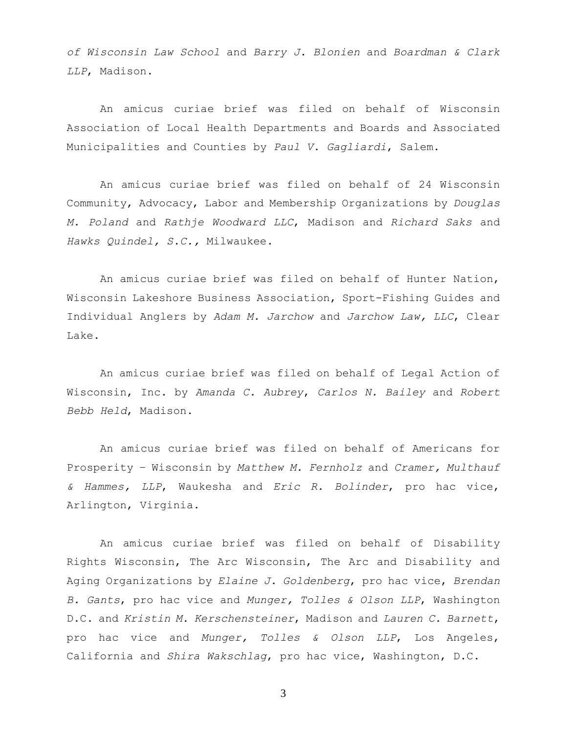*of Wisconsin Law School* and *Barry J. Blonien* and *Boardman & Clark LLP*, Madison.

An amicus curiae brief was filed on behalf of Wisconsin Association of Local Health Departments and Boards and Associated Municipalities and Counties by *Paul V. Gagliardi*, Salem.

An amicus curiae brief was filed on behalf of 24 Wisconsin Community, Advocacy, Labor and Membership Organizations by *Douglas M. Poland* and *Rathje Woodward LLC*, Madison and *Richard Saks* and *Hawks Quindel, S.C.,* Milwaukee.

An amicus curiae brief was filed on behalf of Hunter Nation, Wisconsin Lakeshore Business Association, Sport-Fishing Guides and Individual Anglers by *Adam M. Jarchow* and *Jarchow Law, LLC*, Clear Lake.

An amicus curiae brief was filed on behalf of Legal Action of Wisconsin, Inc. by *Amanda C. Aubrey*, *Carlos N. Bailey* and *Robert Bebb Held*, Madison.

An amicus curiae brief was filed on behalf of Americans for Prosperity – Wisconsin by *Matthew M. Fernholz* and *Cramer, Multhauf & Hammes, LLP*, Waukesha and *Eric R. Bolinder*, pro hac vice, Arlington, Virginia.

An amicus curiae brief was filed on behalf of Disability Rights Wisconsin, The Arc Wisconsin, The Arc and Disability and Aging Organizations by *Elaine J. Goldenberg*, pro hac vice, *Brendan B. Gants*, pro hac vice and *Munger, Tolles & Olson LLP*, Washington D.C. and *Kristin M. Kerschensteiner*, Madison and *Lauren C. Barnett*, pro hac vice and *Munger, Tolles & Olson LLP*, Los Angeles, California and *Shira Wakschlag*, pro hac vice, Washington, D.C.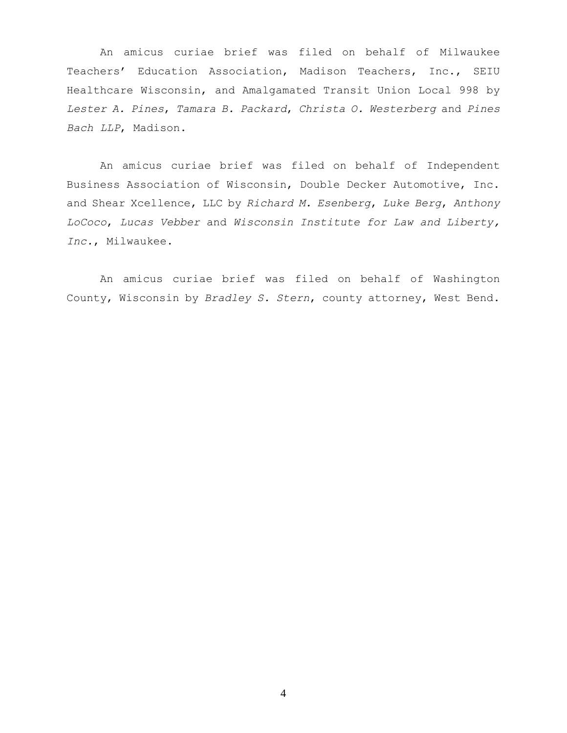An amicus curiae brief was filed on behalf of Milwaukee Teachers' Education Association, Madison Teachers, Inc., SEIU Healthcare Wisconsin, and Amalgamated Transit Union Local 998 by *Lester A. Pines*, *Tamara B. Packard*, *Christa O. Westerberg* and *Pines Bach LLP*, Madison.

An amicus curiae brief was filed on behalf of Independent Business Association of Wisconsin, Double Decker Automotive, Inc. and Shear Xcellence, LLC by *Richard M. Esenberg*, *Luke Berg*, *Anthony LoCoco*, *Lucas Vebber* and *Wisconsin Institute for Law and Liberty, Inc.*, Milwaukee.

An amicus curiae brief was filed on behalf of Washington County, Wisconsin by *Bradley S. Stern*, county attorney, West Bend.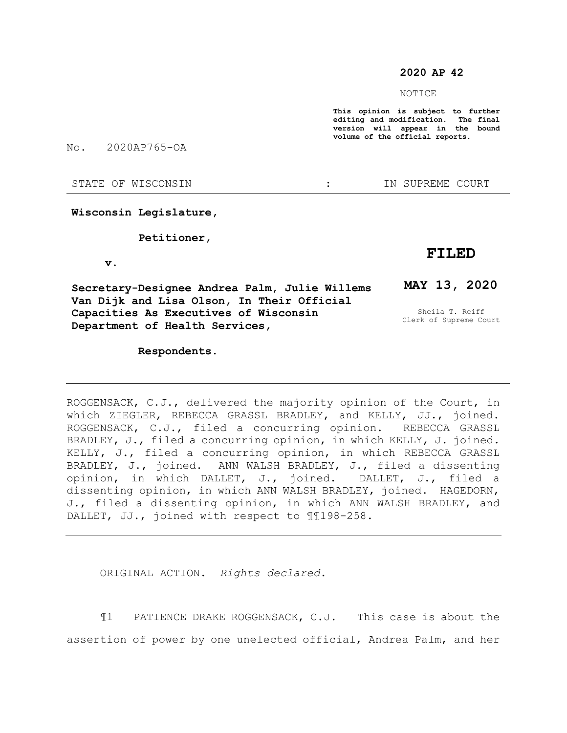### **2020 AP 42**

NOTICE

**This opinion is subject to further editing and modification. The final version will appear in the bound volume of the official reports.** 

No. 2020AP765-OA

#### STATE OF WISCONSIN THE STATE OF WISCONSIN THE STATE OF STATE OF STATE OF STATE OF STATE OF STATE OF STATE OF STATE OF STATE OF STATE OF STATE OF STATE OF STATE OF STATE OF STATE OF STATE OF STATE OF STATE OF STATE OF STATE

### **Wisconsin Legislature,**

#### **Petitioner,**

#### **v.**

**Secretary-Designee Andrea Palm, Julie Willems Van Dijk and Lisa Olson, In Their Official Capacities As Executives of Wisconsin Department of Health Services,**

#### **Respondents.**

## **FILED**

# **MAY 13, 2020**

Sheila T. Reiff Clerk of Supreme Court

ROGGENSACK, C.J., delivered the majority opinion of the Court, in which ZIEGLER, REBECCA GRASSL BRADLEY, and KELLY, JJ., joined. ROGGENSACK, C.J., filed a concurring opinion. REBECCA GRASSL BRADLEY, J., filed a concurring opinion, in which KELLY, J. joined. KELLY, J., filed a concurring opinion, in which REBECCA GRASSL BRADLEY, J., joined. ANN WALSH BRADLEY, J., filed a dissenting opinion, in which DALLET, J., joined. DALLET, J., filed a dissenting opinion, in which ANN WALSH BRADLEY, joined. HAGEDORN, J., filed a dissenting opinion, in which ANN WALSH BRADLEY, and DALLET, JJ., joined with respect to ¶¶198-258.

ORIGINAL ACTION. *Rights declared.*

¶1 PATIENCE DRAKE ROGGENSACK, C.J. This case is about the assertion of power by one unelected official, Andrea Palm, and her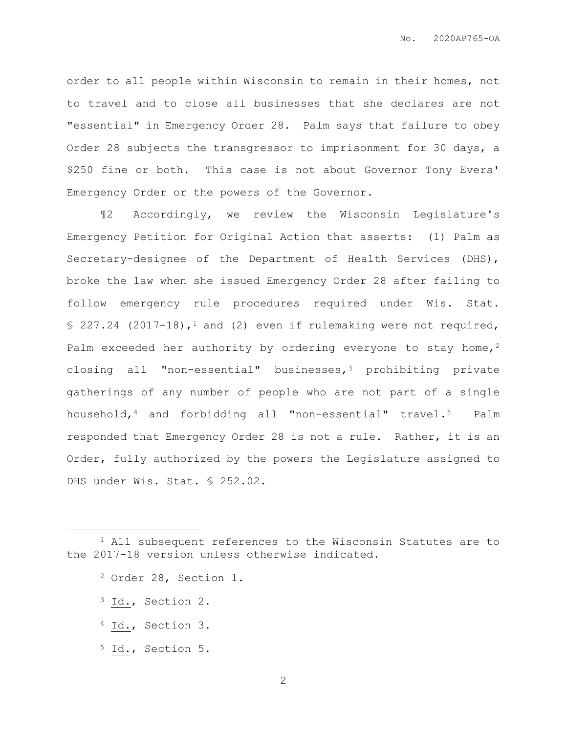order to all people within Wisconsin to remain in their homes, not to travel and to close all businesses that she declares are not "essential" in Emergency Order 28. Palm says that failure to obey Order 28 subjects the transgressor to imprisonment for 30 days, a \$250 fine or both. This case is not about Governor Tony Evers' Emergency Order or the powers of the Governor.

¶2 Accordingly, we review the Wisconsin Legislature's Emergency Petition for Original Action that asserts: (1) Palm as Secretary-designee of the Department of Health Services (DHS), broke the law when she issued Emergency Order 28 after failing to follow emergency rule procedures required under Wis. Stat.  $$ 227.24$  (2017-18),<sup>1</sup> and (2) even if rulemaking were not required, Palm exceeded her authority by ordering everyone to stay home,  $2$ closing all "non-essential" businesses, $3$  prohibiting private gatherings of any number of people who are not part of a single household,<sup>4</sup> and forbidding all "non-essential" travel.5 Palm responded that Emergency Order 28 is not a rule. Rather, it is an Order, fully authorized by the powers the Legislature assigned to DHS under Wis. Stat. § 252.02.

<sup>3</sup> Id., Section 2.

 $\overline{a}$ 

- <sup>4</sup> Id., Section 3.
- <sup>5</sup> Id., Section 5.

<sup>1</sup> All subsequent references to the Wisconsin Statutes are to the 2017-18 version unless otherwise indicated.

<sup>2</sup> Order 28, Section 1.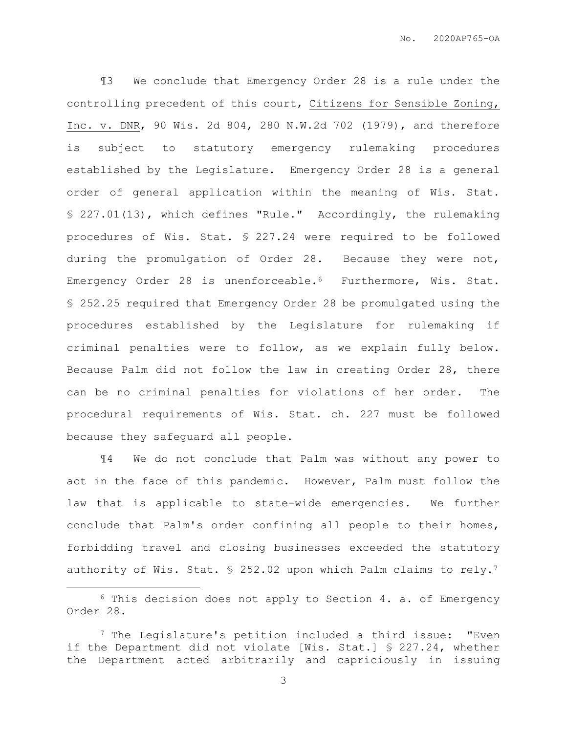¶3 We conclude that Emergency Order 28 is a rule under the controlling precedent of this court, Citizens for Sensible Zoning, Inc. v. DNR, 90 Wis. 2d 804, 280 N.W.2d 702 (1979), and therefore is subject to statutory emergency rulemaking procedures established by the Legislature. Emergency Order 28 is a general order of general application within the meaning of Wis. Stat. § 227.01(13), which defines "Rule." Accordingly, the rulemaking procedures of Wis. Stat. § 227.24 were required to be followed during the promulgation of Order 28. Because they were not, Emergency Order 28 is unenforceable.<sup>6</sup> Furthermore, Wis. Stat. § 252.25 required that Emergency Order 28 be promulgated using the procedures established by the Legislature for rulemaking if criminal penalties were to follow, as we explain fully below. Because Palm did not follow the law in creating Order 28, there can be no criminal penalties for violations of her order. The procedural requirements of Wis. Stat. ch. 227 must be followed because they safeguard all people.

¶4 We do not conclude that Palm was without any power to act in the face of this pandemic. However, Palm must follow the law that is applicable to state-wide emergencies. We further conclude that Palm's order confining all people to their homes, forbidding travel and closing businesses exceeded the statutory authority of Wis. Stat. § 252.02 upon which Palm claims to rely.<sup>7</sup>

 $\overline{a}$ 

 $6$  This decision does not apply to Section 4. a. of Emergency Order 28.

<sup>7</sup> The Legislature's petition included a third issue: "Even if the Department did not violate [Wis. Stat.] § 227.24, whether the Department acted arbitrarily and capriciously in issuing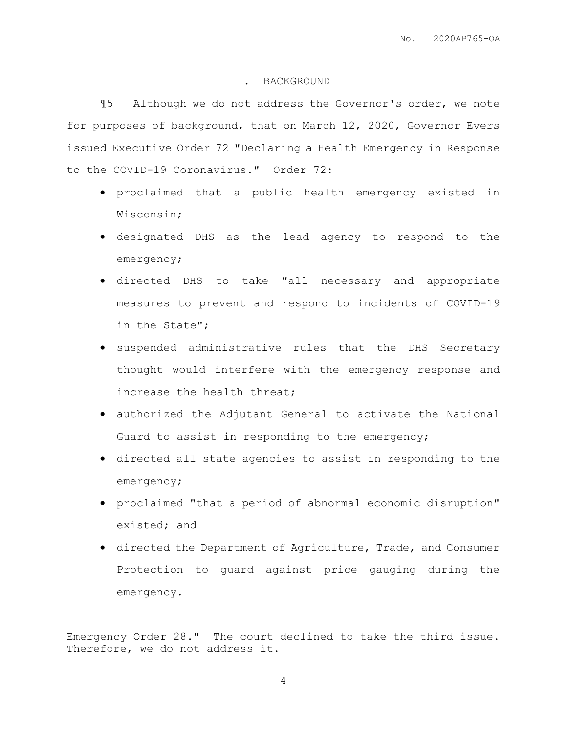## I. BACKGROUND

¶5 Although we do not address the Governor's order, we note for purposes of background, that on March 12, 2020, Governor Evers issued Executive Order 72 "Declaring a Health Emergency in Response to the COVID-19 Coronavirus." Order 72:

- proclaimed that a public health emergency existed in Wisconsin;
- designated DHS as the lead agency to respond to the emergency;
- directed DHS to take "all necessary and appropriate measures to prevent and respond to incidents of COVID-19 in the State";
- suspended administrative rules that the DHS Secretary thought would interfere with the emergency response and increase the health threat;
- authorized the Adjutant General to activate the National Guard to assist in responding to the emergency;
- directed all state agencies to assist in responding to the emergency;
- proclaimed "that a period of abnormal economic disruption" existed; and
- directed the Department of Agriculture, Trade, and Consumer Protection to guard against price gauging during the emergency.

 $\overline{a}$ 

Emergency Order 28." The court declined to take the third issue. Therefore, we do not address it.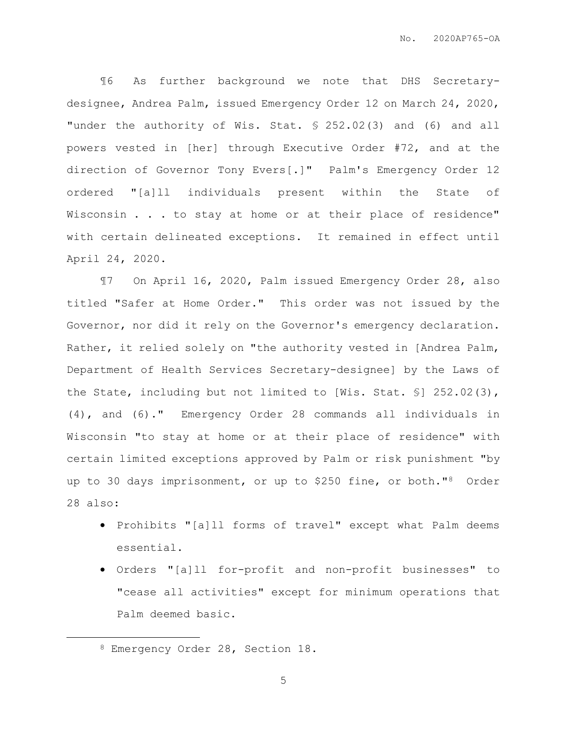¶6 As further background we note that DHS Secretarydesignee, Andrea Palm, issued Emergency Order 12 on March 24, 2020, "under the authority of Wis. Stat. § 252.02(3) and (6) and all powers vested in [her] through Executive Order #72, and at the direction of Governor Tony Evers[.]" Palm's Emergency Order 12 ordered "[a]ll individuals present within the State of Wisconsin . . . to stay at home or at their place of residence" with certain delineated exceptions. It remained in effect until April 24, 2020.

¶7 On April 16, 2020, Palm issued Emergency Order 28, also titled "Safer at Home Order." This order was not issued by the Governor, nor did it rely on the Governor's emergency declaration. Rather, it relied solely on "the authority vested in [Andrea Palm, Department of Health Services Secretary-designee] by the Laws of the State, including but not limited to [Wis. Stat. §] 252.02(3), (4), and (6)." Emergency Order 28 commands all individuals in Wisconsin "to stay at home or at their place of residence" with certain limited exceptions approved by Palm or risk punishment "by up to 30 days imprisonment, or up to \$250 fine, or both."8 Order 28 also:

- Prohibits "[a]ll forms of travel" except what Palm deems essential.
- Orders "[a]ll for-profit and non-profit businesses" to "cease all activities" except for minimum operations that Palm deemed basic.

 $\overline{a}$ 

<sup>8</sup> Emergency Order 28, Section 18.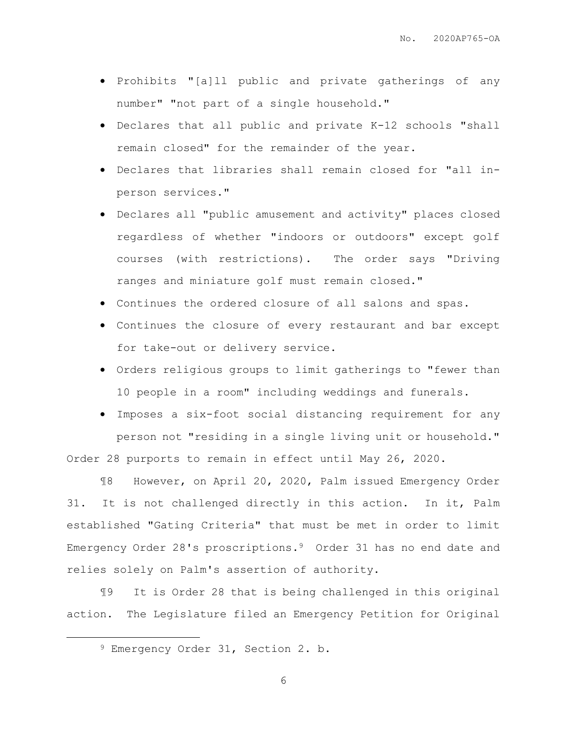- Prohibits "[a]ll public and private gatherings of any number" "not part of a single household."
- Declares that all public and private K-12 schools "shall remain closed" for the remainder of the year.
- Declares that libraries shall remain closed for "all inperson services."
- Declares all "public amusement and activity" places closed regardless of whether "indoors or outdoors" except golf courses (with restrictions). The order says "Driving ranges and miniature golf must remain closed."
- Continues the ordered closure of all salons and spas.
- Continues the closure of every restaurant and bar except for take-out or delivery service.
- Orders religious groups to limit gatherings to "fewer than 10 people in a room" including weddings and funerals.
- Imposes a six-foot social distancing requirement for any person not "residing in a single living unit or household." Order 28 purports to remain in effect until May 26, 2020.

¶8 However, on April 20, 2020, Palm issued Emergency Order 31. It is not challenged directly in this action. In it, Palm established "Gating Criteria" that must be met in order to limit Emergency Order 28's proscriptions.<sup>9</sup> Order 31 has no end date and relies solely on Palm's assertion of authority.

¶9 It is Order 28 that is being challenged in this original action. The Legislature filed an Emergency Petition for Original

 $\overline{a}$ 

<sup>9</sup> Emergency Order 31, Section 2. b.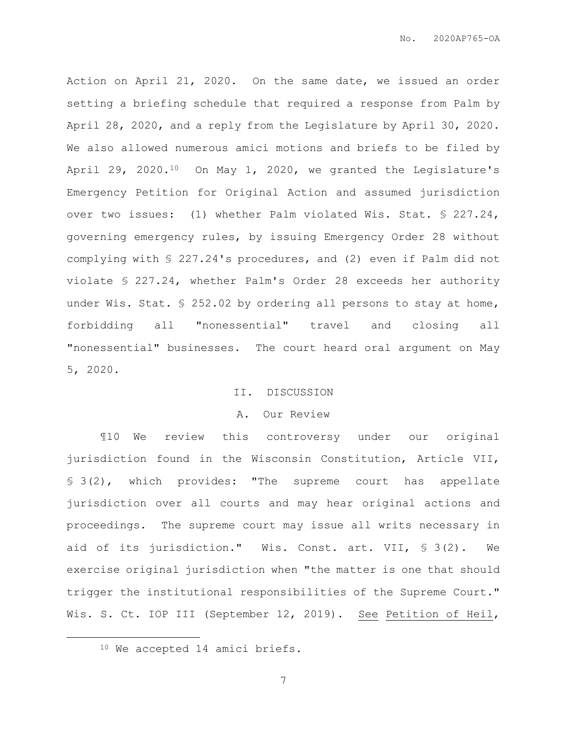Action on April 21, 2020. On the same date, we issued an order setting a briefing schedule that required a response from Palm by April 28, 2020, and a reply from the Legislature by April 30, 2020. We also allowed numerous amici motions and briefs to be filed by April 29, 2020.<sup>10</sup> On May 1, 2020, we granted the Legislature's Emergency Petition for Original Action and assumed jurisdiction over two issues: (1) whether Palm violated Wis. Stat. § 227.24, governing emergency rules, by issuing Emergency Order 28 without complying with § 227.24's procedures, and (2) even if Palm did not violate § 227.24, whether Palm's Order 28 exceeds her authority under Wis. Stat. § 252.02 by ordering all persons to stay at home, forbidding all "nonessential" travel and closing all "nonessential" businesses. The court heard oral argument on May 5, 2020.

## II. DISCUSSION

#### A. Our Review

¶10 We review this controversy under our original jurisdiction found in the Wisconsin Constitution, Article VII, § 3(2), which provides: "The supreme court has appellate jurisdiction over all courts and may hear original actions and proceedings. The supreme court may issue all writs necessary in aid of its jurisdiction." Wis. Const. art. VII, § 3(2). We exercise original jurisdiction when "the matter is one that should trigger the institutional responsibilities of the Supreme Court." Wis. S. Ct. IOP III (September 12, 2019). See Petition of Heil,

 $\overline{a}$ 

<sup>10</sup> We accepted 14 amici briefs.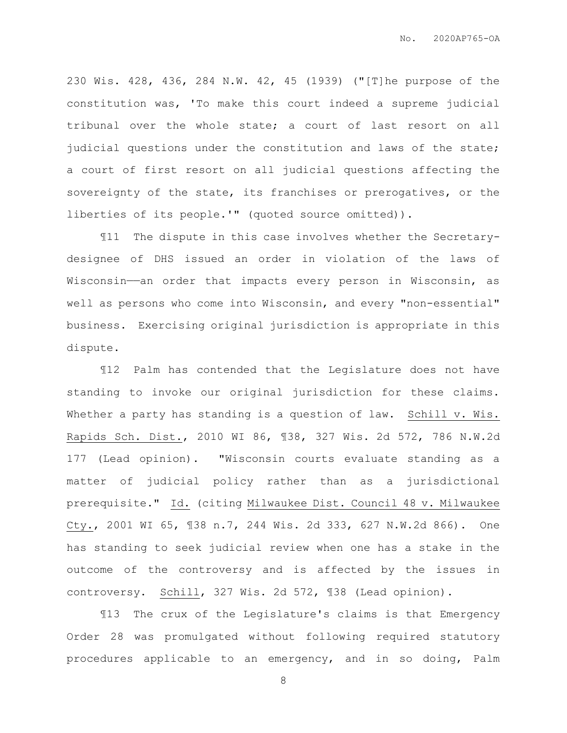230 Wis. 428, 436, 284 N.W. 42, 45 (1939) ("[T]he purpose of the constitution was, 'To make this court indeed a supreme judicial tribunal over the whole state; a court of last resort on all judicial questions under the constitution and laws of the state; a court of first resort on all judicial questions affecting the sovereignty of the state, its franchises or prerogatives, or the liberties of its people.'" (quoted source omitted)).

¶11 The dispute in this case involves whether the Secretarydesignee of DHS issued an order in violation of the laws of Wisconsin——an order that impacts every person in Wisconsin, as well as persons who come into Wisconsin, and every "non-essential" business. Exercising original jurisdiction is appropriate in this dispute.

¶12 Palm has contended that the Legislature does not have standing to invoke our original jurisdiction for these claims. Whether a party has standing is a question of law. Schill v. Wis. Rapids Sch. Dist., 2010 WI 86, ¶38, 327 Wis. 2d 572, 786 N.W.2d 177 (Lead opinion). "Wisconsin courts evaluate standing as a matter of judicial policy rather than as a jurisdictional prerequisite." Id. (citing Milwaukee Dist. Council 48 v. Milwaukee Cty., 2001 WI 65, ¶38 n.7, 244 Wis. 2d 333, 627 N.W.2d 866). One has standing to seek judicial review when one has a stake in the outcome of the controversy and is affected by the issues in controversy. Schill, 327 Wis. 2d 572, ¶38 (Lead opinion).

¶13 The crux of the Legislature's claims is that Emergency Order 28 was promulgated without following required statutory procedures applicable to an emergency, and in so doing, Palm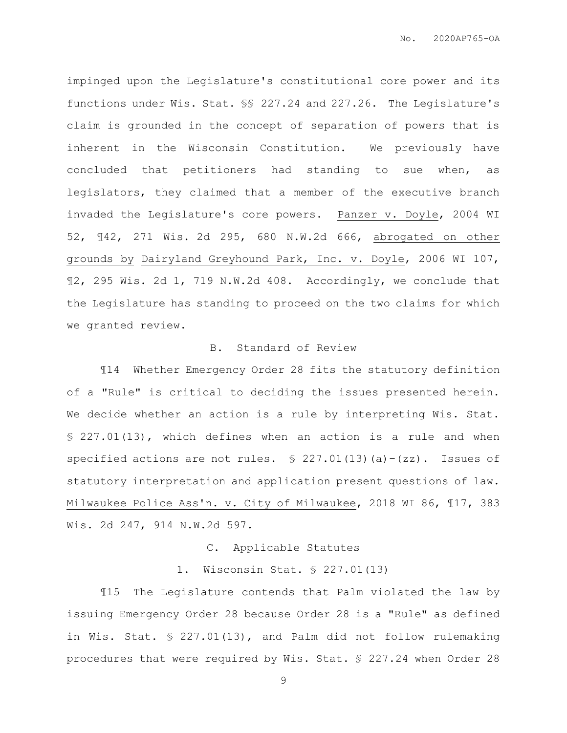impinged upon the Legislature's constitutional core power and its functions under Wis. Stat. §§ 227.24 and 227.26. The Legislature's claim is grounded in the concept of separation of powers that is inherent in the Wisconsin Constitution. We previously have concluded that petitioners had standing to sue when, as legislators, they claimed that a member of the executive branch invaded the Legislature's core powers. Panzer v. Doyle, 2004 WI 52, ¶42, 271 Wis. 2d 295, 680 N.W.2d 666, abrogated on other grounds by Dairyland Greyhound Park, Inc. v. Doyle, 2006 WI 107, ¶2, 295 Wis. 2d 1, 719 N.W.2d 408. Accordingly, we conclude that the Legislature has standing to proceed on the two claims for which we granted review.

# B. Standard of Review

¶14 Whether Emergency Order 28 fits the statutory definition of a "Rule" is critical to deciding the issues presented herein. We decide whether an action is a rule by interpreting Wis. Stat. § 227.01(13), which defines when an action is a rule and when specified actions are not rules.  $$ 227.01(13)(a)-(zz)$ . Issues of statutory interpretation and application present questions of law. Milwaukee Police Ass'n. v. City of Milwaukee, 2018 WI 86, ¶17, 383 Wis. 2d 247, 914 N.W.2d 597.

C. Applicable Statutes

1. Wisconsin Stat. § 227.01(13)

¶15 The Legislature contends that Palm violated the law by issuing Emergency Order 28 because Order 28 is a "Rule" as defined in Wis. Stat. § 227.01(13), and Palm did not follow rulemaking procedures that were required by Wis. Stat. § 227.24 when Order 28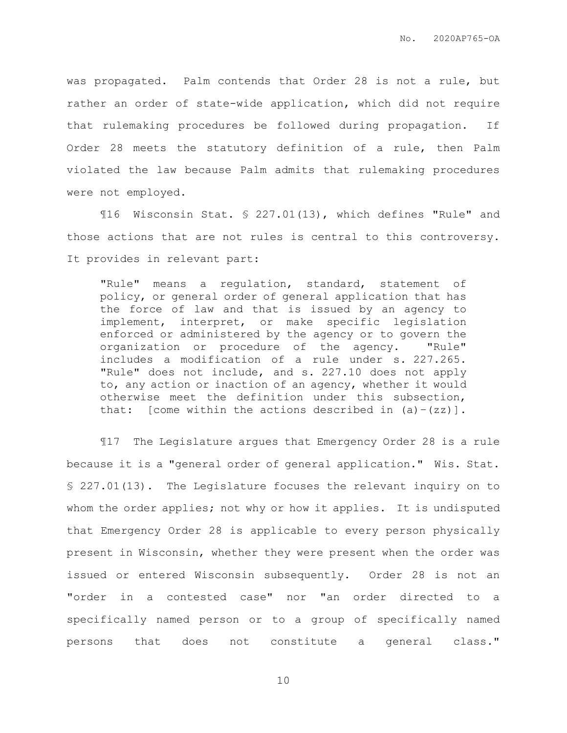was propagated. Palm contends that Order 28 is not a rule, but rather an order of state-wide application, which did not require that rulemaking procedures be followed during propagation. If Order 28 meets the statutory definition of a rule, then Palm violated the law because Palm admits that rulemaking procedures were not employed.

¶16 Wisconsin Stat. § 227.01(13), which defines "Rule" and those actions that are not rules is central to this controversy. It provides in relevant part:

"Rule" means a regulation, standard, statement of policy, or general order of general application that has the force of law and that is issued by an agency to implement, interpret, or make specific legislation enforced or administered by the agency or to govern the organization or procedure of the agency. "Rule" includes a modification of a rule under s. 227.265. "Rule" does not include, and s. 227.10 does not apply to, any action or inaction of an agency, whether it would otherwise meet the definition under this subsection, that: [come within the actions described in  $(a) - (zz)$ ].

¶17 The Legislature argues that Emergency Order 28 is a rule because it is a "general order of general application." Wis. Stat. § 227.01(13). The Legislature focuses the relevant inquiry on to whom the order applies; not why or how it applies. It is undisputed that Emergency Order 28 is applicable to every person physically present in Wisconsin, whether they were present when the order was issued or entered Wisconsin subsequently. Order 28 is not an "order in a contested case" nor "an order directed to a specifically named person or to a group of specifically named persons that does not constitute a general class."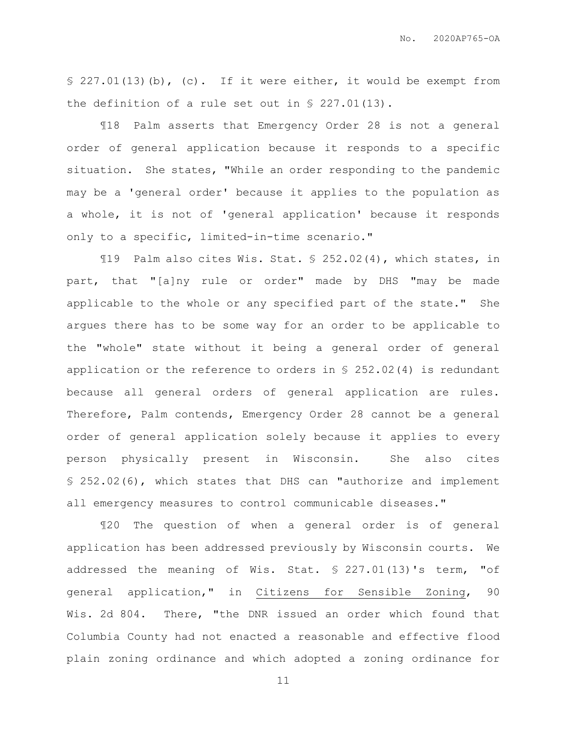§ 227.01(13)(b), (c). If it were either, it would be exempt from the definition of a rule set out in § 227.01(13).

¶18 Palm asserts that Emergency Order 28 is not a general order of general application because it responds to a specific situation. She states, "While an order responding to the pandemic may be a 'general order' because it applies to the population as a whole, it is not of 'general application' because it responds only to a specific, limited-in-time scenario."

¶19 Palm also cites Wis. Stat. § 252.02(4), which states, in part, that "[a]ny rule or order" made by DHS "may be made applicable to the whole or any specified part of the state." She argues there has to be some way for an order to be applicable to the "whole" state without it being a general order of general application or the reference to orders in § 252.02(4) is redundant because all general orders of general application are rules. Therefore, Palm contends, Emergency Order 28 cannot be a general order of general application solely because it applies to every person physically present in Wisconsin. She also cites § 252.02(6), which states that DHS can "authorize and implement all emergency measures to control communicable diseases."

¶20 The question of when a general order is of general application has been addressed previously by Wisconsin courts. We addressed the meaning of Wis. Stat. § 227.01(13)'s term, "of general application," in Citizens for Sensible Zoning, 90 Wis. 2d 804. There, "the DNR issued an order which found that Columbia County had not enacted a reasonable and effective flood plain zoning ordinance and which adopted a zoning ordinance for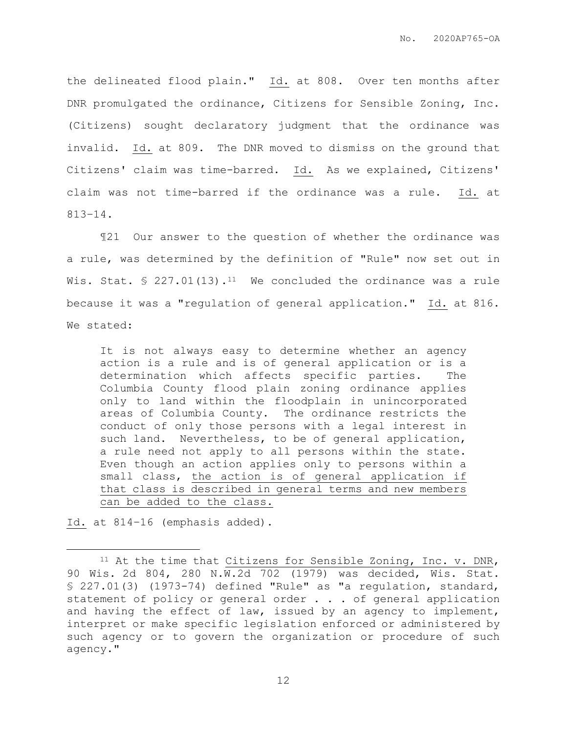the delineated flood plain." Id. at 808. Over ten months after DNR promulgated the ordinance, Citizens for Sensible Zoning, Inc. (Citizens) sought declaratory judgment that the ordinance was invalid. Id. at 809. The DNR moved to dismiss on the ground that Citizens' claim was time-barred. Id. As we explained, Citizens' claim was not time-barred if the ordinance was a rule. Id. at 813–14.

¶21 Our answer to the question of whether the ordinance was a rule, was determined by the definition of "Rule" now set out in Wis. Stat.  $\text{\$ }227.01(13).^{11}$  We concluded the ordinance was a rule because it was a "regulation of general application." Id. at 816. We stated:

It is not always easy to determine whether an agency action is a rule and is of general application or is a determination which affects specific parties. The Columbia County flood plain zoning ordinance applies only to land within the floodplain in unincorporated areas of Columbia County. The ordinance restricts the conduct of only those persons with a legal interest in such land. Nevertheless, to be of general application, a rule need not apply to all persons within the state. Even though an action applies only to persons within a small class, the action is of general application if that class is described in general terms and new members can be added to the class.

Id. at 814–16 (emphasis added).

 $\overline{a}$ 

 $11$  At the time that Citizens for Sensible Zoning, Inc. v. DNR, 90 Wis. 2d 804, 280 N.W.2d 702 (1979) was decided, Wis. Stat. § 227.01(3) (1973-74) defined "Rule" as "a regulation, standard, statement of policy or general order . . . of general application and having the effect of law, issued by an agency to implement, interpret or make specific legislation enforced or administered by such agency or to govern the organization or procedure of such agency."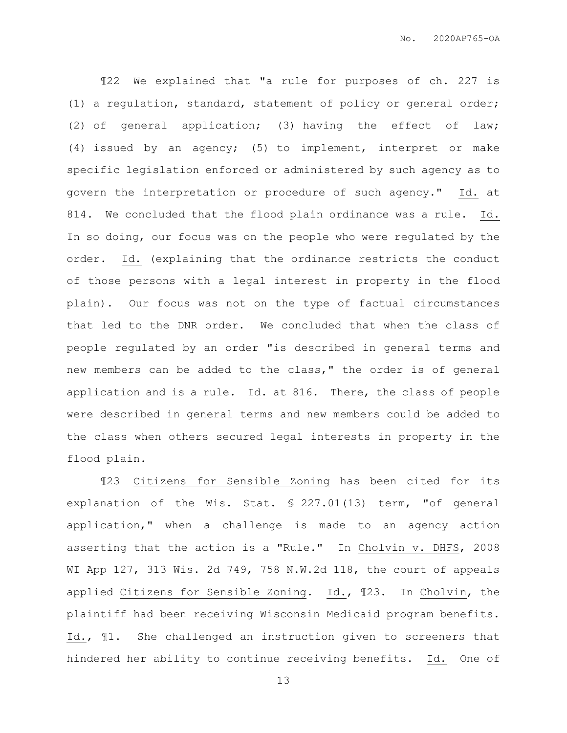¶22 We explained that "a rule for purposes of ch. 227 is (1) a regulation, standard, statement of policy or general order; (2) of general application; (3) having the effect of law; (4) issued by an agency; (5) to implement, interpret or make specific legislation enforced or administered by such agency as to govern the interpretation or procedure of such agency." Id. at 814. We concluded that the flood plain ordinance was a rule. Id. In so doing, our focus was on the people who were regulated by the order. Id. (explaining that the ordinance restricts the conduct of those persons with a legal interest in property in the flood plain). Our focus was not on the type of factual circumstances that led to the DNR order. We concluded that when the class of people regulated by an order "is described in general terms and new members can be added to the class," the order is of general application and is a rule. Id. at 816. There, the class of people were described in general terms and new members could be added to the class when others secured legal interests in property in the flood plain.

¶23 Citizens for Sensible Zoning has been cited for its explanation of the Wis. Stat. § 227.01(13) term, "of general application," when a challenge is made to an agency action asserting that the action is a "Rule." In Cholvin v. DHFS, 2008 WI App 127, 313 Wis. 2d 749, 758 N.W.2d 118, the court of appeals applied Citizens for Sensible Zoning. Id., ¶23. In Cholvin, the plaintiff had been receiving Wisconsin Medicaid program benefits. Id., ¶1. She challenged an instruction given to screeners that hindered her ability to continue receiving benefits. Id. One of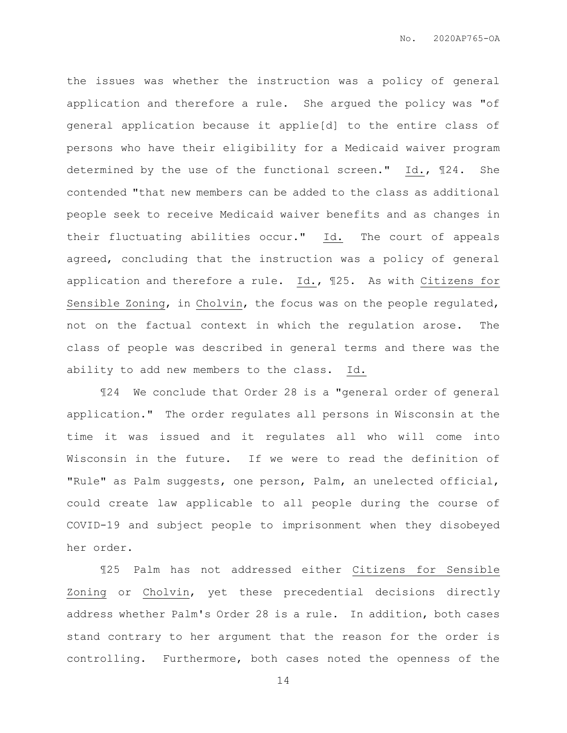the issues was whether the instruction was a policy of general application and therefore a rule. She argued the policy was "of general application because it applie[d] to the entire class of persons who have their eligibility for a Medicaid waiver program determined by the use of the functional screen." Id., ¶24. She contended "that new members can be added to the class as additional people seek to receive Medicaid waiver benefits and as changes in their fluctuating abilities occur." Id. The court of appeals agreed, concluding that the instruction was a policy of general application and therefore a rule. Id., ¶25. As with Citizens for Sensible Zoning, in Cholvin, the focus was on the people regulated, not on the factual context in which the regulation arose. The class of people was described in general terms and there was the ability to add new members to the class. Id.

¶24 We conclude that Order 28 is a "general order of general application." The order regulates all persons in Wisconsin at the time it was issued and it regulates all who will come into Wisconsin in the future. If we were to read the definition of "Rule" as Palm suggests, one person, Palm, an unelected official, could create law applicable to all people during the course of COVID-19 and subject people to imprisonment when they disobeyed her order.

¶25 Palm has not addressed either Citizens for Sensible Zoning or Cholvin, yet these precedential decisions directly address whether Palm's Order 28 is a rule. In addition, both cases stand contrary to her argument that the reason for the order is controlling. Furthermore, both cases noted the openness of the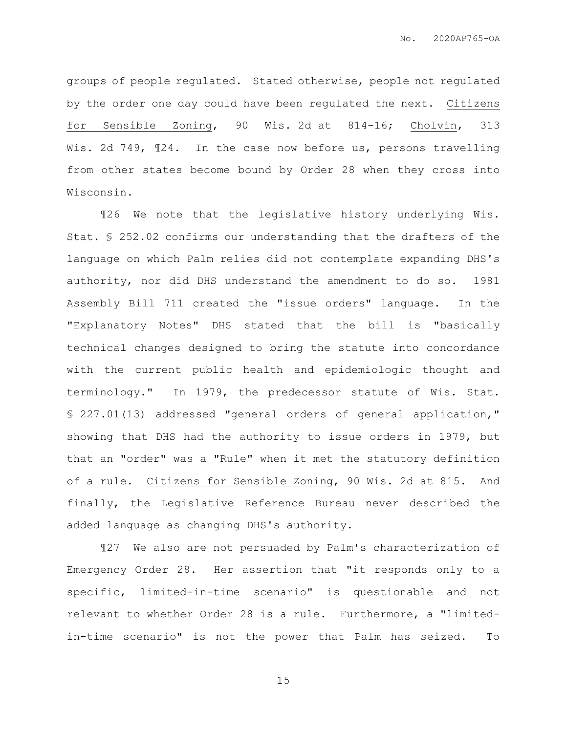groups of people regulated. Stated otherwise, people not regulated by the order one day could have been regulated the next. Citizens for Sensible Zoning, 90 Wis. 2d at 814–16; Cholvin, 313 Wis. 2d 749, 124. In the case now before us, persons travelling from other states become bound by Order 28 when they cross into Wisconsin.

¶26 We note that the legislative history underlying Wis. Stat. § 252.02 confirms our understanding that the drafters of the language on which Palm relies did not contemplate expanding DHS's authority, nor did DHS understand the amendment to do so. 1981 Assembly Bill 711 created the "issue orders" language. In the "Explanatory Notes" DHS stated that the bill is "basically technical changes designed to bring the statute into concordance with the current public health and epidemiologic thought and terminology." In 1979, the predecessor statute of Wis. Stat. § 227.01(13) addressed "general orders of general application," showing that DHS had the authority to issue orders in 1979, but that an "order" was a "Rule" when it met the statutory definition of a rule. Citizens for Sensible Zoning, 90 Wis. 2d at 815. And finally, the Legislative Reference Bureau never described the added language as changing DHS's authority.

¶27 We also are not persuaded by Palm's characterization of Emergency Order 28. Her assertion that "it responds only to a specific, limited-in-time scenario" is questionable and not relevant to whether Order 28 is a rule. Furthermore, a "limitedin-time scenario" is not the power that Palm has seized. To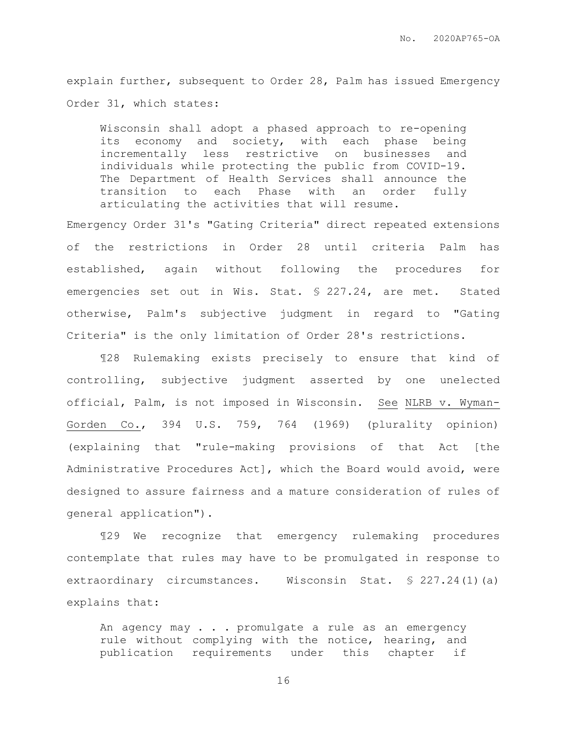explain further, subsequent to Order 28, Palm has issued Emergency Order 31, which states:

Wisconsin shall adopt a phased approach to re-opening its economy and society, with each phase being incrementally less restrictive on businesses and individuals while protecting the public from COVID-19. The Department of Health Services shall announce the transition to each Phase with an order fully articulating the activities that will resume.

Emergency Order 31's "Gating Criteria" direct repeated extensions of the restrictions in Order 28 until criteria Palm has established, again without following the procedures for emergencies set out in Wis. Stat. § 227.24, are met. Stated otherwise, Palm's subjective judgment in regard to "Gating Criteria" is the only limitation of Order 28's restrictions.

¶28 Rulemaking exists precisely to ensure that kind of controlling, subjective judgment asserted by one unelected official, Palm, is not imposed in Wisconsin. See NLRB v. Wyman-Gorden Co., 394 U.S. 759, 764 (1969) (plurality opinion) (explaining that "rule-making provisions of that Act [the Administrative Procedures Act], which the Board would avoid, were designed to assure fairness and a mature consideration of rules of general application").

¶29 We recognize that emergency rulemaking procedures contemplate that rules may have to be promulgated in response to extraordinary circumstances. Wisconsin Stat. § 227.24(1)(a) explains that:

An agency may . . . promulgate a rule as an emergency rule without complying with the notice, hearing, and publication requirements under this chapter if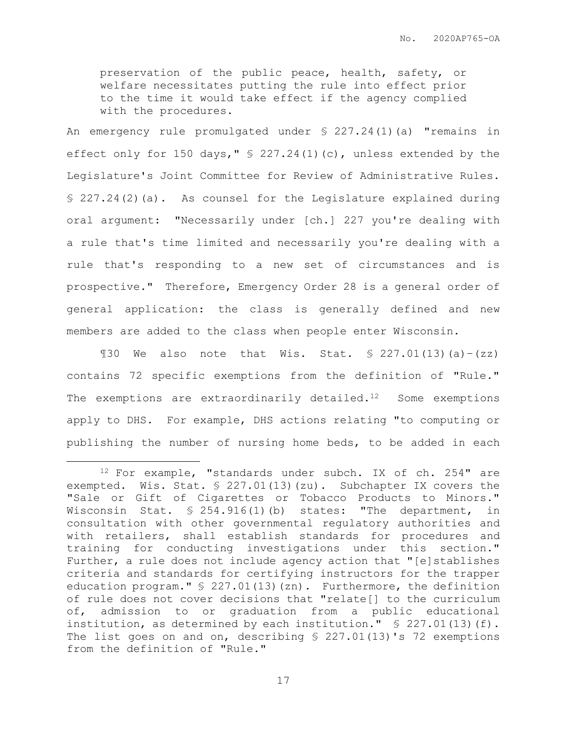preservation of the public peace, health, safety, or welfare necessitates putting the rule into effect prior to the time it would take effect if the agency complied with the procedures.

An emergency rule promulgated under § 227.24(1)(a) "remains in effect only for 150 days," § 227.24(1)(c), unless extended by the Legislature's Joint Committee for Review of Administrative Rules. § 227.24(2)(a). As counsel for the Legislature explained during oral argument: "Necessarily under [ch.] 227 you're dealing with a rule that's time limited and necessarily you're dealing with a rule that's responding to a new set of circumstances and is prospective." Therefore, Emergency Order 28 is a general order of general application: the class is generally defined and new members are added to the class when people enter Wisconsin.

 $\text{I30}$  We also note that Wis. Stat. § 227.01(13)(a)-(zz) contains 72 specific exemptions from the definition of "Rule." The exemptions are extraordinarily detailed.<sup>12</sup> Some exemptions apply to DHS. For example, DHS actions relating "to computing or publishing the number of nursing home beds, to be added in each

 $\overline{a}$ 

<sup>12</sup> For example, "standards under subch. IX of ch. 254" are exempted. Wis. Stat. § 227.01(13)(zu). Subchapter IX covers the "Sale or Gift of Cigarettes or Tobacco Products to Minors." Wisconsin Stat. § 254.916(1)(b) states: "The department, in consultation with other governmental regulatory authorities and with retailers, shall establish standards for procedures and training for conducting investigations under this section." Further, a rule does not include agency action that "[e]stablishes criteria and standards for certifying instructors for the trapper education program." § 227.01(13)(zn). Furthermore, the definition of rule does not cover decisions that "relate[] to the curriculum of, admission to or graduation from a public educational institution, as determined by each institution."  $\ S$  227.01(13)(f). The list goes on and on, describing § 227.01(13)'s 72 exemptions from the definition of "Rule."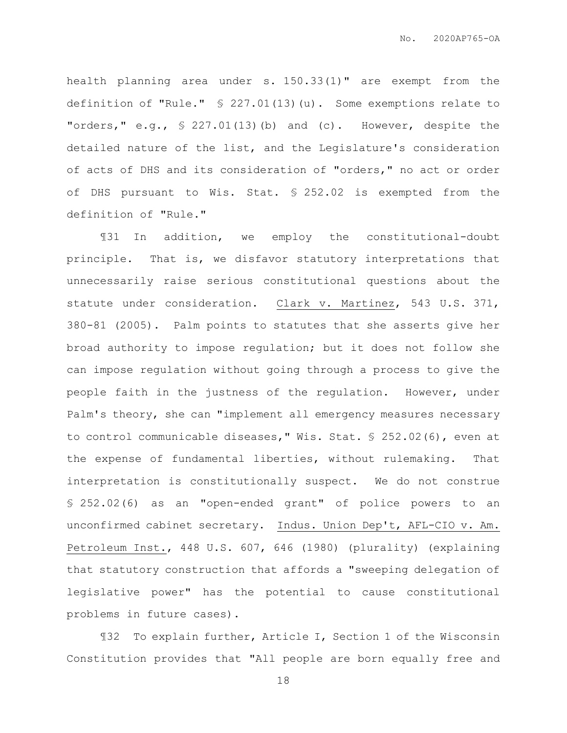health planning area under s. 150.33(1)" are exempt from the definition of "Rule." § 227.01(13)(u). Some exemptions relate to "orders," e.g., § 227.01(13)(b) and (c). However, despite the detailed nature of the list, and the Legislature's consideration of acts of DHS and its consideration of "orders," no act or order of DHS pursuant to Wis. Stat. § 252.02 is exempted from the definition of "Rule."

¶31 In addition, we employ the constitutional-doubt principle. That is, we disfavor statutory interpretations that unnecessarily raise serious constitutional questions about the statute under consideration. Clark v. Martinez, 543 U.S. 371, 380-81 (2005). Palm points to statutes that she asserts give her broad authority to impose regulation; but it does not follow she can impose regulation without going through a process to give the people faith in the justness of the regulation. However, under Palm's theory, she can "implement all emergency measures necessary to control communicable diseases," Wis. Stat. § 252.02(6), even at the expense of fundamental liberties, without rulemaking. That interpretation is constitutionally suspect. We do not construe § 252.02(6) as an "open-ended grant" of police powers to an unconfirmed cabinet secretary. Indus. Union Dep't, AFL-CIO v. Am. Petroleum Inst., 448 U.S. 607, 646 (1980) (plurality) (explaining that statutory construction that affords a "sweeping delegation of legislative power" has the potential to cause constitutional problems in future cases).

¶32 To explain further, Article I, Section 1 of the Wisconsin Constitution provides that "All people are born equally free and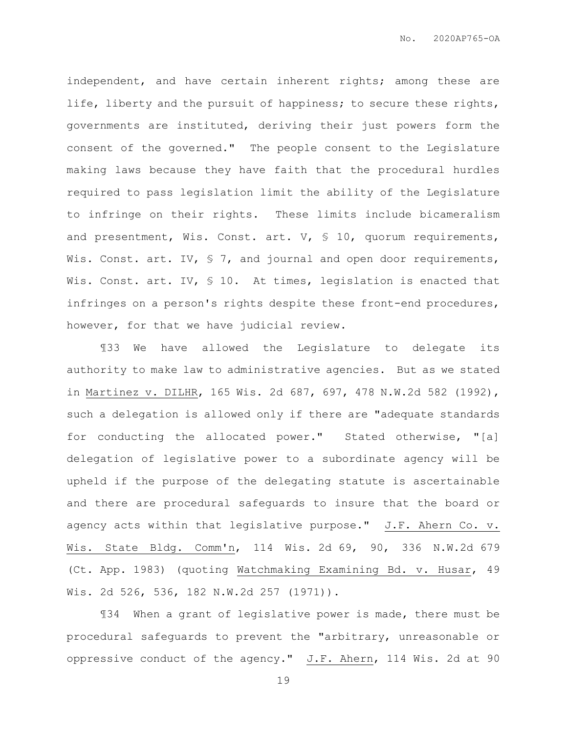independent, and have certain inherent rights; among these are life, liberty and the pursuit of happiness; to secure these rights, governments are instituted, deriving their just powers form the consent of the governed." The people consent to the Legislature making laws because they have faith that the procedural hurdles required to pass legislation limit the ability of the Legislature to infringe on their rights. These limits include bicameralism and presentment, Wis. Const. art. V, § 10, quorum requirements, Wis. Const. art. IV, § 7, and journal and open door requirements, Wis. Const. art. IV, § 10. At times, legislation is enacted that infringes on a person's rights despite these front-end procedures, however, for that we have judicial review.

¶33 We have allowed the Legislature to delegate its authority to make law to administrative agencies. But as we stated in Martinez v. DILHR, 165 Wis. 2d 687, 697, 478 N.W.2d 582 (1992), such a delegation is allowed only if there are "adequate standards for conducting the allocated power." Stated otherwise, "[a] delegation of legislative power to a subordinate agency will be upheld if the purpose of the delegating statute is ascertainable and there are procedural safeguards to insure that the board or agency acts within that legislative purpose." J.F. Ahern Co. v. Wis. State Bldg. Comm'n, 114 Wis. 2d 69, 90, 336 N.W.2d 679 (Ct. App. 1983) (quoting Watchmaking Examining Bd. v. Husar, 49 Wis. 2d 526, 536, 182 N.W.2d 257 (1971)).

¶34 When a grant of legislative power is made, there must be procedural safeguards to prevent the "arbitrary, unreasonable or oppressive conduct of the agency."  $J.F.$  Ahern, 114 Wis. 2d at 90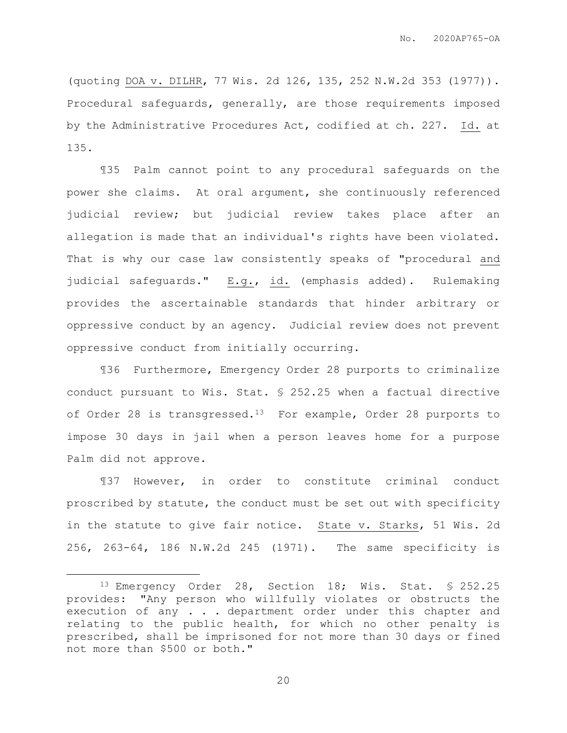(quoting DOA v. DILHR, 77 Wis. 2d 126, 135, 252 N.W.2d 353 (1977)). Procedural safeguards, generally, are those requirements imposed by the Administrative Procedures Act, codified at ch. 227. Id. at 135.

¶35 Palm cannot point to any procedural safeguards on the power she claims. At oral argument, she continuously referenced judicial review; but judicial review takes place after an allegation is made that an individual's rights have been violated. That is why our case law consistently speaks of "procedural and judicial safeguards." E.g., id. (emphasis added). Rulemaking provides the ascertainable standards that hinder arbitrary or oppressive conduct by an agency. Judicial review does not prevent oppressive conduct from initially occurring.

¶36 Furthermore, Emergency Order 28 purports to criminalize conduct pursuant to Wis. Stat. § 252.25 when a factual directive of Order 28 is transgressed.<sup>13</sup> For example, Order 28 purports to impose 30 days in jail when a person leaves home for a purpose Palm did not approve.

¶37 However, in order to constitute criminal conduct proscribed by statute, the conduct must be set out with specificity in the statute to give fair notice. State v. Starks, 51 Wis. 2d 256, 263-64, 186 N.W.2d 245 (1971). The same specificity is

 $\overline{a}$ 

<sup>13</sup> Emergency Order 28, Section 18; Wis. Stat. § 252.25 provides: "Any person who willfully violates or obstructs the execution of any . . . department order under this chapter and relating to the public health, for which no other penalty is prescribed, shall be imprisoned for not more than 30 days or fined not more than \$500 or both."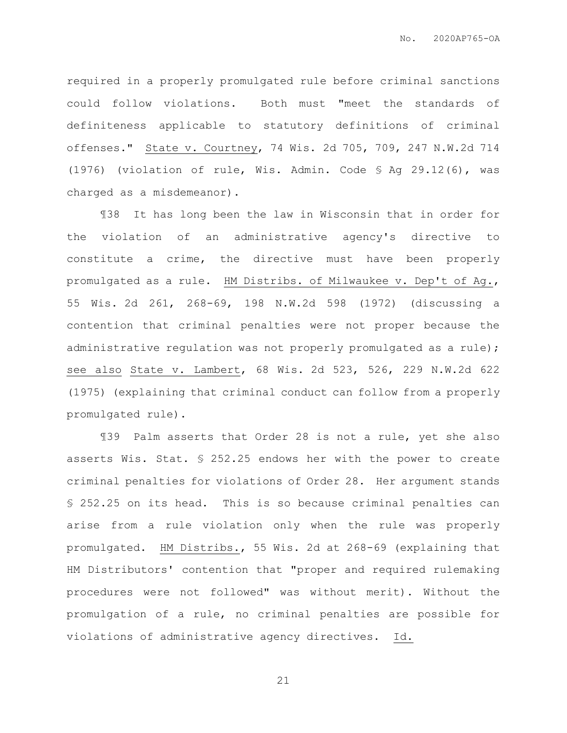required in a properly promulgated rule before criminal sanctions could follow violations. Both must "meet the standards of definiteness applicable to statutory definitions of criminal offenses." State v. Courtney, 74 Wis. 2d 705, 709, 247 N.W.2d 714 (1976) (violation of rule, Wis. Admin. Code § Ag 29.12(6), was charged as a misdemeanor).

¶38 It has long been the law in Wisconsin that in order for the violation of an administrative agency's directive to constitute a crime, the directive must have been properly promulgated as a rule. HM Distribs. of Milwaukee v. Dep't of Ag., 55 Wis. 2d 261, 268-69, 198 N.W.2d 598 (1972) (discussing a contention that criminal penalties were not proper because the administrative regulation was not properly promulgated as a rule); see also State v. Lambert, 68 Wis. 2d 523, 526, 229 N.W.2d 622 (1975) (explaining that criminal conduct can follow from a properly promulgated rule).

¶39 Palm asserts that Order 28 is not a rule, yet she also asserts Wis. Stat. § 252.25 endows her with the power to create criminal penalties for violations of Order 28. Her argument stands § 252.25 on its head. This is so because criminal penalties can arise from a rule violation only when the rule was properly promulgated. HM Distribs., 55 Wis. 2d at 268-69 (explaining that HM Distributors' contention that "proper and required rulemaking procedures were not followed" was without merit). Without the promulgation of a rule, no criminal penalties are possible for violations of administrative agency directives. Id.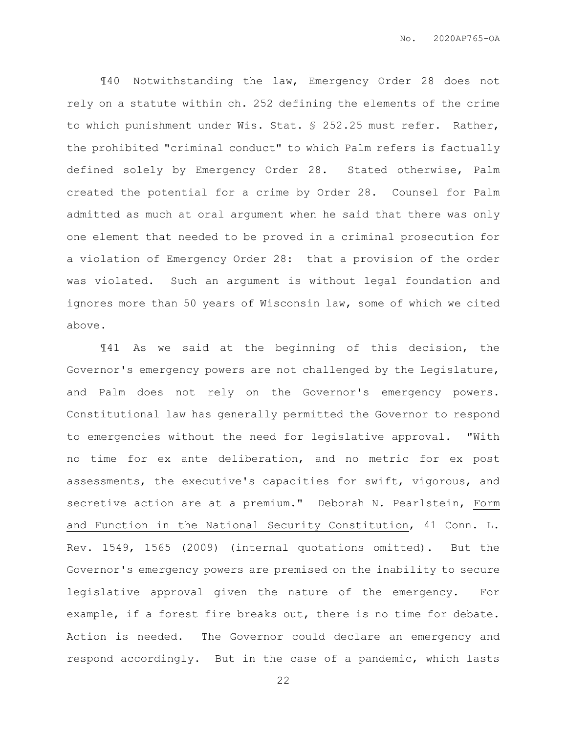¶40 Notwithstanding the law, Emergency Order 28 does not rely on a statute within ch. 252 defining the elements of the crime to which punishment under Wis. Stat. § 252.25 must refer. Rather, the prohibited "criminal conduct" to which Palm refers is factually defined solely by Emergency Order 28. Stated otherwise, Palm created the potential for a crime by Order 28. Counsel for Palm admitted as much at oral argument when he said that there was only one element that needed to be proved in a criminal prosecution for a violation of Emergency Order 28: that a provision of the order was violated. Such an argument is without legal foundation and ignores more than 50 years of Wisconsin law, some of which we cited above.

¶41 As we said at the beginning of this decision, the Governor's emergency powers are not challenged by the Legislature, and Palm does not rely on the Governor's emergency powers. Constitutional law has generally permitted the Governor to respond to emergencies without the need for legislative approval. "With no time for ex ante deliberation, and no metric for ex post assessments, the executive's capacities for swift, vigorous, and secretive action are at a premium." Deborah N. Pearlstein, Form and Function in the National Security Constitution, 41 Conn. L. Rev. 1549, 1565 (2009) (internal quotations omitted). But the Governor's emergency powers are premised on the inability to secure legislative approval given the nature of the emergency. For example, if a forest fire breaks out, there is no time for debate. Action is needed. The Governor could declare an emergency and respond accordingly. But in the case of a pandemic, which lasts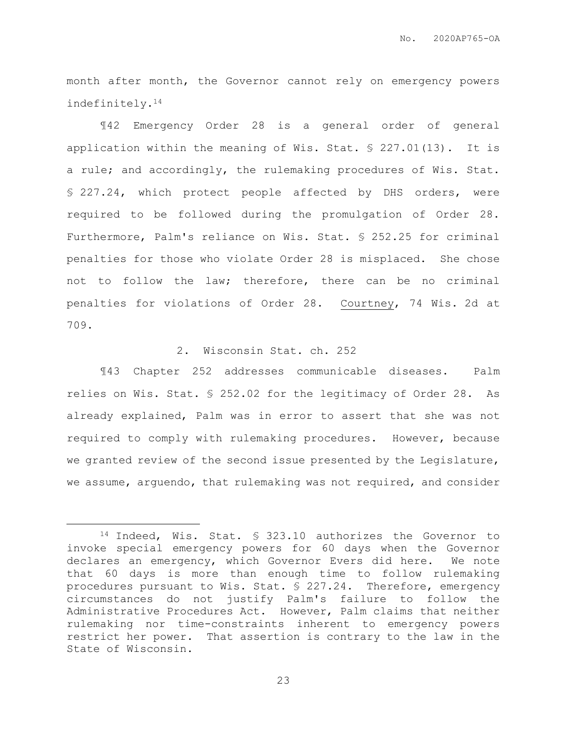month after month, the Governor cannot rely on emergency powers indefinitely.<sup>14</sup>

¶42 Emergency Order 28 is a general order of general application within the meaning of Wis. Stat. § 227.01(13). It is a rule; and accordingly, the rulemaking procedures of Wis. Stat. § 227.24, which protect people affected by DHS orders, were required to be followed during the promulgation of Order 28. Furthermore, Palm's reliance on Wis. Stat. § 252.25 for criminal penalties for those who violate Order 28 is misplaced. She chose not to follow the law; therefore, there can be no criminal penalties for violations of Order 28. Courtney, 74 Wis. 2d at 709.

# 2. Wisconsin Stat. ch. 252

¶43 Chapter 252 addresses communicable diseases. Palm relies on Wis. Stat. § 252.02 for the legitimacy of Order 28. As already explained, Palm was in error to assert that she was not required to comply with rulemaking procedures. However, because we granted review of the second issue presented by the Legislature, we assume, arguendo, that rulemaking was not required, and consider

 $\overline{a}$ 

<sup>14</sup> Indeed, Wis. Stat. § 323.10 authorizes the Governor to invoke special emergency powers for 60 days when the Governor declares an emergency, which Governor Evers did here. We note that 60 days is more than enough time to follow rulemaking procedures pursuant to Wis. Stat. § 227.24. Therefore, emergency circumstances do not justify Palm's failure to follow the Administrative Procedures Act. However, Palm claims that neither rulemaking nor time-constraints inherent to emergency powers restrict her power. That assertion is contrary to the law in the State of Wisconsin.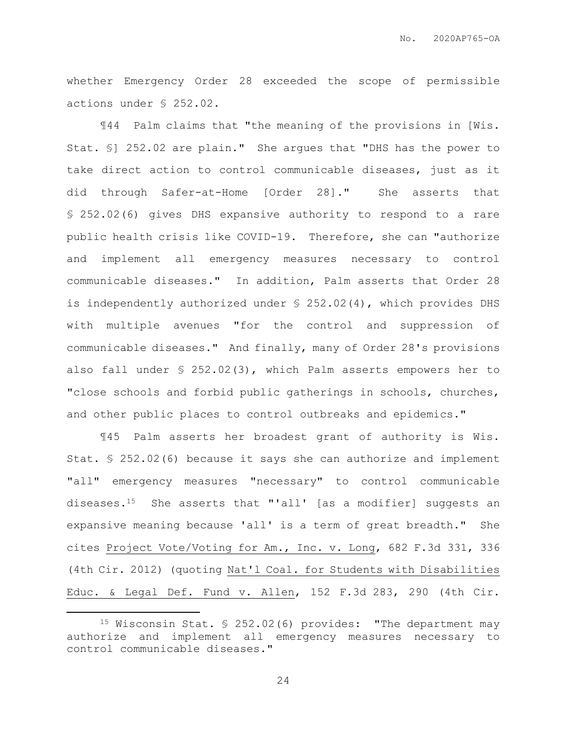whether Emergency Order 28 exceeded the scope of permissible actions under § 252.02.

¶44 Palm claims that "the meaning of the provisions in [Wis. Stat. §] 252.02 are plain." She argues that "DHS has the power to take direct action to control communicable diseases, just as it did through Safer-at-Home [Order 28]." She asserts that § 252.02(6) gives DHS expansive authority to respond to a rare public health crisis like COVID-19. Therefore, she can "authorize and implement all emergency measures necessary to control communicable diseases." In addition, Palm asserts that Order 28 is independently authorized under § 252.02(4), which provides DHS with multiple avenues "for the control and suppression of communicable diseases." And finally, many of Order 28's provisions also fall under § 252.02(3), which Palm asserts empowers her to "close schools and forbid public gatherings in schools, churches, and other public places to control outbreaks and epidemics."

¶45 Palm asserts her broadest grant of authority is Wis. Stat. § 252.02(6) because it says she can authorize and implement "all" emergency measures "necessary" to control communicable diseases.15 She asserts that "'all' [as a modifier] suggests an expansive meaning because 'all' is a term of great breadth." She cites Project Vote/Voting for Am., Inc. v. Long, 682 F.3d 331, 336 (4th Cir. 2012) (quoting Nat'l Coal. for Students with Disabilities Educ. & Legal Def. Fund v. Allen, 152 F.3d 283, 290 (4th Cir.

 $\overline{a}$ 

<sup>15</sup> Wisconsin Stat. § 252.02(6) provides: "The department may authorize and implement all emergency measures necessary to control communicable diseases."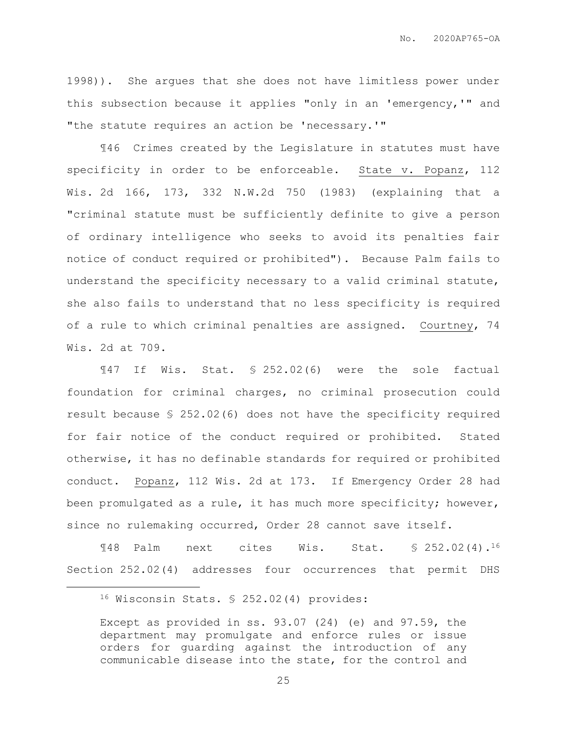1998)). She argues that she does not have limitless power under this subsection because it applies "only in an 'emergency,'" and "the statute requires an action be 'necessary.'"

¶46 Crimes created by the Legislature in statutes must have specificity in order to be enforceable. State v. Popanz, 112 Wis. 2d 166, 173, 332 N.W.2d 750 (1983) (explaining that a "criminal statute must be sufficiently definite to give a person of ordinary intelligence who seeks to avoid its penalties fair notice of conduct required or prohibited"). Because Palm fails to understand the specificity necessary to a valid criminal statute, she also fails to understand that no less specificity is required of a rule to which criminal penalties are assigned. Courtney, 74 Wis. 2d at 709.

¶47 If Wis. Stat. § 252.02(6) were the sole factual foundation for criminal charges, no criminal prosecution could result because § 252.02(6) does not have the specificity required for fair notice of the conduct required or prohibited. Stated otherwise, it has no definable standards for required or prohibited conduct. Popanz, 112 Wis. 2d at 173. If Emergency Order 28 had been promulgated as a rule, it has much more specificity; however, since no rulemaking occurred, Order 28 cannot save itself.

¶48 Palm next cites Wis. Stat. § 252.02(4).<sup>16</sup> Section 252.02(4) addresses four occurrences that permit DHS

 $\overline{a}$ 

<sup>16</sup> Wisconsin Stats. § 252.02(4) provides:

Except as provided in ss. 93.07 (24) (e) and 97.59, the department may promulgate and enforce rules or issue orders for guarding against the introduction of any communicable disease into the state, for the control and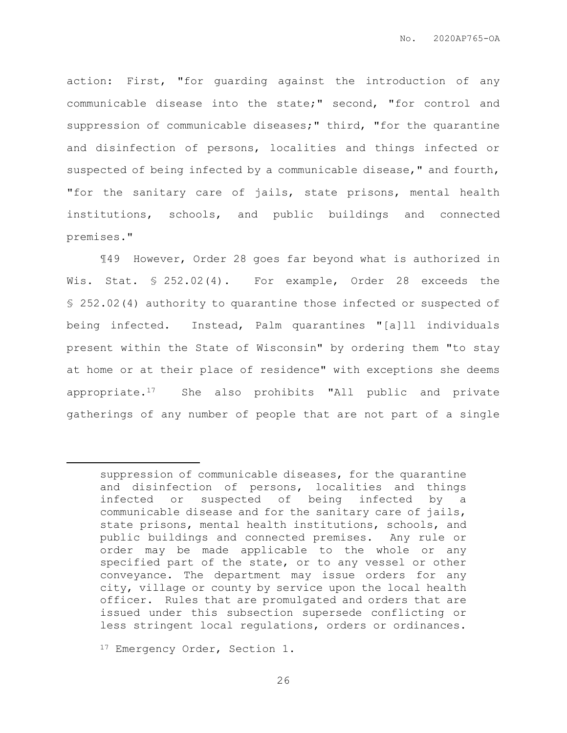action: First, "for guarding against the introduction of any communicable disease into the state;" second, "for control and suppression of communicable diseases;" third, "for the quarantine and disinfection of persons, localities and things infected or suspected of being infected by a communicable disease," and fourth, "for the sanitary care of jails, state prisons, mental health institutions, schools, and public buildings and connected premises."

¶49 However, Order 28 goes far beyond what is authorized in Wis. Stat. § 252.02(4). For example, Order 28 exceeds the § 252.02(4) authority to quarantine those infected or suspected of being infected. Instead, Palm quarantines "[a]ll individuals present within the State of Wisconsin" by ordering them "to stay at home or at their place of residence" with exceptions she deems appropriate.17 She also prohibits "All public and private gatherings of any number of people that are not part of a single

 $\overline{a}$ 

suppression of communicable diseases, for the quarantine and disinfection of persons, localities and things infected or suspected of being infected by a communicable disease and for the sanitary care of jails, state prisons, mental health institutions, schools, and public buildings and connected premises. Any rule or order may be made applicable to the whole or any specified part of the state, or to any vessel or other conveyance. The department may issue orders for any city, village or county by service upon the local health officer. Rules that are promulgated and orders that are issued under this subsection supersede conflicting or less stringent local regulations, orders or ordinances.

<sup>&</sup>lt;sup>17</sup> Emergency Order, Section 1.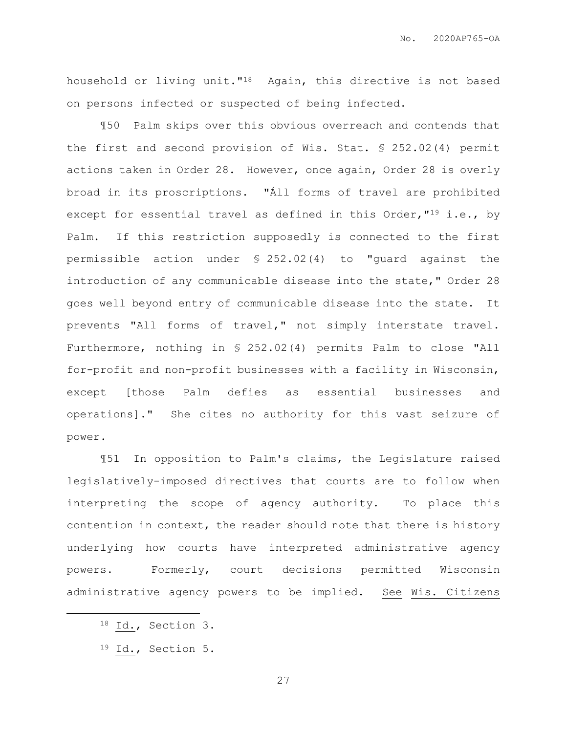household or living unit."18 Again, this directive is not based on persons infected or suspected of being infected.

¶50 Palm skips over this obvious overreach and contends that the first and second provision of Wis. Stat. § 252.02(4) permit actions taken in Order 28. However, once again, Order 28 is overly broad in its proscriptions. "Áll forms of travel are prohibited except for essential travel as defined in this Order, "<sup>19</sup> i.e., by Palm. If this restriction supposedly is connected to the first permissible action under § 252.02(4) to "guard against the introduction of any communicable disease into the state," Order 28 goes well beyond entry of communicable disease into the state. It prevents "All forms of travel," not simply interstate travel. Furthermore, nothing in § 252.02(4) permits Palm to close "All for-profit and non-profit businesses with a facility in Wisconsin, except [those Palm defies as essential businesses and operations]." She cites no authority for this vast seizure of power.

¶51 In opposition to Palm's claims, the Legislature raised legislatively-imposed directives that courts are to follow when interpreting the scope of agency authority. To place this contention in context, the reader should note that there is history underlying how courts have interpreted administrative agency powers. Formerly, court decisions permitted Wisconsin administrative agency powers to be implied. See Wis. Citizens

 $\overline{a}$ 

<sup>18</sup> Id., Section 3.

<sup>19</sup> Id., Section 5.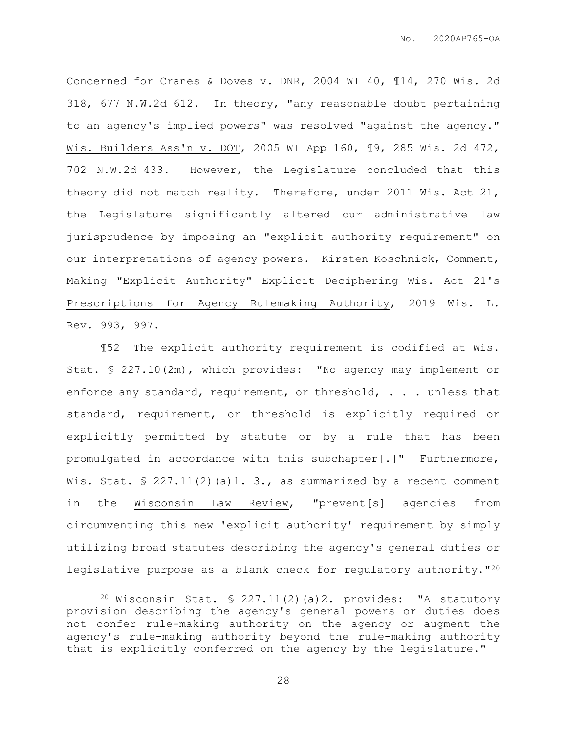Concerned for Cranes & Doves v. DNR, 2004 WI 40, ¶14, 270 Wis. 2d 318, 677 N.W.2d 612. In theory, "any reasonable doubt pertaining to an agency's implied powers" was resolved "against the agency." Wis. Builders Ass'n v. DOT, 2005 WI App 160, ¶9, 285 Wis. 2d 472, 702 N.W.2d 433. However, the Legislature concluded that this theory did not match reality. Therefore, under 2011 Wis. Act 21, the Legislature significantly altered our administrative law jurisprudence by imposing an "explicit authority requirement" on our interpretations of agency powers. Kirsten Koschnick, Comment, Making "Explicit Authority" Explicit Deciphering Wis. Act 21's Prescriptions for Agency Rulemaking Authority, 2019 Wis. L. Rev. 993, 997.

¶52 The explicit authority requirement is codified at Wis. Stat. § 227.10(2m), which provides: "No agency may implement or enforce any standard, requirement, or threshold, . . . unless that standard, requirement, or threshold is explicitly required or explicitly permitted by statute or by a rule that has been promulgated in accordance with this subchapter[.]" Furthermore, Wis. Stat.  $\frac{1}{2}$  227.11(2)(a)1.-3., as summarized by a recent comment in the Wisconsin Law Review, "prevent[s] agencies from circumventing this new 'explicit authority' requirement by simply utilizing broad statutes describing the agency's general duties or legislative purpose as a blank check for regulatory authority."<sup>20</sup>

 $\overline{a}$ 

<sup>&</sup>lt;sup>20</sup> Wisconsin Stat. § 227.11(2)(a)2. provides: "A statutory provision describing the agency's general powers or duties does not confer rule-making authority on the agency or augment the agency's rule-making authority beyond the rule-making authority that is explicitly conferred on the agency by the legislature."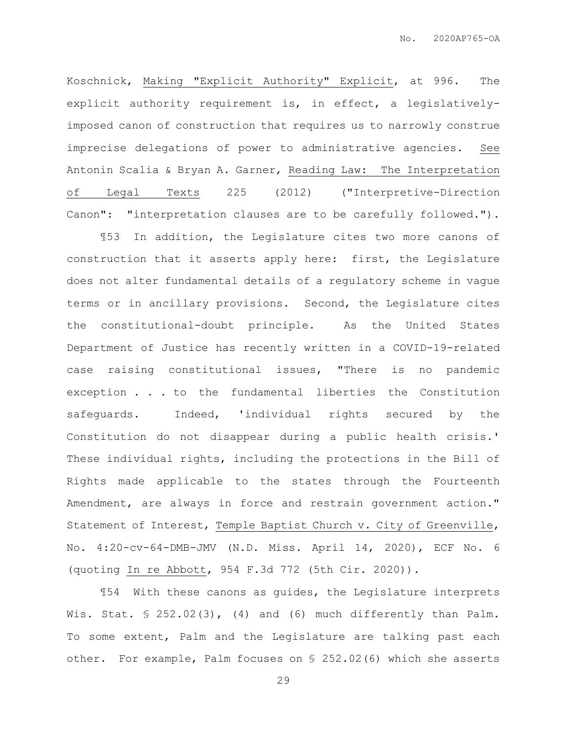Koschnick, Making "Explicit Authority" Explicit, at 996. The explicit authority requirement is, in effect, a legislativelyimposed canon of construction that requires us to narrowly construe imprecise delegations of power to administrative agencies. See Antonin Scalia & Bryan A. Garner, Reading Law: The Interpretation of Legal Texts 225 (2012) ("Interpretive-Direction Canon": "interpretation clauses are to be carefully followed.").

¶53 In addition, the Legislature cites two more canons of construction that it asserts apply here: first, the Legislature does not alter fundamental details of a regulatory scheme in vague terms or in ancillary provisions. Second, the Legislature cites the constitutional-doubt principle. As the United States Department of Justice has recently written in a COVID-19-related case raising constitutional issues, "There is no pandemic exception . . . to the fundamental liberties the Constitution safeguards. Indeed, 'individual rights secured by the Constitution do not disappear during a public health crisis.' These individual rights, including the protections in the Bill of Rights made applicable to the states through the Fourteenth Amendment, are always in force and restrain government action." Statement of Interest, Temple Baptist Church v. City of Greenville, No. 4:20-cv-64-DMB-JMV (N.D. Miss. April 14, 2020), ECF No. 6 (quoting In re Abbott, 954 F.3d 772 (5th Cir. 2020)).

¶54 With these canons as guides, the Legislature interprets Wis. Stat. § 252.02(3), (4) and (6) much differently than Palm. To some extent, Palm and the Legislature are talking past each other. For example, Palm focuses on § 252.02(6) which she asserts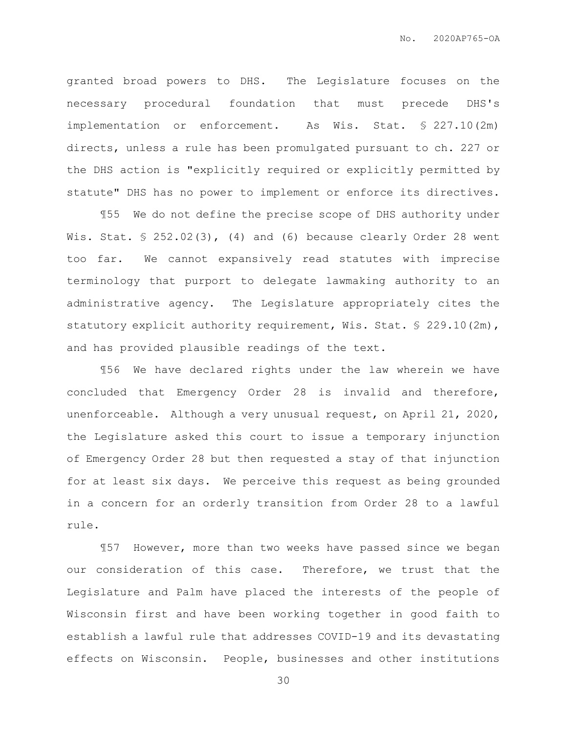granted broad powers to DHS. The Legislature focuses on the necessary procedural foundation that must precede DHS's implementation or enforcement. As Wis. Stat. § 227.10(2m) directs, unless a rule has been promulgated pursuant to ch. 227 or the DHS action is "explicitly required or explicitly permitted by statute" DHS has no power to implement or enforce its directives.

¶55 We do not define the precise scope of DHS authority under Wis. Stat.  $$ 252.02(3)$ , (4) and (6) because clearly Order 28 went too far. We cannot expansively read statutes with imprecise terminology that purport to delegate lawmaking authority to an administrative agency. The Legislature appropriately cites the statutory explicit authority requirement, Wis. Stat. § 229.10(2m), and has provided plausible readings of the text.

¶56 We have declared rights under the law wherein we have concluded that Emergency Order 28 is invalid and therefore, unenforceable. Although a very unusual request, on April 21, 2020, the Legislature asked this court to issue a temporary injunction of Emergency Order 28 but then requested a stay of that injunction for at least six days. We perceive this request as being grounded in a concern for an orderly transition from Order 28 to a lawful rule.

¶57 However, more than two weeks have passed since we began our consideration of this case. Therefore, we trust that the Legislature and Palm have placed the interests of the people of Wisconsin first and have been working together in good faith to establish a lawful rule that addresses COVID-19 and its devastating effects on Wisconsin. People, businesses and other institutions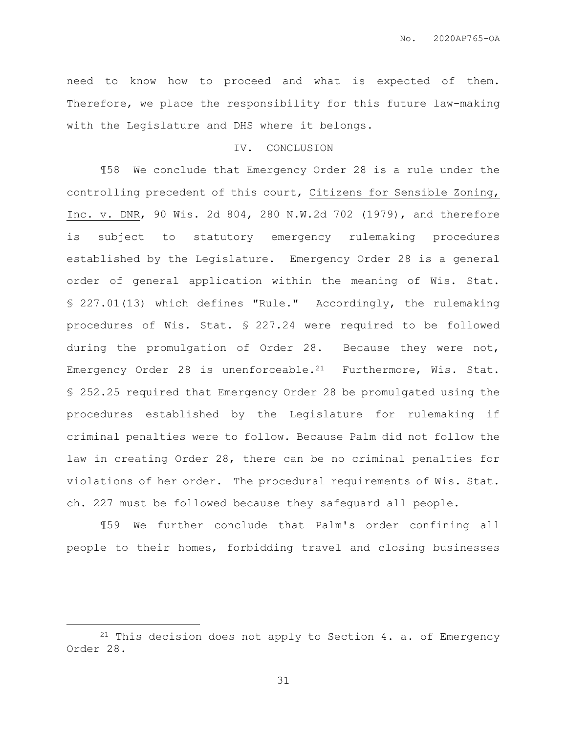need to know how to proceed and what is expected of them. Therefore, we place the responsibility for this future law-making with the Legislature and DHS where it belongs.

# IV. CONCLUSION

¶58 We conclude that Emergency Order 28 is a rule under the controlling precedent of this court, Citizens for Sensible Zoning, Inc. v. DNR, 90 Wis. 2d 804, 280 N.W.2d 702 (1979), and therefore is subject to statutory emergency rulemaking procedures established by the Legislature. Emergency Order 28 is a general order of general application within the meaning of Wis. Stat. § 227.01(13) which defines "Rule." Accordingly, the rulemaking procedures of Wis. Stat. § 227.24 were required to be followed during the promulgation of Order 28. Because they were not, Emergency Order 28 is unenforceable.<sup>21</sup> Furthermore, Wis. Stat. § 252.25 required that Emergency Order 28 be promulgated using the procedures established by the Legislature for rulemaking if criminal penalties were to follow. Because Palm did not follow the law in creating Order 28, there can be no criminal penalties for violations of her order. The procedural requirements of Wis. Stat. ch. 227 must be followed because they safeguard all people.

¶59 We further conclude that Palm's order confining all people to their homes, forbidding travel and closing businesses

 $\overline{a}$ 

<sup>&</sup>lt;sup>21</sup> This decision does not apply to Section 4. a. of Emergency Order 28.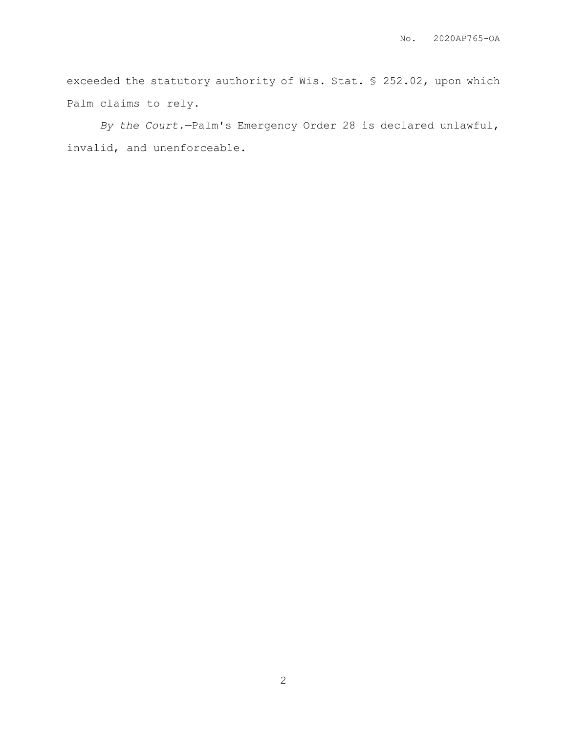exceeded the statutory authority of Wis. Stat. § 252.02, upon which Palm claims to rely.

*By the Court.*—Palm's Emergency Order 28 is declared unlawful, invalid, and unenforceable.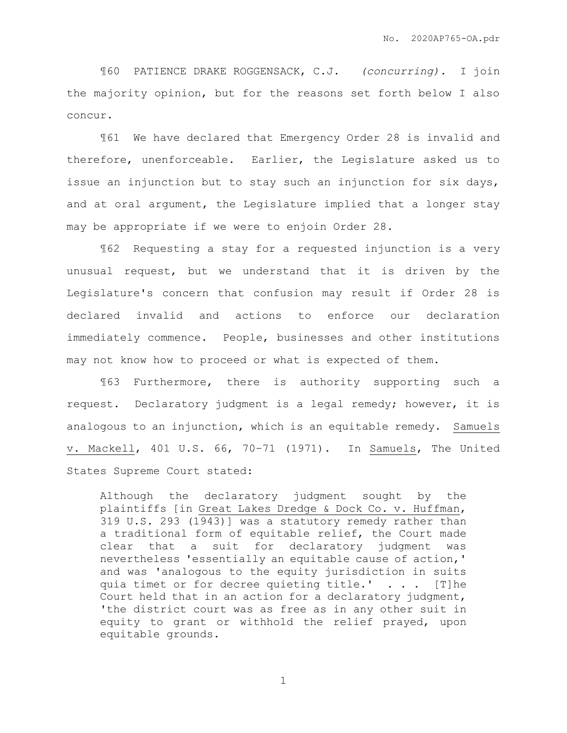¶60 PATIENCE DRAKE ROGGENSACK, C.J. *(concurring).* I join the majority opinion, but for the reasons set forth below I also concur.

¶61 We have declared that Emergency Order 28 is invalid and therefore, unenforceable. Earlier, the Legislature asked us to issue an injunction but to stay such an injunction for six days, and at oral argument, the Legislature implied that a longer stay may be appropriate if we were to enjoin Order 28.

¶62 Requesting a stay for a requested injunction is a very unusual request, but we understand that it is driven by the Legislature's concern that confusion may result if Order 28 is declared invalid and actions to enforce our declaration immediately commence. People, businesses and other institutions may not know how to proceed or what is expected of them.

¶63 Furthermore, there is authority supporting such a request. Declaratory judgment is a legal remedy; however, it is analogous to an injunction, which is an equitable remedy. Samuels v. Mackell, 401 U.S. 66, 70–71 (1971). In Samuels, The United States Supreme Court stated:

Although the declaratory judgment sought by the plaintiffs [in Great Lakes Dredge & Dock Co. v. Huffman, 319 U.S. 293 (1943)] was a statutory remedy rather than a traditional form of equitable relief, the Court made clear that a suit for declaratory judgment was nevertheless 'essentially an equitable cause of action,' and was 'analogous to the equity jurisdiction in suits quia timet or for decree quieting title.'  $\ldots$  [T]he Court held that in an action for a declaratory judgment, 'the district court was as free as in any other suit in equity to grant or withhold the relief prayed, upon equitable grounds.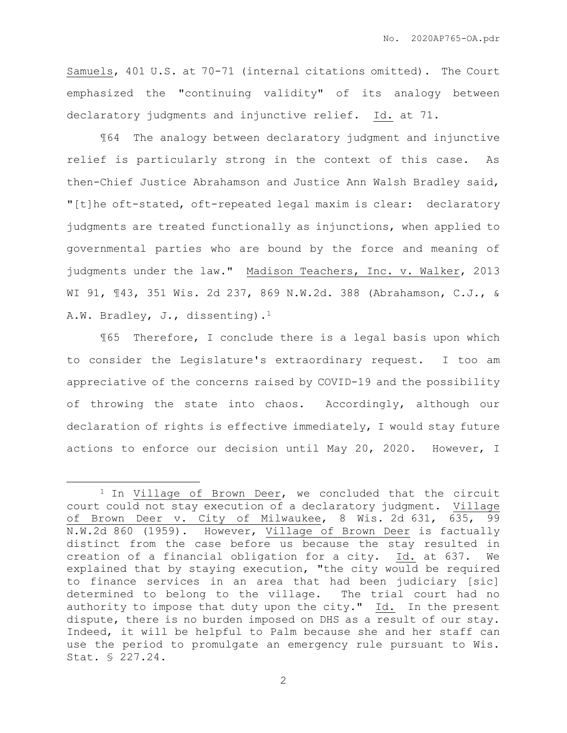Samuels, 401 U.S. at 70-71 (internal citations omitted). The Court emphasized the "continuing validity" of its analogy between declaratory judgments and injunctive relief. Id. at 71.

¶64 The analogy between declaratory judgment and injunctive relief is particularly strong in the context of this case. As then-Chief Justice Abrahamson and Justice Ann Walsh Bradley said, "[t]he oft-stated, oft-repeated legal maxim is clear: declaratory judgments are treated functionally as injunctions, when applied to governmental parties who are bound by the force and meaning of judgments under the law." Madison Teachers, Inc. v. Walker, 2013 WI 91, ¶43, 351 Wis. 2d 237, 869 N.W.2d. 388 (Abrahamson, C.J., & A.W. Bradley, J., dissenting).<sup>1</sup>

¶65 Therefore, I conclude there is a legal basis upon which to consider the Legislature's extraordinary request. I too am appreciative of the concerns raised by COVID-19 and the possibility of throwing the state into chaos. Accordingly, although our declaration of rights is effective immediately, I would stay future actions to enforce our decision until May 20, 2020. However, I

 $\overline{a}$ 

<sup>&</sup>lt;sup>1</sup> In Village of Brown Deer, we concluded that the circuit court could not stay execution of a declaratory judgment. Village of Brown Deer v. City of Milwaukee, 8 Wis. 2d 631, 635, 99 N.W.2d 860 (1959). However, Village of Brown Deer is factually distinct from the case before us because the stay resulted in creation of a financial obligation for a city. Id. at 637. We explained that by staying execution, "the city would be required to finance services in an area that had been judiciary [sic] determined to belong to the village. The trial court had no authority to impose that duty upon the city." Id. In the present dispute, there is no burden imposed on DHS as a result of our stay. Indeed, it will be helpful to Palm because she and her staff can use the period to promulgate an emergency rule pursuant to Wis. Stat. § 227.24.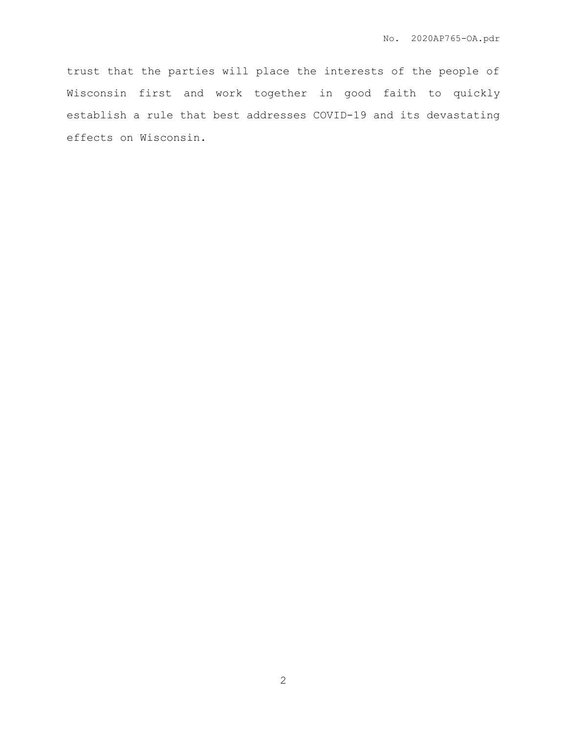trust that the parties will place the interests of the people of Wisconsin first and work together in good faith to quickly establish a rule that best addresses COVID-19 and its devastating effects on Wisconsin.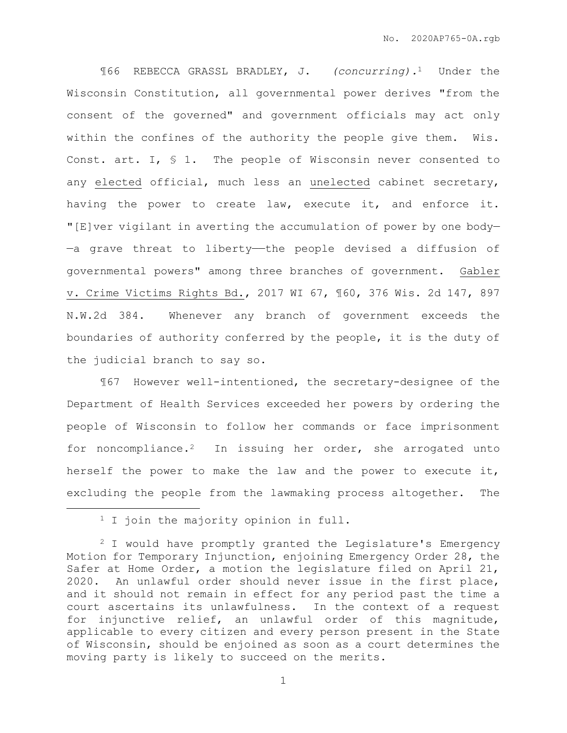¶66 REBECCA GRASSL BRADLEY, J. *(concurring).*1 Under the Wisconsin Constitution, all governmental power derives "from the consent of the governed" and government officials may act only within the confines of the authority the people give them. Wis. Const. art. I, § 1. The people of Wisconsin never consented to any elected official, much less an unelected cabinet secretary, having the power to create law, execute it, and enforce it. "[E]ver vigilant in averting the accumulation of power by one body— -a grave threat to liberty--the people devised a diffusion of governmental powers" among three branches of government. Gabler v. Crime Victims Rights Bd., 2017 WI 67, ¶60, 376 Wis. 2d 147, 897 N.W.2d 384. Whenever any branch of government exceeds the boundaries of authority conferred by the people, it is the duty of the judicial branch to say so.

¶67 However well-intentioned, the secretary-designee of the Department of Health Services exceeded her powers by ordering the people of Wisconsin to follow her commands or face imprisonment for noncompliance.2 In issuing her order, she arrogated unto herself the power to make the law and the power to execute it, excluding the people from the lawmaking process altogether. The

 $\overline{a}$ 

<sup>&</sup>lt;sup>1</sup> I join the majority opinion in full.

<sup>2</sup> I would have promptly granted the Legislature's Emergency Motion for Temporary Injunction, enjoining Emergency Order 28, the Safer at Home Order, a motion the legislature filed on April 21, 2020. An unlawful order should never issue in the first place, and it should not remain in effect for any period past the time a court ascertains its unlawfulness. In the context of a request for injunctive relief, an unlawful order of this magnitude, applicable to every citizen and every person present in the State of Wisconsin, should be enjoined as soon as a court determines the moving party is likely to succeed on the merits.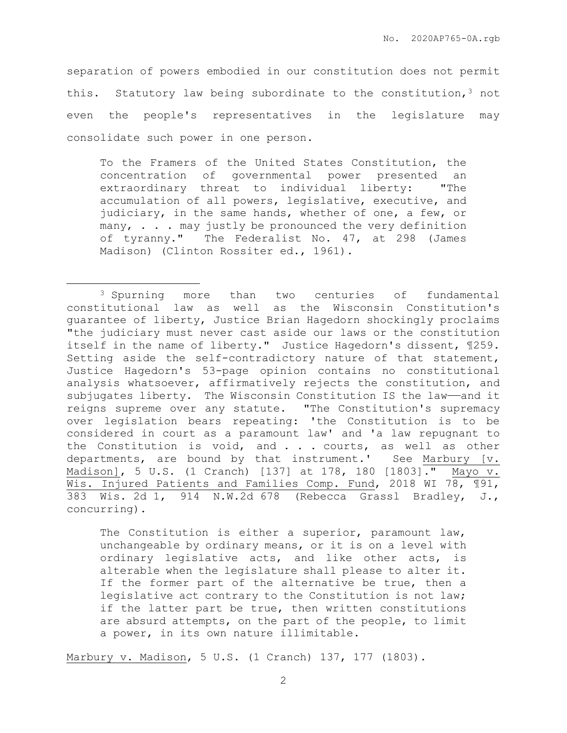separation of powers embodied in our constitution does not permit this. Statutory law being subordinate to the constitution,  $3$  not even the people's representatives in the legislature may consolidate such power in one person.

To the Framers of the United States Constitution, the concentration of governmental power presented an extraordinary threat to individual liberty: "The accumulation of all powers, legislative, executive, and judiciary, in the same hands, whether of one, a few, or many, . . . may justly be pronounced the very definition of tyranny." The Federalist No. 47, at 298 (James Madison) (Clinton Rossiter ed., 1961).

 $\overline{a}$ 

The Constitution is either a superior, paramount law, unchangeable by ordinary means, or it is on a level with ordinary legislative acts, and like other acts, is alterable when the legislature shall please to alter it. If the former part of the alternative be true, then a legislative act contrary to the Constitution is not law; if the latter part be true, then written constitutions are absurd attempts, on the part of the people, to limit a power, in its own nature illimitable.

Marbury v. Madison, 5 U.S. (1 Cranch) 137, 177 (1803).

<sup>3</sup> Spurning more than two centuries of fundamental constitutional law as well as the Wisconsin Constitution's guarantee of liberty, Justice Brian Hagedorn shockingly proclaims "the judiciary must never cast aside our laws or the constitution itself in the name of liberty." Justice Hagedorn's dissent, ¶259. Setting aside the self-contradictory nature of that statement, Justice Hagedorn's 53-page opinion contains no constitutional analysis whatsoever, affirmatively rejects the constitution, and subjugates liberty. The Wisconsin Constitution IS the law-and it reigns supreme over any statute. "The Constitution's supremacy over legislation bears repeating: 'the Constitution is to be considered in court as a paramount law' and 'a law repugnant to the Constitution is void, and . . . courts, as well as other departments, are bound by that instrument.' See Marbury [v. Madison], 5 U.S. (1 Cranch) [137] at 178, 180 [1803]." Mayo v. Wis. Injured Patients and Families Comp. Fund, 2018 WI 78, ¶91, 383 Wis. 2d 1, 914 N.W.2d 678 (Rebecca Grassl Bradley, J., concurring).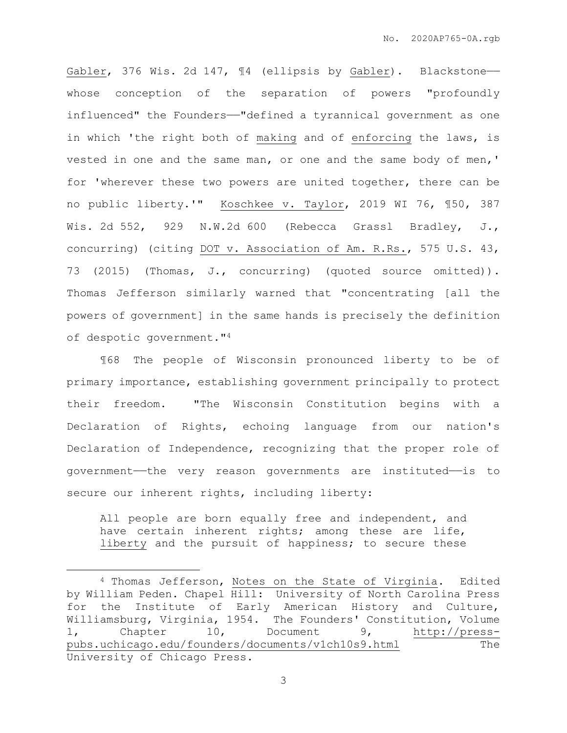Gabler, 376 Wis. 2d 147, 14 (ellipsis by Gabler). Blackstonewhose conception of the separation of powers "profoundly influenced" the Founders——"defined a tyrannical government as one in which 'the right both of making and of enforcing the laws, is vested in one and the same man, or one and the same body of men,' for 'wherever these two powers are united together, there can be no public liberty.'" Koschkee v. Taylor, 2019 WI 76, ¶50, 387 Wis. 2d 552, 929 N.W.2d 600 (Rebecca Grassl Bradley, J., concurring) (citing DOT v. Association of Am. R.Rs., 575 U.S. 43, 73 (2015) (Thomas, J., concurring) (quoted source omitted)). Thomas Jefferson similarly warned that "concentrating [all the powers of government] in the same hands is precisely the definition of despotic government."<sup>4</sup>

¶68 The people of Wisconsin pronounced liberty to be of primary importance, establishing government principally to protect their freedom. "The Wisconsin Constitution begins with a Declaration of Rights, echoing language from our nation's Declaration of Independence, recognizing that the proper role of government——the very reason governments are instituted——is to secure our inherent rights, including liberty:

All people are born equally free and independent, and have certain inherent rights; among these are life, liberty and the pursuit of happiness; to secure these

 $\overline{a}$ 

<sup>4</sup> Thomas Jefferson, Notes on the State of Virginia. Edited by William Peden. Chapel Hill: University of North Carolina Press for the Institute of Early American History and Culture, Williamsburg, Virginia, 1954. The Founders' Constitution, Volume 1, Chapter 10, Document 9, [http://press](http://press-pubs.uchicago.edu/founders/documents/v1ch10s9.html)[pubs.uchicago.edu/founders/documents/v1ch10s9.html](http://press-pubs.uchicago.edu/founders/documents/v1ch10s9.html) The University of Chicago Press.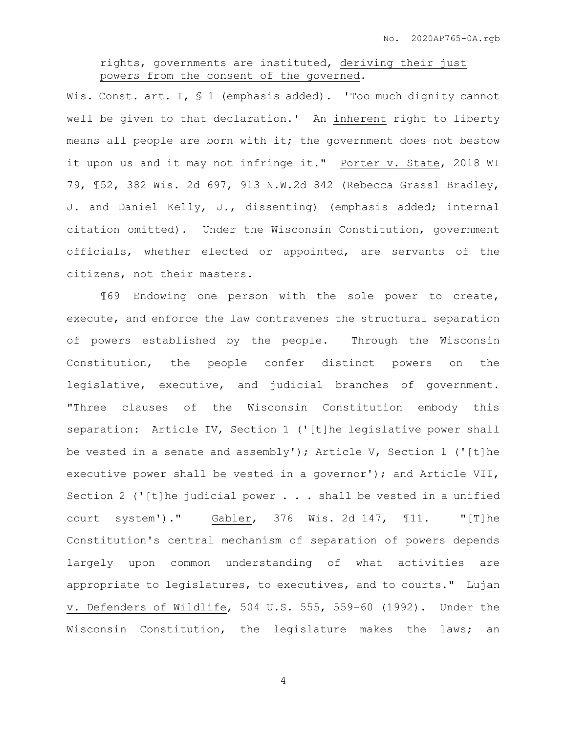## rights, governments are instituted, deriving their just powers from the consent of the governed.

Wis. Const. art. I, § 1 (emphasis added). 'Too much dignity cannot well be given to that declaration.' An inherent right to liberty means all people are born with it; the government does not bestow it upon us and it may not infringe it." Porter v. State, 2018 WI 79, ¶52, 382 Wis. 2d 697, 913 N.W.2d 842 (Rebecca Grassl Bradley, J. and Daniel Kelly, J., dissenting) (emphasis added; internal citation omitted). Under the Wisconsin Constitution, government officials, whether elected or appointed, are servants of the citizens, not their masters.

¶69 Endowing one person with the sole power to create, execute, and enforce the law contravenes the structural separation of powers established by the people. Through the Wisconsin Constitution, the people confer distinct powers on the legislative, executive, and judicial branches of government. "Three clauses of the Wisconsin Constitution embody this separation: Article IV, Section 1 ('[t]he legislative power shall be vested in a senate and assembly'); Article V, Section 1 ('[t]he executive power shall be vested in a governor'); and Article VII, Section 2 ('[t]he judicial power . . . shall be vested in a unified court system')." Gabler, 376 Wis. 2d 147, ¶11. "[T]he Constitution's central mechanism of separation of powers depends largely upon common understanding of what activities are appropriate to legislatures, to executives, and to courts." Lujan v. Defenders of Wildlife, 504 U.S. 555, 559-60 (1992). Under the Wisconsin Constitution, the legislature makes the laws; an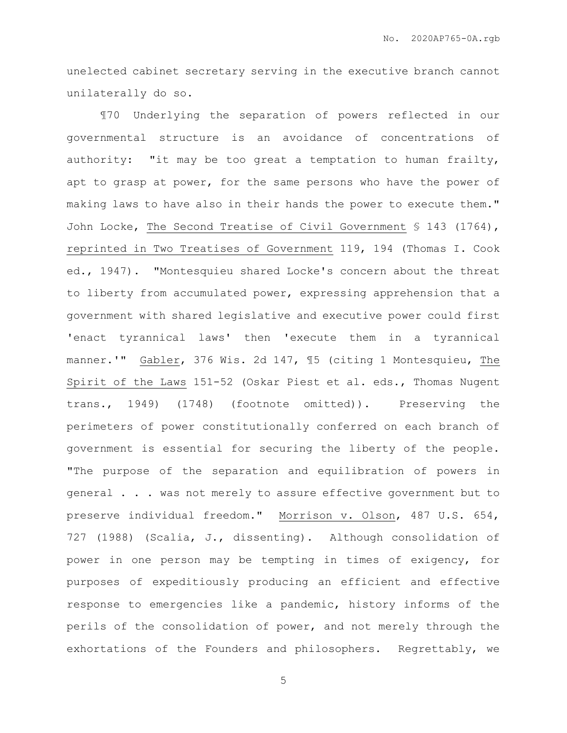unelected cabinet secretary serving in the executive branch cannot unilaterally do so.

¶70 Underlying the separation of powers reflected in our governmental structure is an avoidance of concentrations of authority: "it may be too great a temptation to human frailty, apt to grasp at power, for the same persons who have the power of making laws to have also in their hands the power to execute them." John Locke, The Second Treatise of Civil Government § 143 (1764), reprinted in Two Treatises of Government 119, 194 (Thomas I. Cook ed., 1947). "Montesquieu shared Locke's concern about the threat to liberty from accumulated power, expressing apprehension that a government with shared legislative and executive power could first 'enact tyrannical laws' then 'execute them in a tyrannical manner.'" Gabler, 376 Wis. 2d 147, ¶5 (citing 1 Montesquieu, The Spirit of the Laws 151-52 (Oskar Piest et al. eds., Thomas Nugent trans., 1949) (1748) (footnote omitted)). Preserving the perimeters of power constitutionally conferred on each branch of government is essential for securing the liberty of the people. "The purpose of the separation and equilibration of powers in general . . . was not merely to assure effective government but to preserve individual freedom." Morrison v. Olson, 487 U.S. 654, 727 (1988) (Scalia, J., dissenting). Although consolidation of power in one person may be tempting in times of exigency, for purposes of expeditiously producing an efficient and effective response to emergencies like a pandemic, history informs of the perils of the consolidation of power, and not merely through the exhortations of the Founders and philosophers. Regrettably, we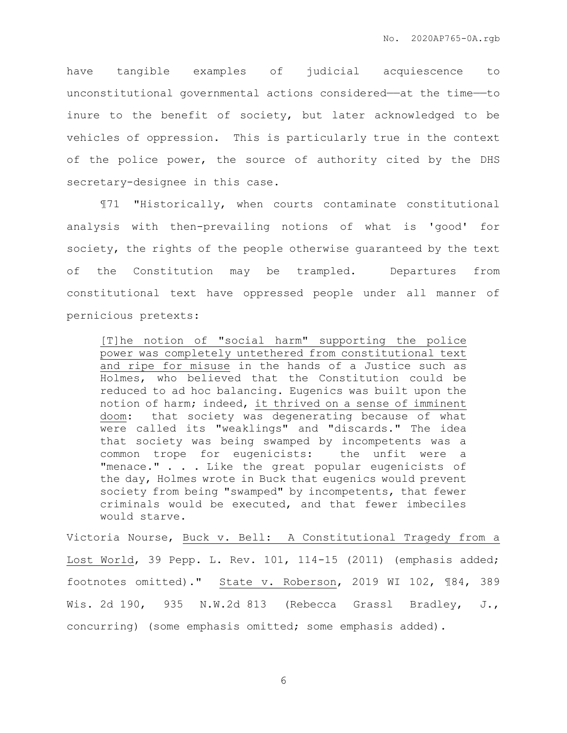have tangible examples of judicial acquiescence to unconstitutional governmental actions considered——at the time——to inure to the benefit of society, but later acknowledged to be vehicles of oppression. This is particularly true in the context of the police power, the source of authority cited by the DHS secretary-designee in this case.

¶71 "Historically, when courts contaminate constitutional analysis with then-prevailing notions of what is 'good' for society, the rights of the people otherwise guaranteed by the text of the Constitution may be trampled. Departures from constitutional text have oppressed people under all manner of pernicious pretexts:

[T]he notion of "social harm" supporting the police power was completely untethered from constitutional text and ripe for misuse in the hands of a Justice such as Holmes, who believed that the Constitution could be reduced to ad hoc balancing. Eugenics was built upon the notion of harm; indeed, it thrived on a sense of imminent doom: that society was degenerating because of what were called its "weaklings" and "discards." The idea that society was being swamped by incompetents was a common trope for eugenicists: the unfit were a "menace." . . . Like the great popular eugenicists of the day, Holmes wrote in Buck that eugenics would prevent society from being "swamped" by incompetents, that fewer criminals would be executed, and that fewer imbeciles would starve.

Victoria Nourse, Buck v. Bell: A Constitutional Tragedy from a Lost World, 39 Pepp. L. Rev. 101, 114-15 (2011) (emphasis added; footnotes omitted)." State v. Roberson, 2019 WI 102, ¶84, 389 Wis. 2d 190, 935 N.W.2d 813 (Rebecca Grassl Bradley, J., concurring) (some emphasis omitted; some emphasis added).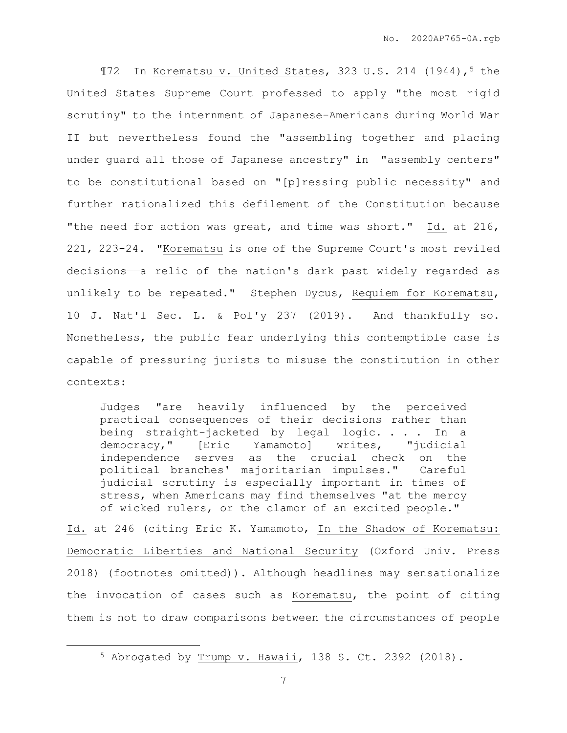$$72$  In Korematsu v. United States, 323 U.S. 214 (1944),<sup>5</sup> the United States Supreme Court professed to apply "the most rigid scrutiny" to the internment of Japanese-Americans during World War II but nevertheless found the "assembling together and placing under guard all those of Japanese ancestry" in "assembly centers" to be constitutional based on "[p]ressing public necessity" and further rationalized this defilement of the Constitution because "the need for action was great, and time was short." Id. at 216, 221, 223-24. "Korematsu is one of the Supreme Court's most reviled decisions——a relic of the nation's dark past widely regarded as unlikely to be repeated." Stephen Dycus, Requiem for Korematsu, 10 J. Nat'l Sec. L. & Pol'y 237 (2019). And thankfully so. Nonetheless, the public fear underlying this contemptible case is capable of pressuring jurists to misuse the constitution in other contexts:

Judges "are heavily influenced by the perceived practical consequences of their decisions rather than being straight-jacketed by legal logic. . . . In a democracy," [Eric Yamamoto] writes, "judicial independence serves as the crucial check on the political branches' majoritarian impulses." Careful judicial scrutiny is especially important in times of stress, when Americans may find themselves "at the mercy of wicked rulers, or the clamor of an excited people."

Id. at 246 (citing Eric K. Yamamoto, In the Shadow of Korematsu: Democratic Liberties and National Security (Oxford Univ. Press 2018) (footnotes omitted)). Although headlines may sensationalize the invocation of cases such as Korematsu, the point of citing them is not to draw comparisons between the circumstances of people

<sup>5</sup> Abrogated by Trump v. Hawaii, 138 S. Ct. 2392 (2018).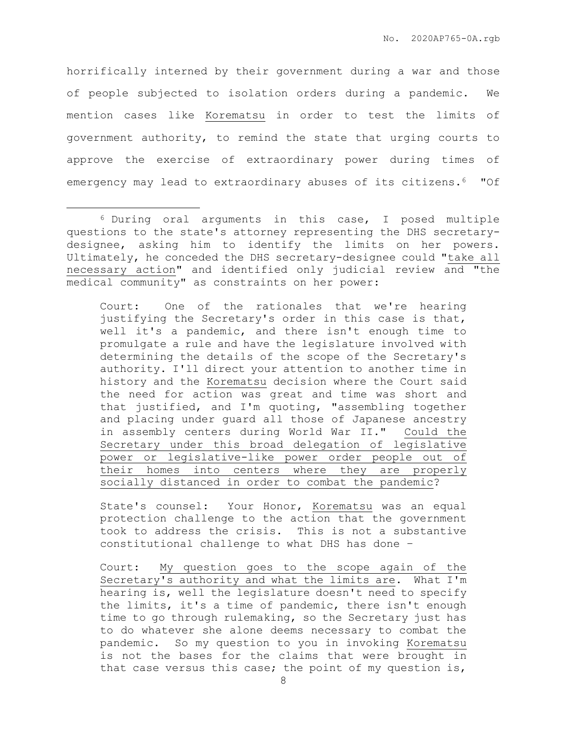horrifically interned by their government during a war and those of people subjected to isolation orders during a pandemic. We mention cases like Korematsu in order to test the limits of government authority, to remind the state that urging courts to approve the exercise of extraordinary power during times of emergency may lead to extraordinary abuses of its citizens.<sup>6</sup> "Of

 $\overline{a}$ 

Court: One of the rationales that we're hearing justifying the Secretary's order in this case is that, well it's a pandemic, and there isn't enough time to promulgate a rule and have the legislature involved with determining the details of the scope of the Secretary's authority. I'll direct your attention to another time in history and the Korematsu decision where the Court said the need for action was great and time was short and that justified, and I'm quoting, "assembling together and placing under guard all those of Japanese ancestry in assembly centers during World War II." Could the Secretary under this broad delegation of legislative power or legislative-like power order people out of their homes into centers where they are properly socially distanced in order to combat the pandemic?

State's counsel: Your Honor, Korematsu was an equal protection challenge to the action that the government took to address the crisis. This is not a substantive constitutional challenge to what DHS has done –

Court: My question goes to the scope again of the Secretary's authority and what the limits are. What I'm hearing is, well the legislature doesn't need to specify the limits, it's a time of pandemic, there isn't enough time to go through rulemaking, so the Secretary just has to do whatever she alone deems necessary to combat the pandemic. So my question to you in invoking Korematsu is not the bases for the claims that were brought in that case versus this case; the point of my question is,

<sup>6</sup> During oral arguments in this case, I posed multiple questions to the state's attorney representing the DHS secretarydesignee, asking him to identify the limits on her powers. Ultimately, he conceded the DHS secretary-designee could "take all necessary action" and identified only judicial review and "the medical community" as constraints on her power: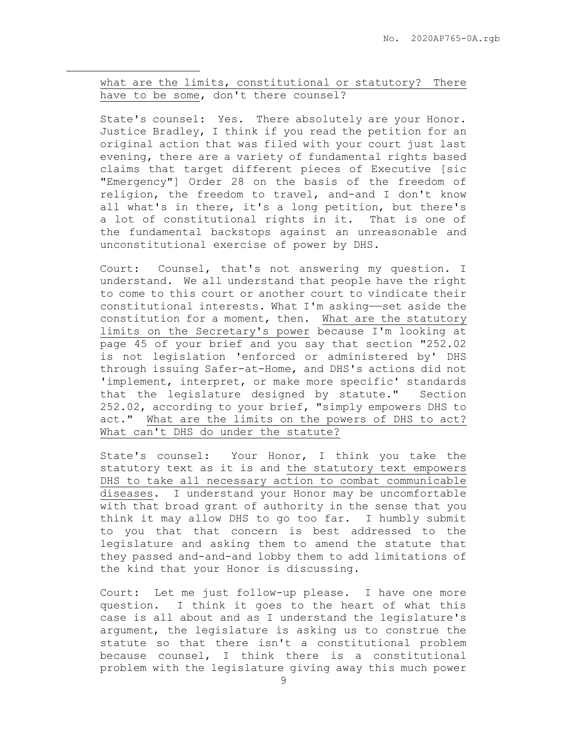what are the limits, constitutional or statutory? There have to be some, don't there counsel?

 $\overline{a}$ 

State's counsel: Yes. There absolutely are your Honor. Justice Bradley, I think if you read the petition for an original action that was filed with your court just last evening, there are a variety of fundamental rights based claims that target different pieces of Executive [sic "Emergency"] Order 28 on the basis of the freedom of religion, the freedom to travel, and-and I don't know all what's in there, it's a long petition, but there's a lot of constitutional rights in it. That is one of the fundamental backstops against an unreasonable and unconstitutional exercise of power by DHS.

Court: Counsel, that's not answering my question. I understand. We all understand that people have the right to come to this court or another court to vindicate their constitutional interests. What I'm asking——set aside the constitution for a moment, then. What are the statutory limits on the Secretary's power because I'm looking at page 45 of your brief and you say that section "252.02 is not legislation 'enforced or administered by' DHS through issuing Safer-at-Home, and DHS's actions did not 'implement, interpret, or make more specific' standards that the legislature designed by statute." Section 252.02, according to your brief, "simply empowers DHS to act." What are the limits on the powers of DHS to act? What can't DHS do under the statute?

State's counsel: Your Honor, I think you take the statutory text as it is and the statutory text empowers DHS to take all necessary action to combat communicable diseases. I understand your Honor may be uncomfortable with that broad grant of authority in the sense that you think it may allow DHS to go too far. I humbly submit to you that that concern is best addressed to the legislature and asking them to amend the statute that they passed and-and-and lobby them to add limitations of the kind that your Honor is discussing.

Court: Let me just follow-up please. I have one more question. I think it goes to the heart of what this case is all about and as I understand the legislature's argument, the legislature is asking us to construe the statute so that there isn't a constitutional problem because counsel, I think there is a constitutional problem with the legislature giving away this much power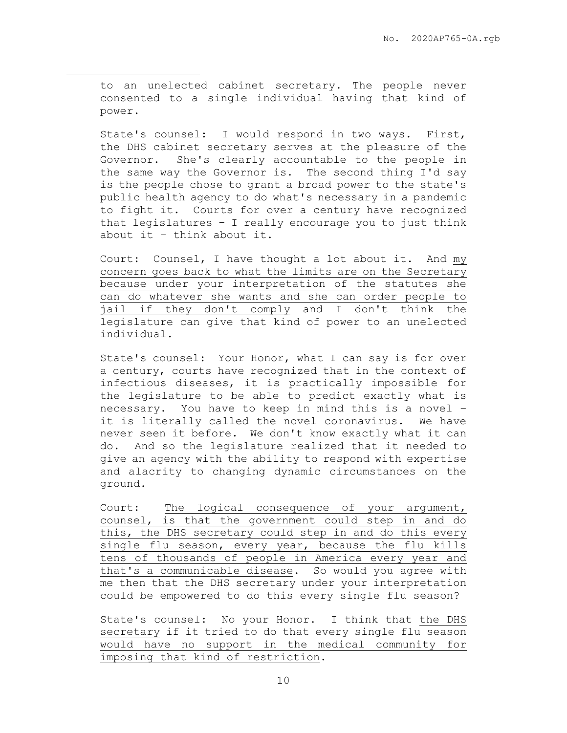to an unelected cabinet secretary. The people never consented to a single individual having that kind of power.

 $\overline{a}$ 

State's counsel: I would respond in two ways. First, the DHS cabinet secretary serves at the pleasure of the Governor. She's clearly accountable to the people in the same way the Governor is. The second thing I'd say is the people chose to grant a broad power to the state's public health agency to do what's necessary in a pandemic to fight it. Courts for over a century have recognized that legislatures – I really encourage you to just think about it – think about it.

Court: Counsel, I have thought a lot about it. And my concern goes back to what the limits are on the Secretary because under your interpretation of the statutes she can do whatever she wants and she can order people to jail if they don't comply and I don't think the legislature can give that kind of power to an unelected individual.

State's counsel: Your Honor, what I can say is for over a century, courts have recognized that in the context of infectious diseases, it is practically impossible for the legislature to be able to predict exactly what is necessary. You have to keep in mind this is a novel – it is literally called the novel coronavirus. We have never seen it before. We don't know exactly what it can do. And so the legislature realized that it needed to give an agency with the ability to respond with expertise and alacrity to changing dynamic circumstances on the ground.

Court: The logical consequence of your argument, counsel, is that the government could step in and do this, the DHS secretary could step in and do this every single flu season, every year, because the flu kills tens of thousands of people in America every year and that's a communicable disease. So would you agree with me then that the DHS secretary under your interpretation could be empowered to do this every single flu season?

State's counsel: No your Honor. I think that the DHS secretary if it tried to do that every single flu season would have no support in the medical community for imposing that kind of restriction.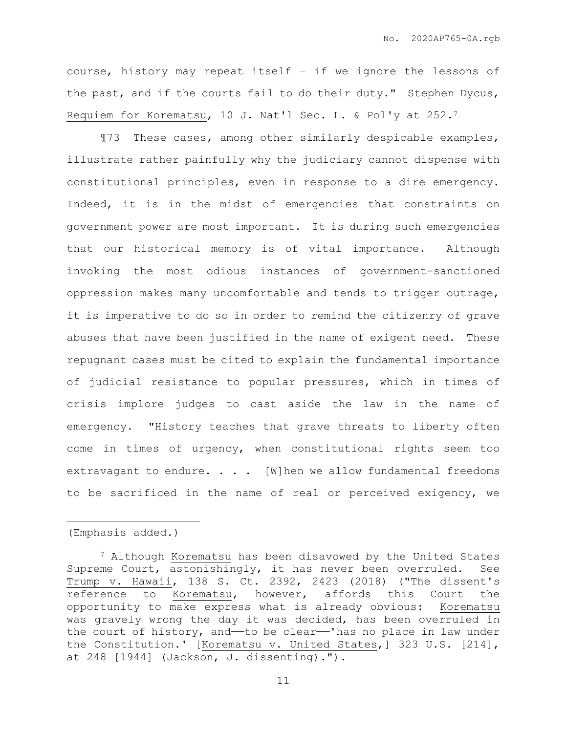course, history may repeat itself – if we ignore the lessons of the past, and if the courts fail to do their duty." Stephen Dycus, Requiem for Korematsu, 10 J. Nat'l Sec. L. & Pol'y at 252.<sup>7</sup>

¶73 These cases, among other similarly despicable examples, illustrate rather painfully why the judiciary cannot dispense with constitutional principles, even in response to a dire emergency. Indeed, it is in the midst of emergencies that constraints on government power are most important. It is during such emergencies that our historical memory is of vital importance. Although invoking the most odious instances of government-sanctioned oppression makes many uncomfortable and tends to trigger outrage, it is imperative to do so in order to remind the citizenry of grave abuses that have been justified in the name of exigent need. These repugnant cases must be cited to explain the fundamental importance of judicial resistance to popular pressures, which in times of crisis implore judges to cast aside the law in the name of emergency. "History teaches that grave threats to liberty often come in times of urgency, when constitutional rights seem too extravagant to endure. . . . [W] hen we allow fundamental freedoms to be sacrificed in the name of real or perceived exigency, we

(Emphasis added.)

<sup>7</sup> Although Korematsu has been disavowed by the United States Supreme Court, astonishingly, it has never been overruled. See Trump v. Hawaii, 138 S. Ct. 2392, 2423 (2018) ("The dissent's reference to Korematsu, however, affords this Court the opportunity to make express what is already obvious: Korematsu was gravely wrong the day it was decided, has been overruled in the court of history, and—to be clear—'has no place in law under the Constitution.' [Korematsu v. United States,] 323 U.S. [214], at 248 [1944] (Jackson, J. dissenting).").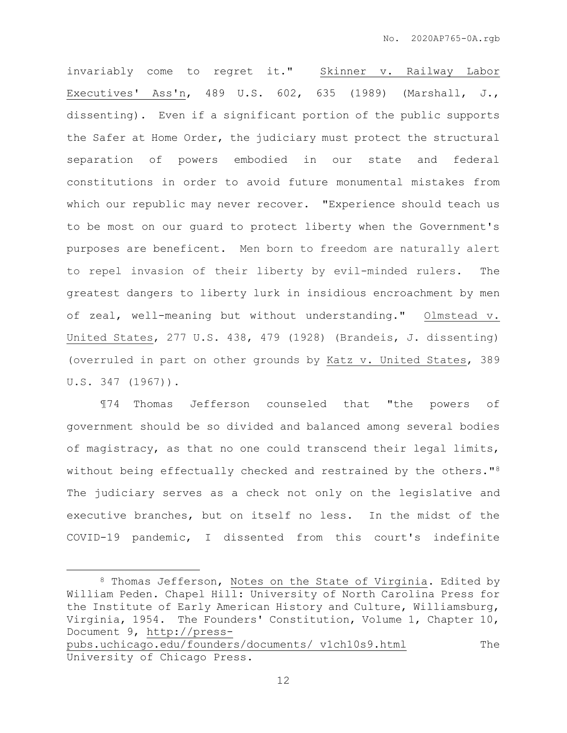invariably come to regret it." Skinner v. Railway Labor Executives' Ass'n, 489 U.S. 602, 635 (1989) (Marshall, J., dissenting). Even if a significant portion of the public supports the Safer at Home Order, the judiciary must protect the structural separation of powers embodied in our state and federal constitutions in order to avoid future monumental mistakes from which our republic may never recover. "Experience should teach us to be most on our guard to protect liberty when the Government's purposes are beneficent. Men born to freedom are naturally alert to repel invasion of their liberty by evil-minded rulers. The greatest dangers to liberty lurk in insidious encroachment by men of zeal, well-meaning but without understanding." Olmstead v. United States, 277 U.S. 438, 479 (1928) (Brandeis, J. dissenting) (overruled in part on other grounds by Katz v. United States, 389 U.S. 347 (1967)).

¶74 Thomas Jefferson counseled that "the powers of government should be so divided and balanced among several bodies of magistracy, as that no one could transcend their legal limits, without being effectually checked and restrained by the others."<sup>8</sup> The judiciary serves as a check not only on the legislative and executive branches, but on itself no less. In the midst of the COVID-19 pandemic, I dissented from this court's indefinite

 $\overline{a}$ 

<sup>8</sup> Thomas Jefferson, Notes on the State of Virginia. Edited by William Peden. Chapel Hill: University of North Carolina Press for the Institute of Early American History and Culture, Williamsburg, Virginia, 1954. The Founders' Constitution, Volume 1, Chapter 10, Document 9, [http://press](http://invalid.uri/)[pubs.uchicago.edu/founders/documents/](http://invalid.uri/) v1ch10s9.html The

University of Chicago Press.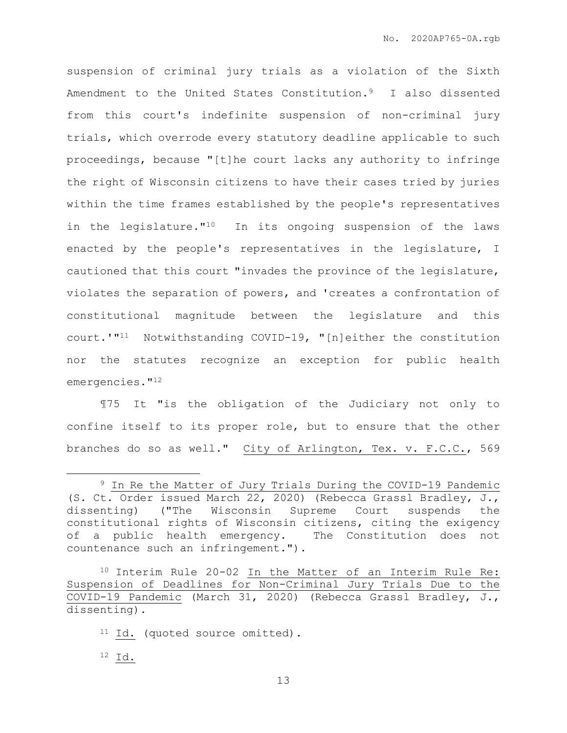suspension of criminal jury trials as a violation of the Sixth Amendment to the United States Constitution.9 I also dissented from this court's indefinite suspension of non-criminal jury trials, which overrode every statutory deadline applicable to such proceedings, because "[t]he court lacks any authority to infringe the right of Wisconsin citizens to have their cases tried by juries within the time frames established by the people's representatives in the legislature."<sup>10</sup> In its ongoing suspension of the laws enacted by the people's representatives in the legislature, I cautioned that this court "invades the province of the legislature, violates the separation of powers, and 'creates a confrontation of constitutional magnitude between the legislature and this court.'"<sup>11</sup> Notwithstanding COVID-19, "[n]either the constitution nor the statutes recognize an exception for public health emergencies."<sup>12</sup>

¶75 It "is the obligation of the Judiciary not only to confine itself to its proper role, but to ensure that the other branches do so as well." City of Arlington, Tex. v. F.C.C., 569

<sup>9</sup> In Re the Matter of Jury Trials During the COVID-19 Pandemic (S. Ct. Order issued March 22, 2020) (Rebecca Grassl Bradley, J., dissenting) ("The Wisconsin Supreme Court suspends the constitutional rights of Wisconsin citizens, citing the exigency of a public health emergency. The Constitution does not countenance such an infringement.").

<sup>10</sup> Interim Rule 20-02 In the Matter of an Interim Rule Re: Suspension of Deadlines for Non-Criminal Jury Trials Due to the COVID-19 Pandemic (March 31, 2020) (Rebecca Grassl Bradley, J., dissenting).

<sup>11</sup> Id. (quoted source omitted).

<sup>12</sup> Id.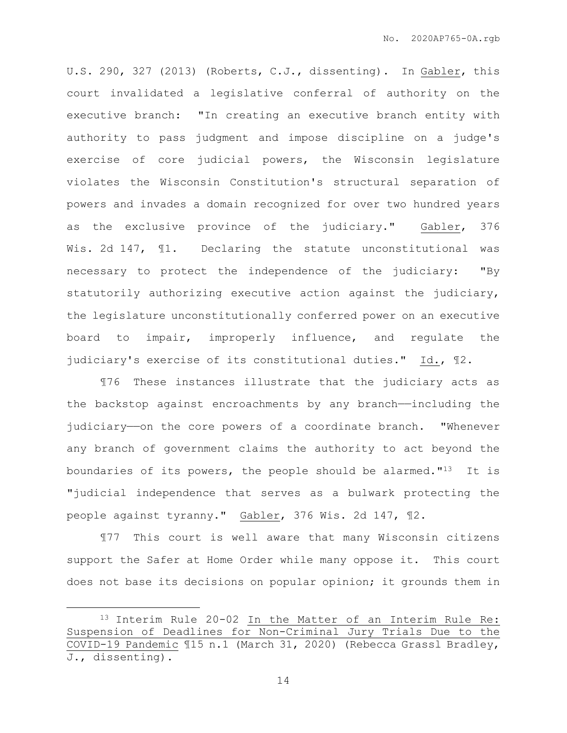U.S. 290, 327 (2013) (Roberts, C.J., dissenting). In Gabler, this court invalidated a legislative conferral of authority on the executive branch: "In creating an executive branch entity with authority to pass judgment and impose discipline on a judge's exercise of core judicial powers, the Wisconsin legislature violates the Wisconsin Constitution's structural separation of powers and invades a domain recognized for over two hundred years as the exclusive province of the judiciary." Gabler, 376 Wis. 2d 147, ¶1. Declaring the statute unconstitutional was necessary to protect the independence of the judiciary: "By statutorily authorizing executive action against the judiciary, the legislature unconstitutionally conferred power on an executive board to impair, improperly influence, and regulate the judiciary's exercise of its constitutional duties." Id., ¶2.

¶76 These instances illustrate that the judiciary acts as the backstop against encroachments by any branch-including the judiciary—on the core powers of a coordinate branch. "Whenever any branch of government claims the authority to act beyond the boundaries of its powers, the people should be alarmed." $13$  It is "judicial independence that serves as a bulwark protecting the people against tyranny." Gabler, 376 Wis. 2d 147, ¶2.

¶77 This court is well aware that many Wisconsin citizens support the Safer at Home Order while many oppose it. This court does not base its decisions on popular opinion; it grounds them in

<sup>13</sup> Interim Rule 20-02 In the Matter of an Interim Rule Re: Suspension of Deadlines for Non-Criminal Jury Trials Due to the COVID-19 Pandemic ¶15 n.1 (March 31, 2020) (Rebecca Grassl Bradley, J., dissenting).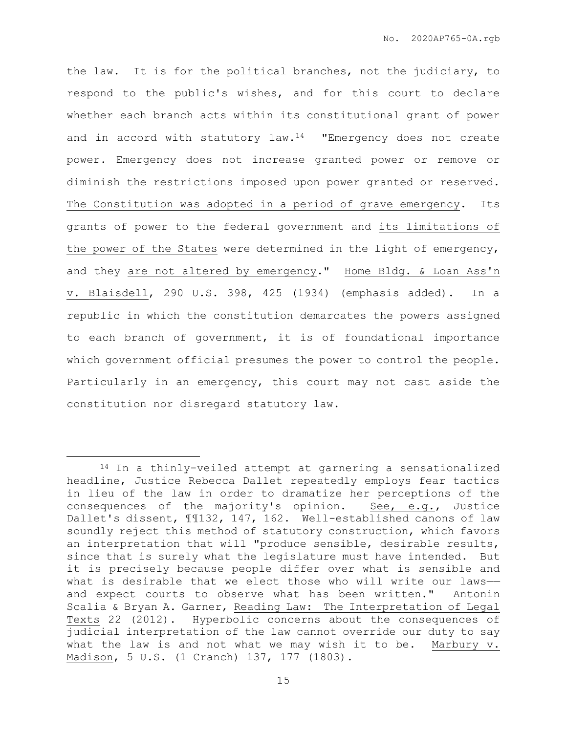the law. It is for the political branches, not the judiciary, to respond to the public's wishes, and for this court to declare whether each branch acts within its constitutional grant of power and in accord with statutory  $law.^{14}$  "Emergency does not create power. Emergency does not increase granted power or remove or diminish the restrictions imposed upon power granted or reserved. The Constitution was adopted in a period of grave emergency. Its grants of power to the federal government and its limitations of the power of the States were determined in the light of emergency, and they are not altered by emergency." Home Bldg. & Loan Ass'n v. Blaisdell, 290 U.S. 398, 425 (1934) (emphasis added). In a republic in which the constitution demarcates the powers assigned to each branch of government, it is of foundational importance which government official presumes the power to control the people. Particularly in an emergency, this court may not cast aside the constitution nor disregard statutory law.

<sup>14</sup> In a thinly-veiled attempt at garnering a sensationalized headline, Justice Rebecca Dallet repeatedly employs fear tactics in lieu of the law in order to dramatize her perceptions of the consequences of the majority's opinion. See, e.g., Justice Dallet's dissent, ¶¶132, 147, 162. Well-established canons of law soundly reject this method of statutory construction, which favors an interpretation that will "produce sensible, desirable results, since that is surely what the legislature must have intended. But it is precisely because people differ over what is sensible and what is desirable that we elect those who will write our lawsand expect courts to observe what has been written." Antonin Scalia & Bryan A. Garner, Reading Law: The Interpretation of Legal Texts 22 (2012). Hyperbolic concerns about the consequences of judicial interpretation of the law cannot override our duty to say what the law is and not what we may wish it to be. Marbury v. Madison, 5 U.S. (1 Cranch) 137, 177 (1803).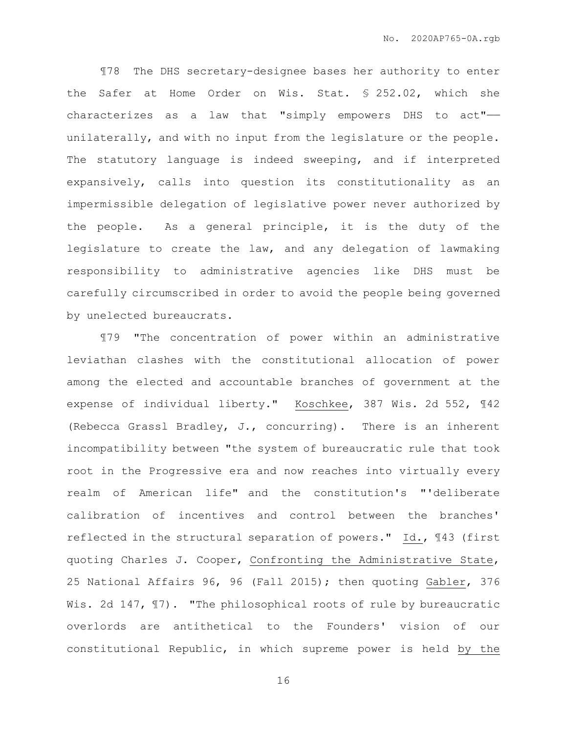¶78 The DHS secretary-designee bases her authority to enter the Safer at Home Order on Wis. Stat. § 252.02, which she characterizes as a law that "simply empowers DHS to act"— unilaterally, and with no input from the legislature or the people. The statutory language is indeed sweeping, and if interpreted expansively, calls into question its constitutionality as an impermissible delegation of legislative power never authorized by the people. As a general principle, it is the duty of the legislature to create the law, and any delegation of lawmaking responsibility to administrative agencies like DHS must be carefully circumscribed in order to avoid the people being governed by unelected bureaucrats.

¶79 "The concentration of power within an administrative leviathan clashes with the constitutional allocation of power among the elected and accountable branches of government at the expense of individual liberty." Koschkee, 387 Wis. 2d 552, ¶42 (Rebecca Grassl Bradley, J., concurring). There is an inherent incompatibility between "the system of bureaucratic rule that took root in the Progressive era and now reaches into virtually every realm of American life" and the constitution's "'deliberate calibration of incentives and control between the branches' reflected in the structural separation of powers." Id., ¶43 (first quoting Charles J. Cooper, Confronting the Administrative State, 25 National Affairs 96, 96 (Fall 2015); then quoting Gabler, 376 Wis. 2d 147,  $\mathbb{I}7$ ). "The philosophical roots of rule by bureaucratic overlords are antithetical to the Founders' vision of our constitutional Republic, in which supreme power is held by the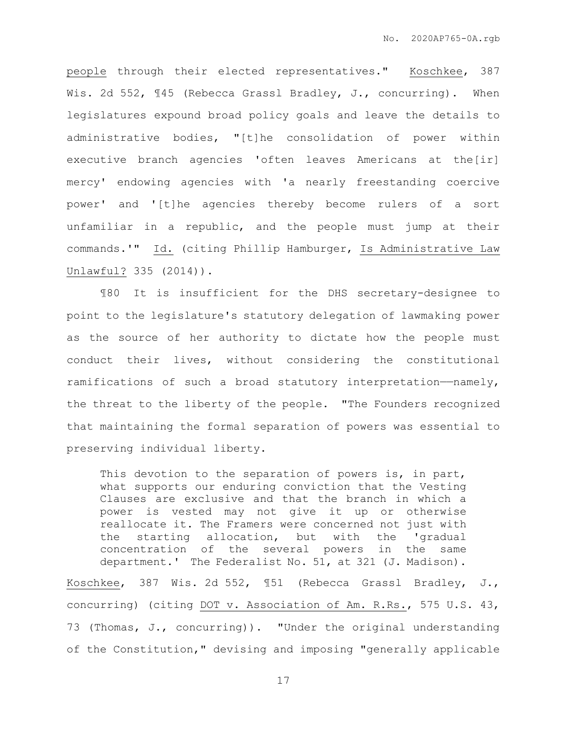people through their elected representatives." Koschkee, 387 Wis. 2d 552,  $\P 45$  (Rebecca Grassl Bradley, J., concurring). When legislatures expound broad policy goals and leave the details to administrative bodies, "[t]he consolidation of power within executive branch agencies 'often leaves Americans at the[ir] mercy' endowing agencies with 'a nearly freestanding coercive power' and '[t]he agencies thereby become rulers of a sort unfamiliar in a republic, and the people must jump at their commands.'" Id. (citing Phillip Hamburger, Is Administrative Law Unlawful? 335 (2014)).

¶80 It is insufficient for the DHS secretary-designee to point to the legislature's statutory delegation of lawmaking power as the source of her authority to dictate how the people must conduct their lives, without considering the constitutional ramifications of such a broad statutory interpretation-namely, the threat to the liberty of the people. "The Founders recognized that maintaining the formal separation of powers was essential to preserving individual liberty.

This devotion to the separation of powers is, in part, what supports our enduring conviction that the Vesting Clauses are exclusive and that the branch in which a power is vested may not give it up or otherwise reallocate it. The Framers were concerned not just with the starting allocation, but with the 'gradual concentration of the several powers in the same department.' The Federalist No. 51, at 321 (J. Madison).

Koschkee, 387 Wis. 2d 552, ¶51 (Rebecca Grassl Bradley, J., concurring) (citing DOT v. Association of Am. R.Rs., 575 U.S. 43, 73 (Thomas, J., concurring)). "Under the original understanding of the Constitution," devising and imposing "generally applicable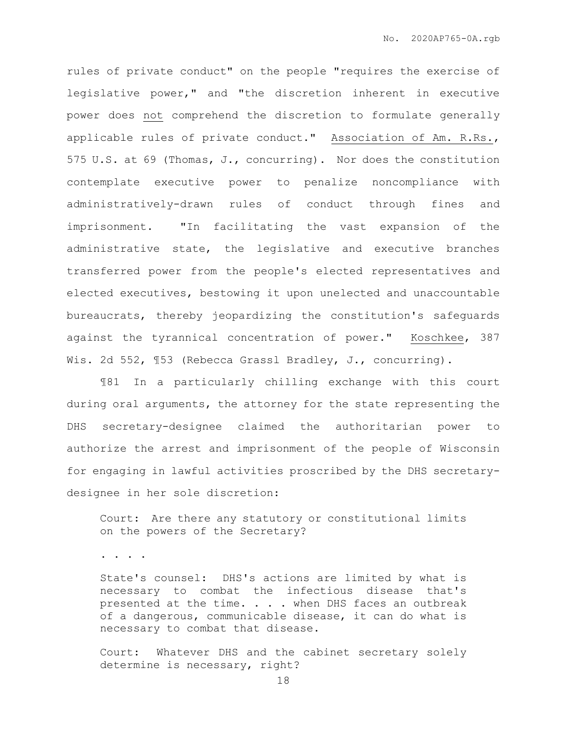rules of private conduct" on the people "requires the exercise of legislative power," and "the discretion inherent in executive power does not comprehend the discretion to formulate generally applicable rules of private conduct." Association of Am. R.Rs., 575 U.S. at 69 (Thomas, J., concurring). Nor does the constitution contemplate executive power to penalize noncompliance with administratively-drawn rules of conduct through fines and imprisonment. "In facilitating the vast expansion of the administrative state, the legislative and executive branches transferred power from the people's elected representatives and elected executives, bestowing it upon unelected and unaccountable bureaucrats, thereby jeopardizing the constitution's safeguards against the tyrannical concentration of power." Koschkee, 387 Wis. 2d 552, 153 (Rebecca Grassl Bradley, J., concurring).

¶81 In a particularly chilling exchange with this court during oral arguments, the attorney for the state representing the DHS secretary-designee claimed the authoritarian power to authorize the arrest and imprisonment of the people of Wisconsin for engaging in lawful activities proscribed by the DHS secretarydesignee in her sole discretion:

Court: Are there any statutory or constitutional limits on the powers of the Secretary?

. . . .

State's counsel: DHS's actions are limited by what is necessary to combat the infectious disease that's presented at the time. . . . when DHS faces an outbreak of a dangerous, communicable disease, it can do what is necessary to combat that disease.

Court: Whatever DHS and the cabinet secretary solely determine is necessary, right?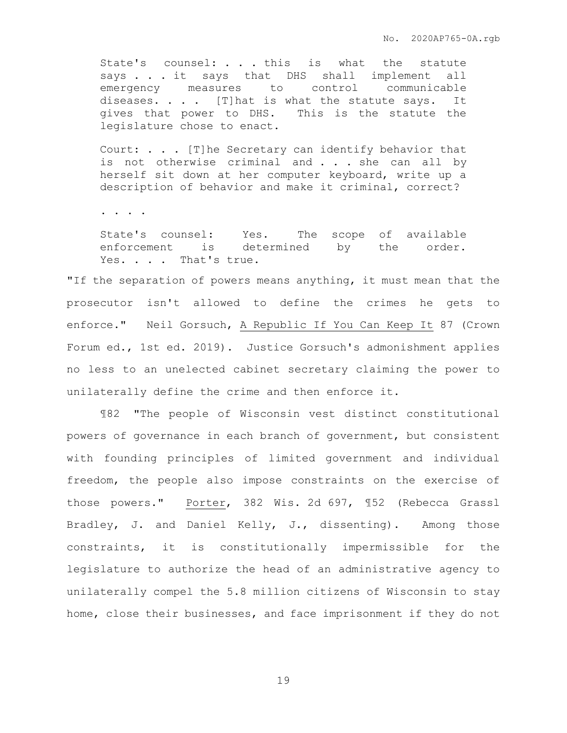State's counsel: . . . this is what the statute says . . . it says that DHS shall implement all emergency measures to control communicable diseases. . . . [T]hat is what the statute says. It gives that power to DHS. This is the statute the legislature chose to enact.

Court: . . . [T]he Secretary can identify behavior that is not otherwise criminal and . . . she can all by herself sit down at her computer keyboard, write up a description of behavior and make it criminal, correct?

. . . .

State's counsel: Yes. The scope of available enforcement is determined by the order. Yes. . . . That's true.

"If the separation of powers means anything, it must mean that the prosecutor isn't allowed to define the crimes he gets to enforce." Neil Gorsuch, A Republic If You Can Keep It 87 (Crown Forum ed., 1st ed. 2019). Justice Gorsuch's admonishment applies no less to an unelected cabinet secretary claiming the power to unilaterally define the crime and then enforce it.

¶82 "The people of Wisconsin vest distinct constitutional powers of governance in each branch of government, but consistent with founding principles of limited government and individual freedom, the people also impose constraints on the exercise of those powers." Porter, 382 Wis. 2d 697, ¶52 (Rebecca Grassl Bradley, J. and Daniel Kelly, J., dissenting). Among those constraints, it is constitutionally impermissible for the legislature to authorize the head of an administrative agency to unilaterally compel the 5.8 million citizens of Wisconsin to stay home, close their businesses, and face imprisonment if they do not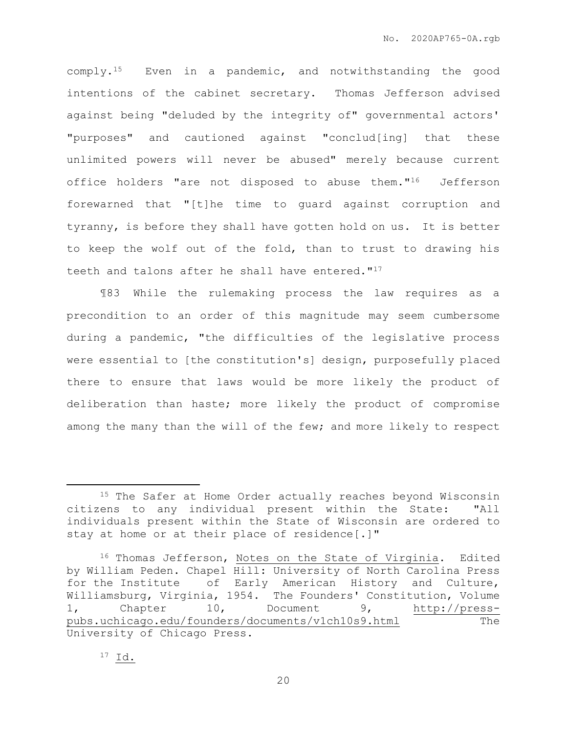comply.15 Even in a pandemic, and notwithstanding the good intentions of the cabinet secretary. Thomas Jefferson advised against being "deluded by the integrity of" governmental actors' "purposes" and cautioned against "conclud[ing] that these unlimited powers will never be abused" merely because current office holders "are not disposed to abuse them."16 Jefferson forewarned that "[t]he time to guard against corruption and tyranny, is before they shall have gotten hold on us. It is better to keep the wolf out of the fold, than to trust to drawing his teeth and talons after he shall have entered."<sup>17</sup>

¶83 While the rulemaking process the law requires as a precondition to an order of this magnitude may seem cumbersome during a pandemic, "the difficulties of the legislative process were essential to [the constitution's] design, purposefully placed there to ensure that laws would be more likely the product of deliberation than haste; more likely the product of compromise among the many than the will of the few; and more likely to respect

<sup>&</sup>lt;sup>15</sup> The Safer at Home Order actually reaches beyond Wisconsin citizens to any individual present within the State: "All individuals present within the State of Wisconsin are ordered to stay at home or at their place of residence[.]"

<sup>&</sup>lt;sup>16</sup> Thomas Jefferson, Notes on the State of Virginia. Edited by William Peden. Chapel Hill: University of North Carolina Press for the Institute of Early American History and Culture, Williamsburg, Virginia, 1954. The Founders' Constitution, Volume 1, Chapter 10, Document 9, [http://press](http://press-pubs.uchicago.edu/founders/documents/v1ch10s9.html)[pubs.uchicago.edu/founders/documents/v1ch10s9.html](http://press-pubs.uchicago.edu/founders/documents/v1ch10s9.html) The University of Chicago Press.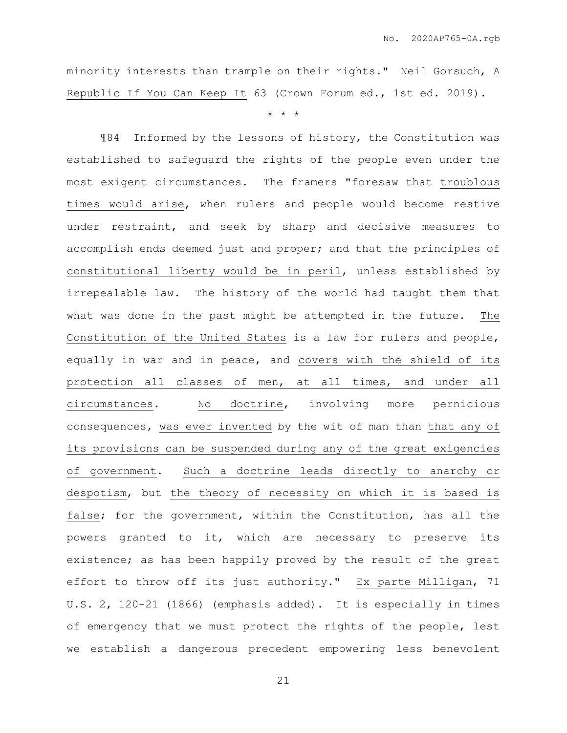minority interests than trample on their rights." Neil Gorsuch, A Republic If You Can Keep It 63 (Crown Forum ed., 1st ed. 2019).

\* \* \*

¶84 Informed by the lessons of history, the Constitution was established to safeguard the rights of the people even under the most exigent circumstances. The framers "foresaw that troublous times would arise, when rulers and people would become restive under restraint, and seek by sharp and decisive measures to accomplish ends deemed just and proper; and that the principles of constitutional liberty would be in peril, unless established by irrepealable law. The history of the world had taught them that what was done in the past might be attempted in the future. The Constitution of the United States is a law for rulers and people, equally in war and in peace, and covers with the shield of its protection all classes of men, at all times, and under all circumstances. No doctrine, involving more pernicious consequences, was ever invented by the wit of man than that any of its provisions can be suspended during any of the great exigencies of government. Such a doctrine leads directly to anarchy or despotism, but the theory of necessity on which it is based is false; for the government, within the Constitution, has all the powers granted to it, which are necessary to preserve its existence; as has been happily proved by the result of the great effort to throw off its just authority." Ex parte Milligan, 71 U.S. 2, 120-21 (1866) (emphasis added). It is especially in times of emergency that we must protect the rights of the people, lest we establish a dangerous precedent empowering less benevolent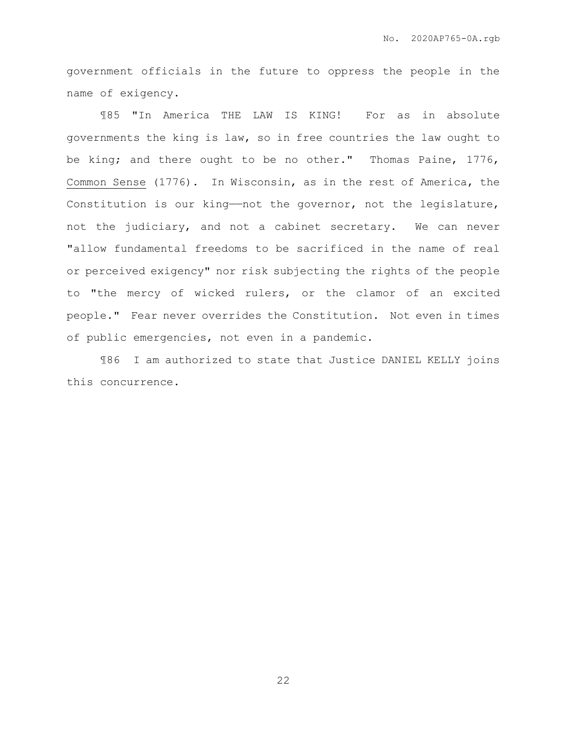government officials in the future to oppress the people in the name of exigency.

¶85 "In America THE LAW IS KING! For as in absolute governments the king is law, so in free countries the law ought to be king; and there ought to be no other." Thomas Paine, 1776, Common Sense (1776). In Wisconsin, as in the rest of America, the Constitution is our king——not the governor, not the legislature, not the judiciary, and not a cabinet secretary. We can never "allow fundamental freedoms to be sacrificed in the name of real or perceived exigency" nor risk subjecting the rights of the people to "the mercy of wicked rulers, or the clamor of an excited people." Fear never overrides the Constitution. Not even in times of public emergencies, not even in a pandemic.

¶86 I am authorized to state that Justice DANIEL KELLY joins this concurrence.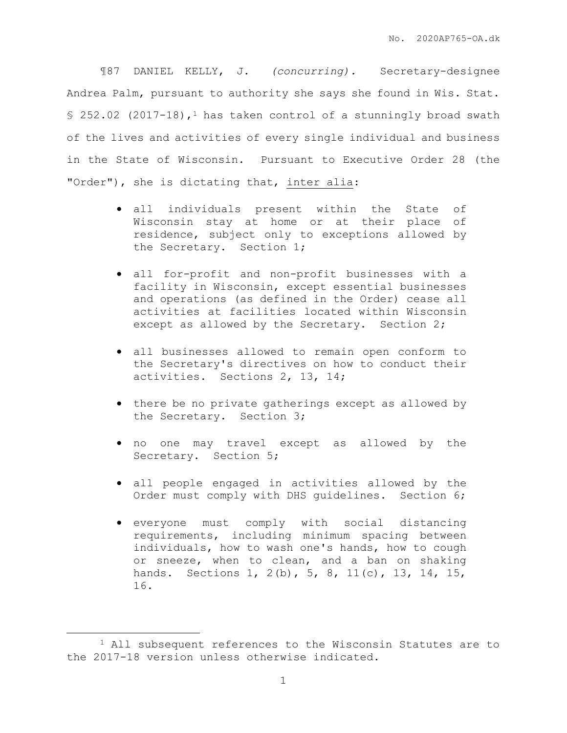¶87 DANIEL KELLY, J. *(concurring).* Secretary-designee Andrea Palm, pursuant to authority she says she found in Wis. Stat.  $$252.02$  (2017-18),<sup>1</sup> has taken control of a stunningly broad swath of the lives and activities of every single individual and business in the State of Wisconsin. Pursuant to Executive Order 28 (the "Order"), she is dictating that, inter alia:

- all individuals present within the State of Wisconsin stay at home or at their place of residence, subject only to exceptions allowed by the Secretary. Section 1;
- all for-profit and non-profit businesses with a facility in Wisconsin, except essential businesses and operations (as defined in the Order) cease all activities at facilities located within Wisconsin except as allowed by the Secretary. Section 2;
- all businesses allowed to remain open conform to the Secretary's directives on how to conduct their activities. Sections 2, 13, 14;
- there be no private gatherings except as allowed by the Secretary. Section 3;
- no one may travel except as allowed by the Secretary. Section 5;
- all people engaged in activities allowed by the Order must comply with DHS guidelines. Section 6;
- everyone must comply with social distancing requirements, including minimum spacing between individuals, how to wash one's hands, how to cough or sneeze, when to clean, and a ban on shaking hands. Sections 1, 2(b), 5, 8, 11(c), 13, 14, 15, 16.

<sup>1</sup> All subsequent references to the Wisconsin Statutes are to the 2017-18 version unless otherwise indicated.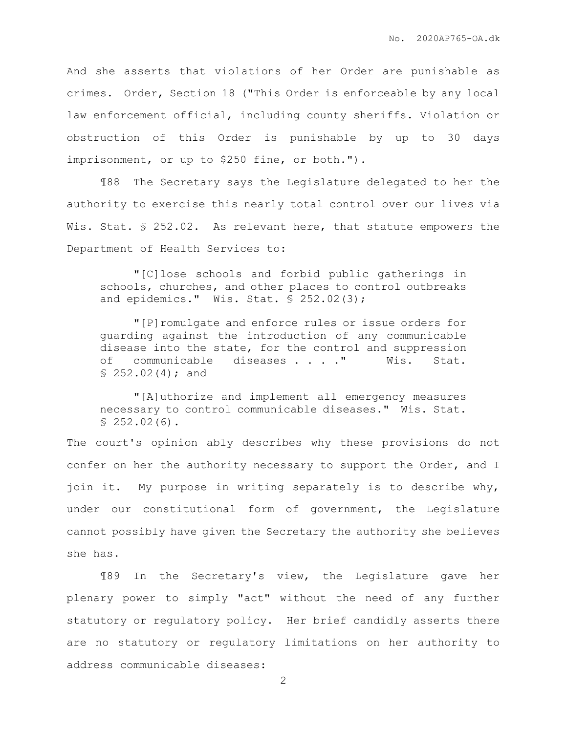And she asserts that violations of her Order are punishable as crimes. Order, Section 18 ("This Order is enforceable by any local law enforcement official, including county sheriffs. Violation or obstruction of this Order is punishable by up to 30 days imprisonment, or up to \$250 fine, or both.").

¶88 The Secretary says the Legislature delegated to her the authority to exercise this nearly total control over our lives via Wis. Stat. § 252.02. As relevant here, that statute empowers the Department of Health Services to:

"[C]lose schools and forbid public gatherings in schools, churches, and other places to control outbreaks and epidemics." Wis. Stat. § 252.02(3);

"[P]romulgate and enforce rules or issue orders for guarding against the introduction of any communicable disease into the state, for the control and suppression of communicable diseases . . . ." Wis. Stat.  $$252.02(4); and$ 

"[A]uthorize and implement all emergency measures necessary to control communicable diseases." Wis. Stat.  $$252.02(6).$ 

The court's opinion ably describes why these provisions do not confer on her the authority necessary to support the Order, and I join it. My purpose in writing separately is to describe why, under our constitutional form of government, the Legislature cannot possibly have given the Secretary the authority she believes she has.

¶89 In the Secretary's view, the Legislature gave her plenary power to simply "act" without the need of any further statutory or regulatory policy. Her brief candidly asserts there are no statutory or regulatory limitations on her authority to address communicable diseases: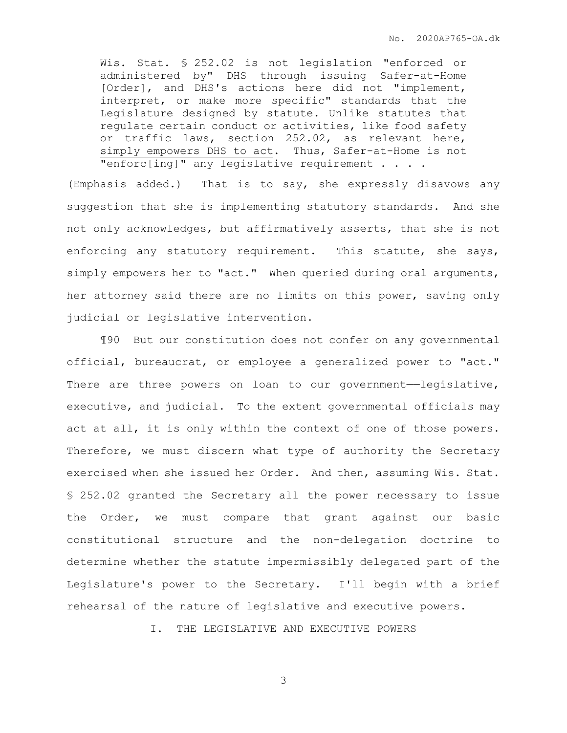Wis. Stat. § 252.02 is not legislation "enforced or administered by" DHS through issuing Safer-at-Home [Order], and DHS's actions here did not "implement, interpret, or make more specific" standards that the Legislature designed by statute. Unlike statutes that regulate certain conduct or activities, like food safety or traffic laws, section 252.02, as relevant here, simply empowers DHS to act. Thus, Safer-at-Home is not "enforc[ing]" any legislative requirement . . . .

(Emphasis added.) That is to say, she expressly disavows any suggestion that she is implementing statutory standards. And she not only acknowledges, but affirmatively asserts, that she is not enforcing any statutory requirement. This statute, she says, simply empowers her to "act." When queried during oral arguments, her attorney said there are no limits on this power, saving only judicial or legislative intervention.

¶90 But our constitution does not confer on any governmental official, bureaucrat, or employee a generalized power to "act." There are three powers on loan to our government—legislative, executive, and judicial. To the extent governmental officials may act at all, it is only within the context of one of those powers. Therefore, we must discern what type of authority the Secretary exercised when she issued her Order. And then, assuming Wis. Stat. § 252.02 granted the Secretary all the power necessary to issue the Order, we must compare that grant against our basic constitutional structure and the non-delegation doctrine to determine whether the statute impermissibly delegated part of the Legislature's power to the Secretary. I'll begin with a brief rehearsal of the nature of legislative and executive powers.

I. THE LEGISLATIVE AND EXECUTIVE POWERS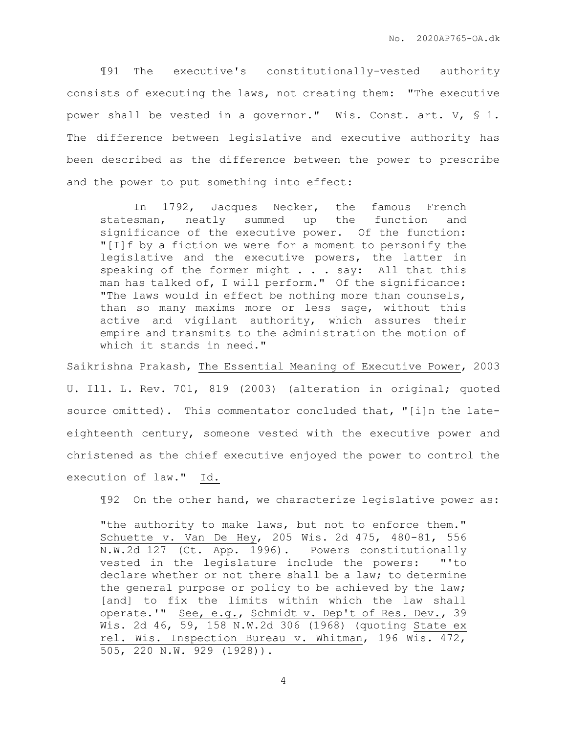¶91 The executive's constitutionally-vested authority consists of executing the laws, not creating them: "The executive power shall be vested in a governor." Wis. Const. art. V, § 1. The difference between legislative and executive authority has been described as the difference between the power to prescribe and the power to put something into effect:

In 1792, Jacques Necker, the famous French statesman, neatly summed up the function and significance of the executive power. Of the function: "[I]f by a fiction we were for a moment to personify the legislative and the executive powers, the latter in speaking of the former might . . . say: All that this man has talked of, I will perform." Of the significance: "The laws would in effect be nothing more than counsels, than so many maxims more or less sage, without this active and vigilant authority, which assures their empire and transmits to the administration the motion of which it stands in need."

Saikrishna Prakash, The Essential Meaning of Executive Power, 2003 U. Ill. L. Rev. 701, 819 (2003) (alteration in original; quoted source omitted). This commentator concluded that, "[i]n the lateeighteenth century, someone vested with the executive power and christened as the chief executive enjoyed the power to control the execution of law." Id.

¶92 On the other hand, we characterize legislative power as:

"the authority to make laws, but not to enforce them." Schuette v. Van De Hey, 205 Wis. 2d 475, 480-81, 556 N.W.2d 127 (Ct. App. 1996). Powers constitutionally vested in the legislature include the powers: "'to declare whether or not there shall be a law; to determine the general purpose or policy to be achieved by the law; [and] to fix the limits within which the law shall operate.'" See, e.g., Schmidt v. Dep't of Res. Dev., 39 Wis. 2d 46, 59, 158 N.W.2d 306 (1968) (quoting State ex rel. Wis. Inspection Bureau v. Whitman, 196 Wis. 472, 505, 220 N.W. 929 (1928)).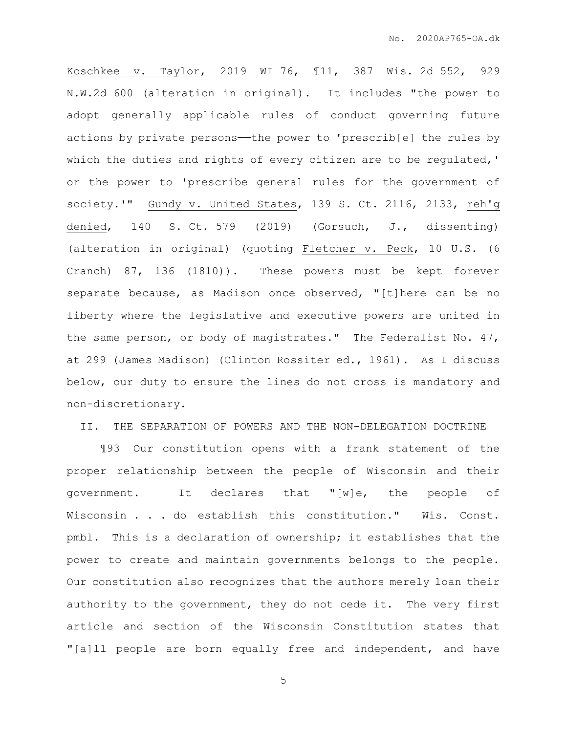Koschkee v. Taylor, 2019 WI 76, ¶11, 387 Wis. 2d 552, 929 N.W.2d 600 (alteration in original). It includes "the power to adopt generally applicable rules of conduct governing future actions by private persons—the power to 'prescrib[e] the rules by which the duties and rights of every citizen are to be regulated,' or the power to 'prescribe general rules for the government of society.'" Gundy v. United States, 139 S. Ct. 2116, 2133, reh'g denied, 140 S. Ct. 579 (2019) (Gorsuch, J., dissenting) (alteration in original) (quoting Fletcher v. Peck, 10 U.S. (6 Cranch) 87, 136 (1810)). These powers must be kept forever separate because, as Madison once observed, "[t]here can be no liberty where the legislative and executive powers are united in the same person, or body of magistrates." The Federalist No. 47, at 299 (James Madison) (Clinton Rossiter ed., 1961). As I discuss below, our duty to ensure the lines do not cross is mandatory and non-discretionary.

II. THE SEPARATION OF POWERS AND THE NON-DELEGATION DOCTRINE

¶93 Our constitution opens with a frank statement of the proper relationship between the people of Wisconsin and their government. It declares that "[w]e, the people of Wisconsin . . . do establish this constitution." Wis. Const. pmbl. This is a declaration of ownership; it establishes that the power to create and maintain governments belongs to the people. Our constitution also recognizes that the authors merely loan their authority to the government, they do not cede it. The very first article and section of the Wisconsin Constitution states that "[a]ll people are born equally free and independent, and have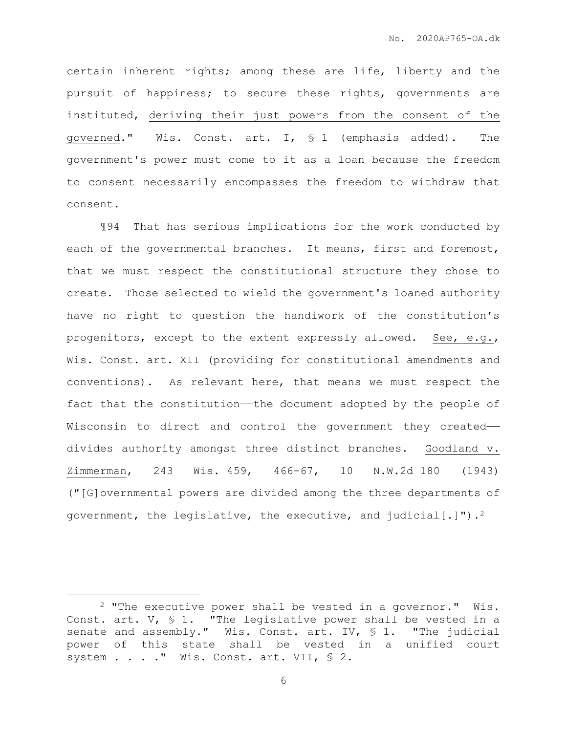certain inherent rights; among these are life, liberty and the pursuit of happiness; to secure these rights, governments are instituted, deriving their just powers from the consent of the governed." Wis. Const. art. I, § 1 (emphasis added). The government's power must come to it as a loan because the freedom to consent necessarily encompasses the freedom to withdraw that consent.

¶94 That has serious implications for the work conducted by each of the governmental branches. It means, first and foremost, that we must respect the constitutional structure they chose to create. Those selected to wield the government's loaned authority have no right to question the handiwork of the constitution's progenitors, except to the extent expressly allowed. See, e.g., Wis. Const. art. XII (providing for constitutional amendments and conventions). As relevant here, that means we must respect the fact that the constitution—the document adopted by the people of Wisconsin to direct and control the government they created— divides authority amongst three distinct branches. Goodland v. Zimmerman, 243 Wis. 459, 466-67, 10 N.W.2d 180 (1943) ("[G]overnmental powers are divided among the three departments of government, the legislative, the executive, and judicial  $[\cdot]$ ").<sup>2</sup>

<sup>2</sup> "The executive power shall be vested in a governor." Wis. Const. art.  $V$ ,  $S$  1. "The legislative power shall be vested in a senate and assembly." Wis. Const. art. IV, § 1. "The judicial power of this state shall be vested in a unified court system . . . . " Wis. Const. art. VII, § 2.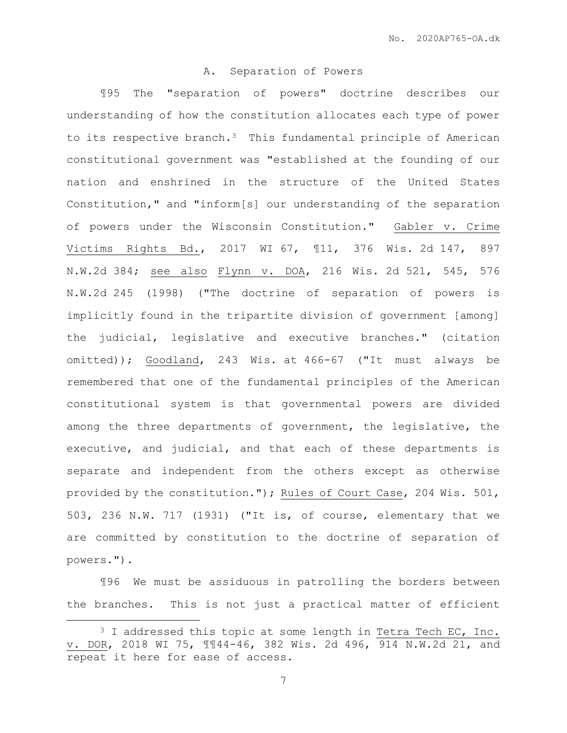## A. Separation of Powers

¶95 The "separation of powers" doctrine describes our understanding of how the constitution allocates each type of power to its respective branch. $3$  This fundamental principle of American constitutional government was "established at the founding of our nation and enshrined in the structure of the United States Constitution," and "inform[s] our understanding of the separation of powers under the Wisconsin Constitution." Gabler v. Crime Victims Rights Bd., 2017 WI 67, ¶11, 376 Wis. 2d 147, 897 N.W.2d 384; see also Flynn v. DOA, 216 Wis. 2d 521, 545, 576 N.W.2d 245 (1998) ("The doctrine of separation of powers is implicitly found in the tripartite division of government [among] the judicial, legislative and executive branches." (citation omitted)); Goodland, 243 Wis. at 466-67 ("It must always be remembered that one of the fundamental principles of the American constitutional system is that governmental powers are divided among the three departments of government, the legislative, the executive, and judicial, and that each of these departments is separate and independent from the others except as otherwise provided by the constitution."); Rules of Court Case, 204 Wis. 501, 503, 236 N.W. 717 (1931) ("It is, of course, elementary that we are committed by constitution to the doctrine of separation of powers.").

¶96 We must be assiduous in patrolling the borders between the branches. This is not just a practical matter of efficient

<sup>&</sup>lt;sup>3</sup> I addressed this topic at some length in Tetra Tech EC, Inc. v. DOR, 2018 WI 75, ¶¶44-46, 382 Wis. 2d 496, 914 N.W.2d 21, and repeat it here for ease of access.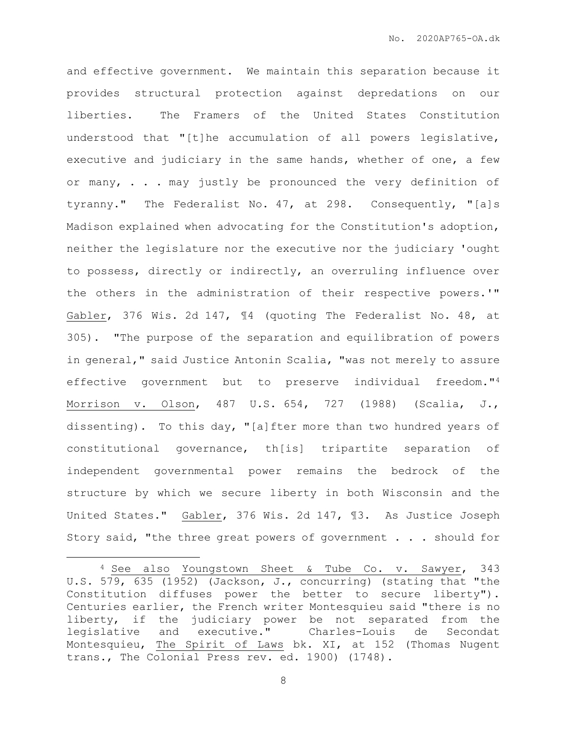and effective government. We maintain this separation because it provides structural protection against depredations on our liberties. The Framers of the United States Constitution understood that "[t]he accumulation of all powers legislative, executive and judiciary in the same hands, whether of one, a few or many,  $\ldots$  may justly be pronounced the very definition of tyranny." The Federalist No. 47, at 298. Consequently, "[a]s Madison explained when advocating for the Constitution's adoption, neither the legislature nor the executive nor the judiciary 'ought to possess, directly or indirectly, an overruling influence over the others in the administration of their respective powers.'" Gabler, 376 Wis. 2d 147, ¶4 (quoting The Federalist No. 48, at 305). "The purpose of the separation and equilibration of powers in general," said Justice Antonin Scalia, "was not merely to assure effective government but to preserve individual freedom."<sup>4</sup> Morrison v. Olson, 487 U.S. 654, 727 (1988) (Scalia, J., dissenting). To this day, "[a]fter more than two hundred years of constitutional governance, th[is] tripartite separation of independent governmental power remains the bedrock of the structure by which we secure liberty in both Wisconsin and the United States." Gabler, 376 Wis. 2d 147, ¶3. As Justice Joseph Story said, "the three great powers of government . . . should for

 $\overline{a}$ 

<sup>4</sup> See also Youngstown Sheet & Tube Co. v. Sawyer, 343 U.S. 579, 635 (1952) (Jackson, J., concurring) (stating that "the Constitution diffuses power the better to secure liberty"). Centuries earlier, the French writer Montesquieu said "there is no liberty, if the judiciary power be not separated from the legislative and executive." Charles-Louis de Secondat Montesquieu, The Spirit of Laws bk. XI, at 152 (Thomas Nugent trans., The Colonial Press rev. ed. 1900) (1748).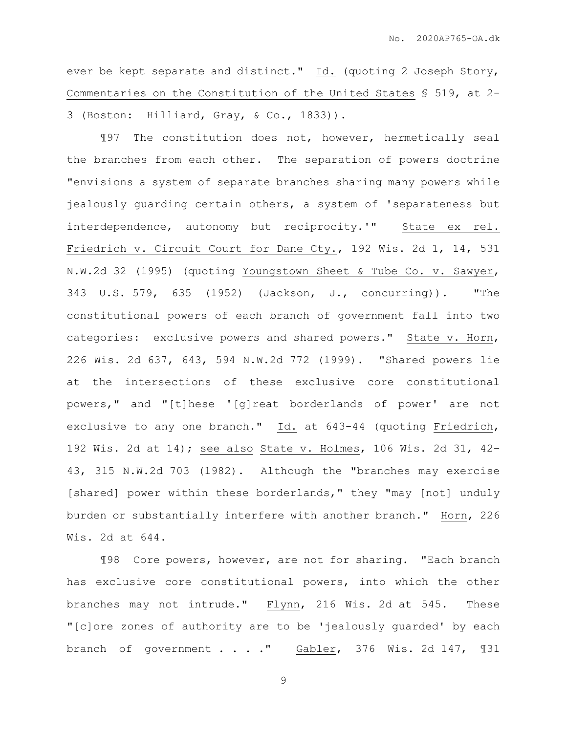ever be kept separate and distinct." Id. (quoting 2 Joseph Story, Commentaries on the Constitution of the United States § 519, at 2- 3 (Boston: Hilliard, Gray, & Co., 1833)).

¶97 The constitution does not, however, hermetically seal the branches from each other. The separation of powers doctrine "envisions a system of separate branches sharing many powers while jealously guarding certain others, a system of 'separateness but interdependence, autonomy but reciprocity.'" State ex rel. Friedrich v. Circuit Court for Dane Cty., 192 Wis. 2d 1, 14, 531 N.W.2d 32 (1995) (quoting Youngstown Sheet & Tube Co. v. Sawyer, 343 U.S. 579, 635 (1952) (Jackson, J., concurring)). "The constitutional powers of each branch of government fall into two categories: exclusive powers and shared powers." State v. Horn, 226 Wis. 2d 637, 643, 594 N.W.2d 772 (1999). "Shared powers lie at the intersections of these exclusive core constitutional powers," and "[t]hese '[g]reat borderlands of power' are not exclusive to any one branch." Id. at 643-44 (quoting Friedrich, 192 Wis. 2d at 14); see also State v. Holmes, 106 Wis. 2d 31, 42– 43, 315 N.W.2d 703 (1982). Although the "branches may exercise [shared] power within these borderlands," they "may [not] unduly burden or substantially interfere with another branch." Horn, 226 Wis. 2d at 644.

¶98 Core powers, however, are not for sharing. "Each branch has exclusive core constitutional powers, into which the other branches may not intrude." Flynn, 216 Wis. 2d at 545. These "[c]ore zones of authority are to be 'jealously guarded' by each branch of government . . . . " Gabler, 376 Wis. 2d 147, 131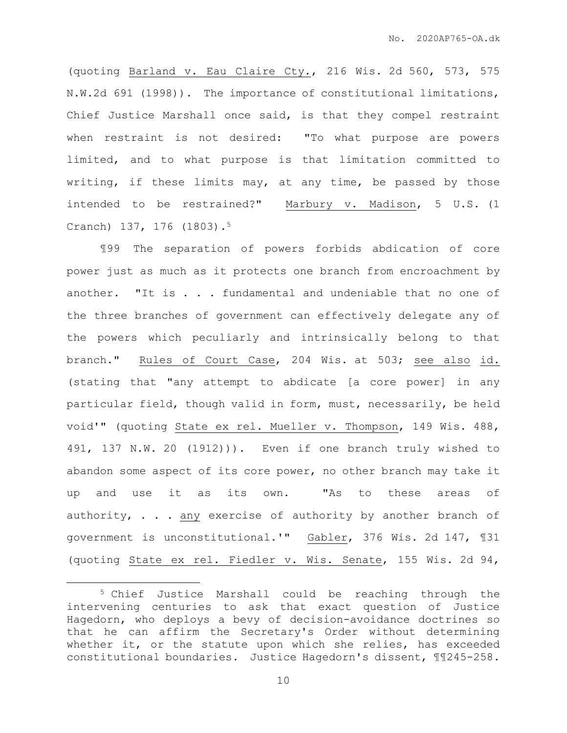(quoting Barland v. Eau Claire Cty., 216 Wis. 2d 560, 573, 575 N.W.2d 691 (1998)). The importance of constitutional limitations, Chief Justice Marshall once said, is that they compel restraint when restraint is not desired: "To what purpose are powers limited, and to what purpose is that limitation committed to writing, if these limits may, at any time, be passed by those intended to be restrained?" Marbury v. Madison, 5 U.S. (1 Cranch) 137, 176 (1803).<sup>5</sup>

¶99 The separation of powers forbids abdication of core power just as much as it protects one branch from encroachment by another. "It is . . . fundamental and undeniable that no one of the three branches of government can effectively delegate any of the powers which peculiarly and intrinsically belong to that branch." Rules of Court Case, 204 Wis. at 503; see also id. (stating that "any attempt to abdicate [a core power] in any particular field, though valid in form, must, necessarily, be held void'" (quoting State ex rel. Mueller v. Thompson, 149 Wis. 488, 491, 137 N.W. 20 (1912))). Even if one branch truly wished to abandon some aspect of its core power, no other branch may take it up and use it as its own. "As to these areas of authority, . . . any exercise of authority by another branch of government is unconstitutional.'" Gabler, 376 Wis. 2d 147, ¶31 (quoting State ex rel. Fiedler v. Wis. Senate, 155 Wis. 2d 94,

<sup>5</sup> Chief Justice Marshall could be reaching through the intervening centuries to ask that exact question of Justice Hagedorn, who deploys a bevy of decision-avoidance doctrines so that he can affirm the Secretary's Order without determining whether it, or the statute upon which she relies, has exceeded constitutional boundaries. Justice Hagedorn's dissent, ¶¶245-258.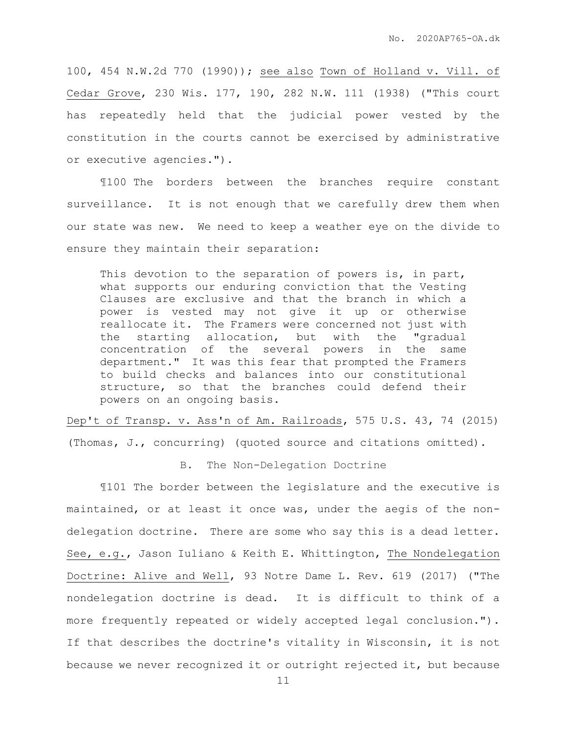100, 454 N.W.2d 770 (1990)); see also Town of Holland v. Vill. of Cedar Grove, 230 Wis. 177, 190, 282 N.W. 111 (1938) ("This court has repeatedly held that the judicial power vested by the constitution in the courts cannot be exercised by administrative or executive agencies.").

¶100 The borders between the branches require constant surveillance. It is not enough that we carefully drew them when our state was new. We need to keep a weather eye on the divide to ensure they maintain their separation:

This devotion to the separation of powers is, in part, what supports our enduring conviction that the Vesting Clauses are exclusive and that the branch in which a power is vested may not give it up or otherwise reallocate it. The Framers were concerned not just with the starting allocation, but with the "gradual concentration of the several powers in the same department." It was this fear that prompted the Framers to build checks and balances into our constitutional structure, so that the branches could defend their powers on an ongoing basis.

Dep't of Transp. v. Ass'n of Am. Railroads, 575 U.S. 43, 74 (2015) (Thomas, J., concurring) (quoted source and citations omitted).

B. The Non-Delegation Doctrine

¶101 The border between the legislature and the executive is maintained, or at least it once was, under the aegis of the nondelegation doctrine. There are some who say this is a dead letter. See, e.g., Jason Iuliano & Keith E. Whittington, The Nondelegation Doctrine: Alive and Well, 93 Notre Dame L. Rev. 619 (2017) ("The nondelegation doctrine is dead. It is difficult to think of a more frequently repeated or widely accepted legal conclusion."). If that describes the doctrine's vitality in Wisconsin, it is not because we never recognized it or outright rejected it, but because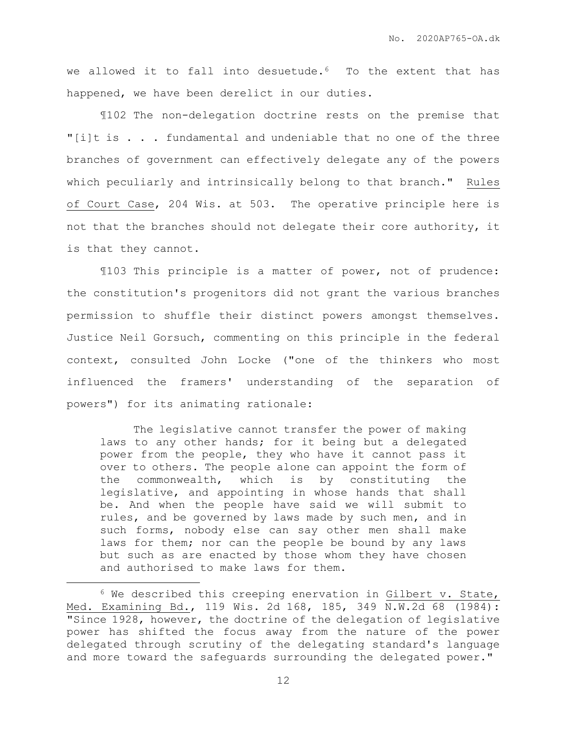we allowed it to fall into desuetude.<sup>6</sup> To the extent that has happened, we have been derelict in our duties.

¶102 The non-delegation doctrine rests on the premise that "[i]t is . . . fundamental and undeniable that no one of the three branches of government can effectively delegate any of the powers which peculiarly and intrinsically belong to that branch." Rules of Court Case, 204 Wis. at 503. The operative principle here is not that the branches should not delegate their core authority, it is that they cannot.

¶103 This principle is a matter of power, not of prudence: the constitution's progenitors did not grant the various branches permission to shuffle their distinct powers amongst themselves. Justice Neil Gorsuch, commenting on this principle in the federal context, consulted John Locke ("one of the thinkers who most influenced the framers' understanding of the separation of powers") for its animating rationale:

The legislative cannot transfer the power of making laws to any other hands; for it being but a delegated power from the people, they who have it cannot pass it over to others. The people alone can appoint the form of the commonwealth, which is by constituting the legislative, and appointing in whose hands that shall be. And when the people have said we will submit to rules, and be governed by laws made by such men, and in such forms, nobody else can say other men shall make laws for them; nor can the people be bound by any laws but such as are enacted by those whom they have chosen and authorised to make laws for them.

 $6$  We described this creeping enervation in Gilbert v. State, Med. Examining Bd., 119 Wis. 2d 168, 185, 349 N.W.2d 68 (1984): "Since 1928, however, the doctrine of the delegation of legislative power has shifted the focus away from the nature of the power delegated through scrutiny of the delegating standard's language and more toward the safeguards surrounding the delegated power."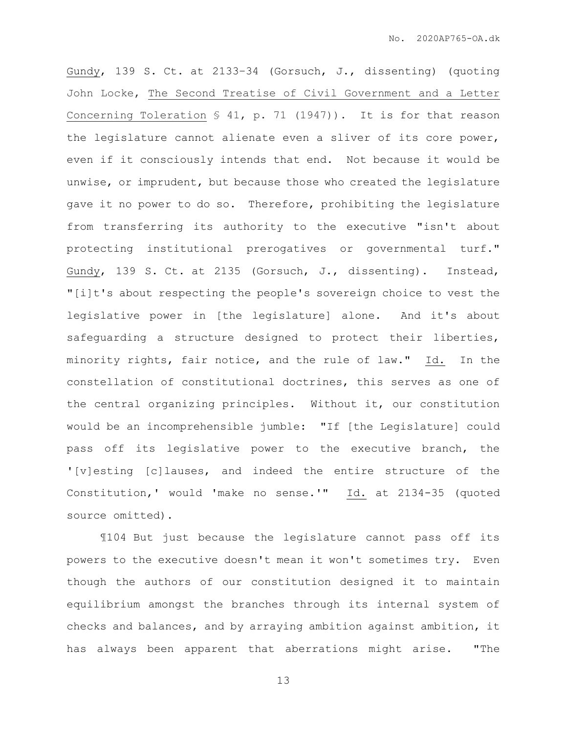Gundy, 139 S. Ct. at 2133–34 (Gorsuch, J., dissenting) (quoting John Locke, The Second Treatise of Civil Government and a Letter Concerning Toleration  $$ 41, p. 71 (1947))$ . It is for that reason the legislature cannot alienate even a sliver of its core power, even if it consciously intends that end. Not because it would be unwise, or imprudent, but because those who created the legislature gave it no power to do so. Therefore, prohibiting the legislature from transferring its authority to the executive "isn't about protecting institutional prerogatives or governmental turf." Gundy, 139 S. Ct. at 2135 (Gorsuch, J., dissenting). Instead, "[i]t's about respecting the people's sovereign choice to vest the legislative power in [the legislature] alone. And it's about safeguarding a structure designed to protect their liberties, minority rights, fair notice, and the rule of law." Id. In the constellation of constitutional doctrines, this serves as one of the central organizing principles. Without it, our constitution would be an incomprehensible jumble: "If [the Legislature] could pass off its legislative power to the executive branch, the '[v]esting [c]lauses, and indeed the entire structure of the Constitution,' would 'make no sense.'" Id. at 2134-35 (quoted source omitted).

¶104 But just because the legislature cannot pass off its powers to the executive doesn't mean it won't sometimes try. Even though the authors of our constitution designed it to maintain equilibrium amongst the branches through its internal system of checks and balances, and by arraying ambition against ambition, it has always been apparent that aberrations might arise. "The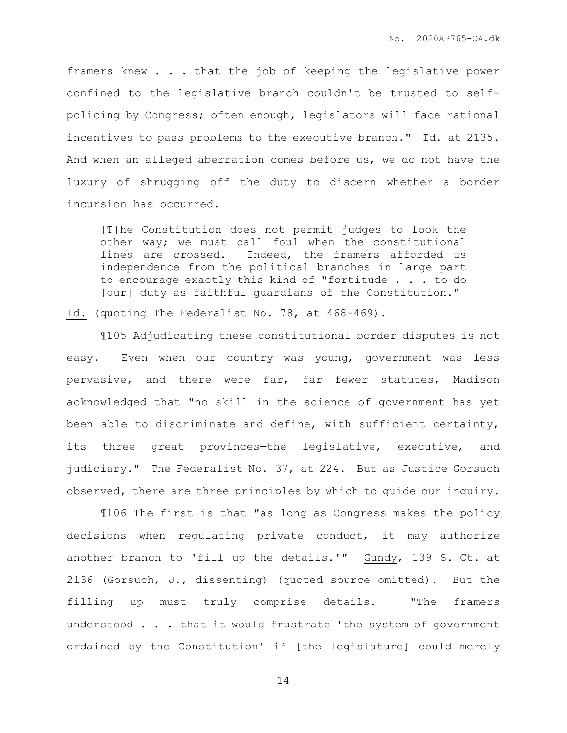framers knew . . . that the job of keeping the legislative power confined to the legislative branch couldn't be trusted to selfpolicing by Congress; often enough, legislators will face rational incentives to pass problems to the executive branch." Id. at 2135. And when an alleged aberration comes before us, we do not have the luxury of shrugging off the duty to discern whether a border incursion has occurred.

[T]he Constitution does not permit judges to look the other way; we must call foul when the constitutional lines are crossed. Indeed, the framers afforded us independence from the political branches in large part to encourage exactly this kind of "fortitude . . . to do [our] duty as faithful guardians of the Constitution."

Id. (quoting The Federalist No. 78, at 468-469).

¶105 Adjudicating these constitutional border disputes is not easy. Even when our country was young, government was less pervasive, and there were far, far fewer statutes, Madison acknowledged that "no skill in the science of government has yet been able to discriminate and define, with sufficient certainty, its three great provinces—the legislative, executive, and judiciary." The Federalist No. 37, at 224. But as Justice Gorsuch observed, there are three principles by which to guide our inquiry.

¶106 The first is that "as long as Congress makes the policy decisions when regulating private conduct, it may authorize another branch to 'fill up the details.'" Gundy, 139 S. Ct. at 2136 (Gorsuch, J., dissenting) (quoted source omitted). But the filling up must truly comprise details. "The framers understood . . . that it would frustrate 'the system of government ordained by the Constitution' if [the legislature] could merely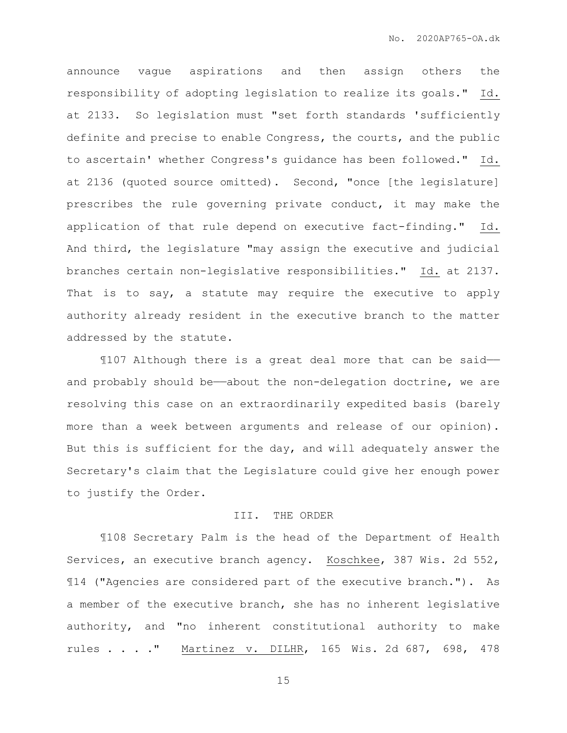announce vague aspirations and then assign others the responsibility of adopting legislation to realize its goals." Id. at 2133. So legislation must "set forth standards 'sufficiently definite and precise to enable Congress, the courts, and the public to ascertain' whether Congress's guidance has been followed." Id. at 2136 (quoted source omitted). Second, "once [the legislature] prescribes the rule governing private conduct, it may make the application of that rule depend on executive fact-finding." Id. And third, the legislature "may assign the executive and judicial branches certain non-legislative responsibilities." Id. at 2137. That is to say, a statute may require the executive to apply authority already resident in the executive branch to the matter addressed by the statute.

¶107 Although there is a great deal more that can be said— and probably should be—about the non-delegation doctrine, we are resolving this case on an extraordinarily expedited basis (barely more than a week between arguments and release of our opinion). But this is sufficient for the day, and will adequately answer the Secretary's claim that the Legislature could give her enough power to justify the Order.

## III. THE ORDER

¶108 Secretary Palm is the head of the Department of Health Services, an executive branch agency. Koschkee, 387 Wis. 2d 552, ¶14 ("Agencies are considered part of the executive branch."). As a member of the executive branch, she has no inherent legislative authority, and "no inherent constitutional authority to make rules . . . ." Martinez v. DILHR, 165 Wis. 2d 687, 698, 478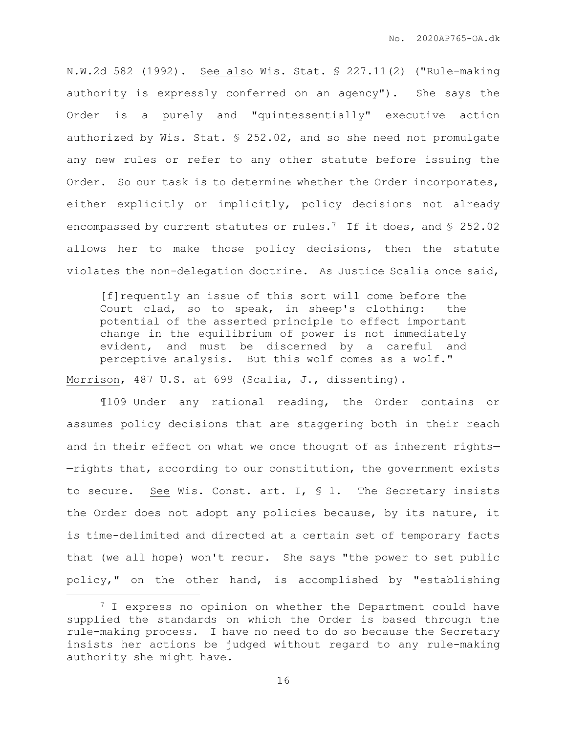N.W.2d 582 (1992). See also Wis. Stat. § 227.11(2) ("Rule-making authority is expressly conferred on an agency"). She says the Order is a purely and "quintessentially" executive action authorized by Wis. Stat. § 252.02, and so she need not promulgate any new rules or refer to any other statute before issuing the Order. So our task is to determine whether the Order incorporates, either explicitly or implicitly, policy decisions not already encompassed by current statutes or rules.<sup>7</sup> If it does, and § 252.02 allows her to make those policy decisions, then the statute violates the non-delegation doctrine. As Justice Scalia once said,

[f]requently an issue of this sort will come before the Court clad, so to speak, in sheep's clothing: the potential of the asserted principle to effect important change in the equilibrium of power is not immediately evident, and must be discerned by a careful and perceptive analysis. But this wolf comes as a wolf."

Morrison, 487 U.S. at 699 (Scalia, J., dissenting).

 $\overline{a}$ 

¶109 Under any rational reading, the Order contains or assumes policy decisions that are staggering both in their reach and in their effect on what we once thought of as inherent rights— —rights that, according to our constitution, the government exists to secure. See Wis. Const. art. I,  $\frac{1}{5}$  1. The Secretary insists the Order does not adopt any policies because, by its nature, it is time-delimited and directed at a certain set of temporary facts that (we all hope) won't recur. She says "the power to set public policy," on the other hand, is accomplished by "establishing

<sup>&</sup>lt;sup>7</sup> I express no opinion on whether the Department could have supplied the standards on which the Order is based through the rule-making process. I have no need to do so because the Secretary insists her actions be judged without regard to any rule-making authority she might have.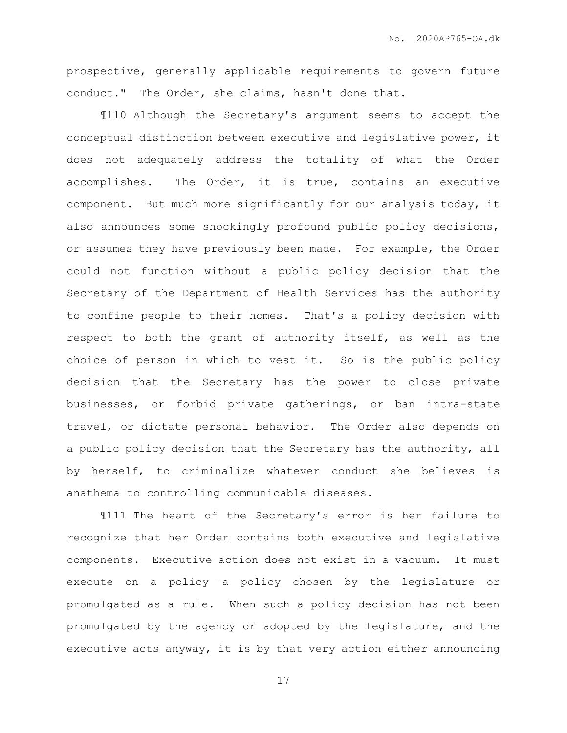prospective, generally applicable requirements to govern future conduct." The Order, she claims, hasn't done that.

¶110 Although the Secretary's argument seems to accept the conceptual distinction between executive and legislative power, it does not adequately address the totality of what the Order accomplishes. The Order, it is true, contains an executive component. But much more significantly for our analysis today, it also announces some shockingly profound public policy decisions, or assumes they have previously been made. For example, the Order could not function without a public policy decision that the Secretary of the Department of Health Services has the authority to confine people to their homes. That's a policy decision with respect to both the grant of authority itself, as well as the choice of person in which to vest it. So is the public policy decision that the Secretary has the power to close private businesses, or forbid private gatherings, or ban intra-state travel, or dictate personal behavior. The Order also depends on a public policy decision that the Secretary has the authority, all by herself, to criminalize whatever conduct she believes is anathema to controlling communicable diseases.

¶111 The heart of the Secretary's error is her failure to recognize that her Order contains both executive and legislative components. Executive action does not exist in a vacuum. It must execute on a policy—a policy chosen by the legislature or promulgated as a rule. When such a policy decision has not been promulgated by the agency or adopted by the legislature, and the executive acts anyway, it is by that very action either announcing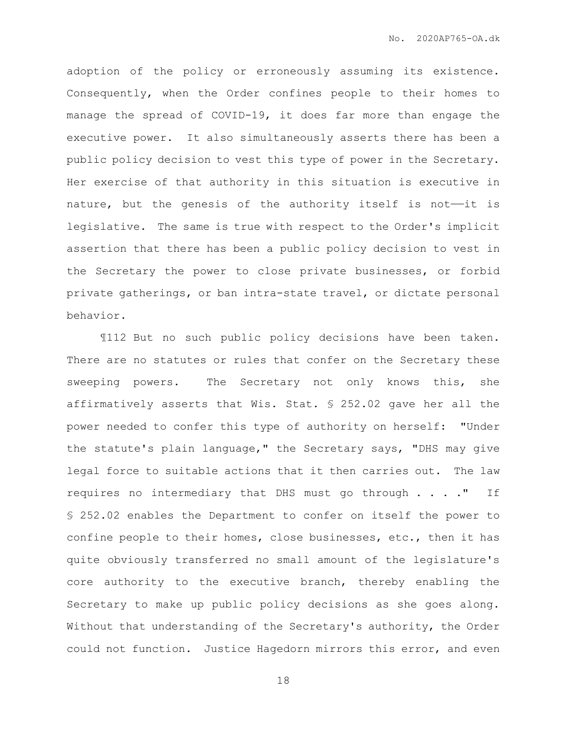adoption of the policy or erroneously assuming its existence. Consequently, when the Order confines people to their homes to manage the spread of COVID-19, it does far more than engage the executive power. It also simultaneously asserts there has been a public policy decision to vest this type of power in the Secretary. Her exercise of that authority in this situation is executive in nature, but the genesis of the authority itself is not-it is legislative. The same is true with respect to the Order's implicit assertion that there has been a public policy decision to vest in the Secretary the power to close private businesses, or forbid private gatherings, or ban intra-state travel, or dictate personal behavior.

¶112 But no such public policy decisions have been taken. There are no statutes or rules that confer on the Secretary these sweeping powers. The Secretary not only knows this, she affirmatively asserts that Wis. Stat. § 252.02 gave her all the power needed to confer this type of authority on herself: "Under the statute's plain language," the Secretary says, "DHS may give legal force to suitable actions that it then carries out. The law requires no intermediary that DHS must go through . . . . " If § 252.02 enables the Department to confer on itself the power to confine people to their homes, close businesses, etc., then it has quite obviously transferred no small amount of the legislature's core authority to the executive branch, thereby enabling the Secretary to make up public policy decisions as she goes along. Without that understanding of the Secretary's authority, the Order could not function. Justice Hagedorn mirrors this error, and even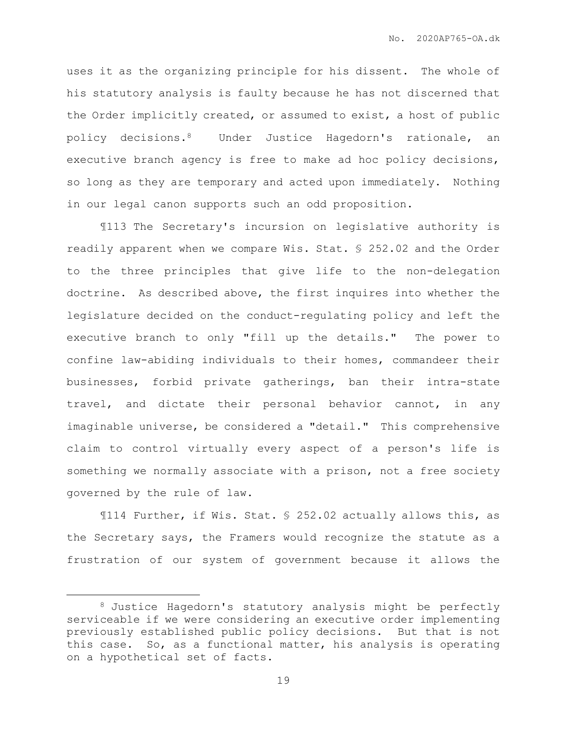uses it as the organizing principle for his dissent. The whole of his statutory analysis is faulty because he has not discerned that the Order implicitly created, or assumed to exist, a host of public policy decisions.8 Under Justice Hagedorn's rationale, an executive branch agency is free to make ad hoc policy decisions, so long as they are temporary and acted upon immediately. Nothing in our legal canon supports such an odd proposition.

¶113 The Secretary's incursion on legislative authority is readily apparent when we compare Wis. Stat. § 252.02 and the Order to the three principles that give life to the non-delegation doctrine. As described above, the first inquires into whether the legislature decided on the conduct-regulating policy and left the executive branch to only "fill up the details." The power to confine law-abiding individuals to their homes, commandeer their businesses, forbid private gatherings, ban their intra-state travel, and dictate their personal behavior cannot, in any imaginable universe, be considered a "detail." This comprehensive claim to control virtually every aspect of a person's life is something we normally associate with a prison, not a free society governed by the rule of law.

¶114 Further, if Wis. Stat. § 252.02 actually allows this, as the Secretary says, the Framers would recognize the statute as a frustration of our system of government because it allows the

<sup>8</sup> Justice Hagedorn's statutory analysis might be perfectly serviceable if we were considering an executive order implementing previously established public policy decisions. But that is not this case. So, as a functional matter, his analysis is operating on a hypothetical set of facts.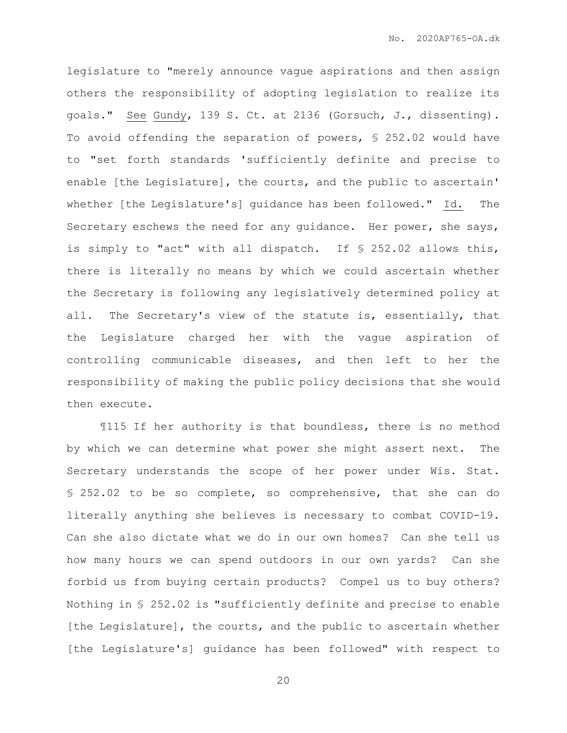legislature to "merely announce vague aspirations and then assign others the responsibility of adopting legislation to realize its goals." See Gundy, 139 S. Ct. at 2136 (Gorsuch, J., dissenting). To avoid offending the separation of powers, § 252.02 would have to "set forth standards 'sufficiently definite and precise to enable [the Legislature], the courts, and the public to ascertain' whether [the Legislature's] guidance has been followed." Id. The Secretary eschews the need for any guidance. Her power, she says, is simply to "act" with all dispatch. If § 252.02 allows this, there is literally no means by which we could ascertain whether the Secretary is following any legislatively determined policy at all. The Secretary's view of the statute is, essentially, that the Legislature charged her with the vague aspiration of controlling communicable diseases, and then left to her the responsibility of making the public policy decisions that she would then execute.

¶115 If her authority is that boundless, there is no method by which we can determine what power she might assert next. The Secretary understands the scope of her power under Wis. Stat. § 252.02 to be so complete, so comprehensive, that she can do literally anything she believes is necessary to combat COVID-19. Can she also dictate what we do in our own homes? Can she tell us how many hours we can spend outdoors in our own yards? Can she forbid us from buying certain products? Compel us to buy others? Nothing in § 252.02 is "sufficiently definite and precise to enable [the Legislature], the courts, and the public to ascertain whether [the Legislature's] guidance has been followed" with respect to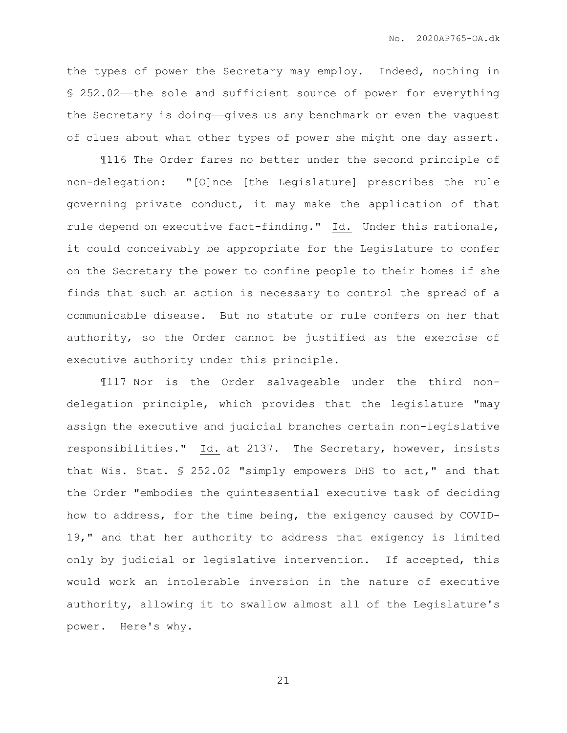the types of power the Secretary may employ. Indeed, nothing in § 252.02——the sole and sufficient source of power for everything the Secretary is doing—qives us any benchmark or even the vaguest of clues about what other types of power she might one day assert.

¶116 The Order fares no better under the second principle of non-delegation: "[O]nce [the Legislature] prescribes the rule governing private conduct, it may make the application of that rule depend on executive fact-finding." Id. Under this rationale, it could conceivably be appropriate for the Legislature to confer on the Secretary the power to confine people to their homes if she finds that such an action is necessary to control the spread of a communicable disease. But no statute or rule confers on her that authority, so the Order cannot be justified as the exercise of executive authority under this principle.

¶117 Nor is the Order salvageable under the third nondelegation principle, which provides that the legislature "may assign the executive and judicial branches certain non-legislative responsibilities." Id. at 2137. The Secretary, however, insists that Wis. Stat. § 252.02 "simply empowers DHS to act," and that the Order "embodies the quintessential executive task of deciding how to address, for the time being, the exigency caused by COVID-19," and that her authority to address that exigency is limited only by judicial or legislative intervention. If accepted, this would work an intolerable inversion in the nature of executive authority, allowing it to swallow almost all of the Legislature's power. Here's why.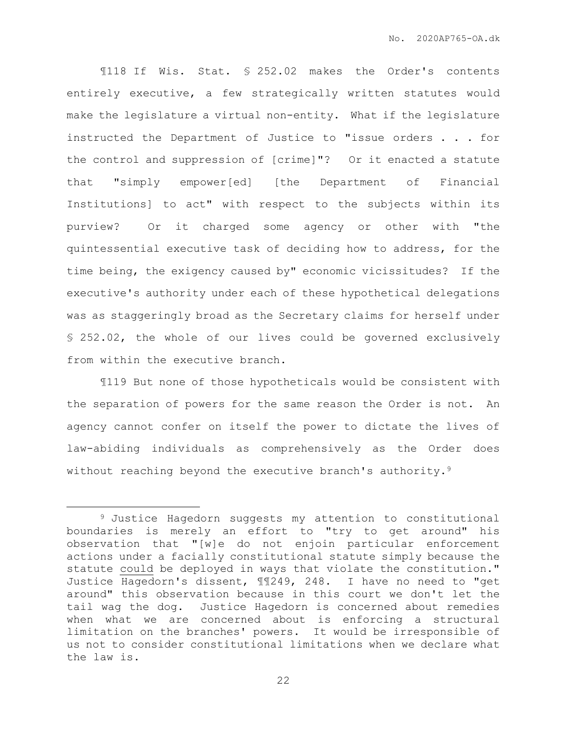¶118 If Wis. Stat. § 252.02 makes the Order's contents entirely executive, a few strategically written statutes would make the legislature a virtual non-entity. What if the legislature instructed the Department of Justice to "issue orders . . . for the control and suppression of [crime]"? Or it enacted a statute that "simply empower[ed] [the Department of Financial Institutions] to act" with respect to the subjects within its purview? Or it charged some agency or other with "the quintessential executive task of deciding how to address, for the time being, the exigency caused by" economic vicissitudes? If the executive's authority under each of these hypothetical delegations was as staggeringly broad as the Secretary claims for herself under § 252.02, the whole of our lives could be governed exclusively from within the executive branch.

¶119 But none of those hypotheticals would be consistent with the separation of powers for the same reason the Order is not. An agency cannot confer on itself the power to dictate the lives of law-abiding individuals as comprehensively as the Order does without reaching beyond the executive branch's authority.<sup>9</sup>

<sup>9</sup> Justice Hagedorn suggests my attention to constitutional boundaries is merely an effort to "try to get around" his observation that "[w]e do not enjoin particular enforcement actions under a facially constitutional statute simply because the statute could be deployed in ways that violate the constitution." Justice Hagedorn's dissent, ¶¶249, 248. I have no need to "get around" this observation because in this court we don't let the tail wag the dog. Justice Hagedorn is concerned about remedies when what we are concerned about is enforcing a structural limitation on the branches' powers. It would be irresponsible of us not to consider constitutional limitations when we declare what the law is.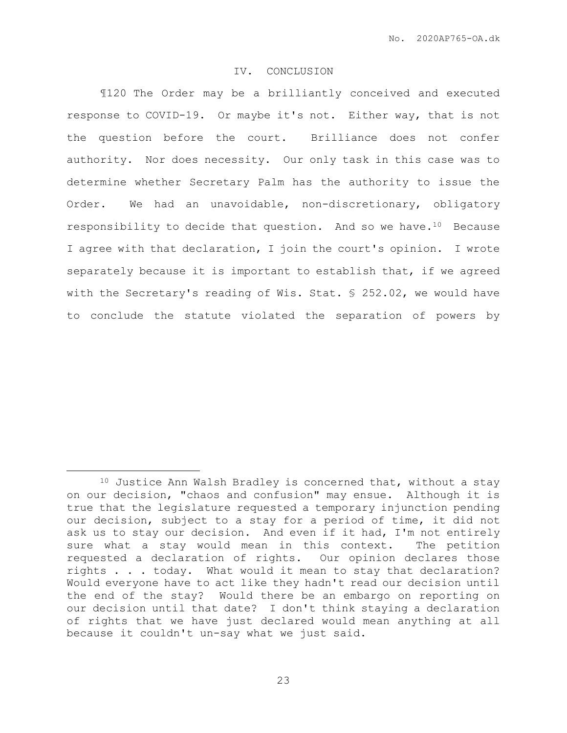## IV. CONCLUSION

¶120 The Order may be a brilliantly conceived and executed response to COVID-19. Or maybe it's not. Either way, that is not the question before the court. Brilliance does not confer authority. Nor does necessity. Our only task in this case was to determine whether Secretary Palm has the authority to issue the Order. We had an unavoidable, non-discretionary, obligatory responsibility to decide that question. And so we have.<sup>10</sup> Because I agree with that declaration, I join the court's opinion. I wrote separately because it is important to establish that, if we agreed with the Secretary's reading of Wis. Stat. § 252.02, we would have to conclude the statute violated the separation of powers by

<sup>&</sup>lt;sup>10</sup> Justice Ann Walsh Bradley is concerned that, without a stay on our decision, "chaos and confusion" may ensue. Although it is true that the legislature requested a temporary injunction pending our decision, subject to a stay for a period of time, it did not ask us to stay our decision. And even if it had, I'm not entirely sure what a stay would mean in this context. The petition requested a declaration of rights. Our opinion declares those rights . . . today. What would it mean to stay that declaration? Would everyone have to act like they hadn't read our decision until the end of the stay? Would there be an embargo on reporting on our decision until that date? I don't think staying a declaration of rights that we have just declared would mean anything at all because it couldn't un-say what we just said.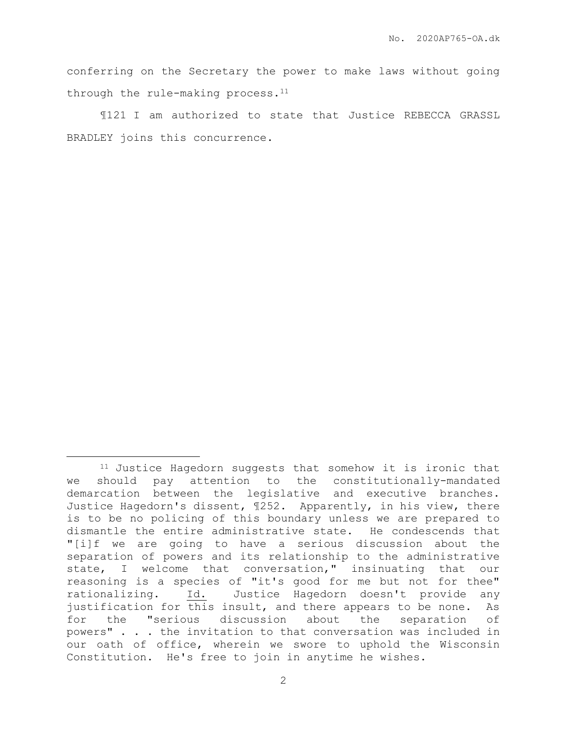conferring on the Secretary the power to make laws without going through the rule-making process.<sup>11</sup>

¶121 I am authorized to state that Justice REBECCA GRASSL BRADLEY joins this concurrence.

<sup>&</sup>lt;sup>11</sup> Justice Hagedorn suggests that somehow it is ironic that we should pay attention to the constitutionally-mandated demarcation between the legislative and executive branches. Justice Hagedorn's dissent, ¶252. Apparently, in his view, there is to be no policing of this boundary unless we are prepared to dismantle the entire administrative state. He condescends that "[i]f we are going to have a serious discussion about the separation of powers and its relationship to the administrative state, I welcome that conversation," insinuating that our reasoning is a species of "it's good for me but not for thee" rationalizing. Id. Justice Hagedorn doesn't provide any justification for this insult, and there appears to be none. As for the "serious discussion about the separation of powers" . . . the invitation to that conversation was included in our oath of office, wherein we swore to uphold the Wisconsin Constitution. He's free to join in anytime he wishes.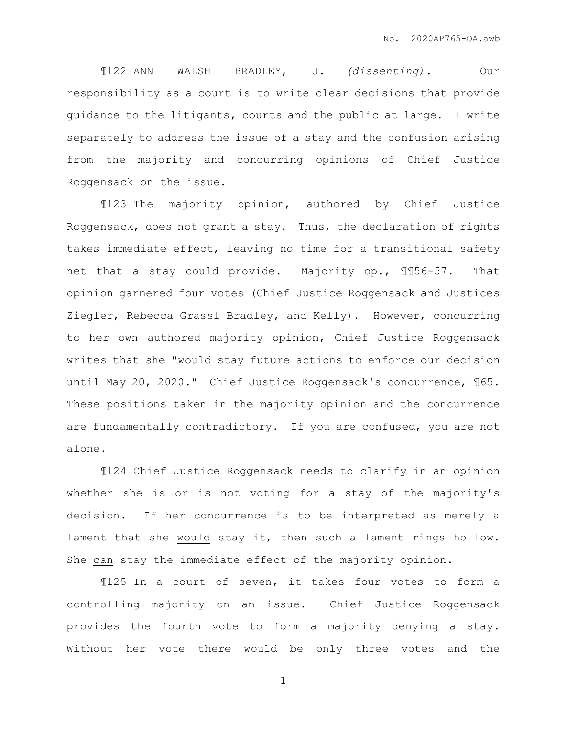¶122 ANN WALSH BRADLEY, J. *(dissenting).* Our responsibility as a court is to write clear decisions that provide guidance to the litigants, courts and the public at large. I write separately to address the issue of a stay and the confusion arising from the majority and concurring opinions of Chief Justice Roggensack on the issue.

¶123 The majority opinion, authored by Chief Justice Roggensack, does not grant a stay. Thus, the declaration of rights takes immediate effect, leaving no time for a transitional safety net that a stay could provide. Majority op., ¶¶56-57. That opinion garnered four votes (Chief Justice Roggensack and Justices Ziegler, Rebecca Grassl Bradley, and Kelly). However, concurring to her own authored majority opinion, Chief Justice Roggensack writes that she "would stay future actions to enforce our decision until May 20, 2020." Chief Justice Roggensack's concurrence, ¶65. These positions taken in the majority opinion and the concurrence are fundamentally contradictory. If you are confused, you are not alone.

¶124 Chief Justice Roggensack needs to clarify in an opinion whether she is or is not voting for a stay of the majority's decision. If her concurrence is to be interpreted as merely a lament that she would stay it, then such a lament rings hollow. She can stay the immediate effect of the majority opinion.

¶125 In a court of seven, it takes four votes to form a controlling majority on an issue. Chief Justice Roggensack provides the fourth vote to form a majority denying a stay. Without her vote there would be only three votes and the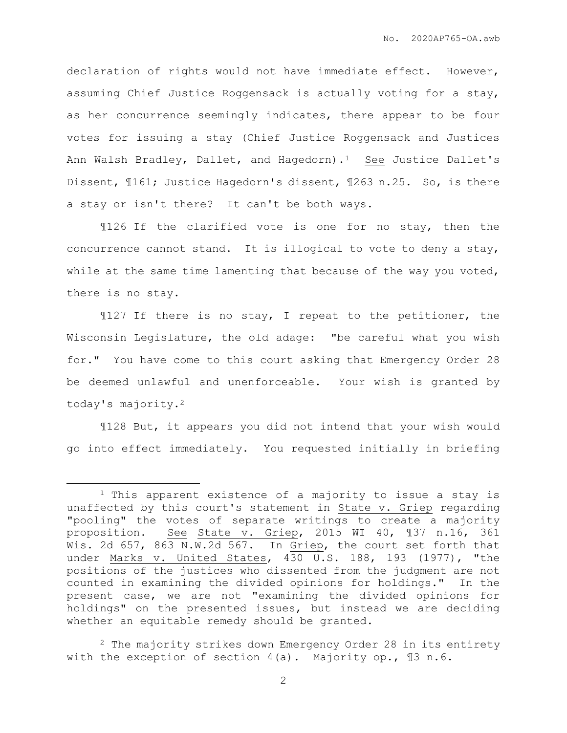declaration of rights would not have immediate effect. However, assuming Chief Justice Roggensack is actually voting for a stay, as her concurrence seemingly indicates, there appear to be four votes for issuing a stay (Chief Justice Roggensack and Justices Ann Walsh Bradley, Dallet, and Hagedorn).<sup>1</sup> See Justice Dallet's Dissent, ¶161; Justice Hagedorn's dissent, ¶263 n.25. So, is there a stay or isn't there? It can't be both ways.

¶126 If the clarified vote is one for no stay, then the concurrence cannot stand. It is illogical to vote to deny a stay, while at the same time lamenting that because of the way you voted, there is no stay.

¶127 If there is no stay, I repeat to the petitioner, the Wisconsin Legislature, the old adage: "be careful what you wish for." You have come to this court asking that Emergency Order 28 be deemed unlawful and unenforceable. Your wish is granted by today's majority.<sup>2</sup>

¶128 But, it appears you did not intend that your wish would go into effect immediately. You requested initially in briefing

<sup>1</sup> This apparent existence of a majority to issue a stay is unaffected by this court's statement in State v. Griep regarding "pooling" the votes of separate writings to create a majority proposition. See State v. Griep, 2015 WI 40, ¶37 n.16, 361 Wis. 2d 657, 863 N.W.2d 567. In Griep, the court set forth that under Marks v. United States, 430 U.S. 188, 193 (1977), "the positions of the justices who dissented from the judgment are not counted in examining the divided opinions for holdings." In the present case, we are not "examining the divided opinions for holdings" on the presented issues, but instead we are deciding whether an equitable remedy should be granted.

<sup>&</sup>lt;sup>2</sup> The majority strikes down Emergency Order 28 in its entirety with the exception of section 4(a). Majority op., ¶3 n.6.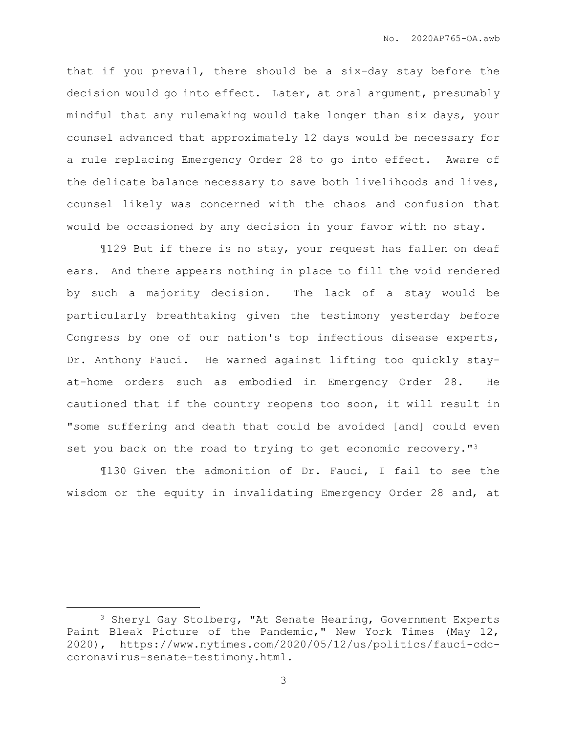that if you prevail, there should be a six-day stay before the decision would go into effect. Later, at oral argument, presumably mindful that any rulemaking would take longer than six days, your counsel advanced that approximately 12 days would be necessary for a rule replacing Emergency Order 28 to go into effect. Aware of the delicate balance necessary to save both livelihoods and lives, counsel likely was concerned with the chaos and confusion that would be occasioned by any decision in your favor with no stay.

¶129 But if there is no stay, your request has fallen on deaf ears. And there appears nothing in place to fill the void rendered by such a majority decision. The lack of a stay would be particularly breathtaking given the testimony yesterday before Congress by one of our nation's top infectious disease experts, Dr. Anthony Fauci. He warned against lifting too quickly stayat-home orders such as embodied in Emergency Order 28. He cautioned that if the country reopens too soon, it will result in "some suffering and death that could be avoided [and] could even set you back on the road to trying to get economic recovery."<sup>3</sup>

¶130 Given the admonition of Dr. Fauci, I fail to see the wisdom or the equity in invalidating Emergency Order 28 and, at

<sup>&</sup>lt;sup>3</sup> Sheryl Gay Stolberg, "At Senate Hearing, Government Experts Paint Bleak Picture of the Pandemic," New York Times (May 12, 2020), https://www.nytimes.com/2020/05/12/us/politics/fauci-cdccoronavirus-senate-testimony.html.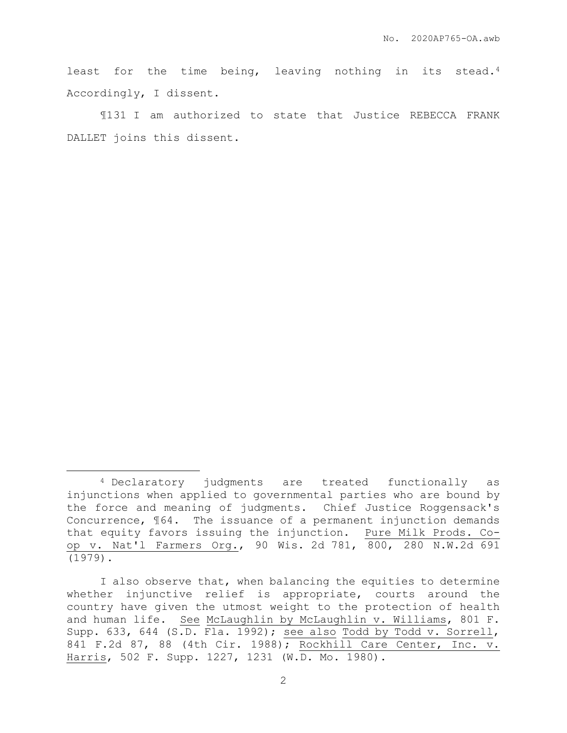least for the time being, leaving nothing in its stead.<sup>4</sup> Accordingly, I dissent.

¶131 I am authorized to state that Justice REBECCA FRANK DALLET joins this dissent.

<sup>4</sup> Declaratory judgments are treated functionally as injunctions when applied to governmental parties who are bound by the force and meaning of judgments. Chief Justice Roggensack's Concurrence, ¶64. The issuance of a permanent injunction demands that equity favors issuing the injunction. Pure Milk Prods. Coop v. Nat'l Farmers Org., 90 Wis. 2d 781, 800, 280 N.W.2d 691 (1979).

I also observe that, when balancing the equities to determine whether injunctive relief is appropriate, courts around the country have given the utmost weight to the protection of health and human life. See McLaughlin by McLaughlin v. Williams, 801 F. Supp. 633, 644 (S.D. Fla. 1992); see also Todd by Todd v. Sorrell, 841 F.2d 87, 88 (4th Cir. 1988); Rockhill Care Center, Inc. v. Harris, 502 F. Supp. 1227, 1231 (W.D. Mo. 1980).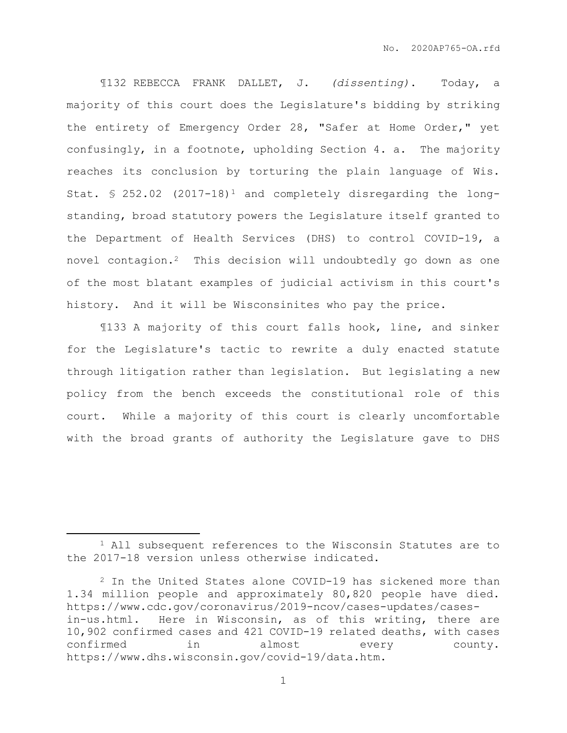¶132 REBECCA FRANK DALLET, J. *(dissenting)*. Today, a majority of this court does the Legislature's bidding by striking the entirety of Emergency Order 28, "Safer at Home Order," yet confusingly, in a footnote, upholding Section 4. a. The majority reaches its conclusion by torturing the plain language of Wis. Stat.  $$ 252.02$  (2017-18)<sup>1</sup> and completely disregarding the longstanding, broad statutory powers the Legislature itself granted to the Department of Health Services (DHS) to control COVID-19, a novel contagion.2 This decision will undoubtedly go down as one of the most blatant examples of judicial activism in this court's history. And it will be Wisconsinites who pay the price.

¶133 A majority of this court falls hook, line, and sinker for the Legislature's tactic to rewrite a duly enacted statute through litigation rather than legislation. But legislating a new policy from the bench exceeds the constitutional role of this court. While a majority of this court is clearly uncomfortable with the broad grants of authority the Legislature gave to DHS

<sup>1</sup> All subsequent references to the Wisconsin Statutes are to the 2017-18 version unless otherwise indicated.

<sup>2</sup> In the United States alone COVID-19 has sickened more than 1.34 million people and approximately 80,820 people have died. https://www.cdc.gov/coronavirus/2019-ncov/cases-updates/casesin-us.html. Here in Wisconsin, as of this writing, there are 10,902 confirmed cases and 421 COVID-19 related deaths, with cases confirmed in almost every county. https://www.dhs.wisconsin.gov/covid-19/data.htm.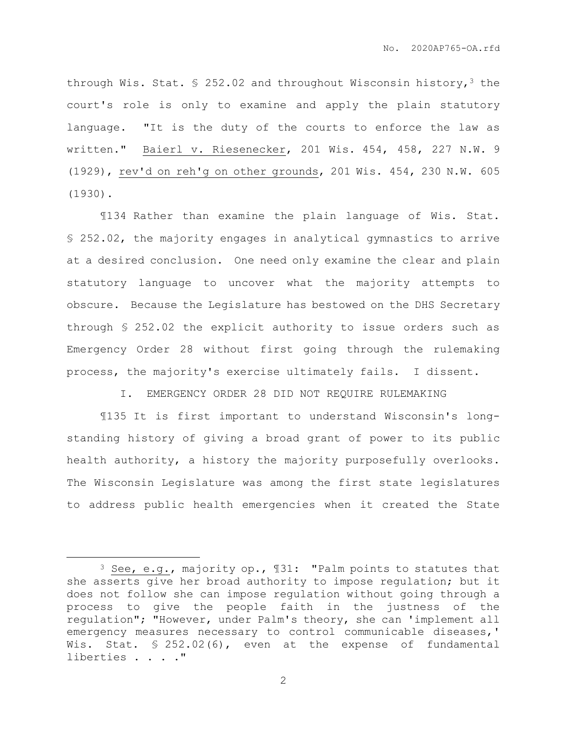through Wis. Stat. § 252.02 and throughout Wisconsin history,<sup>3</sup> the court's role is only to examine and apply the plain statutory language. "It is the duty of the courts to enforce the law as written." Baierl v. Riesenecker, 201 Wis. 454, 458, 227 N.W. 9 (1929), rev'd on reh'g on other grounds, 201 Wis. 454, 230 N.W. 605 (1930).

¶134 Rather than examine the plain language of Wis. Stat. § 252.02, the majority engages in analytical gymnastics to arrive at a desired conclusion. One need only examine the clear and plain statutory language to uncover what the majority attempts to obscure. Because the Legislature has bestowed on the DHS Secretary through § 252.02 the explicit authority to issue orders such as Emergency Order 28 without first going through the rulemaking process, the majority's exercise ultimately fails. I dissent.

I. EMERGENCY ORDER 28 DID NOT REQUIRE RULEMAKING

¶135 It is first important to understand Wisconsin's longstanding history of giving a broad grant of power to its public health authority, a history the majority purposefully overlooks. The Wisconsin Legislature was among the first state legislatures to address public health emergencies when it created the State

<sup>3</sup> See, e.g., majority op., ¶31: "Palm points to statutes that she asserts give her broad authority to impose regulation; but it does not follow she can impose regulation without going through a process to give the people faith in the justness of the regulation"; "However, under Palm's theory, she can 'implement all emergency measures necessary to control communicable diseases,' Wis. Stat. § 252.02(6), even at the expense of fundamental liberties . . . . "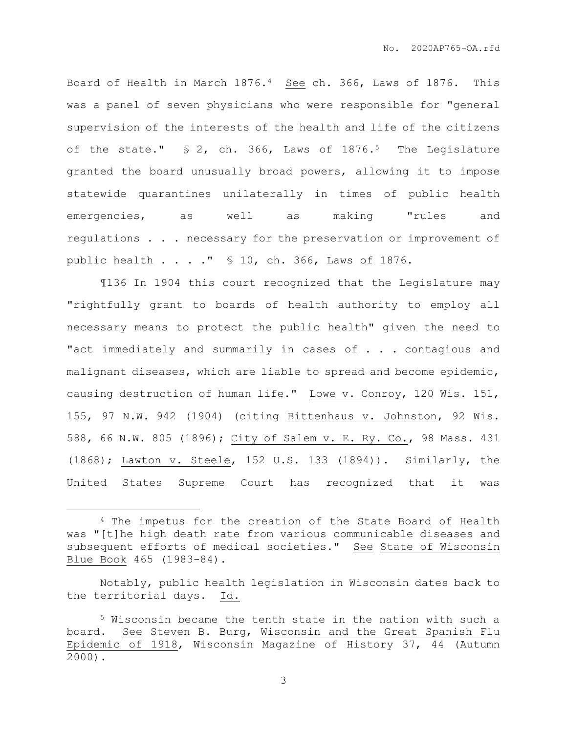Board of Health in March 1876.4 See ch. 366, Laws of 1876. This was a panel of seven physicians who were responsible for "general supervision of the interests of the health and life of the citizens of the state." § 2, ch. 366, Laws of 1876.<sup>5</sup> The Legislature granted the board unusually broad powers, allowing it to impose statewide quarantines unilaterally in times of public health emergencies, as well as making "rules and regulations . . . necessary for the preservation or improvement of public health . . . ." § 10, ch. 366, Laws of 1876.

¶136 In 1904 this court recognized that the Legislature may "rightfully grant to boards of health authority to employ all necessary means to protect the public health" given the need to "act immediately and summarily in cases of . . . contagious and malignant diseases, which are liable to spread and become epidemic, causing destruction of human life." Lowe v. Conroy, 120 Wis. 151, 155, 97 N.W. 942 (1904) (citing Bittenhaus v. Johnston, 92 Wis. 588, 66 N.W. 805 (1896); City of Salem v. E. Ry. Co., 98 Mass. 431 (1868); Lawton v. Steele, 152 U.S. 133 (1894)). Similarly, the United States Supreme Court has recognized that it was

 $\overline{a}$ 

<sup>4</sup> The impetus for the creation of the State Board of Health was "[t]he high death rate from various communicable diseases and subsequent efforts of medical societies." See State of Wisconsin Blue Book 465 (1983-84).

Notably, public health legislation in Wisconsin dates back to the territorial days. Id.

<sup>5</sup> Wisconsin became the tenth state in the nation with such a board. See Steven B. Burg, Wisconsin and the Great Spanish Flu Epidemic of 1918, Wisconsin Magazine of History 37, 44 (Autumn 2000).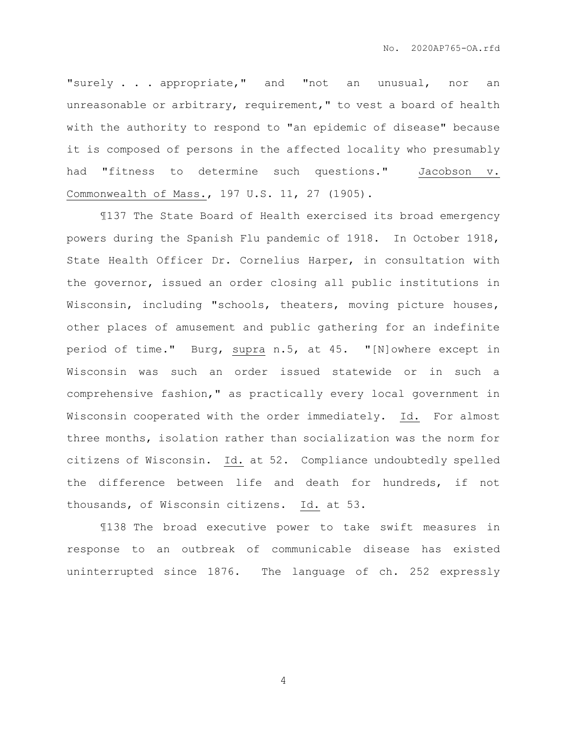"surely . . . appropriate," and "not an unusual, nor an unreasonable or arbitrary, requirement," to vest a board of health with the authority to respond to "an epidemic of disease" because it is composed of persons in the affected locality who presumably had "fitness to determine such questions." Jacobson v. Commonwealth of Mass., 197 U.S. 11, 27 (1905).

¶137 The State Board of Health exercised its broad emergency powers during the Spanish Flu pandemic of 1918. In October 1918, State Health Officer Dr. Cornelius Harper, in consultation with the governor, issued an order closing all public institutions in Wisconsin, including "schools, theaters, moving picture houses, other places of amusement and public gathering for an indefinite period of time." Burg, supra n.5, at 45. "[N]owhere except in Wisconsin was such an order issued statewide or in such a comprehensive fashion," as practically every local government in Wisconsin cooperated with the order immediately. Id. For almost three months, isolation rather than socialization was the norm for citizens of Wisconsin. Id. at 52. Compliance undoubtedly spelled the difference between life and death for hundreds, if not thousands, of Wisconsin citizens. Id. at 53.

¶138 The broad executive power to take swift measures in response to an outbreak of communicable disease has existed uninterrupted since 1876. The language of ch. 252 expressly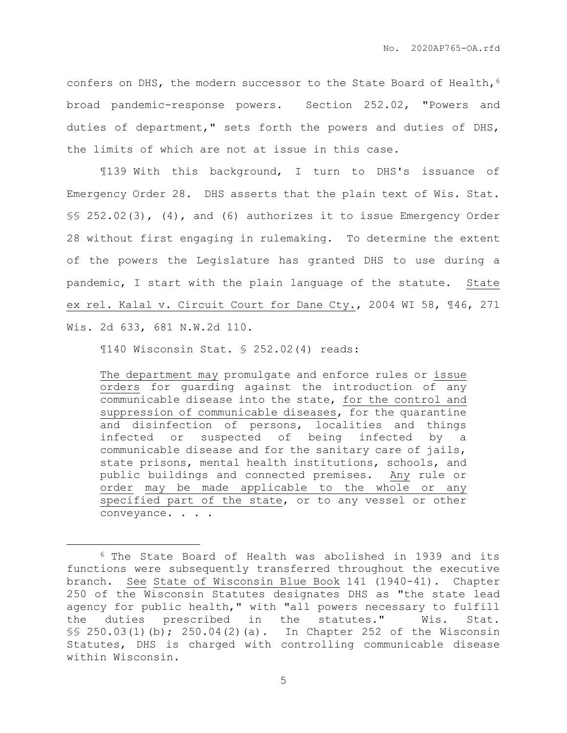confers on DHS, the modern successor to the State Board of Health,  $6$ broad pandemic-response powers. Section 252.02, "Powers and duties of department," sets forth the powers and duties of DHS, the limits of which are not at issue in this case.

¶139 With this background, I turn to DHS's issuance of Emergency Order 28. DHS asserts that the plain text of Wis. Stat. §§ 252.02(3), (4), and (6) authorizes it to issue Emergency Order 28 without first engaging in rulemaking. To determine the extent of the powers the Legislature has granted DHS to use during a pandemic, I start with the plain language of the statute. State ex rel. Kalal v. Circuit Court for Dane Cty., 2004 WI 58, ¶46, 271 Wis. 2d 633, 681 N.W.2d 110.

¶140 Wisconsin Stat. § 252.02(4) reads:

 $\overline{a}$ 

The department may promulgate and enforce rules or issue orders for guarding against the introduction of any communicable disease into the state, for the control and suppression of communicable diseases, for the quarantine and disinfection of persons, localities and things infected or suspected of being infected by a communicable disease and for the sanitary care of jails, state prisons, mental health institutions, schools, and public buildings and connected premises. Any rule or order may be made applicable to the whole or any specified part of the state, or to any vessel or other conveyance. . . .

<sup>6</sup> The State Board of Health was abolished in 1939 and its functions were subsequently transferred throughout the executive branch. See State of Wisconsin Blue Book 141 (1940-41). Chapter 250 of the Wisconsin Statutes designates DHS as "the state lead agency for public health," with "all powers necessary to fulfill the duties prescribed in the statutes." Wis. Stat. §§ 250.03(1)(b); 250.04(2)(a). In Chapter 252 of the Wisconsin Statutes, DHS is charged with controlling communicable disease within Wisconsin.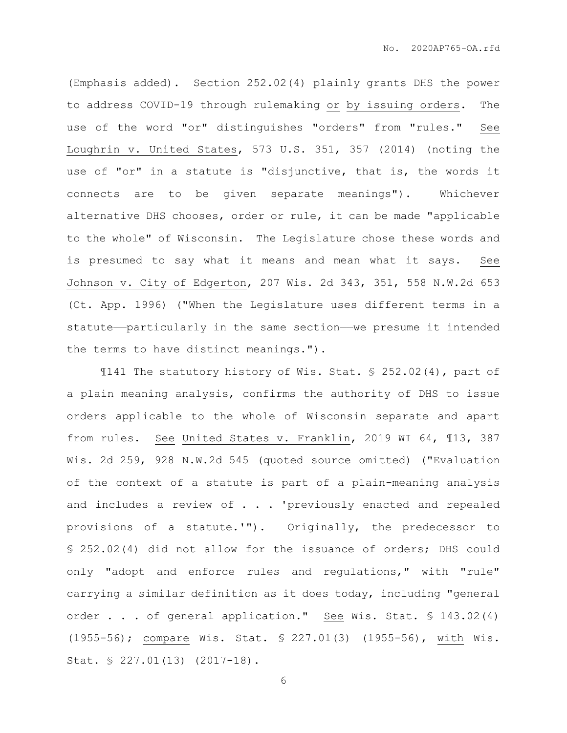(Emphasis added). Section 252.02(4) plainly grants DHS the power to address COVID-19 through rulemaking or by issuing orders. The use of the word "or" distinguishes "orders" from "rules." See Loughrin v. United States, 573 U.S. 351, 357 (2014) (noting the use of "or" in a statute is "disjunctive, that is, the words it connects are to be given separate meanings"). Whichever alternative DHS chooses, order or rule, it can be made "applicable to the whole" of Wisconsin. The Legislature chose these words and is presumed to say what it means and mean what it says. See Johnson v. City of Edgerton, 207 Wis. 2d 343, 351, 558 N.W.2d 653 (Ct. App. 1996) ("When the Legislature uses different terms in a statute—particularly in the same section—we presume it intended the terms to have distinct meanings.").

¶141 The statutory history of Wis. Stat. § 252.02(4), part of a plain meaning analysis, confirms the authority of DHS to issue orders applicable to the whole of Wisconsin separate and apart from rules. See United States v. Franklin, 2019 WI 64, ¶13, 387 Wis. 2d 259, 928 N.W.2d 545 (quoted source omitted) ("Evaluation of the context of a statute is part of a plain-meaning analysis and includes a review of . . . 'previously enacted and repealed provisions of a statute.'"). Originally, the predecessor to § 252.02(4) did not allow for the issuance of orders; DHS could only "adopt and enforce rules and regulations," with "rule" carrying a similar definition as it does today, including "general order . . . of general application." See Wis. Stat. § 143.02(4) (1955-56); compare Wis. Stat. § 227.01(3) (1955-56), with Wis. Stat. § 227.01(13) (2017-18).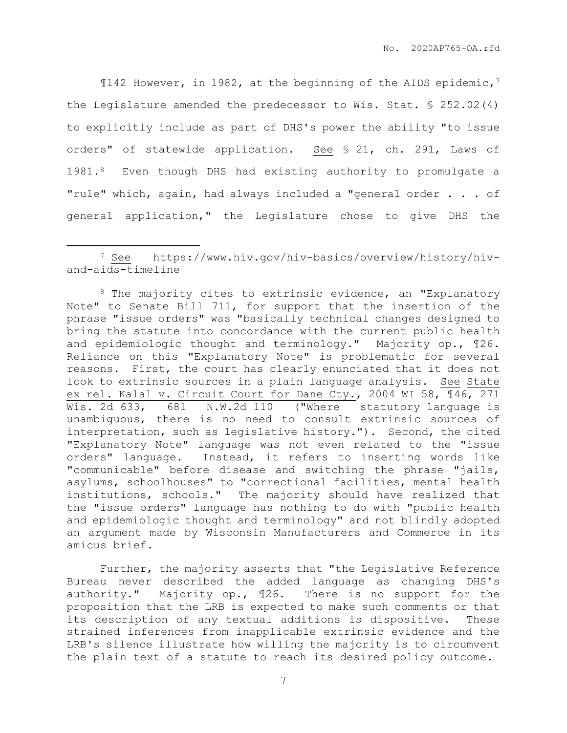$\P$ 142 However, in 1982, at the beginning of the AIDS epidemic,<sup>7</sup> the Legislature amended the predecessor to Wis. Stat. § 252.02(4) to explicitly include as part of DHS's power the ability "to issue orders" of statewide application. See § 21, ch. 291, Laws of 1981.8 Even though DHS had existing authority to promulgate a "rule" which, again, had always included a "general order . . . of general application," the Legislature chose to give DHS the

 $\overline{a}$ 

<sup>8</sup> The majority cites to extrinsic evidence, an "Explanatory Note" to Senate Bill 711, for support that the insertion of the phrase "issue orders" was "basically technical changes designed to bring the statute into concordance with the current public health and epidemiologic thought and terminology." Majority op., ¶26. Reliance on this "Explanatory Note" is problematic for several reasons. First, the court has clearly enunciated that it does not look to extrinsic sources in a plain language analysis. See State ex rel. Kalal v. Circuit Court for Dane Cty., 2004 WI 58, ¶46, 271 Wis. 2d 633, 681 N.W.2d 110 ("Where statutory language is unambiguous, there is no need to consult extrinsic sources of interpretation, such as legislative history."). Second, the cited "Explanatory Note" language was not even related to the "issue orders" language. Instead, it refers to inserting words like "communicable" before disease and switching the phrase "jails, asylums, schoolhouses" to "correctional facilities, mental health institutions, schools." The majority should have realized that the "issue orders" language has nothing to do with "public health and epidemiologic thought and terminology" and not blindly adopted an argument made by Wisconsin Manufacturers and Commerce in its amicus brief.

Further, the majority asserts that "the Legislative Reference Bureau never described the added language as changing DHS's authority." Majority op., ¶26. There is no support for the proposition that the LRB is expected to make such comments or that its description of any textual additions is dispositive. These strained inferences from inapplicable extrinsic evidence and the LRB's silence illustrate how willing the majority is to circumvent the plain text of a statute to reach its desired policy outcome.

<sup>7</sup> See https://www.hiv.gov/hiv-basics/overview/history/hivand-aids-timeline

<sup>7</sup>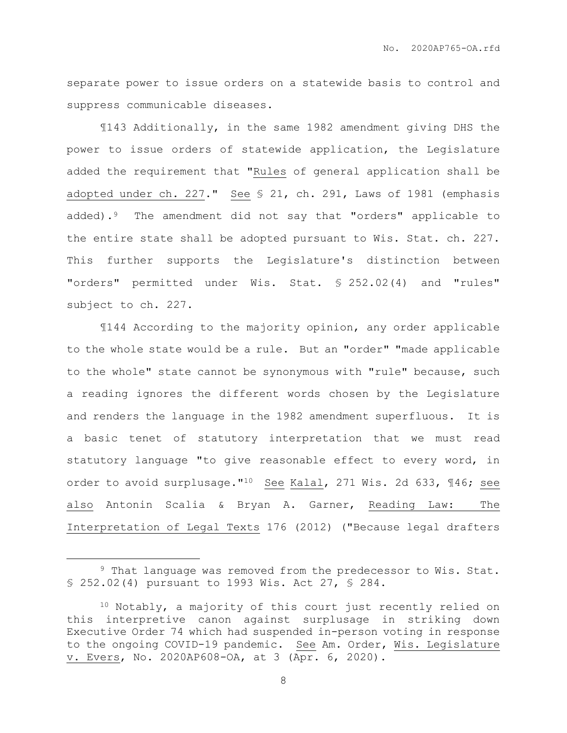separate power to issue orders on a statewide basis to control and suppress communicable diseases.

¶143 Additionally, in the same 1982 amendment giving DHS the power to issue orders of statewide application, the Legislature added the requirement that "Rules of general application shall be adopted under ch. 227." See § 21, ch. 291, Laws of 1981 (emphasis added).<sup>9</sup> The amendment did not say that "orders" applicable to the entire state shall be adopted pursuant to Wis. Stat. ch. 227. This further supports the Legislature's distinction between "orders" permitted under Wis. Stat. § 252.02(4) and "rules" subject to ch. 227.

¶144 According to the majority opinion, any order applicable to the whole state would be a rule. But an "order" "made applicable to the whole" state cannot be synonymous with "rule" because, such a reading ignores the different words chosen by the Legislature and renders the language in the 1982 amendment superfluous. It is a basic tenet of statutory interpretation that we must read statutory language "to give reasonable effect to every word, in order to avoid surplusage."<sup>10</sup> See Kalal, 271 Wis. 2d 633, ¶46; see also Antonin Scalia & Bryan A. Garner, Reading Law: The Interpretation of Legal Texts 176 (2012) ("Because legal drafters

 $\overline{a}$ 

<sup>9</sup> That language was removed from the predecessor to Wis. Stat. § 252.02(4) pursuant to 1993 Wis. Act 27, § 284.

<sup>10</sup> Notably, a majority of this court just recently relied on this interpretive canon against surplusage in striking down Executive Order 74 which had suspended in-person voting in response to the ongoing COVID-19 pandemic. See Am. Order, Wis. Legislature v. Evers, No. 2020AP608-OA, at 3 (Apr. 6, 2020).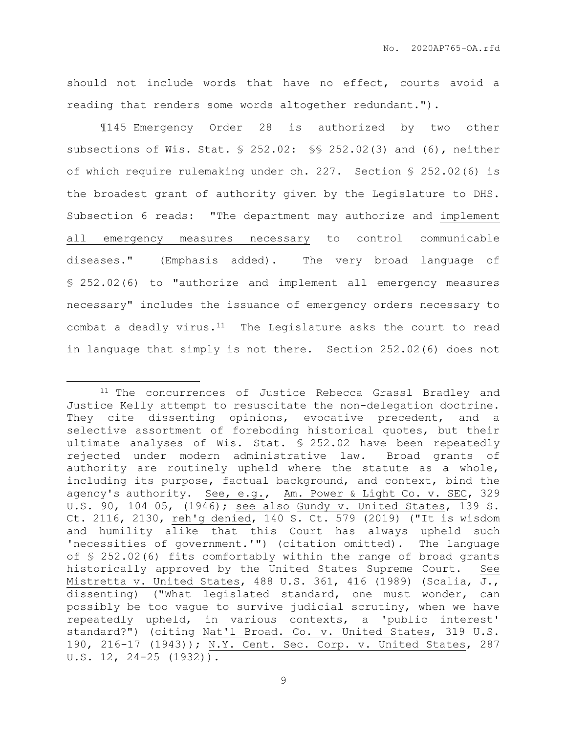should not include words that have no effect, courts avoid a reading that renders some words altogether redundant.").

¶145 Emergency Order 28 is authorized by two other subsections of Wis. Stat. § 252.02: §§ 252.02(3) and (6), neither of which require rulemaking under ch. 227. Section § 252.02(6) is the broadest grant of authority given by the Legislature to DHS. Subsection 6 reads: "The department may authorize and implement all emergency measures necessary to control communicable diseases." (Emphasis added). The very broad language of § 252.02(6) to "authorize and implement all emergency measures necessary" includes the issuance of emergency orders necessary to combat a deadly virus. $11$  The Legislature asks the court to read in language that simply is not there. Section 252.02(6) does not

<sup>&</sup>lt;sup>11</sup> The concurrences of Justice Rebecca Grassl Bradley and Justice Kelly attempt to resuscitate the non-delegation doctrine. They cite dissenting opinions, evocative precedent, and a selective assortment of foreboding historical quotes, but their ultimate analyses of Wis. Stat. § 252.02 have been repeatedly rejected under modern administrative law. Broad grants of authority are routinely upheld where the statute as a whole, including its purpose, factual background, and context, bind the agency's authority. See, e.g., Am. Power & Light Co. v. SEC, 329 U.S. 90, 104–05, (1946); see also Gundy v. United States, 139 S. Ct. 2116, 2130, reh'g denied, 140 S. Ct. 579 (2019) ("It is wisdom and humility alike that this Court has always upheld such 'necessities of government.'") (citation omitted). The language of § 252.02(6) fits comfortably within the range of broad grants historically approved by the United States Supreme Court. See Mistretta v. United States, 488 U.S. 361, 416 (1989) (Scalia, J., dissenting) ("What legislated standard, one must wonder, can possibly be too vague to survive judicial scrutiny, when we have repeatedly upheld, in various contexts, a 'public interest' standard?") (citing Nat'l Broad. Co. v. United States, 319 U.S. 190, 216-17 (1943)); N.Y. Cent. Sec. Corp. v. United States, 287 U.S. 12, 24-25 (1932)).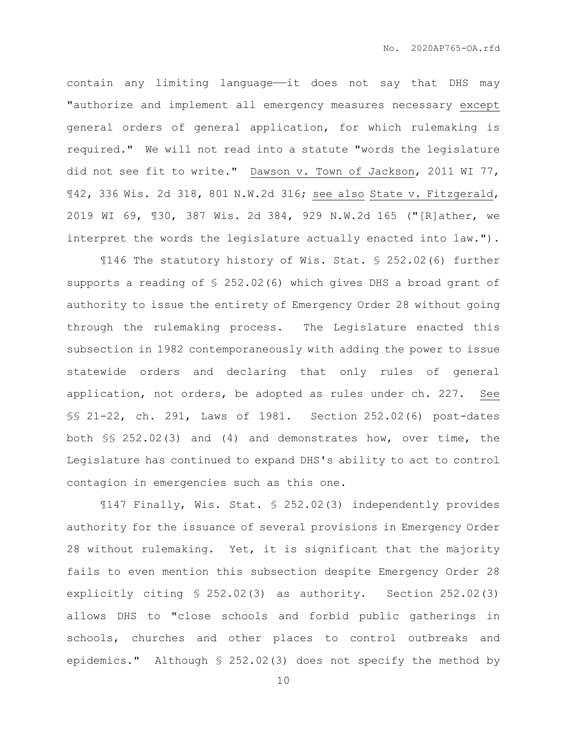contain any limiting language—it does not say that DHS may "authorize and implement all emergency measures necessary except general orders of general application, for which rulemaking is required." We will not read into a statute "words the legislature did not see fit to write." Dawson v. Town of Jackson, 2011 WI 77, ¶42, 336 Wis. 2d 318, 801 N.W.2d 316; see also State v. Fitzgerald, 2019 WI 69, ¶30, 387 Wis. 2d 384, 929 N.W.2d 165 ("[R]ather, we interpret the words the legislature actually enacted into law.").

¶146 The statutory history of Wis. Stat. § 252.02(6) further supports a reading of § 252.02(6) which gives DHS a broad grant of authority to issue the entirety of Emergency Order 28 without going through the rulemaking process. The Legislature enacted this subsection in 1982 contemporaneously with adding the power to issue statewide orders and declaring that only rules of general application, not orders, be adopted as rules under ch. 227. See §§ 21-22, ch. 291, Laws of 1981. Section 252.02(6) post-dates both §§ 252.02(3) and (4) and demonstrates how, over time, the Legislature has continued to expand DHS's ability to act to control contagion in emergencies such as this one.

¶147 Finally, Wis. Stat. § 252.02(3) independently provides authority for the issuance of several provisions in Emergency Order 28 without rulemaking. Yet, it is significant that the majority fails to even mention this subsection despite Emergency Order 28 explicitly citing § 252.02(3) as authority. Section 252.02(3) allows DHS to "close schools and forbid public gatherings in schools, churches and other places to control outbreaks and epidemics." Although § 252.02(3) does not specify the method by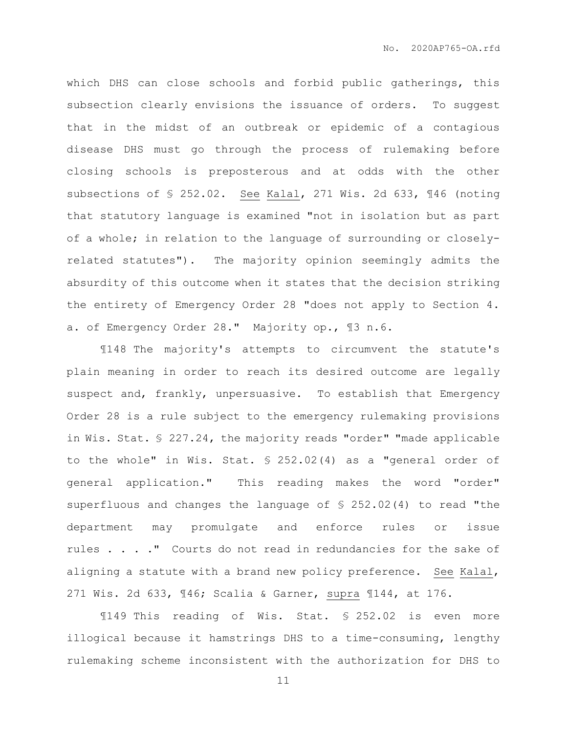which DHS can close schools and forbid public gatherings, this subsection clearly envisions the issuance of orders. To suggest that in the midst of an outbreak or epidemic of a contagious disease DHS must go through the process of rulemaking before closing schools is preposterous and at odds with the other subsections of § 252.02. See Kalal, 271 Wis. 2d 633, ¶46 (noting that statutory language is examined "not in isolation but as part of a whole; in relation to the language of surrounding or closelyrelated statutes"). The majority opinion seemingly admits the absurdity of this outcome when it states that the decision striking the entirety of Emergency Order 28 "does not apply to Section 4. a. of Emergency Order 28." Majority op., ¶3 n.6.

¶148 The majority's attempts to circumvent the statute's plain meaning in order to reach its desired outcome are legally suspect and, frankly, unpersuasive. To establish that Emergency Order 28 is a rule subject to the emergency rulemaking provisions in Wis. Stat. § 227.24, the majority reads "order" "made applicable to the whole" in Wis. Stat. § 252.02(4) as a "general order of general application." This reading makes the word "order" superfluous and changes the language of § 252.02(4) to read "the department may promulgate and enforce rules or issue rules . . . ." Courts do not read in redundancies for the sake of aligning a statute with a brand new policy preference. See Kalal, 271 Wis. 2d 633, ¶46; Scalia & Garner, supra ¶144, at 176.

¶149 This reading of Wis. Stat. § 252.02 is even more illogical because it hamstrings DHS to a time-consuming, lengthy rulemaking scheme inconsistent with the authorization for DHS to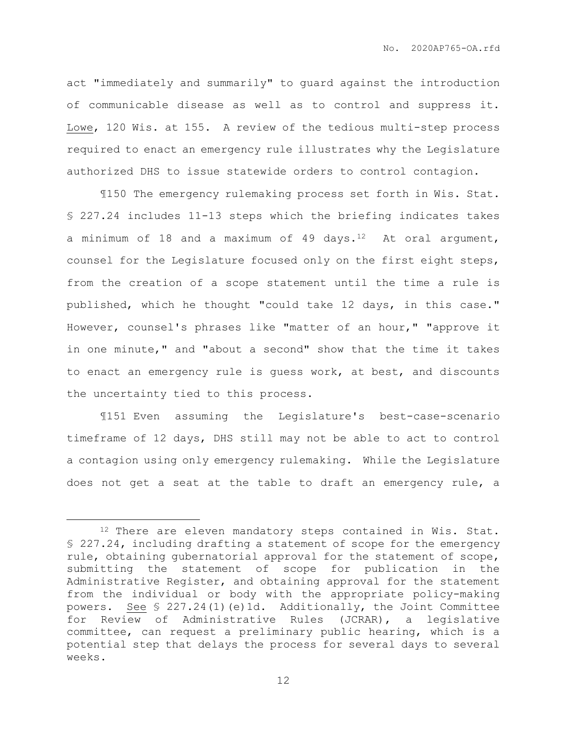act "immediately and summarily" to guard against the introduction of communicable disease as well as to control and suppress it. Lowe, 120 Wis. at 155. A review of the tedious multi-step process required to enact an emergency rule illustrates why the Legislature authorized DHS to issue statewide orders to control contagion.

¶150 The emergency rulemaking process set forth in Wis. Stat. § 227.24 includes 11-13 steps which the briefing indicates takes a minimum of 18 and a maximum of 49 days. $12$  At oral argument, counsel for the Legislature focused only on the first eight steps, from the creation of a scope statement until the time a rule is published, which he thought "could take 12 days, in this case." However, counsel's phrases like "matter of an hour," "approve it in one minute," and "about a second" show that the time it takes to enact an emergency rule is guess work, at best, and discounts the uncertainty tied to this process.

¶151 Even assuming the Legislature's best-case-scenario timeframe of 12 days, DHS still may not be able to act to control a contagion using only emergency rulemaking. While the Legislature does not get a seat at the table to draft an emergency rule, a

<sup>&</sup>lt;sup>12</sup> There are eleven mandatory steps contained in Wis. Stat. § 227.24, including drafting a statement of scope for the emergency rule, obtaining gubernatorial approval for the statement of scope, submitting the statement of scope for publication in the Administrative Register, and obtaining approval for the statement from the individual or body with the appropriate policy-making powers. See § 227.24(1)(e)1d. Additionally, the Joint Committee for Review of Administrative Rules (JCRAR), a legislative committee, can request a preliminary public hearing, which is a potential step that delays the process for several days to several weeks.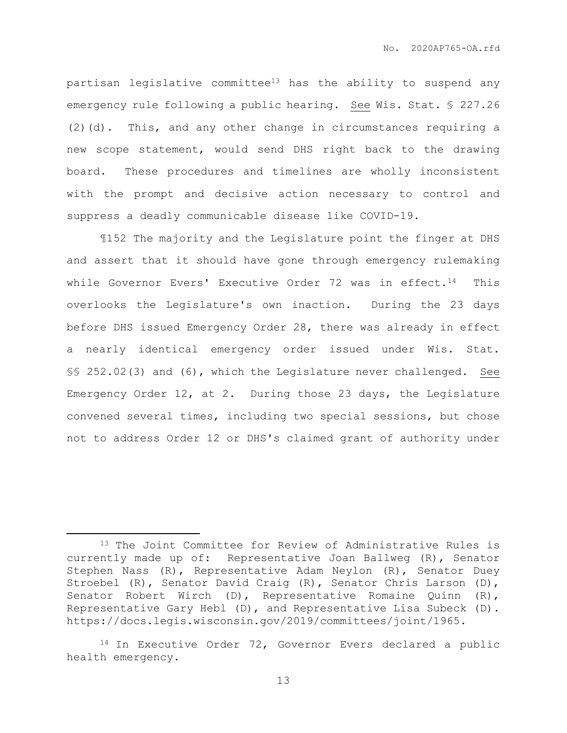partisan legislative committee<sup>13</sup> has the ability to suspend any emergency rule following a public hearing. See Wis. Stat. § 227.26 (2)(d). This, and any other change in circumstances requiring a new scope statement, would send DHS right back to the drawing board. These procedures and timelines are wholly inconsistent with the prompt and decisive action necessary to control and suppress a deadly communicable disease like COVID-19.

¶152 The majority and the Legislature point the finger at DHS and assert that it should have gone through emergency rulemaking while Governor Evers' Executive Order 72 was in effect.<sup>14</sup> This overlooks the Legislature's own inaction. During the 23 days before DHS issued Emergency Order 28, there was already in effect a nearly identical emergency order issued under Wis. Stat. §§ 252.02(3) and (6), which the Legislature never challenged. See Emergency Order 12, at 2. During those 23 days, the Legislature convened several times, including two special sessions, but chose not to address Order 12 or DHS's claimed grant of authority under

<sup>&</sup>lt;sup>13</sup> The Joint Committee for Review of Administrative Rules is currently made up of: Representative Joan Ballweg (R), Senator Stephen Nass (R), Representative Adam Neylon (R), Senator Duey Stroebel (R), Senator David Craig (R), Senator Chris Larson (D), Senator Robert Wirch (D), Representative Romaine Quinn (R), Representative Gary Hebl (D), and Representative Lisa Subeck (D). https://docs.legis.wisconsin.gov/2019/committees/joint/1965.

<sup>&</sup>lt;sup>14</sup> In Executive Order 72, Governor Evers declared a public health emergency.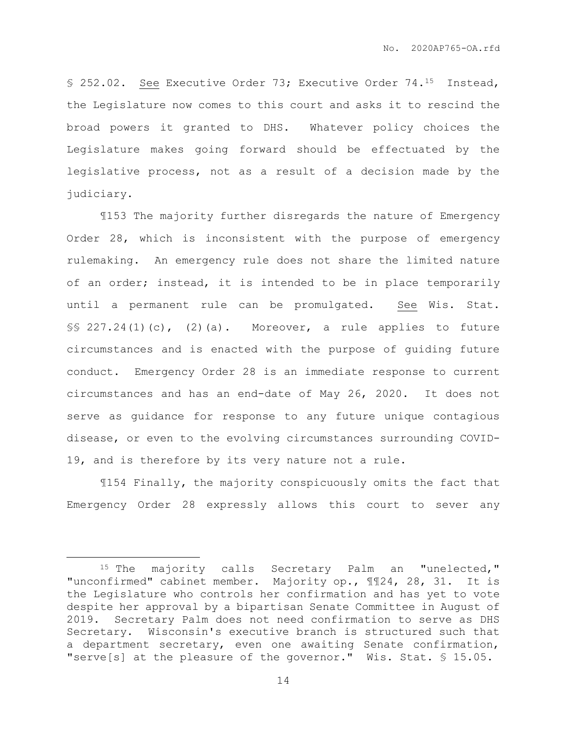§ 252.02. See Executive Order 73; Executive Order 74.15 Instead, the Legislature now comes to this court and asks it to rescind the broad powers it granted to DHS. Whatever policy choices the Legislature makes going forward should be effectuated by the legislative process, not as a result of a decision made by the judiciary.

¶153 The majority further disregards the nature of Emergency Order 28, which is inconsistent with the purpose of emergency rulemaking. An emergency rule does not share the limited nature of an order; instead, it is intended to be in place temporarily until a permanent rule can be promulgated. See Wis. Stat.  $\S$ § 227.24(1)(c), (2)(a). Moreover, a rule applies to future circumstances and is enacted with the purpose of guiding future conduct. Emergency Order 28 is an immediate response to current circumstances and has an end-date of May 26, 2020. It does not serve as guidance for response to any future unique contagious disease, or even to the evolving circumstances surrounding COVID-19, and is therefore by its very nature not a rule.

¶154 Finally**,** the majority conspicuously omits the fact that Emergency Order 28 expressly allows this court to sever any

<sup>15</sup> The majority calls Secretary Palm an "unelected," "unconfirmed" cabinet member. Majority op., ¶¶24, 28, 31. It is the Legislature who controls her confirmation and has yet to vote despite her approval by a bipartisan Senate Committee in August of 2019. Secretary Palm does not need confirmation to serve as DHS Secretary. Wisconsin's executive branch is structured such that a department secretary, even one awaiting Senate confirmation, "serve[s] at the pleasure of the governor." Wis. Stat. § 15.05.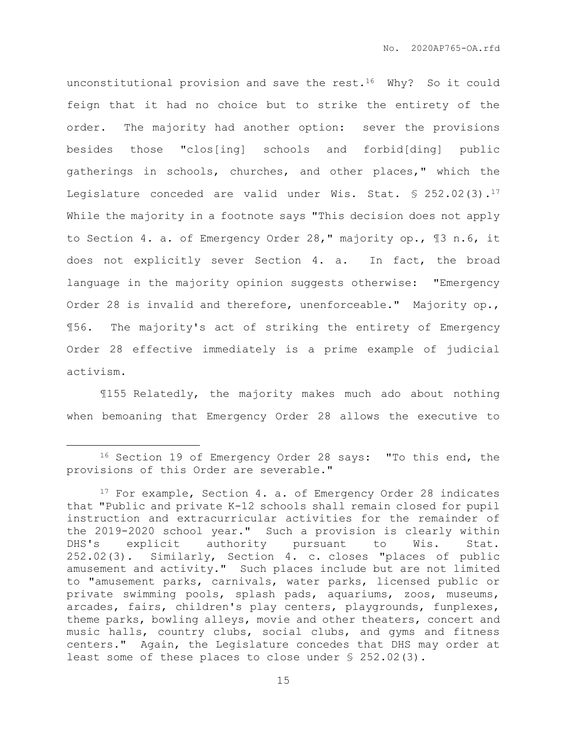unconstitutional provision and save the rest.<sup>16</sup> Why? So it could feign that it had no choice but to strike the entirety of the order. The majority had another option: sever the provisions besides those "clos[ing] schools and forbid[ding] public gatherings in schools, churches, and other places," which the Legislature conceded are valid under Wis. Stat.  $$ 252.02(3).17$ While the majority in a footnote says "This decision does not apply to Section 4. a. of Emergency Order 28," majority op., ¶3 n.6, it does not explicitly sever Section 4. a. In fact, the broad language in the majority opinion suggests otherwise: "Emergency Order 28 is invalid and therefore, unenforceable." Majority op., ¶56. The majority's act of striking the entirety of Emergency Order 28 effective immediately is a prime example of judicial activism.

¶155 Relatedly, the majority makes much ado about nothing when bemoaning that Emergency Order 28 allows the executive to

<sup>16</sup> Section 19 of Emergency Order 28 says: "To this end, the provisions of this Order are severable."

<sup>&</sup>lt;sup>17</sup> For example, Section 4. a. of Emergency Order 28 indicates that "Public and private K-12 schools shall remain closed for pupil instruction and extracurricular activities for the remainder of the 2019-2020 school year." Such a provision is clearly within DHS's explicit authority pursuant to Wis. Stat. 252.02(3). Similarly, Section 4. c. closes "places of public amusement and activity." Such places include but are not limited to "amusement parks, carnivals, water parks, licensed public or private swimming pools, splash pads, aquariums, zoos, museums, arcades, fairs, children's play centers, playgrounds, funplexes, theme parks, bowling alleys, movie and other theaters, concert and music halls, country clubs, social clubs, and gyms and fitness centers." Again, the Legislature concedes that DHS may order at least some of these places to close under § 252.02(3).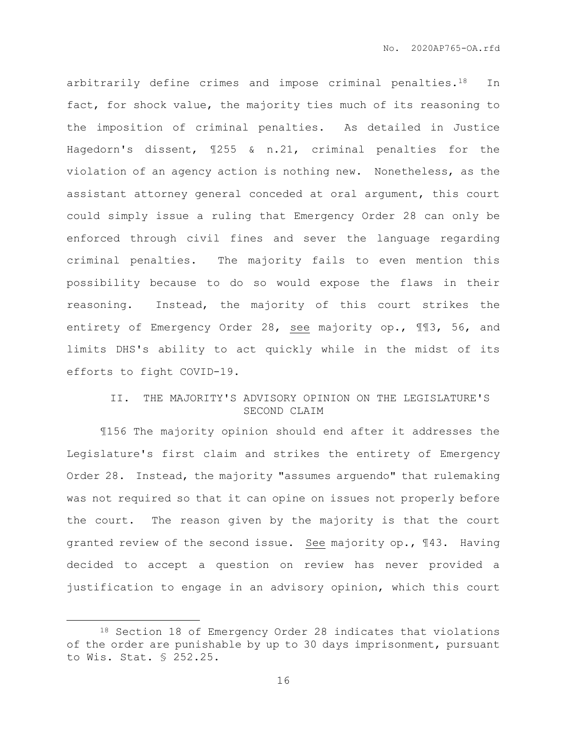arbitrarily define crimes and impose criminal penalties.<sup>18</sup> In fact, for shock value, the majority ties much of its reasoning to the imposition of criminal penalties. As detailed in Justice Hagedorn's dissent, ¶255 & n.21, criminal penalties for the violation of an agency action is nothing new. Nonetheless, as the assistant attorney general conceded at oral argument, this court could simply issue a ruling that Emergency Order 28 can only be enforced through civil fines and sever the language regarding criminal penalties. The majority fails to even mention this possibility because to do so would expose the flaws in their reasoning. Instead, the majority of this court strikes the entirety of Emergency Order 28, see majority op., ¶¶3, 56, and limits DHS's ability to act quickly while in the midst of its efforts to fight COVID-19.

## II. THE MAJORITY'S ADVISORY OPINION ON THE LEGISLATURE'S SECOND CLAIM

¶156 The majority opinion should end after it addresses the Legislature's first claim and strikes the entirety of Emergency Order 28. Instead, the majority "assumes arguendo" that rulemaking was not required so that it can opine on issues not properly before the court. The reason given by the majority is that the court granted review of the second issue. See majority op., ¶43. Having decided to accept a question on review has never provided a justification to engage in an advisory opinion, which this court

<sup>18</sup> Section 18 of Emergency Order 28 indicates that violations of the order are punishable by up to 30 days imprisonment, pursuant to Wis. Stat. § 252.25.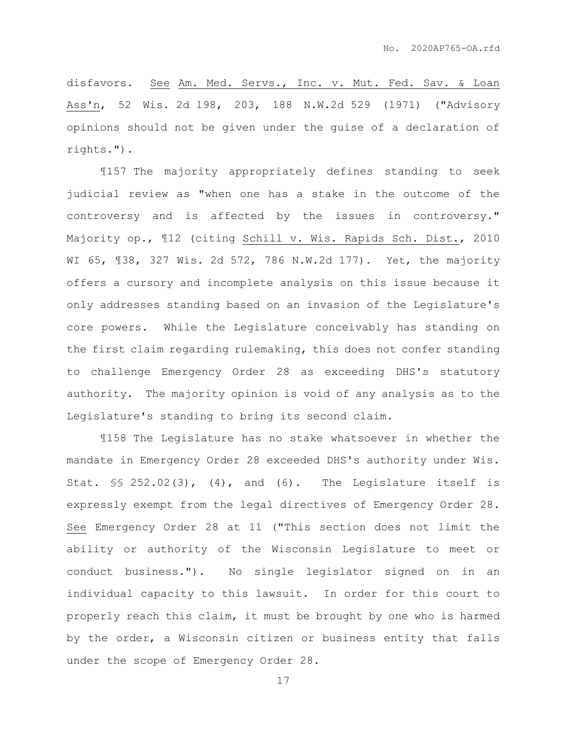disfavors. See Am. Med. Servs., Inc. v. Mut. Fed. Sav. & Loan Ass'n, 52 Wis. 2d 198, 203, 188 N.W.2d 529 (1971) ("Advisory opinions should not be given under the guise of a declaration of rights.").

¶157 The majority appropriately defines standing to seek judicial review as "when one has a stake in the outcome of the controversy and is affected by the issues in controversy." Majority op., ¶12 (citing Schill v. Wis. Rapids Sch. Dist., 2010 WI 65, ¶38, 327 Wis. 2d 572, 786 N.W.2d 177). Yet, the majority offers a cursory and incomplete analysis on this issue because it only addresses standing based on an invasion of the Legislature's core powers. While the Legislature conceivably has standing on the first claim regarding rulemaking, this does not confer standing to challenge Emergency Order 28 as exceeding DHS's statutory authority. The majority opinion is void of any analysis as to the Legislature's standing to bring its second claim.

¶158 The Legislature has no stake whatsoever in whether the mandate in Emergency Order 28 exceeded DHS's authority under Wis. Stat.  $\S$  252.02(3), (4), and (6). The Legislature itself is expressly exempt from the legal directives of Emergency Order 28. See Emergency Order 28 at 11 ("This section does not limit the ability or authority of the Wisconsin Legislature to meet or conduct business."). No single legislator signed on in an individual capacity to this lawsuit. In order for this court to properly reach this claim, it must be brought by one who is harmed by the order, a Wisconsin citizen or business entity that falls under the scope of Emergency Order 28.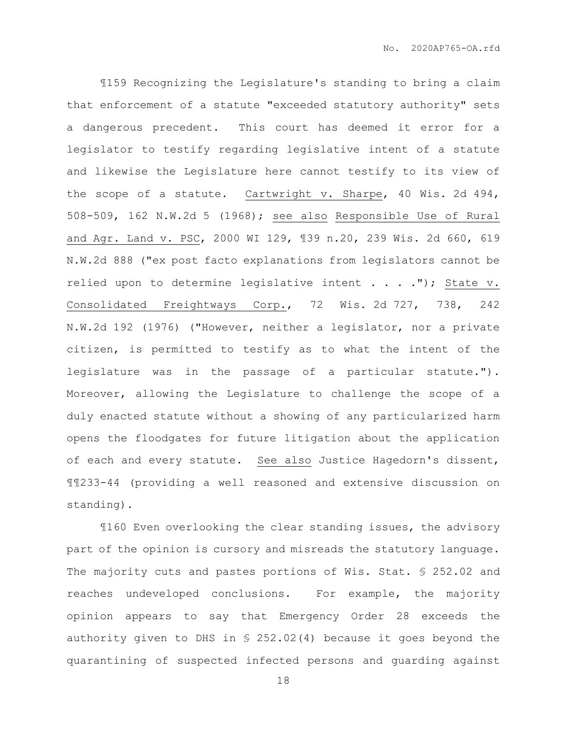¶159 Recognizing the Legislature's standing to bring a claim that enforcement of a statute "exceeded statutory authority" sets a dangerous precedent. This court has deemed it error for a legislator to testify regarding legislative intent of a statute and likewise the Legislature here cannot testify to its view of the scope of a statute. Cartwright v. Sharpe, 40 Wis. 2d 494, 508-509, 162 N.W.2d 5 (1968); see also Responsible Use of Rural and Agr. Land v. PSC, 2000 WI 129, ¶39 n.20, 239 Wis. 2d 660, 619 N.W.2d 888 ("ex post facto explanations from legislators cannot be relied upon to determine legislative intent  $\ldots$  . . ."); State v. Consolidated Freightways Corp., 72 Wis. 2d 727, 738, 242 N.W.2d 192 (1976) ("However, neither a legislator, nor a private citizen, is permitted to testify as to what the intent of the legislature was in the passage of a particular statute."). Moreover, allowing the Legislature to challenge the scope of a duly enacted statute without a showing of any particularized harm opens the floodgates for future litigation about the application of each and every statute. See also Justice Hagedorn's dissent, ¶¶233-44 (providing a well reasoned and extensive discussion on standing).

¶160 Even overlooking the clear standing issues, the advisory part of the opinion is cursory and misreads the statutory language. The majority cuts and pastes portions of Wis. Stat. § 252.02 and reaches undeveloped conclusions. For example, the majority opinion appears to say that Emergency Order 28 exceeds the authority given to DHS in § 252.02(4) because it goes beyond the quarantining of suspected infected persons and guarding against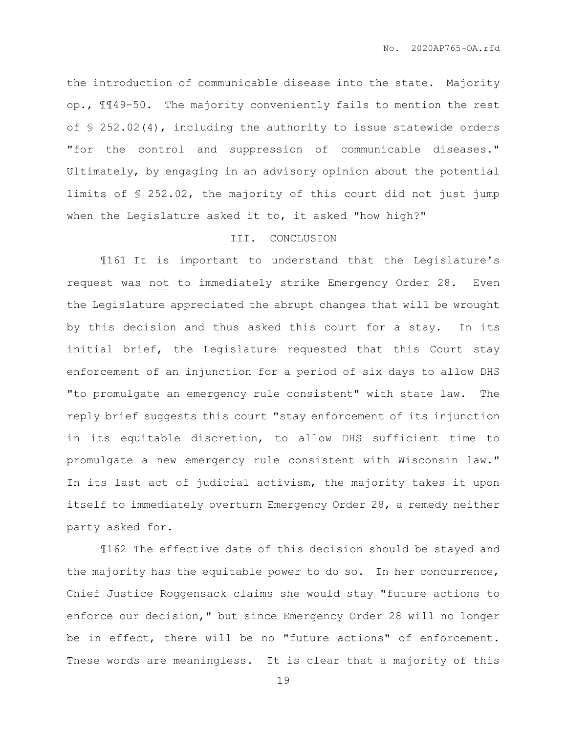the introduction of communicable disease into the state. Majority op., ¶¶49-50. The majority conveniently fails to mention the rest of  $\leq 252.02(4)$ , including the authority to issue statewide orders "for the control and suppression of communicable diseases." Ultimately, by engaging in an advisory opinion about the potential limits of § 252.02, the majority of this court did not just jump when the Legislature asked it to, it asked "how high?"

## III. CONCLUSION

¶161 It is important to understand that the Legislature's request was not to immediately strike Emergency Order 28. Even the Legislature appreciated the abrupt changes that will be wrought by this decision and thus asked this court for a stay. In its initial brief, the Legislature requested that this Court stay enforcement of an injunction for a period of six days to allow DHS "to promulgate an emergency rule consistent" with state law. The reply brief suggests this court "stay enforcement of its injunction in its equitable discretion, to allow DHS sufficient time to promulgate a new emergency rule consistent with Wisconsin law." In its last act of judicial activism, the majority takes it upon itself to immediately overturn Emergency Order 28, a remedy neither party asked for.

¶162 The effective date of this decision should be stayed and the majority has the equitable power to do so. In her concurrence, Chief Justice Roggensack claims she would stay "future actions to enforce our decision," but since Emergency Order 28 will no longer be in effect, there will be no "future actions" of enforcement. These words are meaningless. It is clear that a majority of this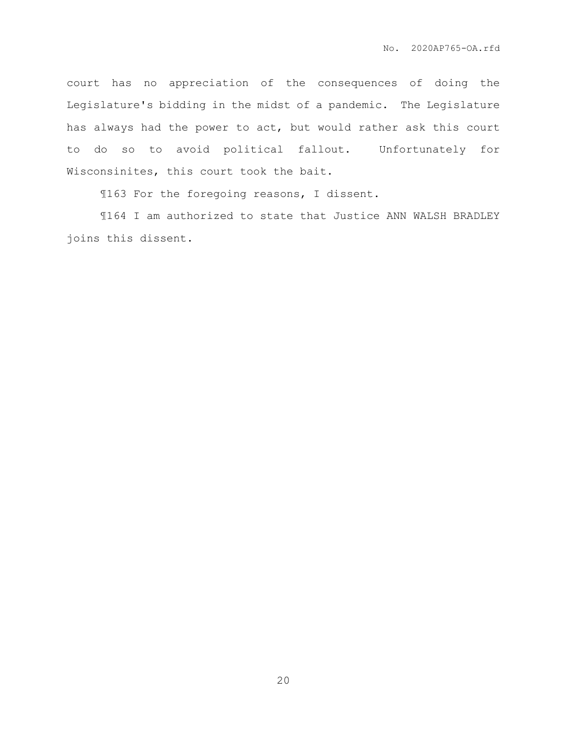court has no appreciation of the consequences of doing the Legislature's bidding in the midst of a pandemic. The Legislature has always had the power to act, but would rather ask this court to do so to avoid political fallout. Unfortunately for Wisconsinites, this court took the bait.

¶163 For the foregoing reasons, I dissent.

¶164 I am authorized to state that Justice ANN WALSH BRADLEY joins this dissent.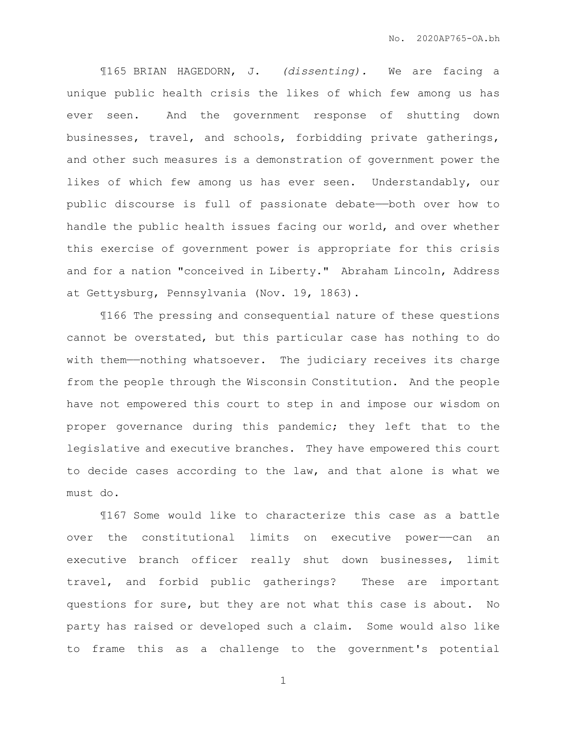¶165 BRIAN HAGEDORN, J. *(dissenting).* We are facing a unique public health crisis the likes of which few among us has ever seen. And the government response of shutting down businesses, travel, and schools, forbidding private gatherings, and other such measures is a demonstration of government power the likes of which few among us has ever seen. Understandably, our public discourse is full of passionate debate——both over how to handle the public health issues facing our world, and over whether this exercise of government power is appropriate for this crisis and for a nation "conceived in Liberty." Abraham Lincoln, Address at Gettysburg, Pennsylvania (Nov. 19, 1863).

¶166 The pressing and consequential nature of these questions cannot be overstated, but this particular case has nothing to do with them—nothing whatsoever. The judiciary receives its charge from the people through the Wisconsin Constitution. And the people have not empowered this court to step in and impose our wisdom on proper governance during this pandemic; they left that to the legislative and executive branches. They have empowered this court to decide cases according to the law, and that alone is what we must do.

¶167 Some would like to characterize this case as a battle over the constitutional limits on executive power——can an executive branch officer really shut down businesses, limit travel, and forbid public gatherings? These are important questions for sure, but they are not what this case is about. No party has raised or developed such a claim. Some would also like to frame this as a challenge to the government's potential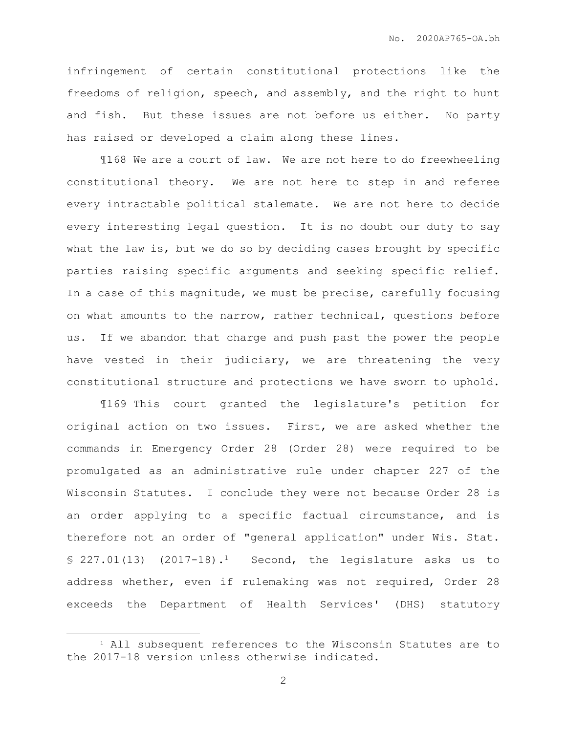infringement of certain constitutional protections like the freedoms of religion, speech, and assembly, and the right to hunt and fish. But these issues are not before us either. No party has raised or developed a claim along these lines.

¶168 We are a court of law. We are not here to do freewheeling constitutional theory. We are not here to step in and referee every intractable political stalemate. We are not here to decide every interesting legal question. It is no doubt our duty to say what the law is, but we do so by deciding cases brought by specific parties raising specific arguments and seeking specific relief. In a case of this magnitude, we must be precise, carefully focusing on what amounts to the narrow, rather technical, questions before us. If we abandon that charge and push past the power the people have vested in their judiciary, we are threatening the very constitutional structure and protections we have sworn to uphold.

¶169 This court granted the legislature's petition for original action on two issues. First, we are asked whether the commands in Emergency Order 28 (Order 28) were required to be promulgated as an administrative rule under chapter 227 of the Wisconsin Statutes. I conclude they were not because Order 28 is an order applying to a specific factual circumstance, and is therefore not an order of "general application" under Wis. Stat. § 227.01(13) (2017-18).1 Second, the legislature asks us to address whether, even if rulemaking was not required, Order 28 exceeds the Department of Health Services' (DHS) statutory

<sup>&</sup>lt;sup>1</sup> All subsequent references to the Wisconsin Statutes are to the 2017-18 version unless otherwise indicated.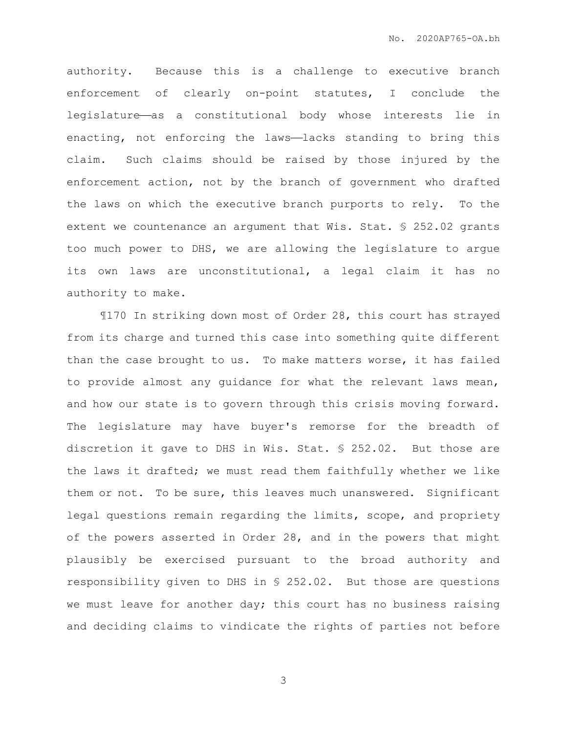authority. Because this is a challenge to executive branch enforcement of clearly on-point statutes, I conclude the legislature—as a constitutional body whose interests lie in enacting, not enforcing the laws-lacks standing to bring this claim. Such claims should be raised by those injured by the enforcement action, not by the branch of government who drafted the laws on which the executive branch purports to rely. To the extent we countenance an argument that Wis. Stat. § 252.02 grants too much power to DHS, we are allowing the legislature to argue its own laws are unconstitutional, a legal claim it has no authority to make.

¶170 In striking down most of Order 28, this court has strayed from its charge and turned this case into something quite different than the case brought to us. To make matters worse, it has failed to provide almost any guidance for what the relevant laws mean, and how our state is to govern through this crisis moving forward. The legislature may have buyer's remorse for the breadth of discretion it gave to DHS in Wis. Stat. § 252.02. But those are the laws it drafted; we must read them faithfully whether we like them or not. To be sure, this leaves much unanswered. Significant legal questions remain regarding the limits, scope, and propriety of the powers asserted in Order 28, and in the powers that might plausibly be exercised pursuant to the broad authority and responsibility given to DHS in § 252.02. But those are questions we must leave for another day; this court has no business raising and deciding claims to vindicate the rights of parties not before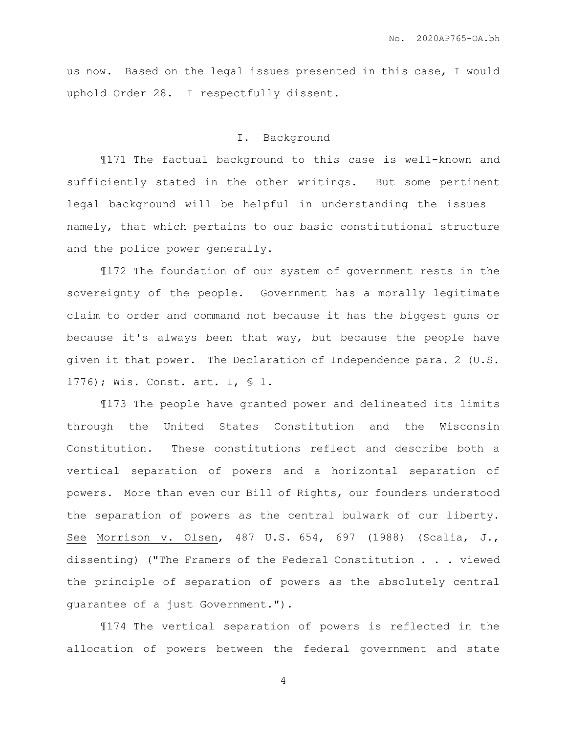us now. Based on the legal issues presented in this case, I would uphold Order 28. I respectfully dissent.

## I. Background

¶171 The factual background to this case is well-known and sufficiently stated in the other writings. But some pertinent legal background will be helpful in understanding the issuesnamely, that which pertains to our basic constitutional structure and the police power generally.

¶172 The foundation of our system of government rests in the sovereignty of the people. Government has a morally legitimate claim to order and command not because it has the biggest guns or because it's always been that way, but because the people have given it that power. The Declaration of Independence para. 2 (U.S. 1776); Wis. Const. art. I, § 1.

¶173 The people have granted power and delineated its limits through the United States Constitution and the Wisconsin Constitution. These constitutions reflect and describe both a vertical separation of powers and a horizontal separation of powers. More than even our Bill of Rights, our founders understood the separation of powers as the central bulwark of our liberty. See Morrison v. Olsen, 487 U.S. 654, 697 (1988) (Scalia, J., dissenting) ("The Framers of the Federal Constitution . . . viewed the principle of separation of powers as the absolutely central guarantee of a just Government.").

¶174 The vertical separation of powers is reflected in the allocation of powers between the federal government and state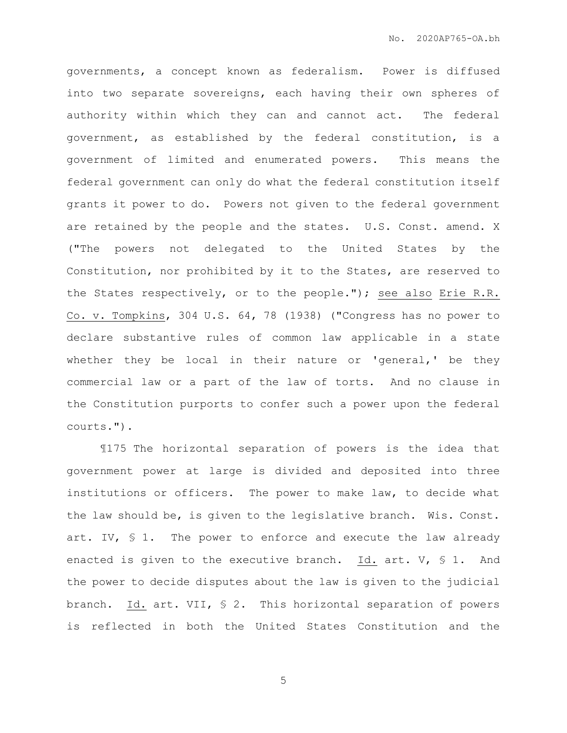governments, a concept known as federalism. Power is diffused into two separate sovereigns, each having their own spheres of authority within which they can and cannot act. The federal government, as established by the federal constitution, is a government of limited and enumerated powers. This means the federal government can only do what the federal constitution itself grants it power to do. Powers not given to the federal government are retained by the people and the states. U.S. Const. amend. X ("The powers not delegated to the United States by the Constitution, nor prohibited by it to the States, are reserved to the States respectively, or to the people."); see also Erie R.R. Co. v. Tompkins, 304 U.S. 64, 78 (1938) ("Congress has no power to declare substantive rules of common law applicable in a state whether they be local in their nature or 'general,' be they commercial law or a part of the law of torts. And no clause in the Constitution purports to confer such a power upon the federal courts.").

¶175 The horizontal separation of powers is the idea that government power at large is divided and deposited into three institutions or officers. The power to make law, to decide what the law should be, is given to the legislative branch. Wis. Const. art. IV, § 1. The power to enforce and execute the law already enacted is given to the executive branch. Id. art. V, § 1. And the power to decide disputes about the law is given to the judicial branch. Id. art. VII, § 2. This horizontal separation of powers is reflected in both the United States Constitution and the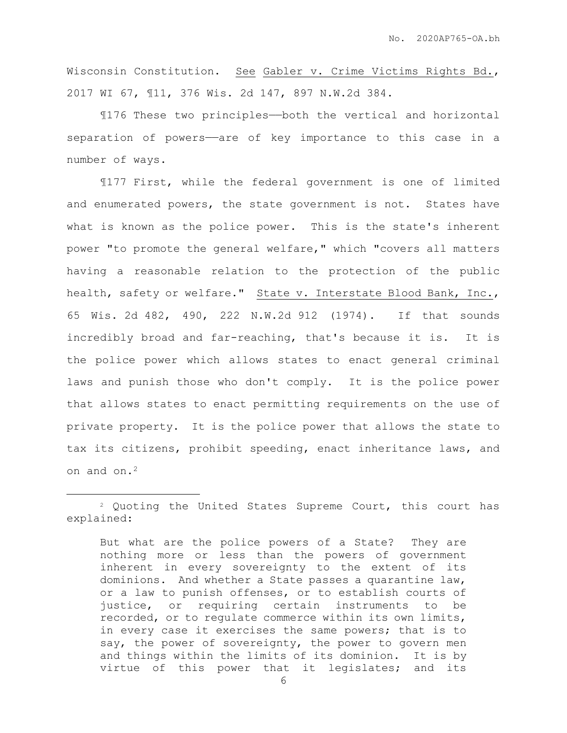Wisconsin Constitution. See Gabler v. Crime Victims Rights Bd., 2017 WI 67, ¶11, 376 Wis. 2d 147, 897 N.W.2d 384.

¶176 These two principles——both the vertical and horizontal separation of powers-are of key importance to this case in a number of ways.

¶177 First, while the federal government is one of limited and enumerated powers, the state government is not. States have what is known as the police power. This is the state's inherent power "to promote the general welfare," which "covers all matters having a reasonable relation to the protection of the public health, safety or welfare." State v. Interstate Blood Bank, Inc., 65 Wis. 2d 482, 490, 222 N.W.2d 912 (1974). If that sounds incredibly broad and far-reaching, that's because it is. It is the police power which allows states to enact general criminal laws and punish those who don't comply. It is the police power that allows states to enact permitting requirements on the use of private property. It is the police power that allows the state to tax its citizens, prohibit speeding, enact inheritance laws, and on and on.<sup>2</sup>

 $\overline{a}$ 

But what are the police powers of a State? They are nothing more or less than the powers of government inherent in every sovereignty to the extent of its dominions. And whether a State passes a quarantine law, or a law to punish offenses, or to establish courts of justice, or requiring certain instruments to be recorded, or to regulate commerce within its own limits, in every case it exercises the same powers; that is to say, the power of sovereignty, the power to govern men and things within the limits of its dominion. It is by virtue of this power that it legislates; and its

<sup>2</sup> Quoting the United States Supreme Court, this court has explained: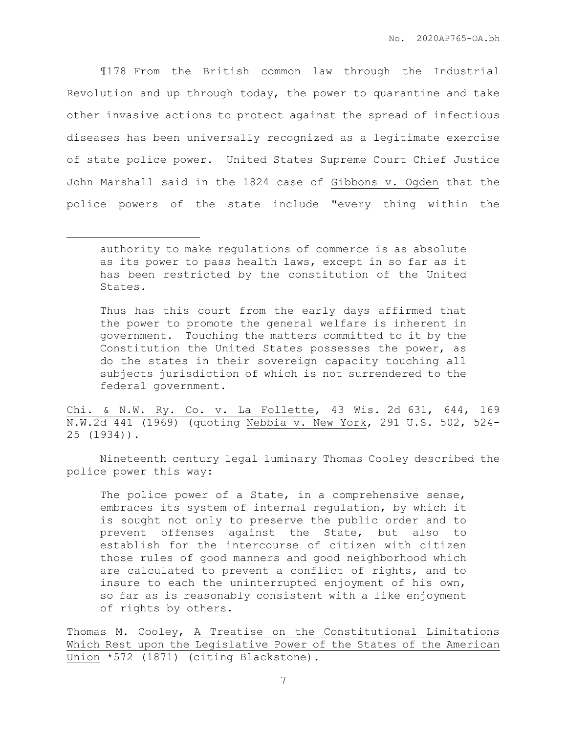¶178 From the British common law through the Industrial Revolution and up through today, the power to quarantine and take other invasive actions to protect against the spread of infectious diseases has been universally recognized as a legitimate exercise of state police power. United States Supreme Court Chief Justice John Marshall said in the 1824 case of Gibbons v. Ogden that the police powers of the state include "every thing within the

 $\overline{a}$ 

Thus has this court from the early days affirmed that the power to promote the general welfare is inherent in government. Touching the matters committed to it by the Constitution the United States possesses the power, as do the states in their sovereign capacity touching all subjects jurisdiction of which is not surrendered to the federal government.

Chi. & N.W. Ry. Co. v. La Follette, 43 Wis. 2d 631, 644, 169 N.W.2d 441 (1969) (quoting Nebbia v. New York, 291 U.S. 502, 524- 25 (1934)).

Nineteenth century legal luminary Thomas Cooley described the police power this way:

The police power of a State, in a comprehensive sense, embraces its system of internal regulation, by which it is sought not only to preserve the public order and to prevent offenses against the State, but also to establish for the intercourse of citizen with citizen those rules of good manners and good neighborhood which are calculated to prevent a conflict of rights, and to insure to each the uninterrupted enjoyment of his own, so far as is reasonably consistent with a like enjoyment of rights by others.

Thomas M. Cooley, A Treatise on the Constitutional Limitations Which Rest upon the Legislative Power of the States of the American Union \*572 (1871) (citing Blackstone).

authority to make regulations of commerce is as absolute as its power to pass health laws, except in so far as it has been restricted by the constitution of the United States.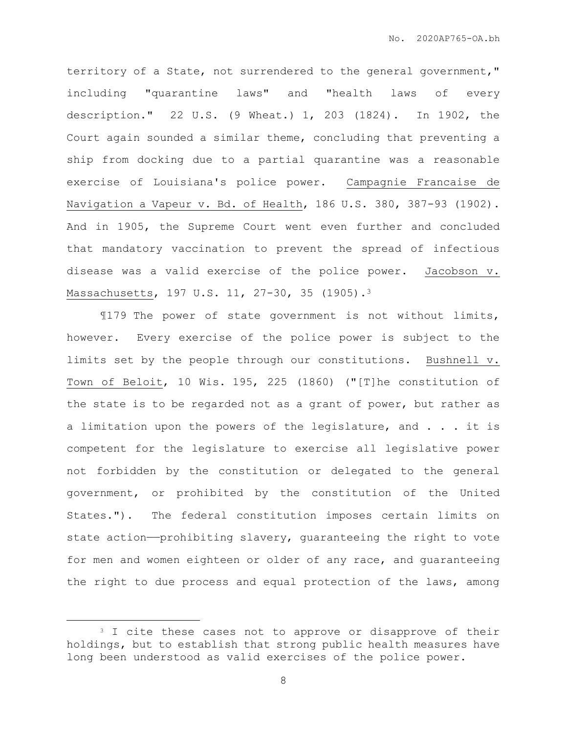territory of a State, not surrendered to the general government," including "quarantine laws" and "health laws of every description." 22 U.S. (9 Wheat.) 1, 203 (1824). In 1902, the Court again sounded a similar theme, concluding that preventing a ship from docking due to a partial quarantine was a reasonable exercise of Louisiana's police power. Campagnie Francaise de Navigation a Vapeur v. Bd. of Health, 186 U.S. 380, 387-93 (1902). And in 1905, the Supreme Court went even further and concluded that mandatory vaccination to prevent the spread of infectious disease was a valid exercise of the police power. Jacobson v. Massachusetts, 197 U.S. 11, 27-30, 35 (1905).<sup>3</sup>

¶179 The power of state government is not without limits, however. Every exercise of the police power is subject to the limits set by the people through our constitutions. Bushnell v. Town of Beloit, 10 Wis. 195, 225 (1860) ("[T]he constitution of the state is to be regarded not as a grant of power, but rather as a limitation upon the powers of the legislature, and . . . it is competent for the legislature to exercise all legislative power not forbidden by the constitution or delegated to the general government, or prohibited by the constitution of the United States."). The federal constitution imposes certain limits on state action—prohibiting slavery, quaranteeing the right to vote for men and women eighteen or older of any race, and guaranteeing the right to due process and equal protection of the laws, among

<sup>&</sup>lt;sup>3</sup> I cite these cases not to approve or disapprove of their holdings, but to establish that strong public health measures have long been understood as valid exercises of the police power.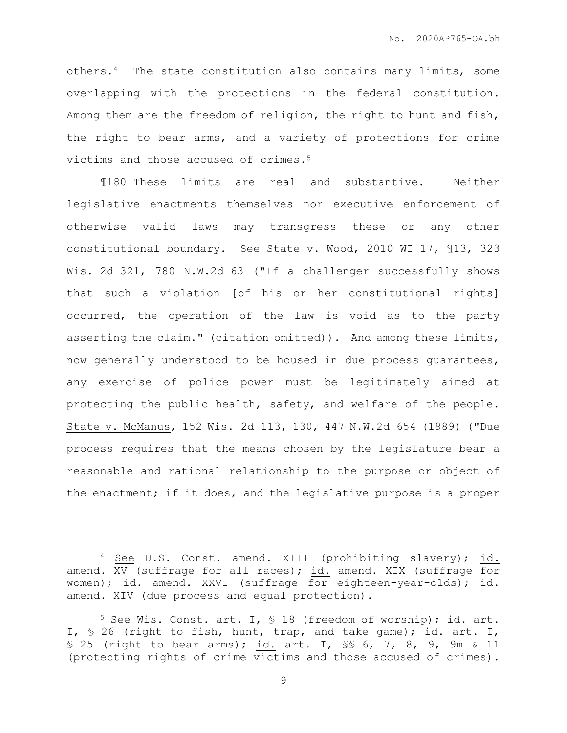others.4 The state constitution also contains many limits, some overlapping with the protections in the federal constitution. Among them are the freedom of religion, the right to hunt and fish, the right to bear arms, and a variety of protections for crime victims and those accused of crimes.<sup>5</sup>

¶180 These limits are real and substantive. Neither legislative enactments themselves nor executive enforcement of otherwise valid laws may transgress these or any other constitutional boundary. See State v. Wood, 2010 WI 17, ¶13, 323 Wis. 2d 321, 780 N.W.2d 63 ("If a challenger successfully shows that such a violation [of his or her constitutional rights] occurred, the operation of the law is void as to the party asserting the claim." (citation omitted)). And among these limits, now generally understood to be housed in due process guarantees, any exercise of police power must be legitimately aimed at protecting the public health, safety, and welfare of the people. State v. McManus, 152 Wis. 2d 113, 130, 447 N.W.2d 654 (1989) ("Due process requires that the means chosen by the legislature bear a reasonable and rational relationship to the purpose or object of the enactment; if it does, and the legislative purpose is a proper

<sup>4</sup> See U.S. Const. amend. XIII (prohibiting slavery); id. amend. XV (suffrage for all races); id. amend. XIX (suffrage for women); id. amend. XXVI (suffrage for eighteen-year-olds); id. amend. XIV (due process and equal protection).

<sup>5</sup> See Wis. Const. art. I, § 18 (freedom of worship); id. art. I, § 26 (right to fish, hunt, trap, and take game); id. art. I, § 25 (right to bear arms); id. art. I, §§ 6, 7, 8,  $\overline{9}$ , 9m & 11 (protecting rights of crime victims and those accused of crimes).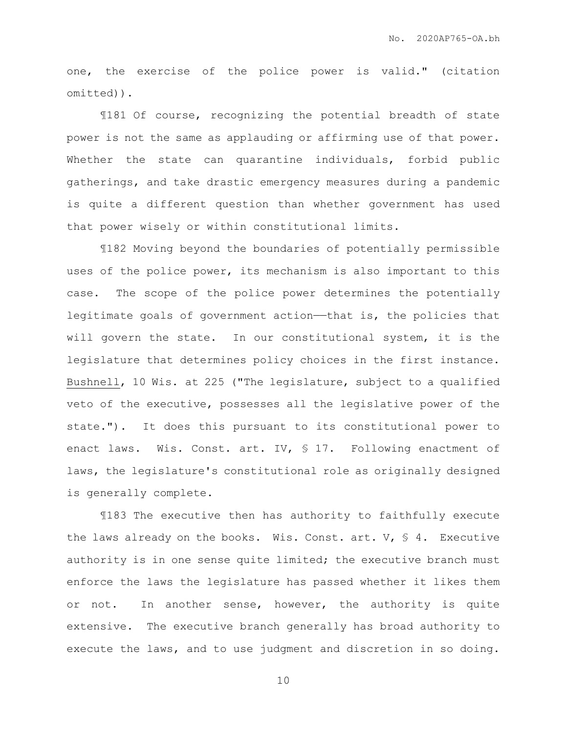one, the exercise of the police power is valid." (citation omitted)).

¶181 Of course, recognizing the potential breadth of state power is not the same as applauding or affirming use of that power. Whether the state can quarantine individuals, forbid public gatherings, and take drastic emergency measures during a pandemic is quite a different question than whether government has used that power wisely or within constitutional limits.

¶182 Moving beyond the boundaries of potentially permissible uses of the police power, its mechanism is also important to this case. The scope of the police power determines the potentially legitimate goals of government action——that is, the policies that will govern the state. In our constitutional system, it is the legislature that determines policy choices in the first instance. Bushnell, 10 Wis. at 225 ("The legislature, subject to a qualified veto of the executive, possesses all the legislative power of the state."). It does this pursuant to its constitutional power to enact laws. Wis. Const. art. IV, § 17. Following enactment of laws, the legislature's constitutional role as originally designed is generally complete.

¶183 The executive then has authority to faithfully execute the laws already on the books. Wis. Const. art.  $V$ ,  $\leq 4$ . Executive authority is in one sense quite limited; the executive branch must enforce the laws the legislature has passed whether it likes them or not. In another sense, however, the authority is quite extensive. The executive branch generally has broad authority to execute the laws, and to use judgment and discretion in so doing.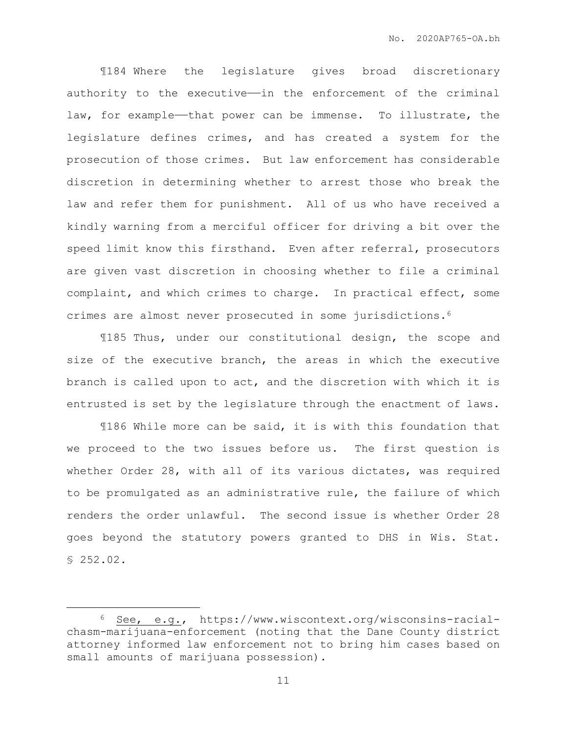¶184 Where the legislature gives broad discretionary authority to the executive—in the enforcement of the criminal law, for example—that power can be immense. To illustrate, the legislature defines crimes, and has created a system for the prosecution of those crimes. But law enforcement has considerable discretion in determining whether to arrest those who break the law and refer them for punishment. All of us who have received a kindly warning from a merciful officer for driving a bit over the speed limit know this firsthand. Even after referral, prosecutors are given vast discretion in choosing whether to file a criminal complaint, and which crimes to charge. In practical effect, some crimes are almost never prosecuted in some jurisdictions.<sup>6</sup>

¶185 Thus, under our constitutional design, the scope and size of the executive branch, the areas in which the executive branch is called upon to act, and the discretion with which it is entrusted is set by the legislature through the enactment of laws.

¶186 While more can be said, it is with this foundation that we proceed to the two issues before us. The first question is whether Order 28, with all of its various dictates, was required to be promulgated as an administrative rule, the failure of which renders the order unlawful. The second issue is whether Order 28 goes beyond the statutory powers granted to DHS in Wis. Stat. § 252.02.

<sup>6</sup> See, e.g., https://www.wiscontext.org/wisconsins-racialchasm-marijuana-enforcement (noting that the Dane County district attorney informed law enforcement not to bring him cases based on small amounts of marijuana possession).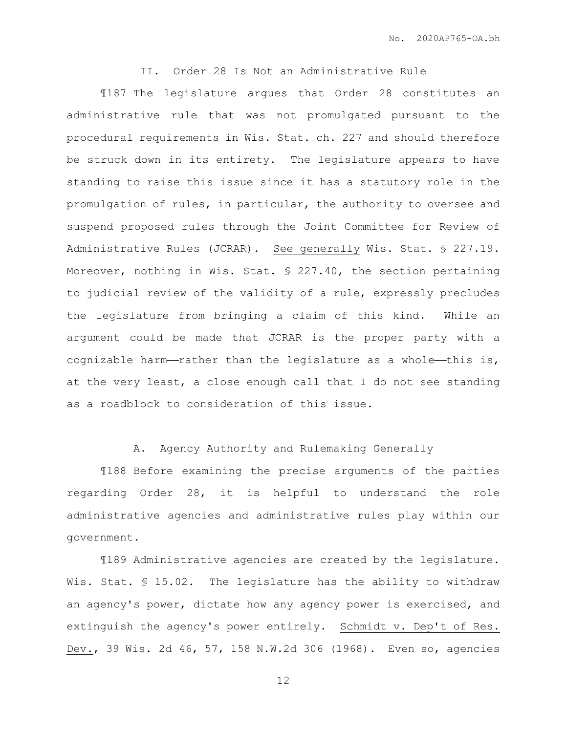II. Order 28 Is Not an Administrative Rule

¶187 The legislature argues that Order 28 constitutes an administrative rule that was not promulgated pursuant to the procedural requirements in Wis. Stat. ch. 227 and should therefore be struck down in its entirety. The legislature appears to have standing to raise this issue since it has a statutory role in the promulgation of rules, in particular, the authority to oversee and suspend proposed rules through the Joint Committee for Review of Administrative Rules (JCRAR). See generally Wis. Stat. § 227.19. Moreover, nothing in Wis. Stat. § 227.40, the section pertaining to judicial review of the validity of a rule, expressly precludes the legislature from bringing a claim of this kind. While an argument could be made that JCRAR is the proper party with a cognizable harm-rather than the legislature as a whole-this is, at the very least, a close enough call that I do not see standing as a roadblock to consideration of this issue.

A. Agency Authority and Rulemaking Generally

¶188 Before examining the precise arguments of the parties regarding Order 28, it is helpful to understand the role administrative agencies and administrative rules play within our government.

¶189 Administrative agencies are created by the legislature. Wis. Stat. § 15.02. The legislature has the ability to withdraw an agency's power, dictate how any agency power is exercised, and extinguish the agency's power entirely. Schmidt v. Dep't of Res. Dev., 39 Wis. 2d 46, 57, 158 N.W.2d 306 (1968). Even so, agencies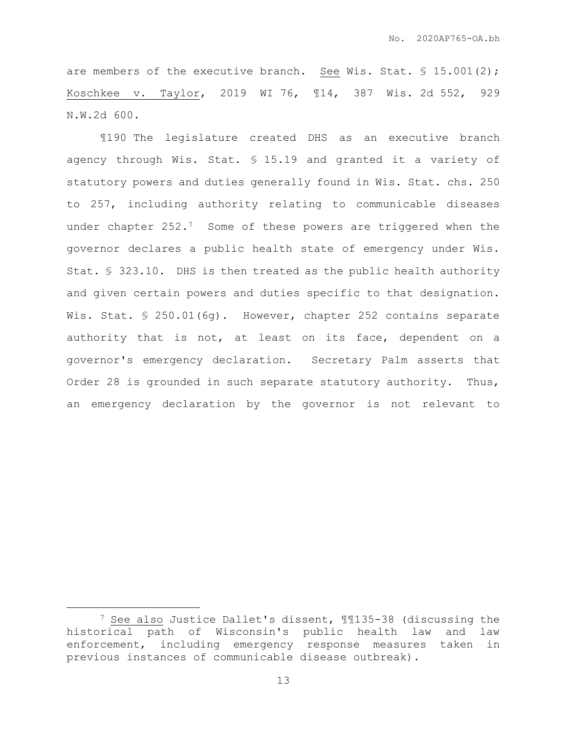are members of the executive branch. See Wis. Stat. § 15.001(2); Koschkee v. Taylor, 2019 WI 76, ¶14, 387 Wis. 2d 552, 929 N.W.2d 600.

¶190 The legislature created DHS as an executive branch agency through Wis. Stat. § 15.19 and granted it a variety of statutory powers and duties generally found in Wis. Stat. chs. 250 to 257, including authority relating to communicable diseases under chapter 252.7 Some of these powers are triggered when the governor declares a public health state of emergency under Wis. Stat. § 323.10. DHS is then treated as the public health authority and given certain powers and duties specific to that designation. Wis. Stat. § 250.01(6g). However, chapter 252 contains separate authority that is not, at least on its face, dependent on a governor's emergency declaration. Secretary Palm asserts that Order 28 is grounded in such separate statutory authority. Thus, an emergency declaration by the governor is not relevant to

<sup>7</sup> See also Justice Dallet's dissent, ¶¶135-38 (discussing the historical path of Wisconsin's public health law and law enforcement, including emergency response measures taken in previous instances of communicable disease outbreak).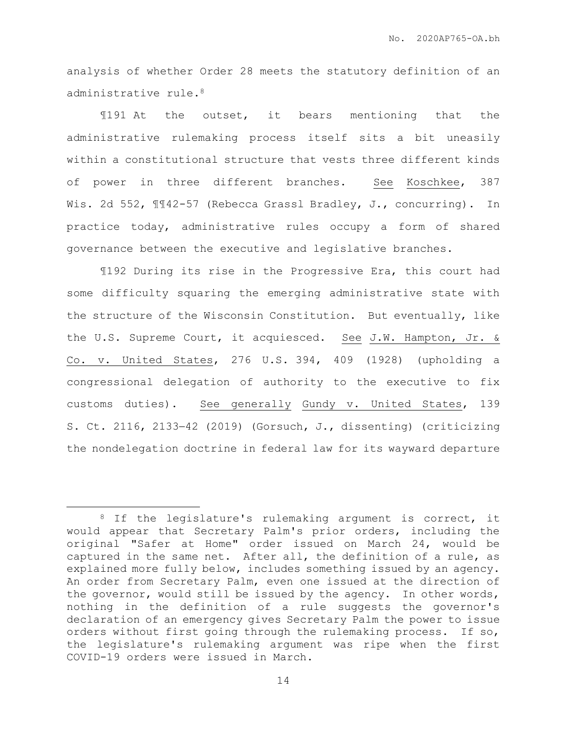analysis of whether Order 28 meets the statutory definition of an administrative rule.<sup>8</sup>

¶191 At the outset, it bears mentioning that the administrative rulemaking process itself sits a bit uneasily within a constitutional structure that vests three different kinds of power in three different branches. See Koschkee, 387 Wis. 2d 552, ¶¶42-57 (Rebecca Grassl Bradley, J., concurring). In practice today, administrative rules occupy a form of shared governance between the executive and legislative branches.

¶192 During its rise in the Progressive Era, this court had some difficulty squaring the emerging administrative state with the structure of the Wisconsin Constitution. But eventually, like the U.S. Supreme Court, it acquiesced. See J.W. Hampton, Jr. & Co. v. United States, 276 U.S. 394, 409 (1928) (upholding a congressional delegation of authority to the executive to fix customs duties). See generally Gundy v. United States, 139 S. Ct. 2116, 213342 (2019) (Gorsuch, J., dissenting) (criticizing the nondelegation doctrine in federal law for its wayward departure

<sup>&</sup>lt;sup>8</sup> If the legislature's rulemaking argument is correct, it would appear that Secretary Palm's prior orders, including the original "Safer at Home" order issued on March 24, would be captured in the same net. After all, the definition of a rule, as explained more fully below, includes something issued by an agency. An order from Secretary Palm, even one issued at the direction of the governor, would still be issued by the agency. In other words, nothing in the definition of a rule suggests the governor's declaration of an emergency gives Secretary Palm the power to issue orders without first going through the rulemaking process. If so, the legislature's rulemaking argument was ripe when the first COVID-19 orders were issued in March.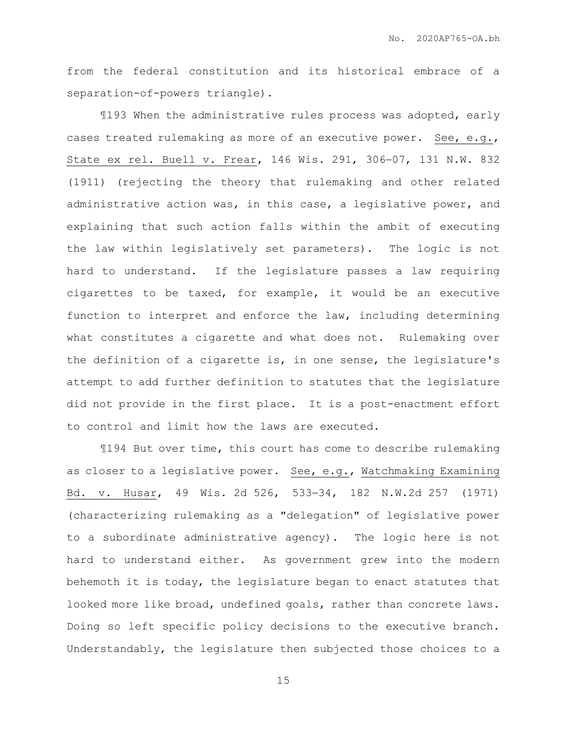from the federal constitution and its historical embrace of a separation-of-powers triangle).

¶193 When the administrative rules process was adopted, early cases treated rulemaking as more of an executive power. See, e.g., State ex rel. Buell v. Frear, 146 Wis. 291, 306-07, 131 N.W. 832 (1911) (rejecting the theory that rulemaking and other related administrative action was, in this case, a legislative power, and explaining that such action falls within the ambit of executing the law within legislatively set parameters). The logic is not hard to understand. If the legislature passes a law requiring cigarettes to be taxed, for example, it would be an executive function to interpret and enforce the law, including determining what constitutes a cigarette and what does not. Rulemaking over the definition of a cigarette is, in one sense, the legislature's attempt to add further definition to statutes that the legislature did not provide in the first place. It is a post-enactment effort to control and limit how the laws are executed.

¶194 But over time, this court has come to describe rulemaking as closer to a legislative power. See, e.g., Watchmaking Examining Bd. v. Husar, 49 Wis. 2d 526, 533-34, 182 N.W.2d 257 (1971) (characterizing rulemaking as a "delegation" of legislative power to a subordinate administrative agency). The logic here is not hard to understand either. As government grew into the modern behemoth it is today, the legislature began to enact statutes that looked more like broad, undefined goals, rather than concrete laws. Doing so left specific policy decisions to the executive branch. Understandably, the legislature then subjected those choices to a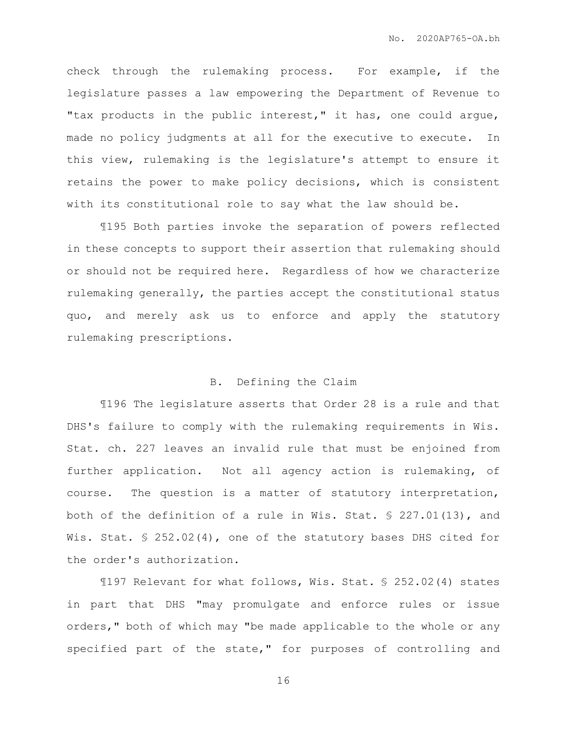check through the rulemaking process. For example, if the legislature passes a law empowering the Department of Revenue to "tax products in the public interest," it has, one could argue, made no policy judgments at all for the executive to execute. In this view, rulemaking is the legislature's attempt to ensure it retains the power to make policy decisions, which is consistent with its constitutional role to say what the law should be.

¶195 Both parties invoke the separation of powers reflected in these concepts to support their assertion that rulemaking should or should not be required here. Regardless of how we characterize rulemaking generally, the parties accept the constitutional status quo, and merely ask us to enforce and apply the statutory rulemaking prescriptions.

## B. Defining the Claim

¶196 The legislature asserts that Order 28 is a rule and that DHS's failure to comply with the rulemaking requirements in Wis. Stat. ch. 227 leaves an invalid rule that must be enjoined from further application. Not all agency action is rulemaking, of course. The question is a matter of statutory interpretation, both of the definition of a rule in Wis. Stat. § 227.01(13), and Wis. Stat. § 252.02(4), one of the statutory bases DHS cited for the order's authorization.

¶197 Relevant for what follows, Wis. Stat. § 252.02(4) states in part that DHS "may promulgate and enforce rules or issue orders," both of which may "be made applicable to the whole or any specified part of the state," for purposes of controlling and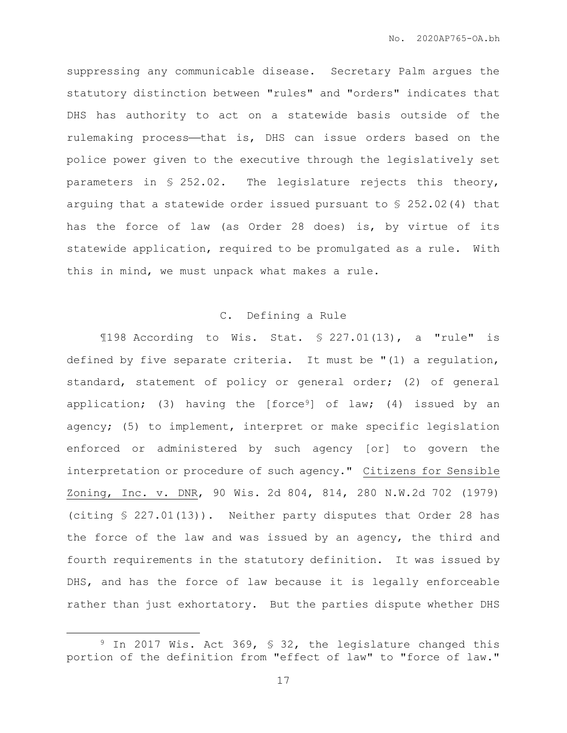suppressing any communicable disease. Secretary Palm argues the statutory distinction between "rules" and "orders" indicates that DHS has authority to act on a statewide basis outside of the rulemaking process-that is, DHS can issue orders based on the police power given to the executive through the legislatively set parameters in § 252.02. The legislature rejects this theory, arguing that a statewide order issued pursuant to § 252.02(4) that has the force of law (as Order 28 does) is, by virtue of its statewide application, required to be promulgated as a rule. With this in mind, we must unpack what makes a rule.

## C. Defining a Rule

 $\text{198}\text{ According to }\text{Wis.}\text{Stat. }\$ 227.01(13),\text{ a "rule" is}$ defined by five separate criteria. It must be "(1) a regulation, standard, statement of policy or general order; (2) of general application; (3) having the [force<sup>9</sup>] of law; (4) issued by an agency; (5) to implement, interpret or make specific legislation enforced or administered by such agency [or] to govern the interpretation or procedure of such agency." Citizens for Sensible Zoning, Inc. v. DNR, 90 Wis. 2d 804, 814, 280 N.W.2d 702 (1979) (citing § 227.01(13)). Neither party disputes that Order 28 has the force of the law and was issued by an agency, the third and fourth requirements in the statutory definition. It was issued by DHS, and has the force of law because it is legally enforceable rather than just exhortatory. But the parties dispute whether DHS

<sup>&</sup>lt;sup>9</sup> In 2017 Wis. Act 369, § 32, the legislature changed this portion of the definition from "effect of law" to "force of law."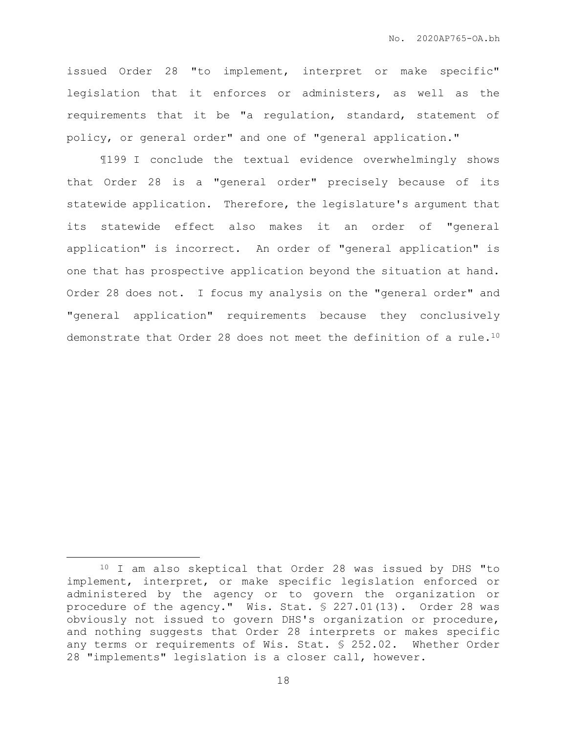issued Order 28 "to implement, interpret or make specific" legislation that it enforces or administers, as well as the requirements that it be "a regulation, standard, statement of policy, or general order" and one of "general application."

¶199 I conclude the textual evidence overwhelmingly shows that Order 28 is a "general order" precisely because of its statewide application. Therefore, the legislature's argument that its statewide effect also makes it an order of "general application" is incorrect. An order of "general application" is one that has prospective application beyond the situation at hand. Order 28 does not. I focus my analysis on the "general order" and "general application" requirements because they conclusively demonstrate that Order 28 does not meet the definition of a rule.<sup>10</sup>

<sup>10</sup> I am also skeptical that Order 28 was issued by DHS "to implement, interpret, or make specific legislation enforced or administered by the agency or to govern the organization or procedure of the agency." Wis. Stat. § 227.01(13). Order 28 was obviously not issued to govern DHS's organization or procedure, and nothing suggests that Order 28 interprets or makes specific any terms or requirements of Wis. Stat. § 252.02. Whether Order 28 "implements" legislation is a closer call, however.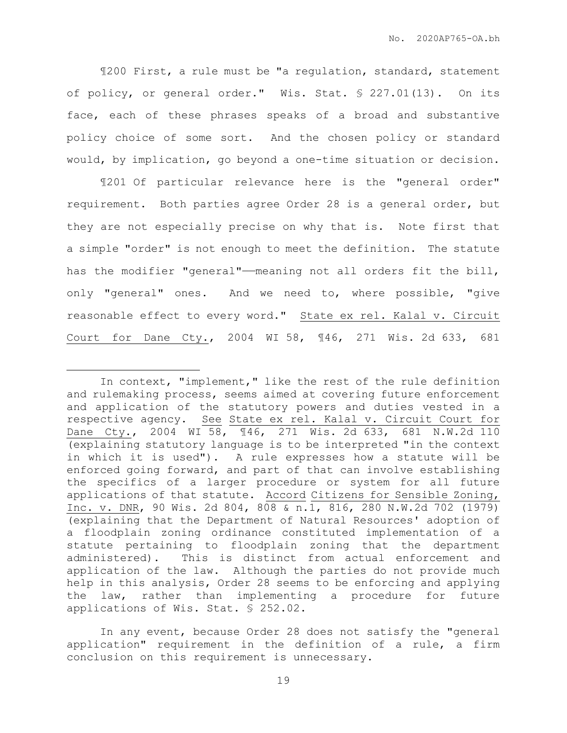¶200 First, a rule must be "a regulation, standard, statement of policy, or general order." Wis. Stat. § 227.01(13). On its face, each of these phrases speaks of a broad and substantive policy choice of some sort. And the chosen policy or standard would, by implication, go beyond a one-time situation or decision.

¶201 Of particular relevance here is the "general order" requirement. Both parties agree Order 28 is a general order, but they are not especially precise on why that is. Note first that a simple "order" is not enough to meet the definition. The statute has the modifier "general"—meaning not all orders fit the bill, only "general" ones. And we need to, where possible, "give reasonable effect to every word." State ex rel. Kalal v. Circuit Court for Dane Cty., 2004 WI 58, ¶46, 271 Wis. 2d 633, 681

In context, "implement," like the rest of the rule definition and rulemaking process, seems aimed at covering future enforcement and application of the statutory powers and duties vested in a respective agency. See State ex rel. Kalal v. Circuit Court for Dane Cty., 2004 WI 58, ¶46, 271 Wis. 2d 633, 681 N.W.2d 110 (explaining statutory language is to be interpreted "in the context in which it is used"). A rule expresses how a statute will be enforced going forward, and part of that can involve establishing the specifics of a larger procedure or system for all future applications of that statute. Accord Citizens for Sensible Zoning, Inc. v. DNR, 90 Wis. 2d 804, 808 & n.1, 816, 280 N.W.2d 702 (1979) (explaining that the Department of Natural Resources' adoption of a floodplain zoning ordinance constituted implementation of a statute pertaining to floodplain zoning that the department administered). This is distinct from actual enforcement and application of the law. Although the parties do not provide much help in this analysis, Order 28 seems to be enforcing and applying the law, rather than implementing a procedure for future applications of Wis. Stat. § 252.02.

In any event, because Order 28 does not satisfy the "general application" requirement in the definition of a rule, a firm conclusion on this requirement is unnecessary.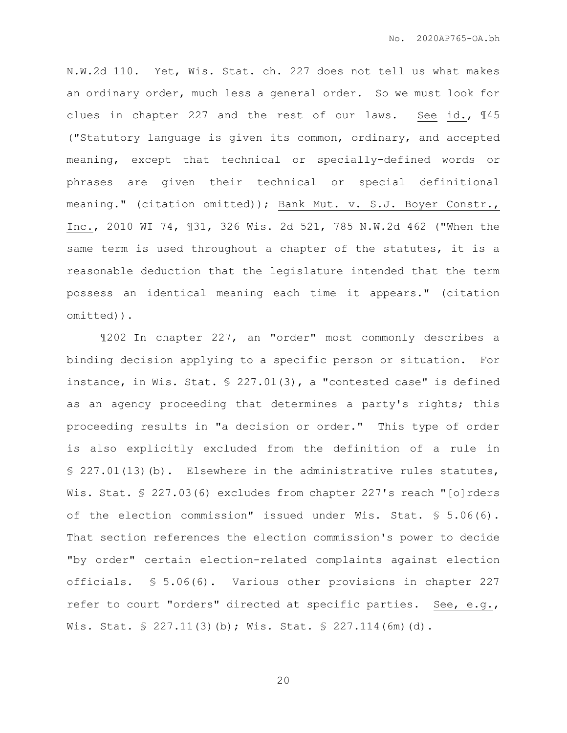N.W.2d 110. Yet, Wis. Stat. ch. 227 does not tell us what makes an ordinary order, much less a general order. So we must look for clues in chapter 227 and the rest of our laws. See id., ¶45 ("Statutory language is given its common, ordinary, and accepted meaning, except that technical or specially-defined words or phrases are given their technical or special definitional meaning." (citation omitted)); Bank Mut. v. S.J. Boyer Constr., Inc., 2010 WI 74, ¶31, 326 Wis. 2d 521, 785 N.W.2d 462 ("When the same term is used throughout a chapter of the statutes, it is a reasonable deduction that the legislature intended that the term possess an identical meaning each time it appears." (citation omitted)).

¶202 In chapter 227, an "order" most commonly describes a binding decision applying to a specific person or situation. For instance, in Wis. Stat. § 227.01(3), a "contested case" is defined as an agency proceeding that determines a party's rights; this proceeding results in "a decision or order." This type of order is also explicitly excluded from the definition of a rule in § 227.01(13)(b). Elsewhere in the administrative rules statutes, Wis. Stat. § 227.03(6) excludes from chapter 227's reach "[o]rders of the election commission" issued under Wis. Stat. § 5.06(6). That section references the election commission's power to decide "by order" certain election-related complaints against election officials. § 5.06(6). Various other provisions in chapter 227 refer to court "orders" directed at specific parties. See, e.g., Wis. Stat. § 227.11(3)(b); Wis. Stat. § 227.114(6m)(d).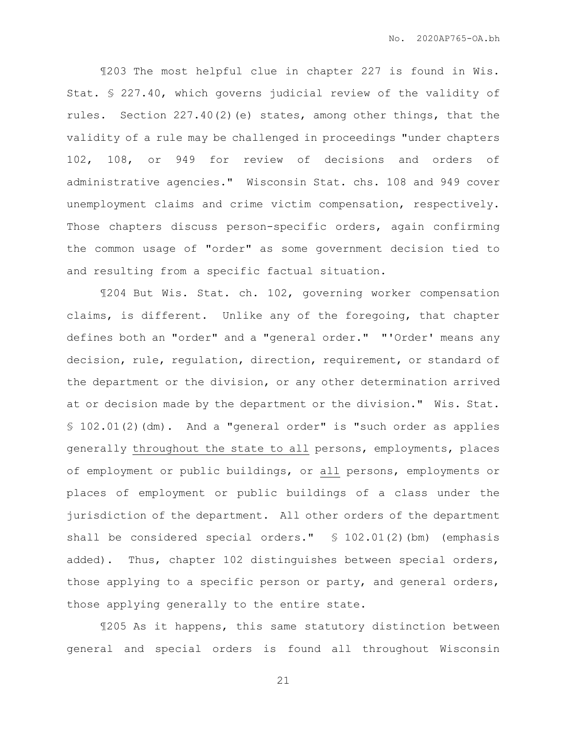¶203 The most helpful clue in chapter 227 is found in Wis. Stat. § 227.40, which governs judicial review of the validity of rules. Section 227.40(2)(e) states, among other things, that the validity of a rule may be challenged in proceedings "under chapters 102, 108, or 949 for review of decisions and orders of administrative agencies." Wisconsin Stat. chs. 108 and 949 cover unemployment claims and crime victim compensation, respectively. Those chapters discuss person-specific orders, again confirming the common usage of "order" as some government decision tied to and resulting from a specific factual situation.

¶204 But Wis. Stat. ch. 102, governing worker compensation claims, is different. Unlike any of the foregoing, that chapter defines both an "order" and a "general order." "'Order' means any decision, rule, regulation, direction, requirement, or standard of the department or the division, or any other determination arrived at or decision made by the department or the division." Wis. Stat. § 102.01(2)(dm). And a "general order" is "such order as applies generally throughout the state to all persons, employments, places of employment or public buildings, or all persons, employments or places of employment or public buildings of a class under the jurisdiction of the department. All other orders of the department shall be considered special orders." § 102.01(2)(bm) (emphasis added). Thus, chapter 102 distinguishes between special orders, those applying to a specific person or party, and general orders, those applying generally to the entire state.

¶205 As it happens, this same statutory distinction between general and special orders is found all throughout Wisconsin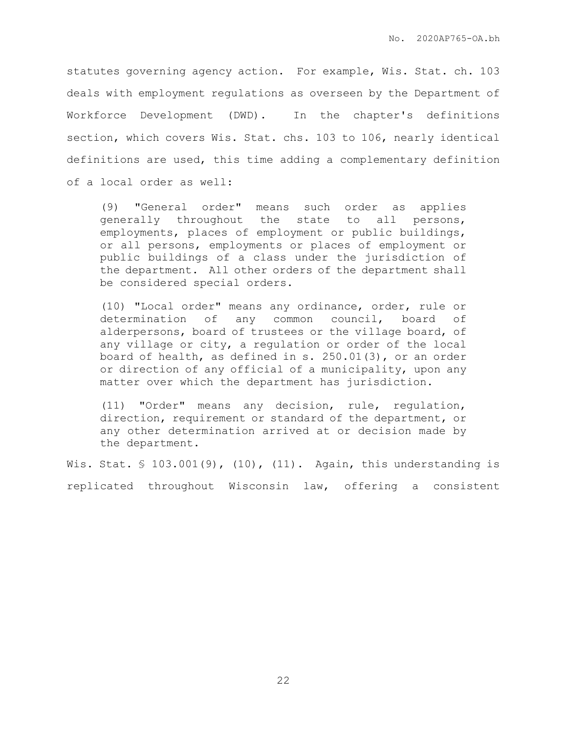statutes governing agency action. For example, Wis. Stat. ch. 103 deals with employment regulations as overseen by the Department of Workforce Development (DWD). In the chapter's definitions section, which covers Wis. Stat. chs. 103 to 106, nearly identical definitions are used, this time adding a complementary definition of a local order as well:

(9) "General order" means such order as applies generally throughout the state to all persons, employments, places of employment or public buildings, or all persons, employments or places of employment or public buildings of a class under the jurisdiction of the department. All other orders of the department shall be considered special orders.

(10) "Local order" means any ordinance, order, rule or determination of any common council, board of alderpersons, board of trustees or the village board, of any village or city, a regulation or order of the local board of health, as defined in s. 250.01(3), or an order or direction of any official of a municipality, upon any matter over which the department has jurisdiction.

(11) "Order" means any decision, rule, regulation, direction, requirement or standard of the department, or any other determination arrived at or decision made by the department.

Wis. Stat. § 103.001(9), (10), (11). Again, this understanding is replicated throughout Wisconsin law, offering a consistent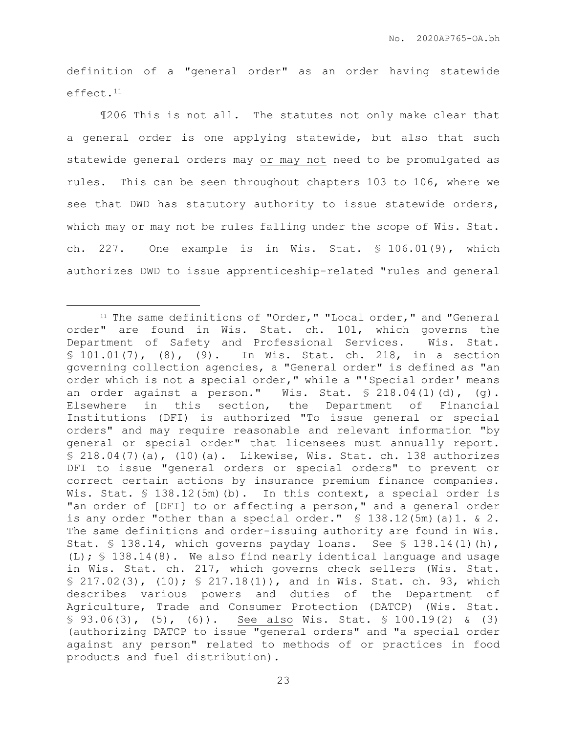definition of a "general order" as an order having statewide effect.<sup>11</sup>

¶206 This is not all. The statutes not only make clear that a general order is one applying statewide, but also that such statewide general orders may or may not need to be promulgated as rules. This can be seen throughout chapters 103 to 106, where we see that DWD has statutory authority to issue statewide orders, which may or may not be rules falling under the scope of Wis. Stat. ch. 227. One example is in Wis. Stat. § 106.01(9), which authorizes DWD to issue apprenticeship-related "rules and general

<sup>&</sup>lt;sup>11</sup> The same definitions of "Order," "Local order," and "General order" are found in Wis. Stat. ch. 101, which governs the Department of Safety and Professional Services. Wis. Stat. § 101.01(7), (8), (9). In Wis. Stat. ch. 218, in a section governing collection agencies, a "General order" is defined as "an order which is not a special order," while a "'Special order' means an order against a person." Wis. Stat.  $$ 218.04(1)(d)$ , (q). Elsewhere in this section, the Department of Financial Institutions (DFI) is authorized "To issue general or special orders" and may require reasonable and relevant information "by general or special order" that licensees must annually report.  $$ 218.04(7)(a), (10)(a).$  Likewise, Wis. Stat. ch. 138 authorizes DFI to issue "general orders or special orders" to prevent or correct certain actions by insurance premium finance companies. Wis. Stat. § 138.12(5m)(b). In this context, a special order is "an order of [DFI] to or affecting a person," and a general order is any order "other than a special order." § 138.12(5m)(a)1. & 2. The same definitions and order-issuing authority are found in Wis. Stat. § 138.14, which governs payday loans. See § 138.14(1)(h), (L); § 138.14(8). We also find nearly identical language and usage in Wis. Stat. ch. 217, which governs check sellers (Wis. Stat. § 217.02(3), (10); § 217.18(1)), and in Wis. Stat. ch. 93, which describes various powers and duties of the Department of Agriculture, Trade and Consumer Protection (DATCP) (Wis. Stat.  $\S$  93.06(3), (5), (6)). See also Wis. Stat.  $\S$  100.19(2) & (3) (authorizing DATCP to issue "general orders" and "a special order against any person" related to methods of or practices in food products and fuel distribution).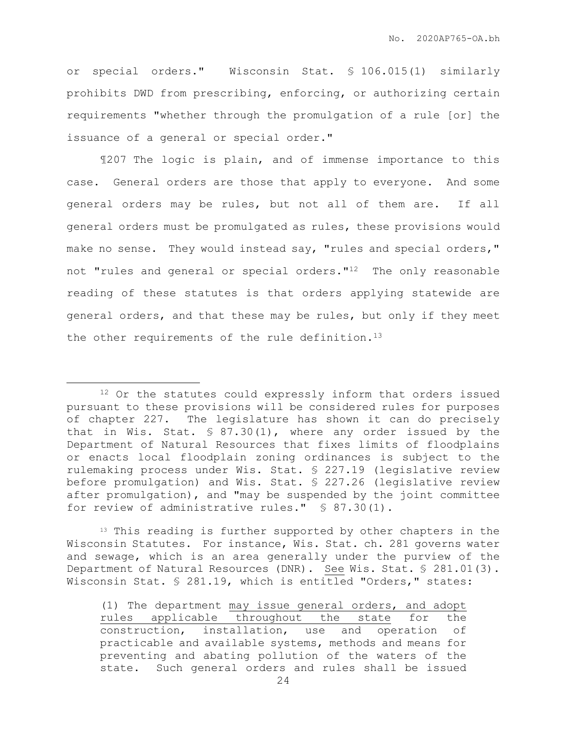or special orders." Wisconsin Stat. § 106.015(1) similarly prohibits DWD from prescribing, enforcing, or authorizing certain requirements "whether through the promulgation of a rule [or] the issuance of a general or special order."

¶207 The logic is plain, and of immense importance to this case. General orders are those that apply to everyone. And some general orders may be rules, but not all of them are. If all general orders must be promulgated as rules, these provisions would make no sense. They would instead say, "rules and special orders," not "rules and general or special orders."12 The only reasonable reading of these statutes is that orders applying statewide are general orders, and that these may be rules, but only if they meet the other requirements of the rule definition.<sup>13</sup>

 $\overline{a}$ 

<sup>13</sup> This reading is further supported by other chapters in the Wisconsin Statutes. For instance, Wis. Stat. ch. 281 governs water and sewage, which is an area generally under the purview of the Department of Natural Resources (DNR). See Wis. Stat. § 281.01(3). Wisconsin Stat. § 281.19, which is entitled "Orders," states:

(1) The department may issue general orders, and adopt rules applicable throughout the state for the construction, installation, use and operation of practicable and available systems, methods and means for preventing and abating pollution of the waters of the state. Such general orders and rules shall be issued

<sup>&</sup>lt;sup>12</sup> Or the statutes could expressly inform that orders issued pursuant to these provisions will be considered rules for purposes of chapter 227. The legislature has shown it can do precisely that in Wis. Stat. § 87.30(1), where any order issued by the Department of Natural Resources that fixes limits of floodplains or enacts local floodplain zoning ordinances is subject to the rulemaking process under Wis. Stat. § 227.19 (legislative review before promulgation) and Wis. Stat. § 227.26 (legislative review after promulgation), and "may be suspended by the joint committee for review of administrative rules." § 87.30(1).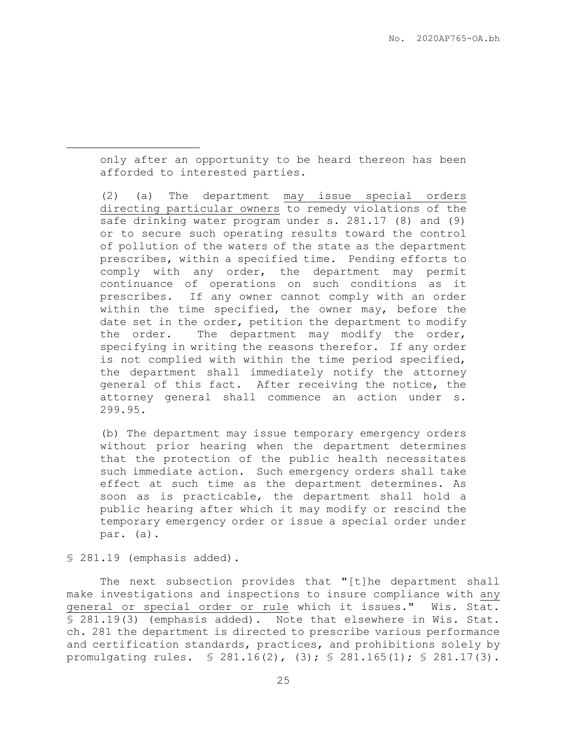only after an opportunity to be heard thereon has been afforded to interested parties.

(2) (a) The department may issue special orders directing particular owners to remedy violations of the safe drinking water program under s. 281.17 (8) and (9) or to secure such operating results toward the control of pollution of the waters of the state as the department prescribes, within a specified time. Pending efforts to comply with any order, the department may permit continuance of operations on such conditions as it prescribes. If any owner cannot comply with an order within the time specified, the owner may, before the date set in the order, petition the department to modify the order. The department may modify the order, specifying in writing the reasons therefor. If any order is not complied with within the time period specified, the department shall immediately notify the attorney general of this fact. After receiving the notice, the attorney general shall commence an action under s. 299.95.

(b) The department may issue temporary emergency orders without prior hearing when the department determines that the protection of the public health necessitates such immediate action. Such emergency orders shall take effect at such time as the department determines. As soon as is practicable, the department shall hold a public hearing after which it may modify or rescind the temporary emergency order or issue a special order under par. (a).

§ 281.19 (emphasis added).

 $\overline{a}$ 

The next subsection provides that "[t]he department shall make investigations and inspections to insure compliance with any general or special order or rule which it issues." Wis. Stat. § 281.19(3) (emphasis added). Note that elsewhere in Wis. Stat. ch. 281 the department is directed to prescribe various performance and certification standards, practices, and prohibitions solely by promulgating rules. § 281.16(2), (3); § 281.165(1); § 281.17(3).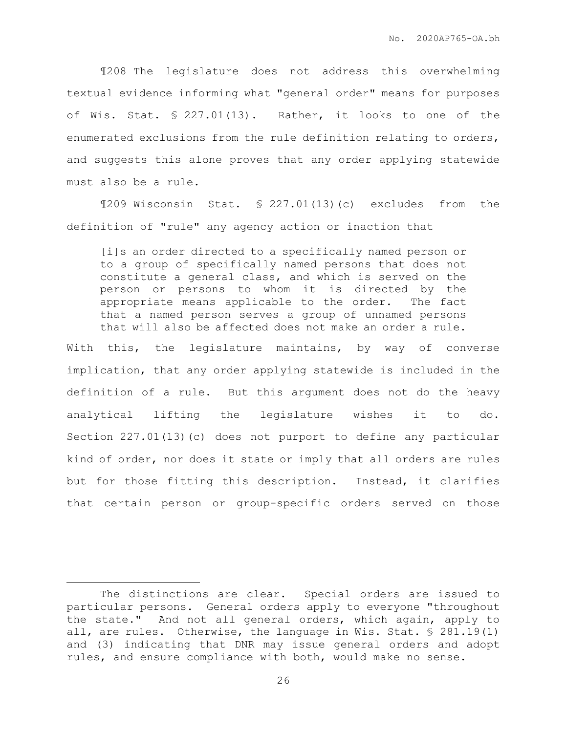¶208 The legislature does not address this overwhelming textual evidence informing what "general order" means for purposes of Wis. Stat. § 227.01(13). Rather, it looks to one of the enumerated exclusions from the rule definition relating to orders, and suggests this alone proves that any order applying statewide must also be a rule.

¶209 Wisconsin Stat. § 227.01(13)(c) excludes from the definition of "rule" any agency action or inaction that

[i]s an order directed to a specifically named person or to a group of specifically named persons that does not constitute a general class, and which is served on the person or persons to whom it is directed by the appropriate means applicable to the order. The fact that a named person serves a group of unnamed persons that will also be affected does not make an order a rule.

With this, the legislature maintains, by way of converse implication, that any order applying statewide is included in the definition of a rule. But this argument does not do the heavy analytical lifting the legislature wishes it to do. Section 227.01(13)(c) does not purport to define any particular kind of order, nor does it state or imply that all orders are rules but for those fitting this description. Instead, it clarifies that certain person or group-specific orders served on those

The distinctions are clear. Special orders are issued to particular persons. General orders apply to everyone "throughout the state." And not all general orders, which again, apply to all, are rules. Otherwise, the language in Wis. Stat. § 281.19(1) and (3) indicating that DNR may issue general orders and adopt rules, and ensure compliance with both, would make no sense.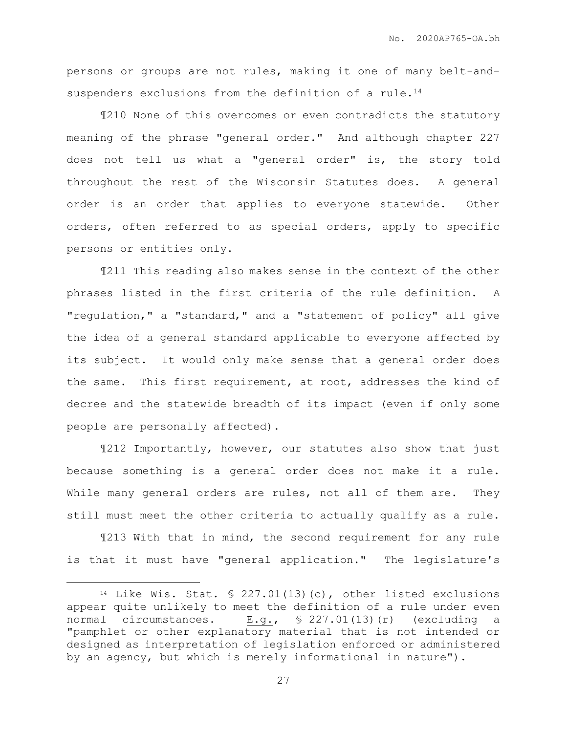persons or groups are not rules, making it one of many belt-andsuspenders exclusions from the definition of a rule.<sup>14</sup>

¶210 None of this overcomes or even contradicts the statutory meaning of the phrase "general order." And although chapter 227 does not tell us what a "general order" is, the story told throughout the rest of the Wisconsin Statutes does. A general order is an order that applies to everyone statewide. Other orders, often referred to as special orders, apply to specific persons or entities only.

¶211 This reading also makes sense in the context of the other phrases listed in the first criteria of the rule definition. A "regulation," a "standard," and a "statement of policy" all give the idea of a general standard applicable to everyone affected by its subject. It would only make sense that a general order does the same. This first requirement, at root, addresses the kind of decree and the statewide breadth of its impact (even if only some people are personally affected).

¶212 Importantly, however, our statutes also show that just because something is a general order does not make it a rule. While many general orders are rules, not all of them are. They still must meet the other criteria to actually qualify as a rule.

¶213 With that in mind, the second requirement for any rule is that it must have "general application." The legislature's

<sup>&</sup>lt;sup>14</sup> Like Wis. Stat.  $\frac{13}{10}$  (c), other listed exclusions appear quite unlikely to meet the definition of a rule under even normal circumstances. E.g., § 227.01(13)(r) (excluding a "pamphlet or other explanatory material that is not intended or designed as interpretation of legislation enforced or administered by an agency, but which is merely informational in nature").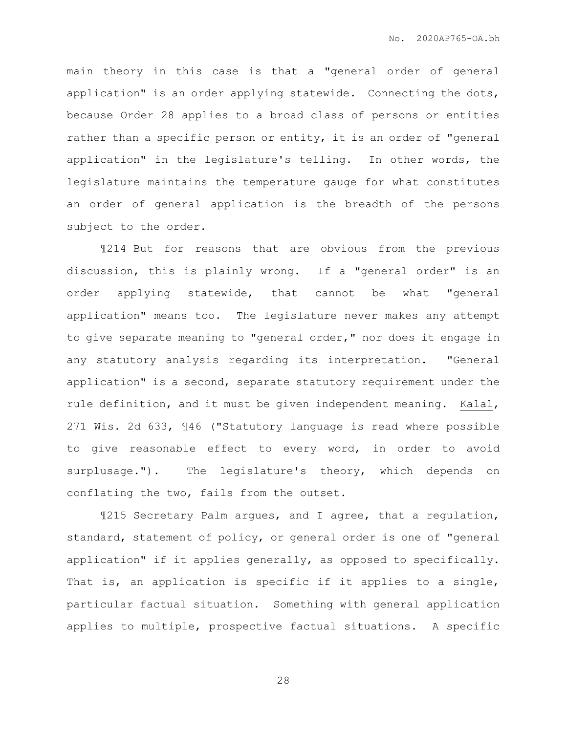main theory in this case is that a "general order of general application" is an order applying statewide. Connecting the dots, because Order 28 applies to a broad class of persons or entities rather than a specific person or entity, it is an order of "general application" in the legislature's telling. In other words, the legislature maintains the temperature gauge for what constitutes an order of general application is the breadth of the persons subject to the order.

¶214 But for reasons that are obvious from the previous discussion, this is plainly wrong. If a "general order" is an order applying statewide, that cannot be what "general application" means too. The legislature never makes any attempt to give separate meaning to "general order," nor does it engage in any statutory analysis regarding its interpretation. "General application" is a second, separate statutory requirement under the rule definition, and it must be given independent meaning. Kalal, 271 Wis. 2d 633, ¶46 ("Statutory language is read where possible to give reasonable effect to every word, in order to avoid surplusage."). The legislature's theory, which depends on conflating the two, fails from the outset.

¶215 Secretary Palm argues, and I agree, that a regulation, standard, statement of policy, or general order is one of "general application" if it applies generally, as opposed to specifically. That is, an application is specific if it applies to a single, particular factual situation. Something with general application applies to multiple, prospective factual situations. A specific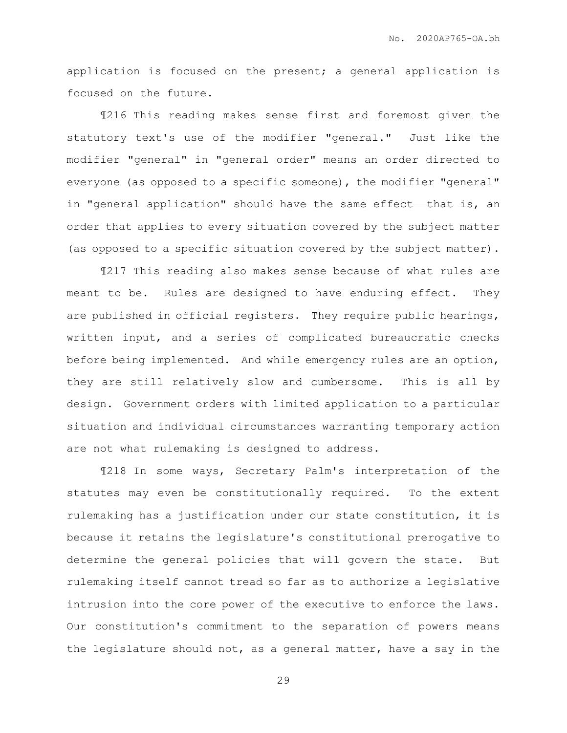application is focused on the present; a general application is focused on the future.

¶216 This reading makes sense first and foremost given the statutory text's use of the modifier "general." Just like the modifier "general" in "general order" means an order directed to everyone (as opposed to a specific someone), the modifier "general" in "general application" should have the same effect—that is, an order that applies to every situation covered by the subject matter (as opposed to a specific situation covered by the subject matter).

¶217 This reading also makes sense because of what rules are meant to be. Rules are designed to have enduring effect. They are published in official registers. They require public hearings, written input, and a series of complicated bureaucratic checks before being implemented. And while emergency rules are an option, they are still relatively slow and cumbersome. This is all by design. Government orders with limited application to a particular situation and individual circumstances warranting temporary action are not what rulemaking is designed to address.

¶218 In some ways, Secretary Palm's interpretation of the statutes may even be constitutionally required. To the extent rulemaking has a justification under our state constitution, it is because it retains the legislature's constitutional prerogative to determine the general policies that will govern the state. But rulemaking itself cannot tread so far as to authorize a legislative intrusion into the core power of the executive to enforce the laws. Our constitution's commitment to the separation of powers means the legislature should not, as a general matter, have a say in the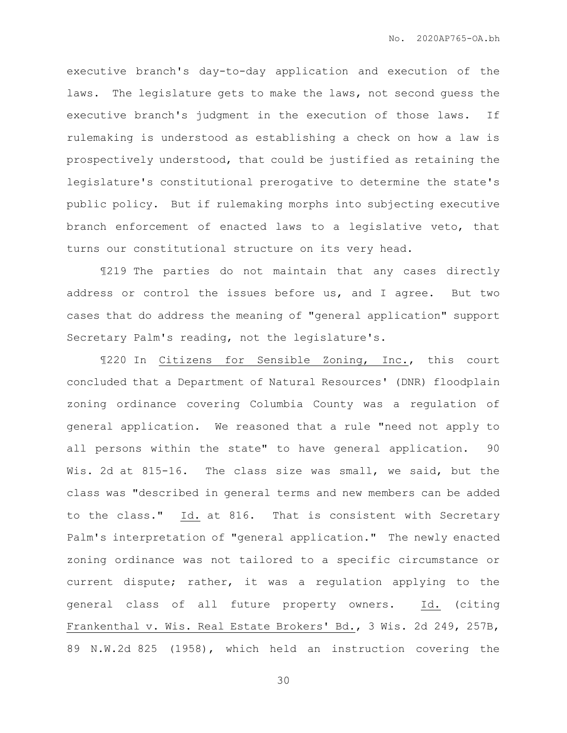executive branch's day-to-day application and execution of the laws. The legislature gets to make the laws, not second guess the executive branch's judgment in the execution of those laws. If rulemaking is understood as establishing a check on how a law is prospectively understood, that could be justified as retaining the legislature's constitutional prerogative to determine the state's public policy. But if rulemaking morphs into subjecting executive branch enforcement of enacted laws to a legislative veto, that turns our constitutional structure on its very head.

¶219 The parties do not maintain that any cases directly address or control the issues before us, and I agree. But two cases that do address the meaning of "general application" support Secretary Palm's reading, not the legislature's.

¶220 In Citizens for Sensible Zoning, Inc., this court concluded that a Department of Natural Resources' (DNR) floodplain zoning ordinance covering Columbia County was a regulation of general application. We reasoned that a rule "need not apply to all persons within the state" to have general application. 90 Wis. 2d at 815-16. The class size was small, we said, but the class was "described in general terms and new members can be added to the class." Id. at 816. That is consistent with Secretary Palm's interpretation of "general application." The newly enacted zoning ordinance was not tailored to a specific circumstance or current dispute; rather, it was a regulation applying to the general class of all future property owners. Id. (citing Frankenthal v. Wis. Real Estate Brokers' Bd., 3 Wis. 2d 249, 257B, 89 N.W.2d 825 (1958), which held an instruction covering the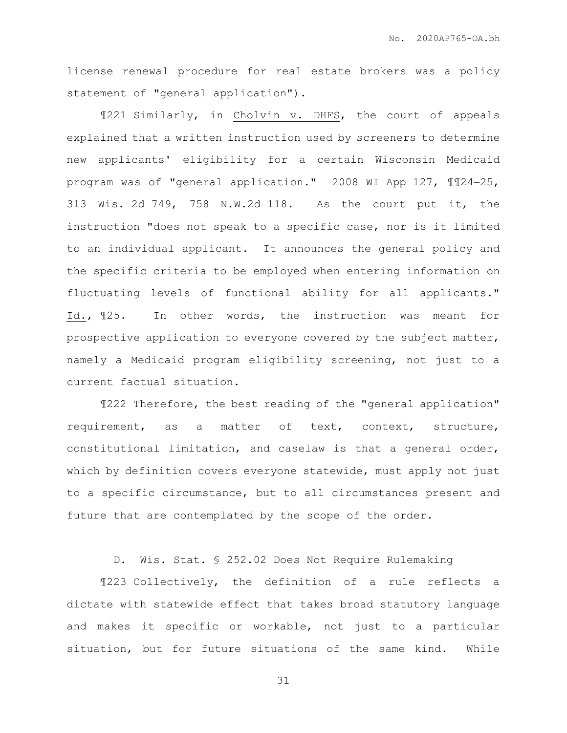license renewal procedure for real estate brokers was a policy statement of "general application").

¶221 Similarly, in Cholvin v. DHFS, the court of appeals explained that a written instruction used by screeners to determine new applicants' eligibility for a certain Wisconsin Medicaid program was of "general application." 2008 WI App 127,  $\text{\textsterling}124-25$ , 313 Wis. 2d 749, 758 N.W.2d 118. As the court put it, the instruction "does not speak to a specific case, nor is it limited to an individual applicant. It announces the general policy and the specific criteria to be employed when entering information on fluctuating levels of functional ability for all applicants." Id., ¶25. In other words, the instruction was meant for prospective application to everyone covered by the subject matter, namely a Medicaid program eligibility screening, not just to a current factual situation.

¶222 Therefore, the best reading of the "general application" requirement, as a matter of text, context, structure, constitutional limitation, and caselaw is that a general order, which by definition covers everyone statewide, must apply not just to a specific circumstance, but to all circumstances present and future that are contemplated by the scope of the order.

D. Wis. Stat. § 252.02 Does Not Require Rulemaking

¶223 Collectively, the definition of a rule reflects a dictate with statewide effect that takes broad statutory language and makes it specific or workable, not just to a particular situation, but for future situations of the same kind. While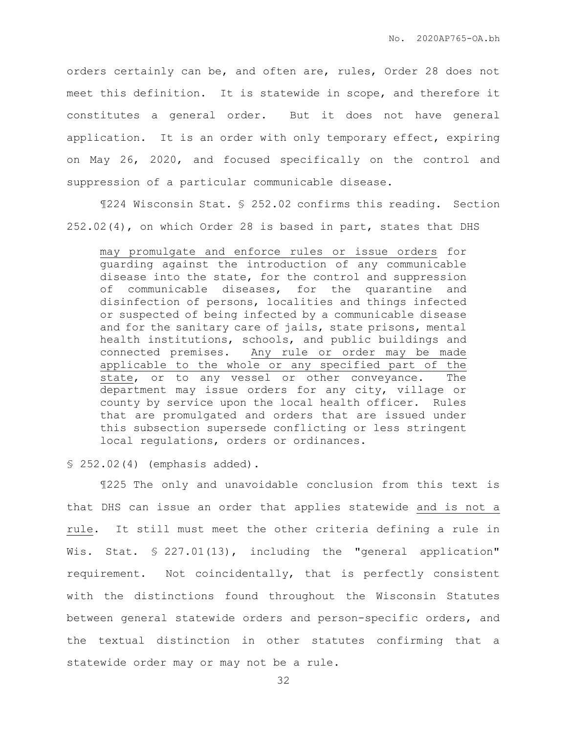orders certainly can be, and often are, rules, Order 28 does not meet this definition. It is statewide in scope, and therefore it constitutes a general order. But it does not have general application. It is an order with only temporary effect, expiring on May 26, 2020, and focused specifically on the control and suppression of a particular communicable disease.

¶224 Wisconsin Stat. § 252.02 confirms this reading. Section 252.02(4), on which Order 28 is based in part, states that DHS

may promulgate and enforce rules or issue orders for guarding against the introduction of any communicable disease into the state, for the control and suppression of communicable diseases, for the quarantine and disinfection of persons, localities and things infected or suspected of being infected by a communicable disease and for the sanitary care of jails, state prisons, mental health institutions, schools, and public buildings and connected premises. Any rule or order may be made applicable to the whole or any specified part of the state, or to any vessel or other conveyance. The department may issue orders for any city, village or county by service upon the local health officer. Rules that are promulgated and orders that are issued under this subsection supersede conflicting or less stringent local regulations, orders or ordinances.

§ 252.02(4) (emphasis added).

¶225 The only and unavoidable conclusion from this text is that DHS can issue an order that applies statewide and is not a rule. It still must meet the other criteria defining a rule in Wis. Stat. § 227.01(13), including the "general application" requirement. Not coincidentally, that is perfectly consistent with the distinctions found throughout the Wisconsin Statutes between general statewide orders and person-specific orders, and the textual distinction in other statutes confirming that a statewide order may or may not be a rule.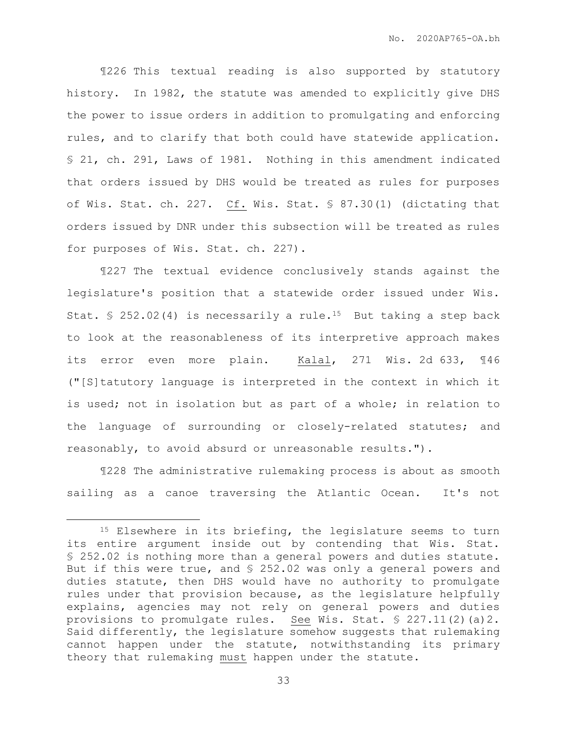¶226 This textual reading is also supported by statutory history. In 1982, the statute was amended to explicitly give DHS the power to issue orders in addition to promulgating and enforcing rules, and to clarify that both could have statewide application. § 21, ch. 291, Laws of 1981. Nothing in this amendment indicated that orders issued by DHS would be treated as rules for purposes of Wis. Stat. ch. 227. Cf. Wis. Stat. § 87.30(1) (dictating that orders issued by DNR under this subsection will be treated as rules for purposes of Wis. Stat. ch. 227).

¶227 The textual evidence conclusively stands against the legislature's position that a statewide order issued under Wis. Stat. § 252.02(4) is necessarily a rule.<sup>15</sup> But taking a step back to look at the reasonableness of its interpretive approach makes its error even more plain. Kalal, 271 Wis. 2d 633, ¶46 ("[S]tatutory language is interpreted in the context in which it is used; not in isolation but as part of a whole; in relation to the language of surrounding or closely-related statutes; and reasonably, to avoid absurd or unreasonable results.").

¶228 The administrative rulemaking process is about as smooth sailing as a canoe traversing the Atlantic Ocean. It's not

<sup>&</sup>lt;sup>15</sup> Elsewhere in its briefing, the legislature seems to turn its entire argument inside out by contending that Wis. Stat. § 252.02 is nothing more than a general powers and duties statute. But if this were true, and § 252.02 was only a general powers and duties statute, then DHS would have no authority to promulgate rules under that provision because, as the legislature helpfully explains, agencies may not rely on general powers and duties provisions to promulgate rules. See Wis. Stat.  $\S 227.11(2)(a)2$ . Said differently, the legislature somehow suggests that rulemaking cannot happen under the statute, notwithstanding its primary theory that rulemaking must happen under the statute.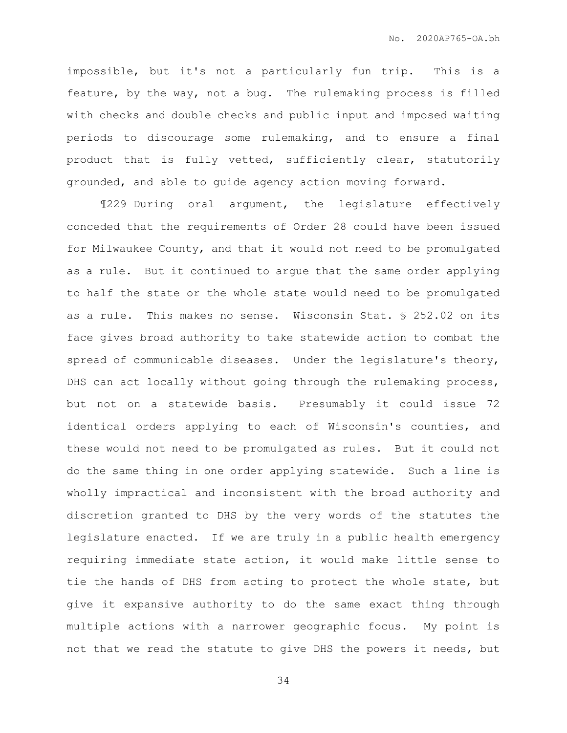impossible, but it's not a particularly fun trip. This is a feature, by the way, not a bug. The rulemaking process is filled with checks and double checks and public input and imposed waiting periods to discourage some rulemaking, and to ensure a final product that is fully vetted, sufficiently clear, statutorily grounded, and able to guide agency action moving forward.

¶229 During oral argument, the legislature effectively conceded that the requirements of Order 28 could have been issued for Milwaukee County, and that it would not need to be promulgated as a rule. But it continued to argue that the same order applying to half the state or the whole state would need to be promulgated as a rule. This makes no sense. Wisconsin Stat. § 252.02 on its face gives broad authority to take statewide action to combat the spread of communicable diseases. Under the legislature's theory, DHS can act locally without going through the rulemaking process, but not on a statewide basis. Presumably it could issue 72 identical orders applying to each of Wisconsin's counties, and these would not need to be promulgated as rules. But it could not do the same thing in one order applying statewide. Such a line is wholly impractical and inconsistent with the broad authority and discretion granted to DHS by the very words of the statutes the legislature enacted. If we are truly in a public health emergency requiring immediate state action, it would make little sense to tie the hands of DHS from acting to protect the whole state, but give it expansive authority to do the same exact thing through multiple actions with a narrower geographic focus. My point is not that we read the statute to give DHS the powers it needs, but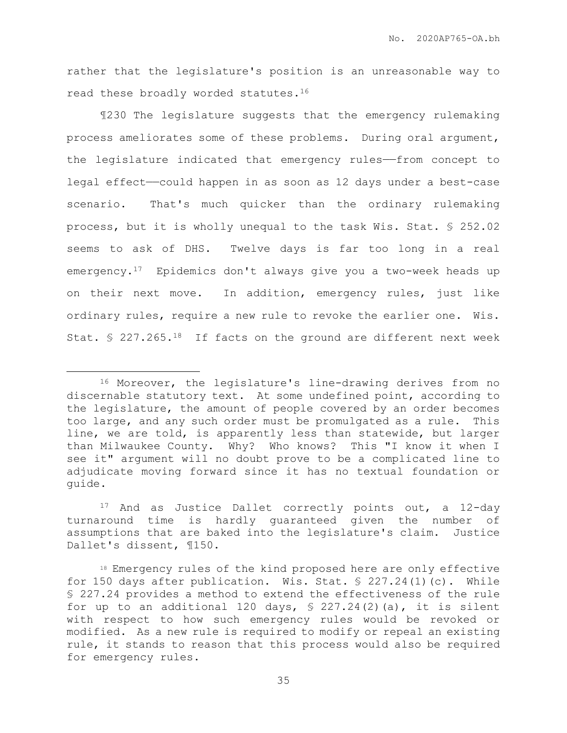rather that the legislature's position is an unreasonable way to read these broadly worded statutes.<sup>16</sup>

¶230 The legislature suggests that the emergency rulemaking process ameliorates some of these problems. During oral argument, the legislature indicated that emergency rules——from concept to legal effect——could happen in as soon as 12 days under a best-case scenario. That's much quicker than the ordinary rulemaking process, but it is wholly unequal to the task Wis. Stat. § 252.02 seems to ask of DHS. Twelve days is far too long in a real emergency.17 Epidemics don't always give you a two-week heads up on their next move. In addition, emergency rules, just like ordinary rules, require a new rule to revoke the earlier one. Wis. Stat. § 227.265.18 If facts on the ground are different next week

 $\overline{a}$ 

<sup>17</sup> And as Justice Dallet correctly points out, a 12-day turnaround time is hardly guaranteed given the number of assumptions that are baked into the legislature's claim. Justice Dallet's dissent, ¶150.

<sup>16</sup> Moreover, the legislature's line-drawing derives from no discernable statutory text. At some undefined point, according to the legislature, the amount of people covered by an order becomes too large, and any such order must be promulgated as a rule. This line, we are told, is apparently less than statewide, but larger than Milwaukee County. Why? Who knows? This "I know it when I see it" argument will no doubt prove to be a complicated line to adjudicate moving forward since it has no textual foundation or guide.

<sup>18</sup> Emergency rules of the kind proposed here are only effective for 150 days after publication. Wis. Stat. § 227.24(1)(c). While § 227.24 provides a method to extend the effectiveness of the rule for up to an additional 120 days,  $\frac{127.24(2)}{a}$ , it is silent with respect to how such emergency rules would be revoked or modified. As a new rule is required to modify or repeal an existing rule, it stands to reason that this process would also be required for emergency rules.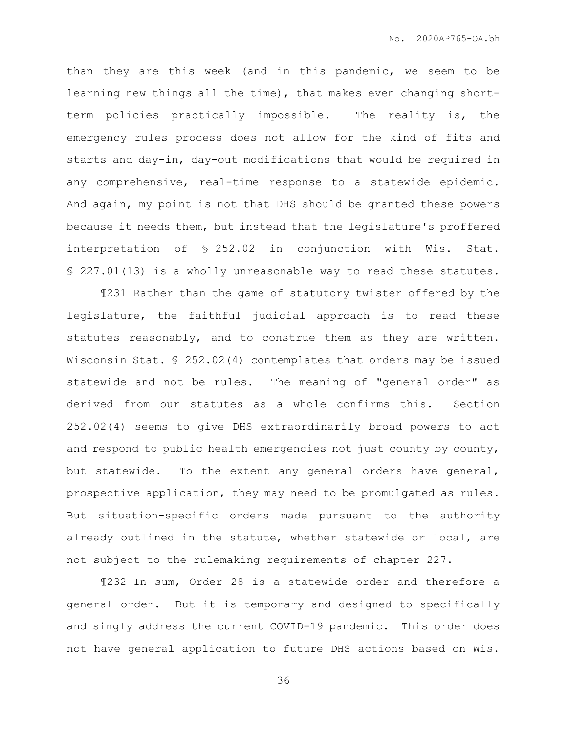than they are this week (and in this pandemic, we seem to be learning new things all the time), that makes even changing shortterm policies practically impossible. The reality is, the emergency rules process does not allow for the kind of fits and starts and day-in, day-out modifications that would be required in any comprehensive, real-time response to a statewide epidemic. And again, my point is not that DHS should be granted these powers because it needs them, but instead that the legislature's proffered interpretation of § 252.02 in conjunction with Wis. Stat. § 227.01(13) is a wholly unreasonable way to read these statutes.

¶231 Rather than the game of statutory twister offered by the legislature, the faithful judicial approach is to read these statutes reasonably, and to construe them as they are written. Wisconsin Stat. § 252.02(4) contemplates that orders may be issued statewide and not be rules. The meaning of "general order" as derived from our statutes as a whole confirms this. Section 252.02(4) seems to give DHS extraordinarily broad powers to act and respond to public health emergencies not just county by county, but statewide. To the extent any general orders have general, prospective application, they may need to be promulgated as rules. But situation-specific orders made pursuant to the authority already outlined in the statute, whether statewide or local, are not subject to the rulemaking requirements of chapter 227.

¶232 In sum, Order 28 is a statewide order and therefore a general order. But it is temporary and designed to specifically and singly address the current COVID-19 pandemic. This order does not have general application to future DHS actions based on Wis.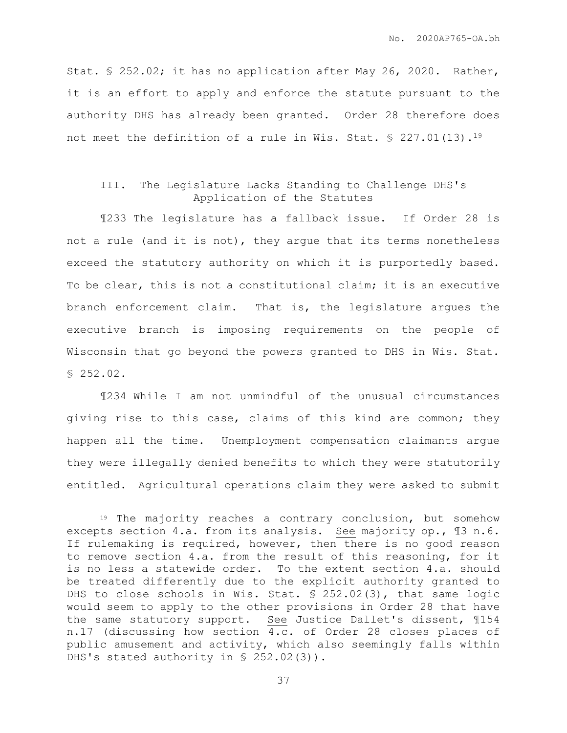Stat. § 252.02; it has no application after May 26, 2020. Rather, it is an effort to apply and enforce the statute pursuant to the authority DHS has already been granted. Order 28 therefore does not meet the definition of a rule in Wis. Stat. § 227.01(13).<sup>19</sup>

## III. The Legislature Lacks Standing to Challenge DHS's Application of the Statutes

¶233 The legislature has a fallback issue. If Order 28 is not a rule (and it is not), they argue that its terms nonetheless exceed the statutory authority on which it is purportedly based. To be clear, this is not a constitutional claim; it is an executive branch enforcement claim. That is, the legislature argues the executive branch is imposing requirements on the people of Wisconsin that go beyond the powers granted to DHS in Wis. Stat. § 252.02.

¶234 While I am not unmindful of the unusual circumstances giving rise to this case, claims of this kind are common; they happen all the time. Unemployment compensation claimants argue they were illegally denied benefits to which they were statutorily entitled. Agricultural operations claim they were asked to submit

<sup>19</sup> The majority reaches a contrary conclusion, but somehow excepts section 4.a. from its analysis. See majority op., ¶3 n.6. If rulemaking is required, however, then there is no good reason to remove section 4.a. from the result of this reasoning, for it is no less a statewide order. To the extent section 4.a. should be treated differently due to the explicit authority granted to DHS to close schools in Wis. Stat. § 252.02(3), that same logic would seem to apply to the other provisions in Order 28 that have the same statutory support. See Justice Dallet's dissent, ¶154 n.17 (discussing how section 4.c. of Order 28 closes places of public amusement and activity, which also seemingly falls within DHS's stated authority in § 252.02(3)).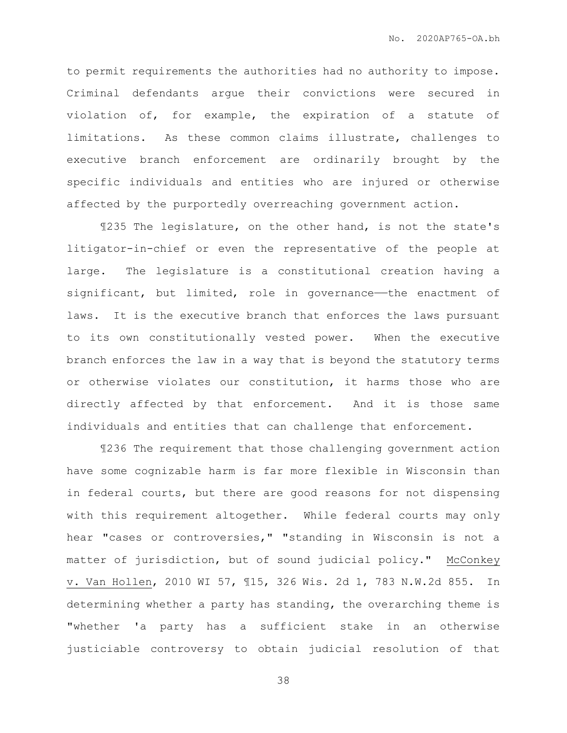to permit requirements the authorities had no authority to impose. Criminal defendants argue their convictions were secured in violation of, for example, the expiration of a statute of limitations. As these common claims illustrate, challenges to executive branch enforcement are ordinarily brought by the specific individuals and entities who are injured or otherwise affected by the purportedly overreaching government action.

¶235 The legislature, on the other hand, is not the state's litigator-in-chief or even the representative of the people at large. The legislature is a constitutional creation having a significant, but limited, role in governance—the enactment of laws. It is the executive branch that enforces the laws pursuant to its own constitutionally vested power. When the executive branch enforces the law in a way that is beyond the statutory terms or otherwise violates our constitution, it harms those who are directly affected by that enforcement. And it is those same individuals and entities that can challenge that enforcement.

¶236 The requirement that those challenging government action have some cognizable harm is far more flexible in Wisconsin than in federal courts, but there are good reasons for not dispensing with this requirement altogether. While federal courts may only hear "cases or controversies," "standing in Wisconsin is not a matter of jurisdiction, but of sound judicial policy." McConkey v. Van Hollen, 2010 WI 57, ¶15, 326 Wis. 2d 1, 783 N.W.2d 855. In determining whether a party has standing, the overarching theme is "whether 'a party has a sufficient stake in an otherwise justiciable controversy to obtain judicial resolution of that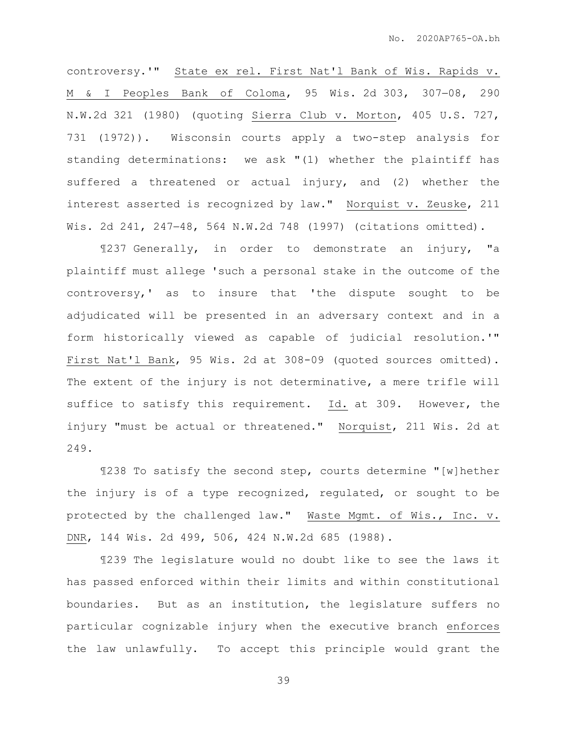controversy.'" State ex rel. First Nat'l Bank of Wis. Rapids v. M & I Peoples Bank of Coloma, 95 Wis. 2d 303, 307-08, 290 N.W.2d 321 (1980) (quoting Sierra Club v. Morton, 405 U.S. 727, 731 (1972)). Wisconsin courts apply a two-step analysis for standing determinations: we ask "(1) whether the plaintiff has suffered a threatened or actual injury, and (2) whether the interest asserted is recognized by law." Norquist v. Zeuske, 211 Wis. 2d 241, 24748, 564 N.W.2d 748 (1997) (citations omitted).

¶237 Generally, in order to demonstrate an injury, "a plaintiff must allege 'such a personal stake in the outcome of the controversy,' as to insure that 'the dispute sought to be adjudicated will be presented in an adversary context and in a form historically viewed as capable of judicial resolution.'" First Nat'l Bank, 95 Wis. 2d at 308-09 (quoted sources omitted). The extent of the injury is not determinative, a mere trifle will suffice to satisfy this requirement. Id. at 309. However, the injury "must be actual or threatened." Norquist, 211 Wis. 2d at 249.

¶238 To satisfy the second step, courts determine "[w]hether the injury is of a type recognized, regulated, or sought to be protected by the challenged law." Waste Mgmt. of Wis., Inc. v. DNR, 144 Wis. 2d 499, 506, 424 N.W.2d 685 (1988).

¶239 The legislature would no doubt like to see the laws it has passed enforced within their limits and within constitutional boundaries. But as an institution, the legislature suffers no particular cognizable injury when the executive branch enforces the law unlawfully. To accept this principle would grant the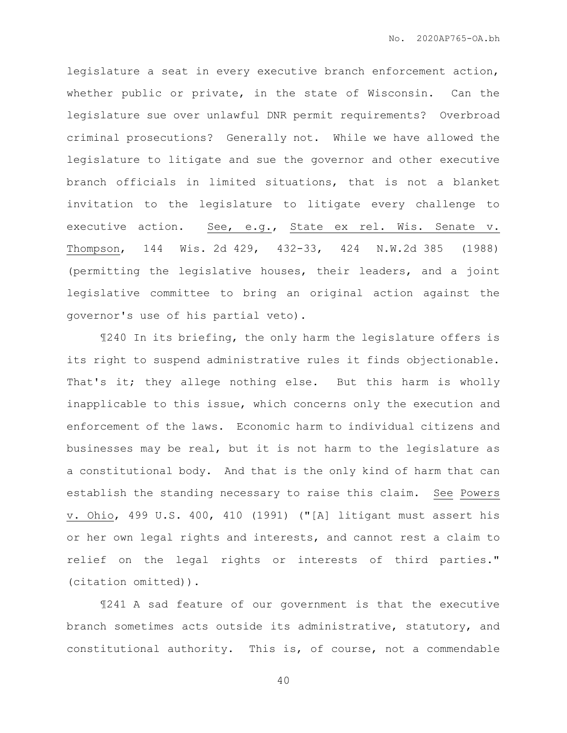legislature a seat in every executive branch enforcement action, whether public or private, in the state of Wisconsin. Can the legislature sue over unlawful DNR permit requirements? Overbroad criminal prosecutions? Generally not. While we have allowed the legislature to litigate and sue the governor and other executive branch officials in limited situations, that is not a blanket invitation to the legislature to litigate every challenge to executive action. See, e.g., State ex rel. Wis. Senate v. Thompson, 144 Wis. 2d 429, 432-33, 424 N.W.2d 385 (1988) (permitting the legislative houses, their leaders, and a joint legislative committee to bring an original action against the governor's use of his partial veto).

¶240 In its briefing, the only harm the legislature offers is its right to suspend administrative rules it finds objectionable. That's it; they allege nothing else. But this harm is wholly inapplicable to this issue, which concerns only the execution and enforcement of the laws. Economic harm to individual citizens and businesses may be real, but it is not harm to the legislature as a constitutional body. And that is the only kind of harm that can establish the standing necessary to raise this claim. See Powers v. Ohio, 499 U.S. 400, 410 (1991) ("[A] litigant must assert his or her own legal rights and interests, and cannot rest a claim to relief on the legal rights or interests of third parties." (citation omitted)).

¶241 A sad feature of our government is that the executive branch sometimes acts outside its administrative, statutory, and constitutional authority. This is, of course, not a commendable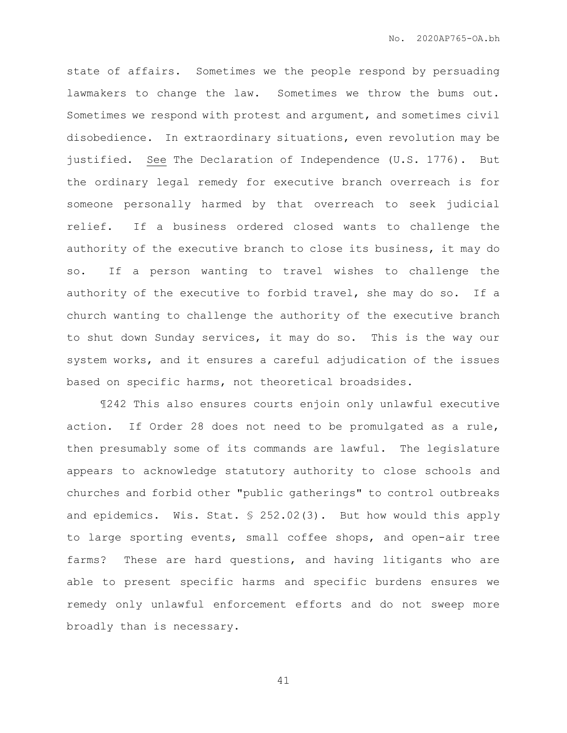state of affairs. Sometimes we the people respond by persuading lawmakers to change the law. Sometimes we throw the bums out. Sometimes we respond with protest and argument, and sometimes civil disobedience. In extraordinary situations, even revolution may be justified. See The Declaration of Independence (U.S. 1776). But the ordinary legal remedy for executive branch overreach is for someone personally harmed by that overreach to seek judicial relief. If a business ordered closed wants to challenge the authority of the executive branch to close its business, it may do so. If a person wanting to travel wishes to challenge the authority of the executive to forbid travel, she may do so. If a church wanting to challenge the authority of the executive branch to shut down Sunday services, it may do so. This is the way our system works, and it ensures a careful adjudication of the issues based on specific harms, not theoretical broadsides.

¶242 This also ensures courts enjoin only unlawful executive action. If Order 28 does not need to be promulgated as a rule, then presumably some of its commands are lawful. The legislature appears to acknowledge statutory authority to close schools and churches and forbid other "public gatherings" to control outbreaks and epidemics. Wis. Stat. § 252.02(3). But how would this apply to large sporting events, small coffee shops, and open-air tree farms? These are hard questions, and having litigants who are able to present specific harms and specific burdens ensures we remedy only unlawful enforcement efforts and do not sweep more broadly than is necessary.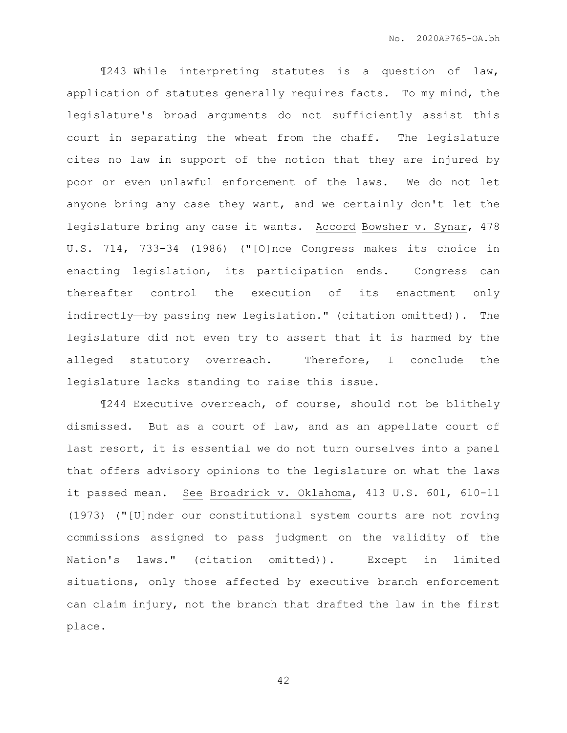¶243 While interpreting statutes is a question of law, application of statutes generally requires facts. To my mind, the legislature's broad arguments do not sufficiently assist this court in separating the wheat from the chaff. The legislature cites no law in support of the notion that they are injured by poor or even unlawful enforcement of the laws. We do not let anyone bring any case they want, and we certainly don't let the legislature bring any case it wants. Accord Bowsher v. Synar, 478 U.S. 714, 733-34 (1986) ("[O]nce Congress makes its choice in enacting legislation, its participation ends. Congress can thereafter control the execution of its enactment only indirectly-by passing new legislation." (citation omitted)). The legislature did not even try to assert that it is harmed by the alleged statutory overreach. Therefore, I conclude the legislature lacks standing to raise this issue.

¶244 Executive overreach, of course, should not be blithely dismissed. But as a court of law, and as an appellate court of last resort, it is essential we do not turn ourselves into a panel that offers advisory opinions to the legislature on what the laws it passed mean. See Broadrick v. Oklahoma, 413 U.S. 601, 610-11 (1973) ("[U]nder our constitutional system courts are not roving commissions assigned to pass judgment on the validity of the Nation's laws." (citation omitted)). Except in limited situations, only those affected by executive branch enforcement can claim injury, not the branch that drafted the law in the first place.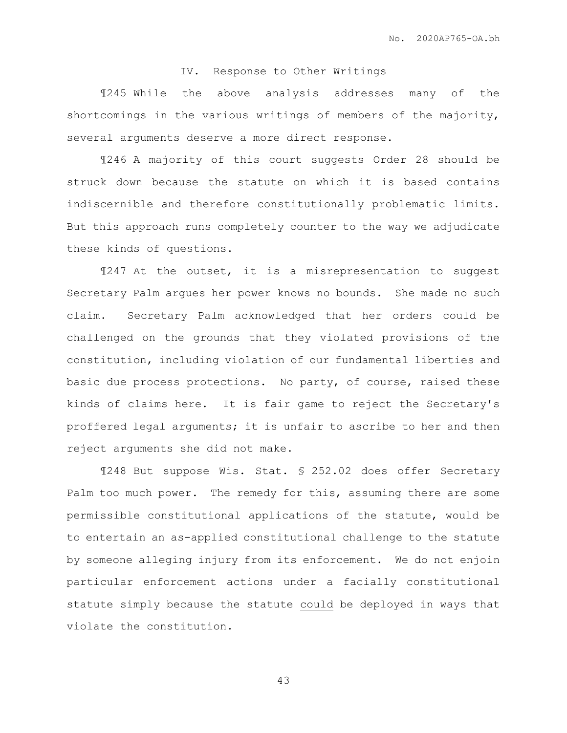## IV. Response to Other Writings

¶245 While the above analysis addresses many of the shortcomings in the various writings of members of the majority, several arguments deserve a more direct response.

¶246 A majority of this court suggests Order 28 should be struck down because the statute on which it is based contains indiscernible and therefore constitutionally problematic limits. But this approach runs completely counter to the way we adjudicate these kinds of questions.

¶247 At the outset, it is a misrepresentation to suggest Secretary Palm argues her power knows no bounds. She made no such claim. Secretary Palm acknowledged that her orders could be challenged on the grounds that they violated provisions of the constitution, including violation of our fundamental liberties and basic due process protections. No party, of course, raised these kinds of claims here. It is fair game to reject the Secretary's proffered legal arguments; it is unfair to ascribe to her and then reject arguments she did not make.

¶248 But suppose Wis. Stat. § 252.02 does offer Secretary Palm too much power. The remedy for this, assuming there are some permissible constitutional applications of the statute, would be to entertain an as-applied constitutional challenge to the statute by someone alleging injury from its enforcement. We do not enjoin particular enforcement actions under a facially constitutional statute simply because the statute could be deployed in ways that violate the constitution.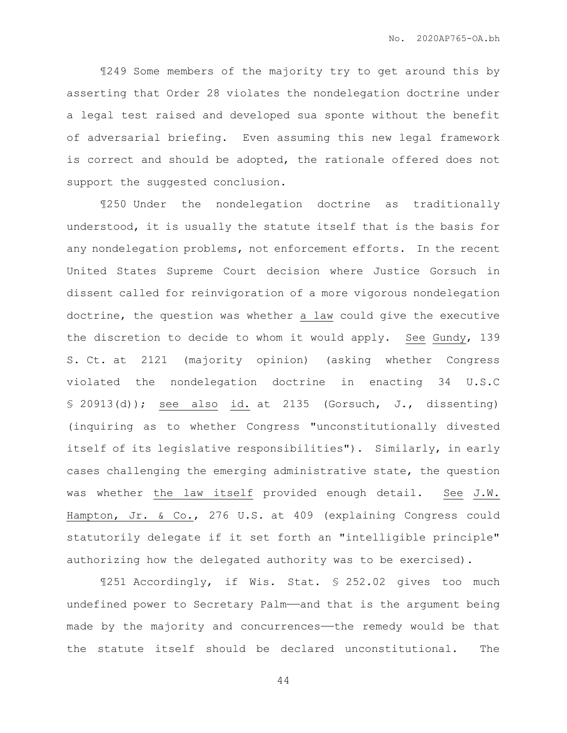¶249 Some members of the majority try to get around this by asserting that Order 28 violates the nondelegation doctrine under a legal test raised and developed sua sponte without the benefit of adversarial briefing. Even assuming this new legal framework is correct and should be adopted, the rationale offered does not support the suggested conclusion.

¶250 Under the nondelegation doctrine as traditionally understood, it is usually the statute itself that is the basis for any nondelegation problems, not enforcement efforts. In the recent United States Supreme Court decision where Justice Gorsuch in dissent called for reinvigoration of a more vigorous nondelegation doctrine, the question was whether a law could give the executive the discretion to decide to whom it would apply. See Gundy, 139 S. Ct. at 2121 (majority opinion) (asking whether Congress violated the nondelegation doctrine in enacting 34 U.S.C  $$ 20913(d)$ ; see also id. at 2135 (Gorsuch, J., dissenting) (inquiring as to whether Congress "unconstitutionally divested itself of its legislative responsibilities"). Similarly, in early cases challenging the emerging administrative state, the question was whether the law itself provided enough detail. See J.W. Hampton, Jr. & Co., 276 U.S. at 409 (explaining Congress could statutorily delegate if it set forth an "intelligible principle" authorizing how the delegated authority was to be exercised).

¶251 Accordingly, if Wis. Stat. § 252.02 gives too much undefined power to Secretary Palm——and that is the argument being made by the majority and concurrences——the remedy would be that the statute itself should be declared unconstitutional. The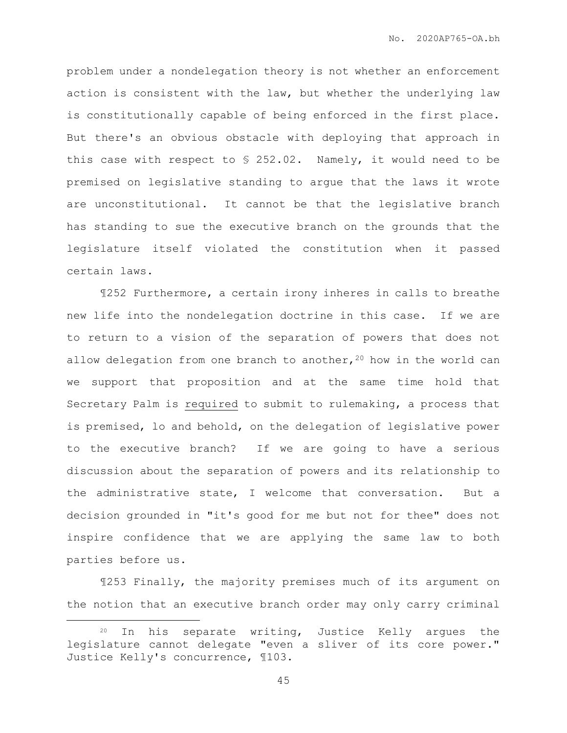problem under a nondelegation theory is not whether an enforcement action is consistent with the law, but whether the underlying law is constitutionally capable of being enforced in the first place. But there's an obvious obstacle with deploying that approach in this case with respect to § 252.02. Namely, it would need to be premised on legislative standing to argue that the laws it wrote are unconstitutional. It cannot be that the legislative branch has standing to sue the executive branch on the grounds that the legislature itself violated the constitution when it passed certain laws.

¶252 Furthermore, a certain irony inheres in calls to breathe new life into the nondelegation doctrine in this case. If we are to return to a vision of the separation of powers that does not allow delegation from one branch to another,  $20$  how in the world can we support that proposition and at the same time hold that Secretary Palm is required to submit to rulemaking, a process that is premised, lo and behold, on the delegation of legislative power to the executive branch? If we are going to have a serious discussion about the separation of powers and its relationship to the administrative state, I welcome that conversation. But a decision grounded in "it's good for me but not for thee" does not inspire confidence that we are applying the same law to both parties before us.

¶253 Finally, the majority premises much of its argument on the notion that an executive branch order may only carry criminal

 $\overline{a}$ 

<sup>20</sup> In his separate writing, Justice Kelly argues the legislature cannot delegate "even a sliver of its core power." Justice Kelly's concurrence, ¶103.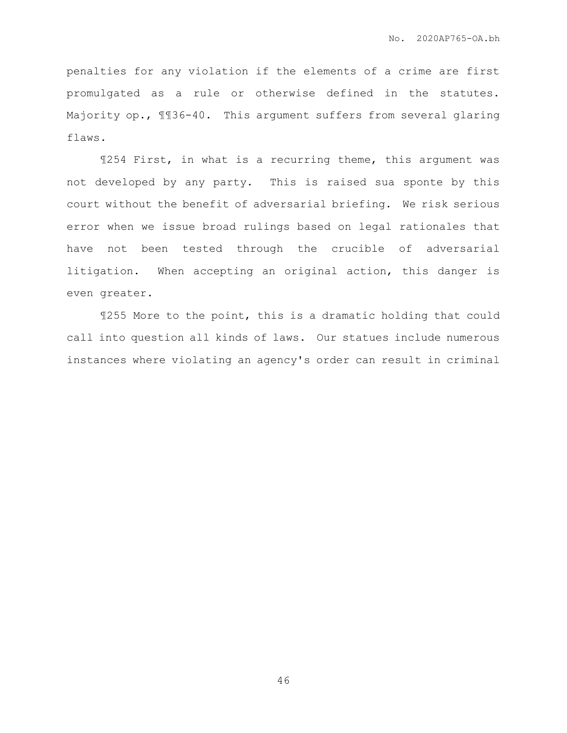penalties for any violation if the elements of a crime are first promulgated as a rule or otherwise defined in the statutes. Majority op.,  $\text{M36-40.}$  This argument suffers from several glaring flaws.

¶254 First, in what is a recurring theme, this argument was not developed by any party. This is raised sua sponte by this court without the benefit of adversarial briefing. We risk serious error when we issue broad rulings based on legal rationales that have not been tested through the crucible of adversarial litigation. When accepting an original action, this danger is even greater.

¶255 More to the point, this is a dramatic holding that could call into question all kinds of laws. Our statues include numerous instances where violating an agency's order can result in criminal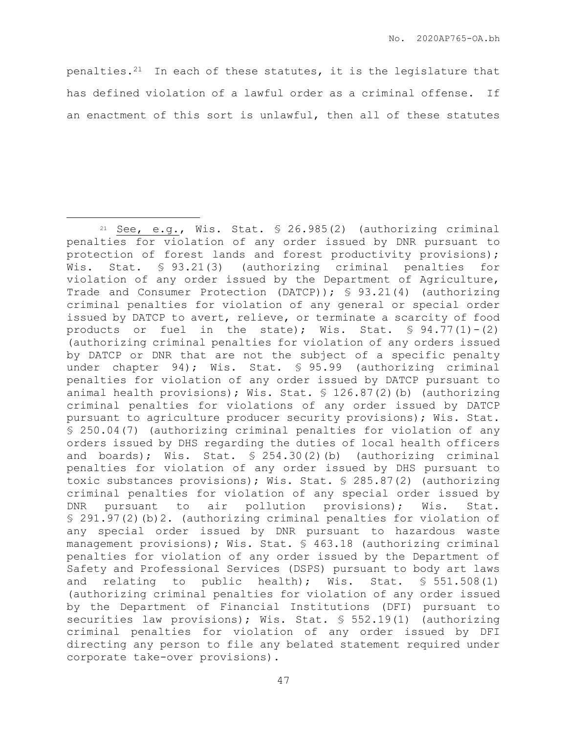penalties. $21$  In each of these statutes, it is the legislature that has defined violation of a lawful order as a criminal offense. If an enactment of this sort is unlawful, then all of these statutes

 $21$  See, e.g., Wis. Stat. § 26.985(2) (authorizing criminal penalties for violation of any order issued by DNR pursuant to protection of forest lands and forest productivity provisions); Wis. Stat. § 93.21(3) (authorizing criminal penalties for violation of any order issued by the Department of Agriculture, Trade and Consumer Protection (DATCP)); § 93.21(4) (authorizing criminal penalties for violation of any general or special order issued by DATCP to avert, relieve, or terminate a scarcity of food products or fuel in the state); Wis. Stat.  $\text{\$ }94.77(1)-(2)$ (authorizing criminal penalties for violation of any orders issued by DATCP or DNR that are not the subject of a specific penalty under chapter 94); Wis. Stat. § 95.99 (authorizing criminal penalties for violation of any order issued by DATCP pursuant to animal health provisions); Wis. Stat. § 126.87(2)(b) (authorizing criminal penalties for violations of any order issued by DATCP pursuant to agriculture producer security provisions); Wis. Stat. § 250.04(7) (authorizing criminal penalties for violation of any orders issued by DHS regarding the duties of local health officers and boards); Wis. Stat. § 254.30(2)(b) (authorizing criminal penalties for violation of any order issued by DHS pursuant to toxic substances provisions); Wis. Stat. § 285.87(2) (authorizing criminal penalties for violation of any special order issued by DNR pursuant to air pollution provisions); Wis. Stat. § 291.97(2)(b)2. (authorizing criminal penalties for violation of any special order issued by DNR pursuant to hazardous waste management provisions); Wis. Stat. § 463.18 (authorizing criminal penalties for violation of any order issued by the Department of Safety and Professional Services (DSPS) pursuant to body art laws and relating to public health); Wis. Stat.  $$551.508(1)$ (authorizing criminal penalties for violation of any order issued by the Department of Financial Institutions (DFI) pursuant to securities law provisions); Wis. Stat. § 552.19(1) (authorizing criminal penalties for violation of any order issued by DFI directing any person to file any belated statement required under corporate take-over provisions).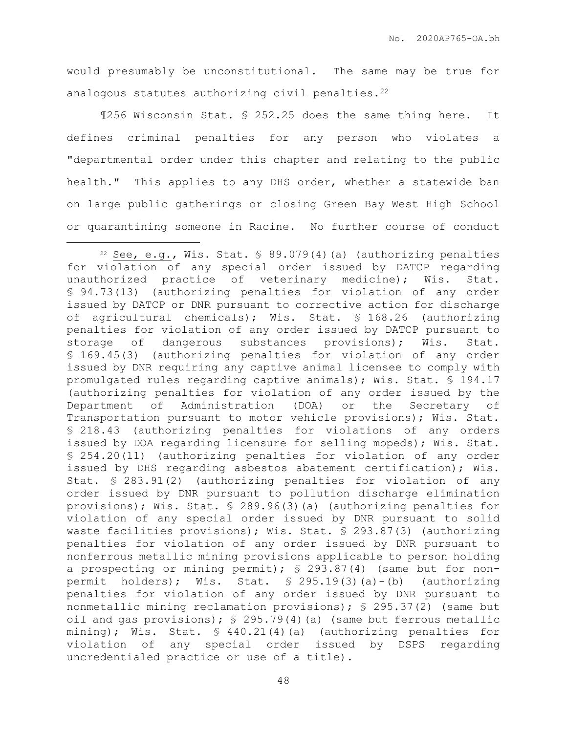would presumably be unconstitutional. The same may be true for analogous statutes authorizing civil penalties.<sup>22</sup>

¶256 Wisconsin Stat. § 252.25 does the same thing here. It defines criminal penalties for any person who violates a "departmental order under this chapter and relating to the public health." This applies to any DHS order, whether a statewide ban on large public gatherings or closing Green Bay West High School or quarantining someone in Racine. No further course of conduct

<sup>&</sup>lt;sup>22</sup> See, e.g., Wis. Stat.  $\frac{1}{2}$  89.079(4)(a) (authorizing penalties for violation of any special order issued by DATCP regarding unauthorized practice of veterinary medicine); Wis. Stat. § 94.73(13) (authorizing penalties for violation of any order issued by DATCP or DNR pursuant to corrective action for discharge of agricultural chemicals); Wis. Stat. § 168.26 (authorizing penalties for violation of any order issued by DATCP pursuant to storage of dangerous substances provisions); Wis. Stat. § 169.45(3) (authorizing penalties for violation of any order issued by DNR requiring any captive animal licensee to comply with promulgated rules regarding captive animals); Wis. Stat. § 194.17 (authorizing penalties for violation of any order issued by the Department of Administration (DOA) or the Secretary of Transportation pursuant to motor vehicle provisions); Wis. Stat. § 218.43 (authorizing penalties for violations of any orders issued by DOA regarding licensure for selling mopeds); Wis. Stat. § 254.20(11) (authorizing penalties for violation of any order issued by DHS regarding asbestos abatement certification); Wis. Stat. § 283.91(2) (authorizing penalties for violation of any order issued by DNR pursuant to pollution discharge elimination provisions); Wis. Stat. § 289.96(3)(a) (authorizing penalties for violation of any special order issued by DNR pursuant to solid waste facilities provisions); Wis. Stat. § 293.87(3) (authorizing penalties for violation of any order issued by DNR pursuant to nonferrous metallic mining provisions applicable to person holding a prospecting or mining permit); § 293.87(4) (same but for nonpermit holders); Wis. Stat. § 295.19(3)(a)-(b) (authorizing penalties for violation of any order issued by DNR pursuant to nonmetallic mining reclamation provisions); § 295.37(2) (same but oil and gas provisions); § 295.79(4)(a) (same but ferrous metallic mining); Wis. Stat.  $\frac{1}{2}$  440.21(4)(a) (authorizing penalties for violation of any special order issued by DSPS regarding uncredentialed practice or use of a title).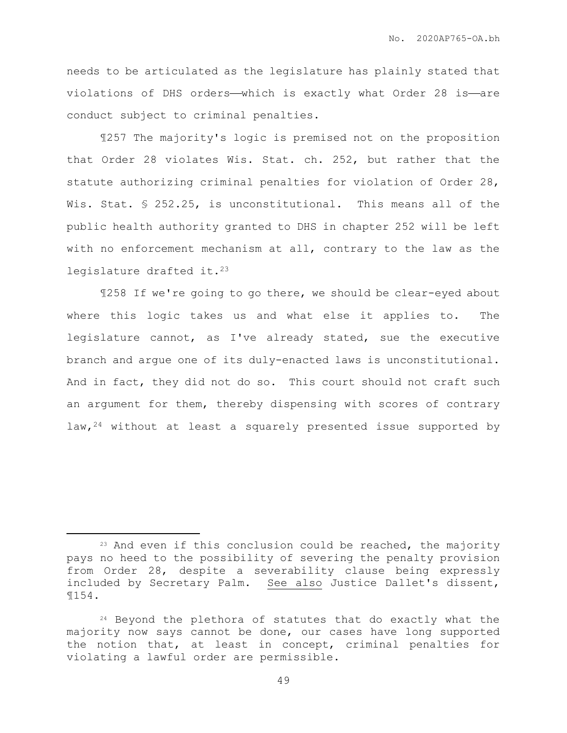needs to be articulated as the legislature has plainly stated that violations of DHS orders—which is exactly what Order 28 is—are conduct subject to criminal penalties.

¶257 The majority's logic is premised not on the proposition that Order 28 violates Wis. Stat. ch. 252, but rather that the statute authorizing criminal penalties for violation of Order 28, Wis. Stat. § 252.25, is unconstitutional. This means all of the public health authority granted to DHS in chapter 252 will be left with no enforcement mechanism at all, contrary to the law as the legislature drafted it.<sup>23</sup>

¶258 If we're going to go there, we should be clear-eyed about where this logic takes us and what else it applies to. The legislature cannot, as I've already stated, sue the executive branch and argue one of its duly-enacted laws is unconstitutional. And in fact, they did not do so. This court should not craft such an argument for them, thereby dispensing with scores of contrary law,  $24$  without at least a squarely presented issue supported by

<sup>&</sup>lt;sup>23</sup> And even if this conclusion could be reached, the majority pays no heed to the possibility of severing the penalty provision from Order 28, despite a severability clause being expressly included by Secretary Palm. See also Justice Dallet's dissent, ¶154.

<sup>&</sup>lt;sup>24</sup> Beyond the plethora of statutes that do exactly what the majority now says cannot be done, our cases have long supported the notion that, at least in concept, criminal penalties for violating a lawful order are permissible.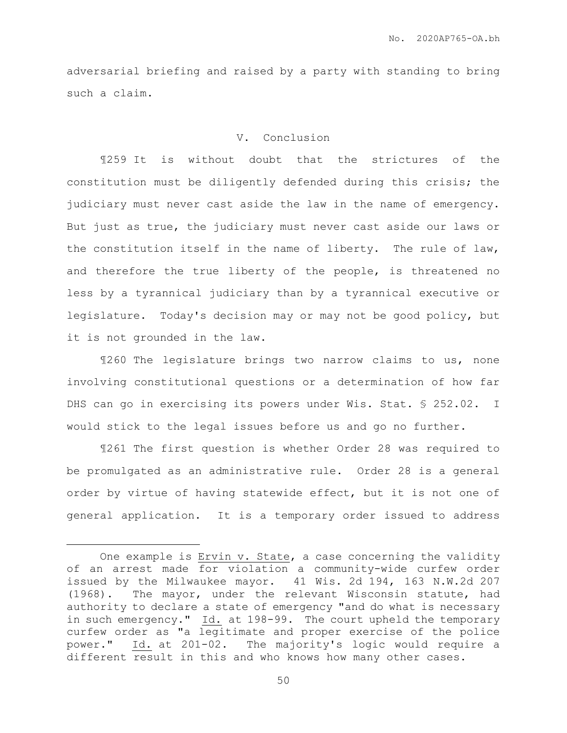adversarial briefing and raised by a party with standing to bring such a claim.

## V. Conclusion

¶259 It is without doubt that the strictures of the constitution must be diligently defended during this crisis; the judiciary must never cast aside the law in the name of emergency. But just as true, the judiciary must never cast aside our laws or the constitution itself in the name of liberty. The rule of law, and therefore the true liberty of the people, is threatened no less by a tyrannical judiciary than by a tyrannical executive or legislature. Today's decision may or may not be good policy, but it is not grounded in the law.

¶260 The legislature brings two narrow claims to us, none involving constitutional questions or a determination of how far DHS can go in exercising its powers under Wis. Stat. § 252.02. I would stick to the legal issues before us and go no further.

¶261 The first question is whether Order 28 was required to be promulgated as an administrative rule. Order 28 is a general order by virtue of having statewide effect, but it is not one of general application. It is a temporary order issued to address

One example is Ervin v. State, a case concerning the validity of an arrest made for violation a community-wide curfew order issued by the Milwaukee mayor. 41 Wis. 2d 194, 163 N.W.2d 207 (1968). The mayor, under the relevant Wisconsin statute, had authority to declare a state of emergency "and do what is necessary in such emergency." Id. at 198-99. The court upheld the temporary curfew order as "a legitimate and proper exercise of the police power." Id. at 201-02. The majority's logic would require a different result in this and who knows how many other cases.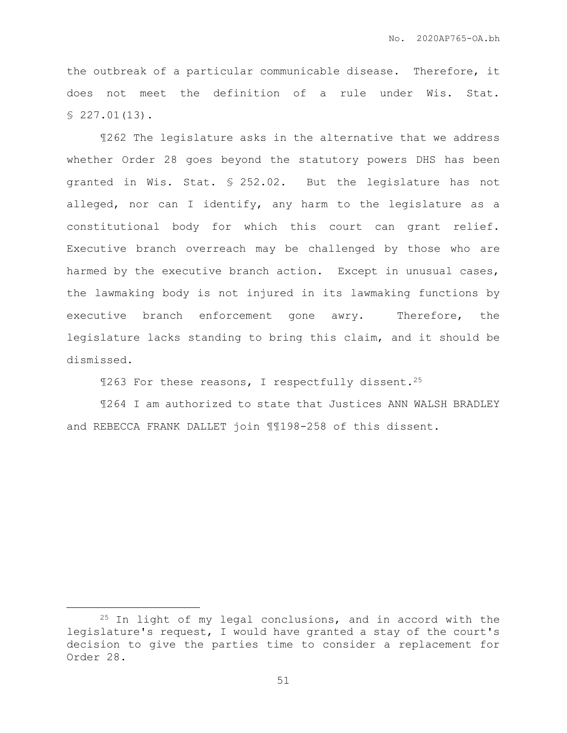the outbreak of a particular communicable disease. Therefore, it does not meet the definition of a rule under Wis. Stat.  $$227.01(13)$ .

¶262 The legislature asks in the alternative that we address whether Order 28 goes beyond the statutory powers DHS has been granted in Wis. Stat. § 252.02. But the legislature has not alleged, nor can I identify, any harm to the legislature as a constitutional body for which this court can grant relief. Executive branch overreach may be challenged by those who are harmed by the executive branch action. Except in unusual cases, the lawmaking body is not injured in its lawmaking functions by executive branch enforcement gone awry. Therefore, the legislature lacks standing to bring this claim, and it should be dismissed.

¶263 For these reasons, I respectfully dissent.<sup>25</sup>

¶264 I am authorized to state that Justices ANN WALSH BRADLEY and REBECCA FRANK DALLET join ¶¶198-258 of this dissent.

<sup>&</sup>lt;sup>25</sup> In light of my legal conclusions, and in accord with the legislature's request, I would have granted a stay of the court's decision to give the parties time to consider a replacement for Order 28.